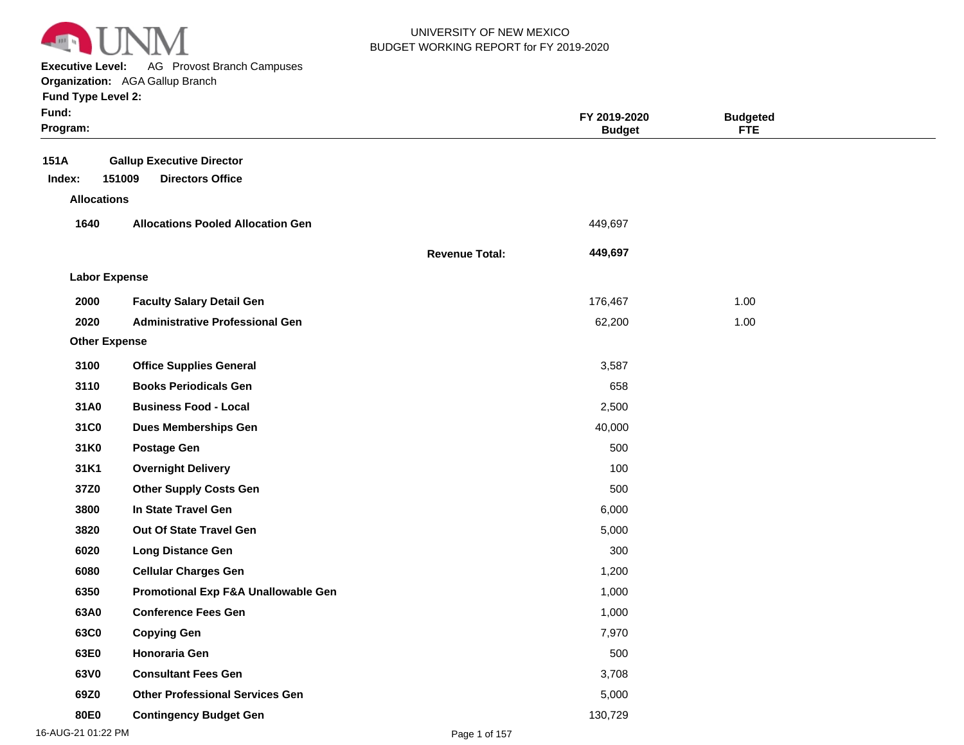

**Executive Level:** AG Provost Branch Campuses

#### **Organization:**  AGA Gallup Branch

| <b>Fund Type Level 2:</b> |  |  |  |
|---------------------------|--|--|--|
|---------------------------|--|--|--|

| Fund:<br>Program:    |                                          |                       | FY 2019-2020<br><b>Budget</b> | <b>Budgeted</b><br><b>FTE</b> |  |
|----------------------|------------------------------------------|-----------------------|-------------------------------|-------------------------------|--|
| 151A                 | <b>Gallup Executive Director</b>         |                       |                               |                               |  |
| Index:               | 151009<br><b>Directors Office</b>        |                       |                               |                               |  |
| <b>Allocations</b>   |                                          |                       |                               |                               |  |
| 1640                 | <b>Allocations Pooled Allocation Gen</b> |                       | 449,697                       |                               |  |
|                      |                                          | <b>Revenue Total:</b> | 449,697                       |                               |  |
| <b>Labor Expense</b> |                                          |                       |                               |                               |  |
| 2000                 | <b>Faculty Salary Detail Gen</b>         |                       | 176,467                       | 1.00                          |  |
| 2020                 | <b>Administrative Professional Gen</b>   |                       | 62,200                        | 1.00                          |  |
| <b>Other Expense</b> |                                          |                       |                               |                               |  |
| 3100                 | <b>Office Supplies General</b>           |                       | 3,587                         |                               |  |
| 3110                 | <b>Books Periodicals Gen</b>             |                       | 658                           |                               |  |
| 31A0                 | <b>Business Food - Local</b>             |                       | 2,500                         |                               |  |
| 31C0                 | <b>Dues Memberships Gen</b>              |                       | 40,000                        |                               |  |
| 31K0                 | <b>Postage Gen</b>                       |                       | 500                           |                               |  |
| 31K1                 | <b>Overnight Delivery</b>                |                       | 100                           |                               |  |
| 37Z0                 | <b>Other Supply Costs Gen</b>            |                       | 500                           |                               |  |
| 3800                 | In State Travel Gen                      |                       | 6,000                         |                               |  |
| 3820                 | Out Of State Travel Gen                  |                       | 5,000                         |                               |  |
| 6020                 | <b>Long Distance Gen</b>                 |                       | 300                           |                               |  |
| 6080                 | <b>Cellular Charges Gen</b>              |                       | 1,200                         |                               |  |
| 6350                 | Promotional Exp F&A Unallowable Gen      |                       | 1,000                         |                               |  |
| 63A0                 | <b>Conference Fees Gen</b>               |                       | 1,000                         |                               |  |
| 63C0                 | <b>Copying Gen</b>                       |                       | 7,970                         |                               |  |
| 63E0                 | Honoraria Gen                            |                       | 500                           |                               |  |
| 63V0                 | <b>Consultant Fees Gen</b>               |                       | 3,708                         |                               |  |
| 69Z0                 | <b>Other Professional Services Gen</b>   |                       | 5,000                         |                               |  |
| 80E0                 | <b>Contingency Budget Gen</b>            |                       | 130,729                       |                               |  |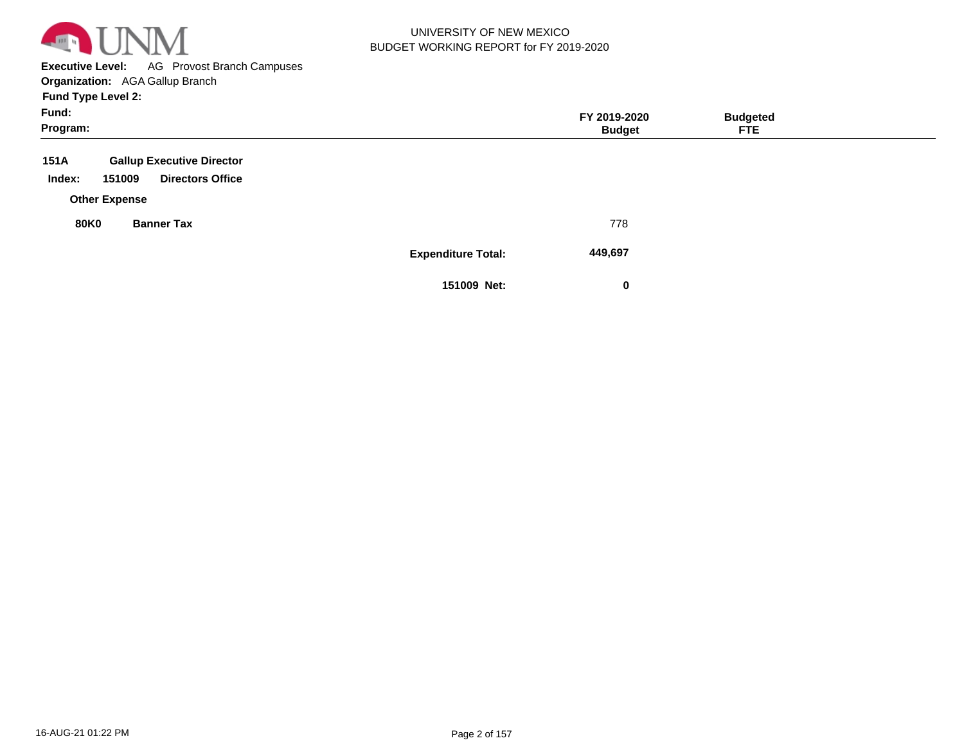

**Executive Level:** AG Provost Branch Campuses **Organization:**  AGA Gallup Branch

| Fund:                                       |                           | FY 2019-2020  | <b>Budgeted</b> |  |
|---------------------------------------------|---------------------------|---------------|-----------------|--|
| Program:                                    |                           | <b>Budget</b> | <b>FTE</b>      |  |
| 151A<br><b>Gallup Executive Director</b>    |                           |               |                 |  |
| Index:<br>151009<br><b>Directors Office</b> |                           |               |                 |  |
| <b>Other Expense</b>                        |                           |               |                 |  |
| <b>80K0</b><br><b>Banner Tax</b>            |                           | 778           |                 |  |
|                                             | <b>Expenditure Total:</b> | 449,697       |                 |  |
|                                             | 151009 Net:               | 0             |                 |  |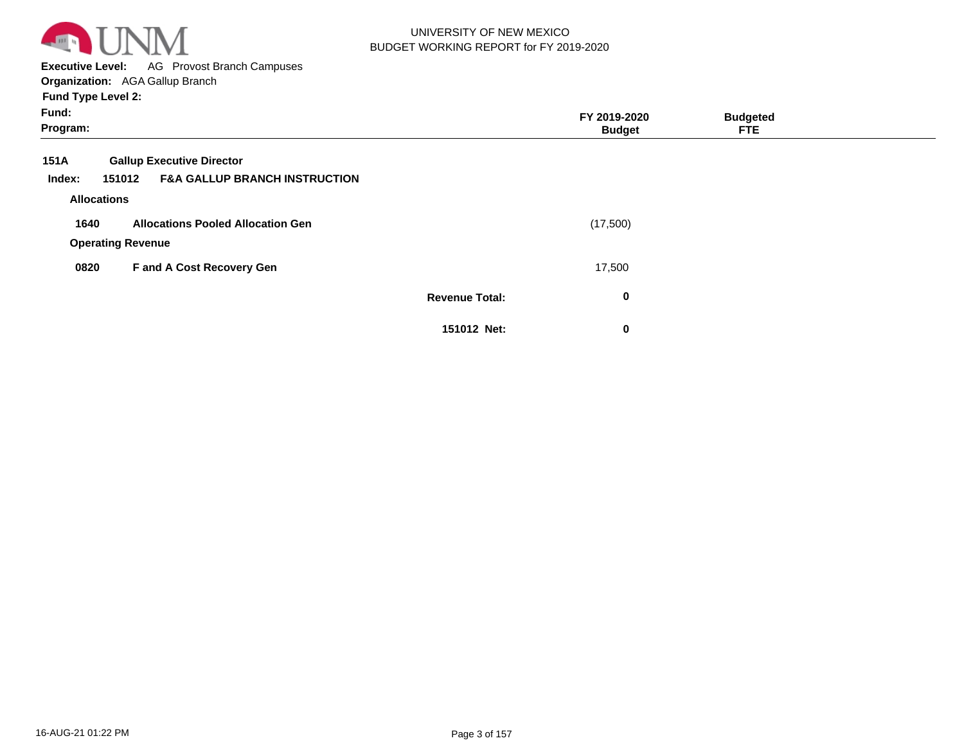

**Executive Level:** AG Provost Branch Campuses **Organization:**  AGA Gallup Branch

| Fund:<br>Program:                 |                                                    |                       | FY 2019-2020<br><b>Budget</b> | <b>Budgeted</b><br><b>FTE</b> |  |
|-----------------------------------|----------------------------------------------------|-----------------------|-------------------------------|-------------------------------|--|
| 151A                              | <b>Gallup Executive Director</b>                   |                       |                               |                               |  |
| Index:                            | <b>F&amp;A GALLUP BRANCH INSTRUCTION</b><br>151012 |                       |                               |                               |  |
|                                   | <b>Allocations</b>                                 |                       |                               |                               |  |
| 1640                              | <b>Allocations Pooled Allocation Gen</b>           |                       | (17,500)                      |                               |  |
|                                   | <b>Operating Revenue</b>                           |                       |                               |                               |  |
| F and A Cost Recovery Gen<br>0820 |                                                    | 17,500                |                               |                               |  |
|                                   |                                                    | <b>Revenue Total:</b> | $\mathbf 0$                   |                               |  |
|                                   |                                                    | 151012 Net:           | 0                             |                               |  |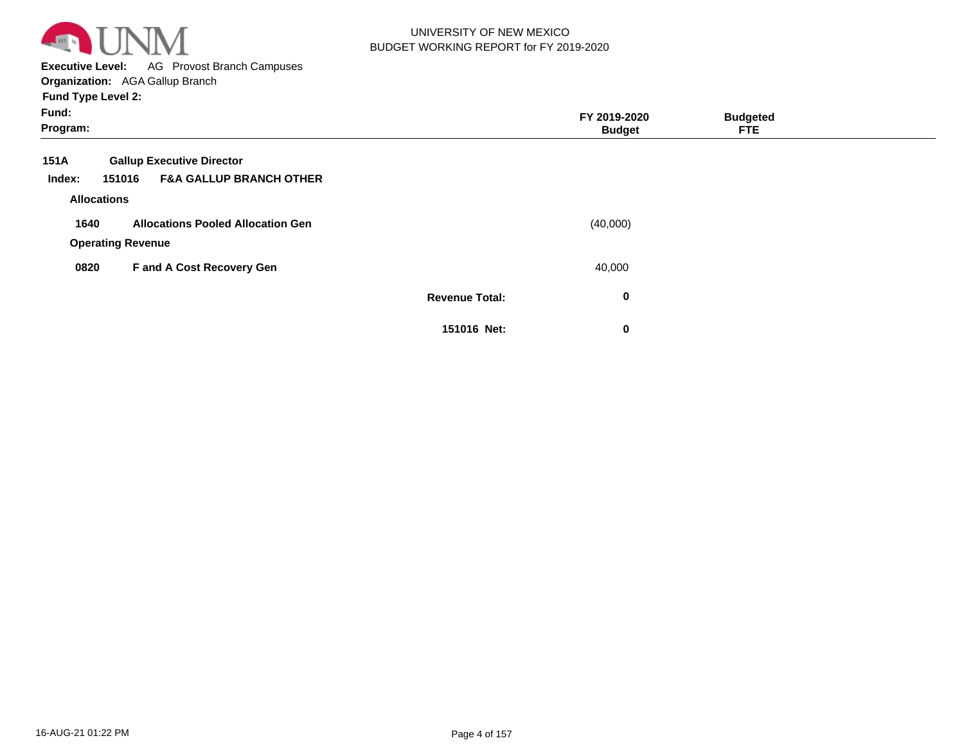

**Executive Level:** AG Provost Branch Campuses

| Fund:<br>Program:                                      |                       | FY 2019-2020<br><b>Budget</b> | <b>Budgeted</b><br><b>FTE</b> |  |
|--------------------------------------------------------|-----------------------|-------------------------------|-------------------------------|--|
| 151A<br><b>Gallup Executive Director</b>               |                       |                               |                               |  |
| <b>F&amp;A GALLUP BRANCH OTHER</b><br>151016<br>Index: |                       |                               |                               |  |
| <b>Allocations</b>                                     |                       |                               |                               |  |
| <b>Allocations Pooled Allocation Gen</b><br>1640       |                       | (40,000)                      |                               |  |
| <b>Operating Revenue</b>                               |                       |                               |                               |  |
| F and A Cost Recovery Gen<br>0820                      |                       | 40,000                        |                               |  |
|                                                        | <b>Revenue Total:</b> | $\bf{0}$                      |                               |  |
|                                                        | 151016 Net:           | $\mathbf 0$                   |                               |  |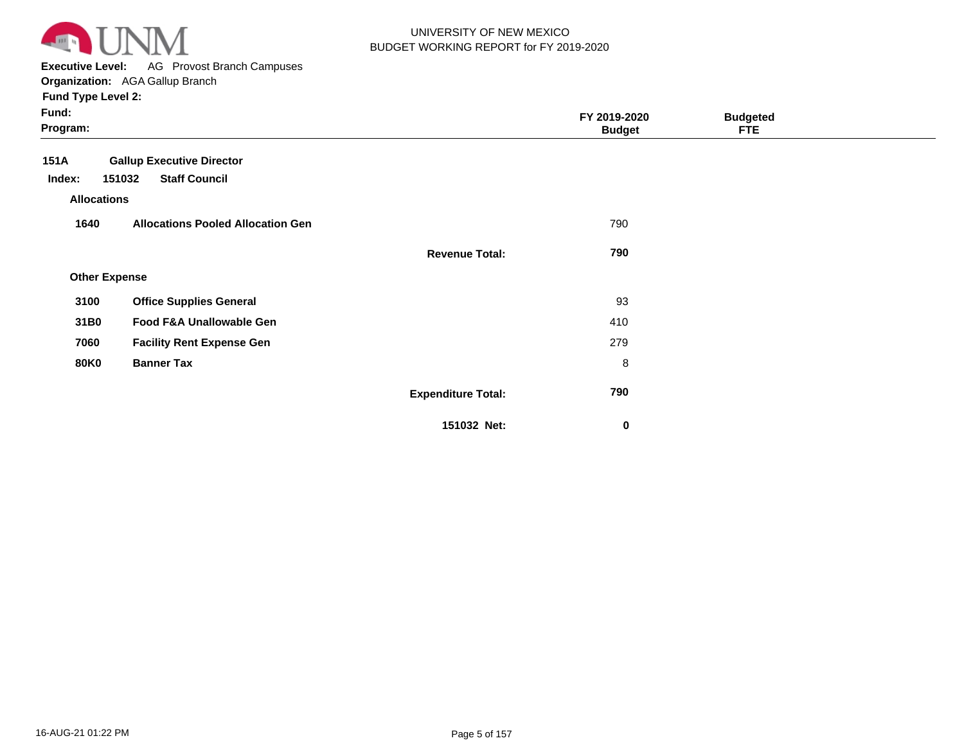

**Executive Level:** AG Provost Branch Campuses

| Fund:<br>Program:    |                                          |                           | FY 2019-2020<br><b>Budget</b> | <b>Budgeted</b><br><b>FTE</b> |  |
|----------------------|------------------------------------------|---------------------------|-------------------------------|-------------------------------|--|
| 151A                 | <b>Gallup Executive Director</b>         |                           |                               |                               |  |
| Index:               | <b>Staff Council</b><br>151032           |                           |                               |                               |  |
| <b>Allocations</b>   |                                          |                           |                               |                               |  |
| 1640                 | <b>Allocations Pooled Allocation Gen</b> |                           | 790                           |                               |  |
|                      |                                          | <b>Revenue Total:</b>     | 790                           |                               |  |
| <b>Other Expense</b> |                                          |                           |                               |                               |  |
| 3100                 | <b>Office Supplies General</b>           |                           | 93                            |                               |  |
| 31B0                 | Food F&A Unallowable Gen                 |                           | 410                           |                               |  |
| 7060                 | <b>Facility Rent Expense Gen</b>         |                           | 279                           |                               |  |
| <b>80K0</b>          | <b>Banner Tax</b>                        |                           | 8                             |                               |  |
|                      |                                          | <b>Expenditure Total:</b> | 790                           |                               |  |
|                      |                                          | 151032 Net:               | $\bf{0}$                      |                               |  |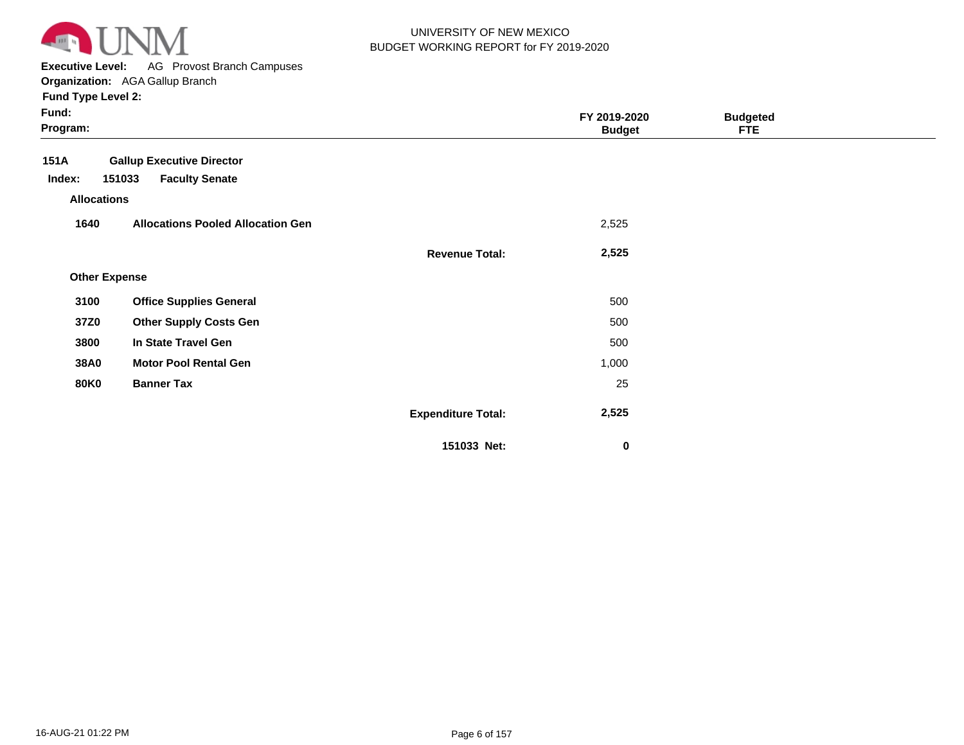

**Executive Level:** AG Provost Branch Campuses

| Fund:<br>Program:    |                                          |                           | FY 2019-2020<br><b>Budget</b> | <b>Budgeted</b><br><b>FTE</b> |  |
|----------------------|------------------------------------------|---------------------------|-------------------------------|-------------------------------|--|
| 151A                 | <b>Gallup Executive Director</b>         |                           |                               |                               |  |
| Index:               | 151033<br><b>Faculty Senate</b>          |                           |                               |                               |  |
| <b>Allocations</b>   |                                          |                           |                               |                               |  |
| 1640                 | <b>Allocations Pooled Allocation Gen</b> |                           | 2,525                         |                               |  |
|                      |                                          | <b>Revenue Total:</b>     | 2,525                         |                               |  |
| <b>Other Expense</b> |                                          |                           |                               |                               |  |
| 3100                 | <b>Office Supplies General</b>           |                           | 500                           |                               |  |
| 37Z0                 | <b>Other Supply Costs Gen</b>            |                           | 500                           |                               |  |
| 3800                 | In State Travel Gen                      |                           | 500                           |                               |  |
| <b>38A0</b>          | <b>Motor Pool Rental Gen</b>             |                           | 1,000                         |                               |  |
| <b>80K0</b>          | <b>Banner Tax</b>                        |                           | 25                            |                               |  |
|                      |                                          | <b>Expenditure Total:</b> | 2,525                         |                               |  |
|                      |                                          | 151033 Net:               | $\mathbf 0$                   |                               |  |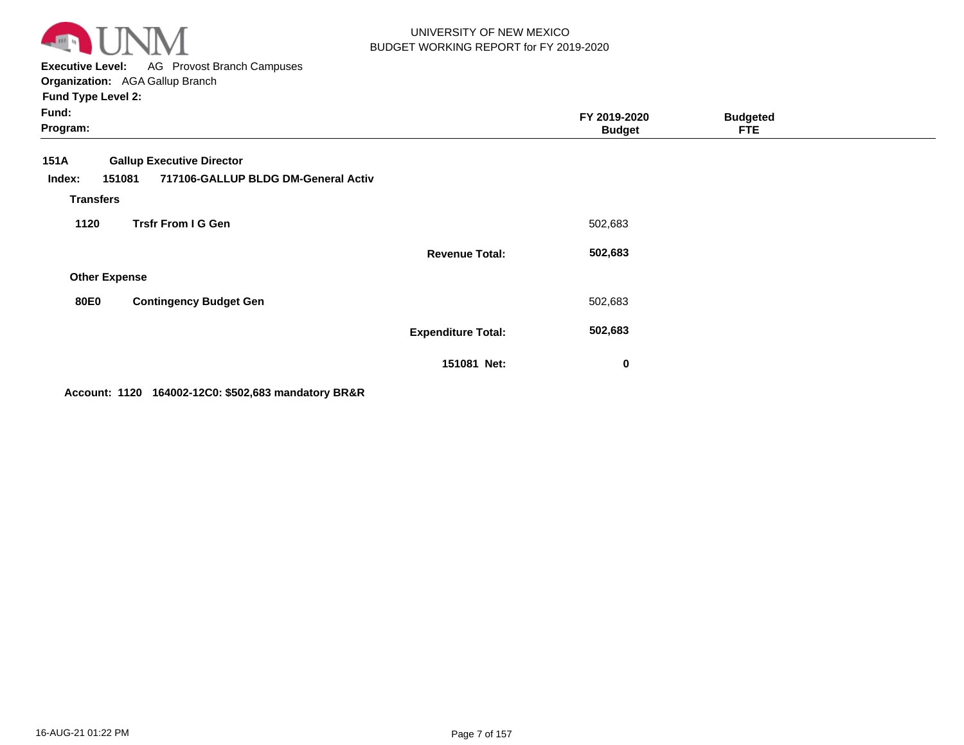

**Executive Level:** AG Provost Branch Campuses **Organization:**  AGA Gallup Branch

**Fund Type Level 2:**

| Fund:<br>Program:    |                                                                                   |                           | FY 2019-2020<br><b>Budget</b> | <b>Budgeted</b><br><b>FTE</b> |  |
|----------------------|-----------------------------------------------------------------------------------|---------------------------|-------------------------------|-------------------------------|--|
| 151A<br>Index:       | <b>Gallup Executive Director</b><br>717106-GALLUP BLDG DM-General Activ<br>151081 |                           |                               |                               |  |
| <b>Transfers</b>     |                                                                                   |                           |                               |                               |  |
| 1120                 | <b>Trsfr From I G Gen</b>                                                         |                           | 502,683                       |                               |  |
|                      |                                                                                   | <b>Revenue Total:</b>     | 502,683                       |                               |  |
| <b>Other Expense</b> |                                                                                   |                           |                               |                               |  |
| <b>80E0</b>          | <b>Contingency Budget Gen</b>                                                     |                           | 502,683                       |                               |  |
|                      |                                                                                   | <b>Expenditure Total:</b> | 502,683                       |                               |  |
|                      |                                                                                   | 151081 Net:               | $\bf{0}$                      |                               |  |

**Account: 1120 164002-12C0: \$502,683 mandatory BR&R**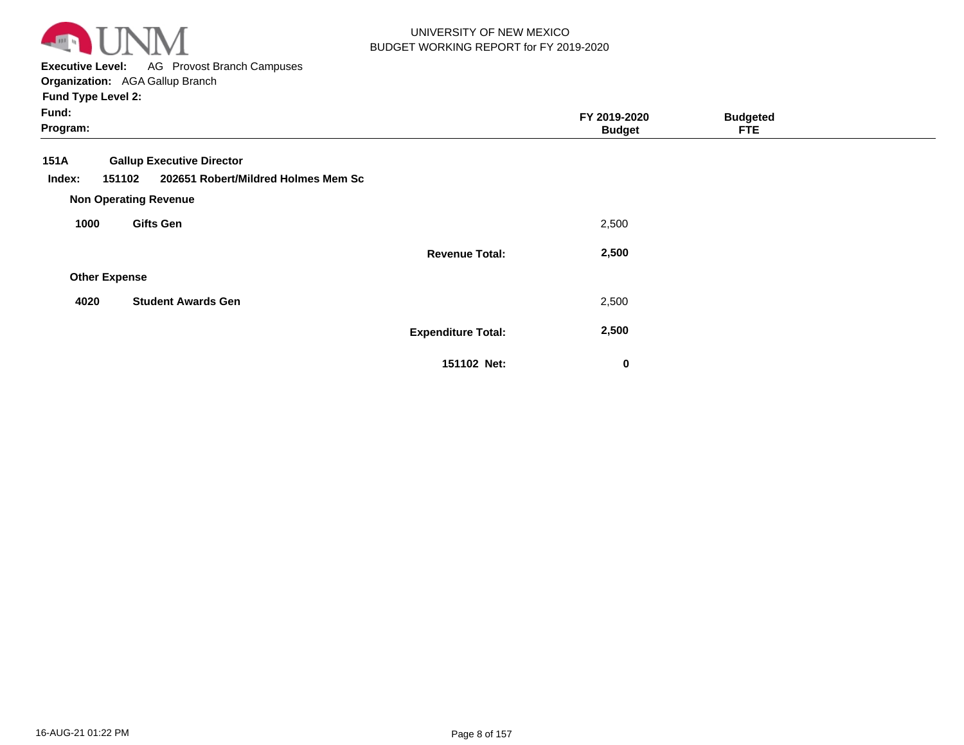

**Executive Level:** AG Provost Branch Campuses **Organization:**  AGA Gallup Branch

| Fund:<br>Program:                                                                                   |                           | FY 2019-2020<br><b>Budget</b> | <b>Budgeted</b><br><b>FTE</b> |  |
|-----------------------------------------------------------------------------------------------------|---------------------------|-------------------------------|-------------------------------|--|
| 151A<br><b>Gallup Executive Director</b><br>202651 Robert/Mildred Holmes Mem Sc<br>151102<br>Index: |                           |                               |                               |  |
| <b>Non Operating Revenue</b><br><b>Gifts Gen</b><br>1000                                            |                           | 2,500                         |                               |  |
|                                                                                                     | <b>Revenue Total:</b>     | 2,500                         |                               |  |
| <b>Other Expense</b>                                                                                |                           |                               |                               |  |
| <b>Student Awards Gen</b><br>4020                                                                   |                           | 2,500                         |                               |  |
|                                                                                                     | <b>Expenditure Total:</b> | 2,500                         |                               |  |
|                                                                                                     | 151102 Net:               | 0                             |                               |  |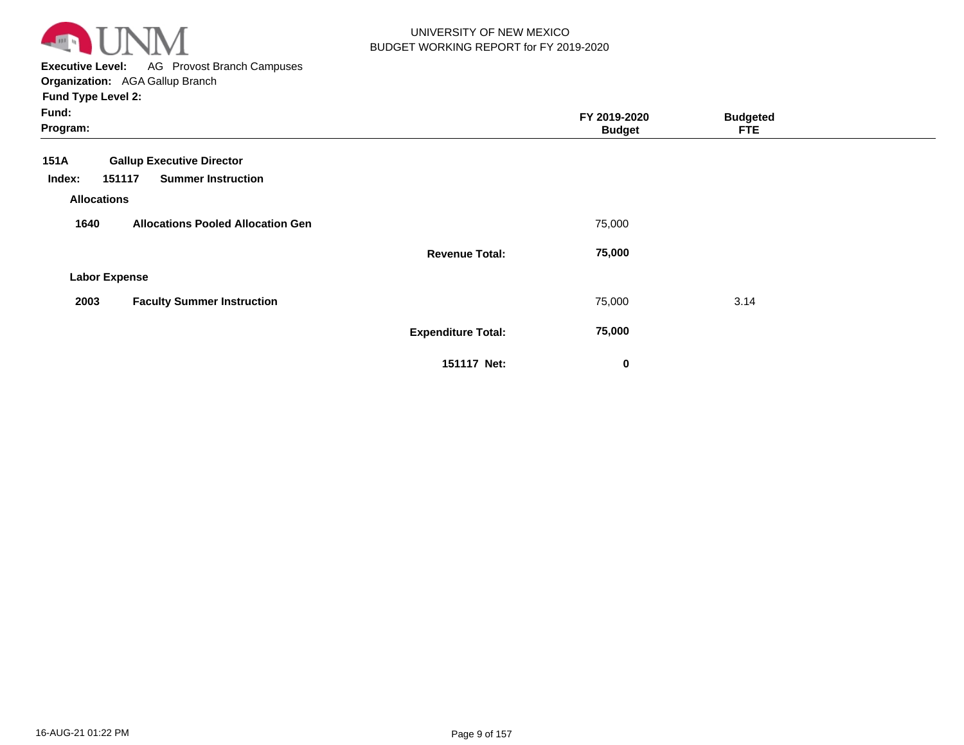

**Executive Level:** AG Provost Branch Campuses **Organization:**  AGA Gallup Branch

| Fund:<br>Program:            |                                          | FY 2019-2020<br><b>Budget</b> | <b>Budgeted</b><br><b>FTE</b> |  |
|------------------------------|------------------------------------------|-------------------------------|-------------------------------|--|
| 151A                         | <b>Gallup Executive Director</b>         |                               |                               |  |
| Index:<br><b>Allocations</b> | <b>Summer Instruction</b><br>151117      |                               |                               |  |
| 1640                         | <b>Allocations Pooled Allocation Gen</b> | 75,000                        |                               |  |
|                              | <b>Revenue Total:</b>                    | 75,000                        |                               |  |
| <b>Labor Expense</b>         |                                          |                               |                               |  |
| 2003                         | <b>Faculty Summer Instruction</b>        | 75,000                        | 3.14                          |  |
|                              | <b>Expenditure Total:</b>                | 75,000                        |                               |  |
|                              | 151117 Net:                              | $\mathbf 0$                   |                               |  |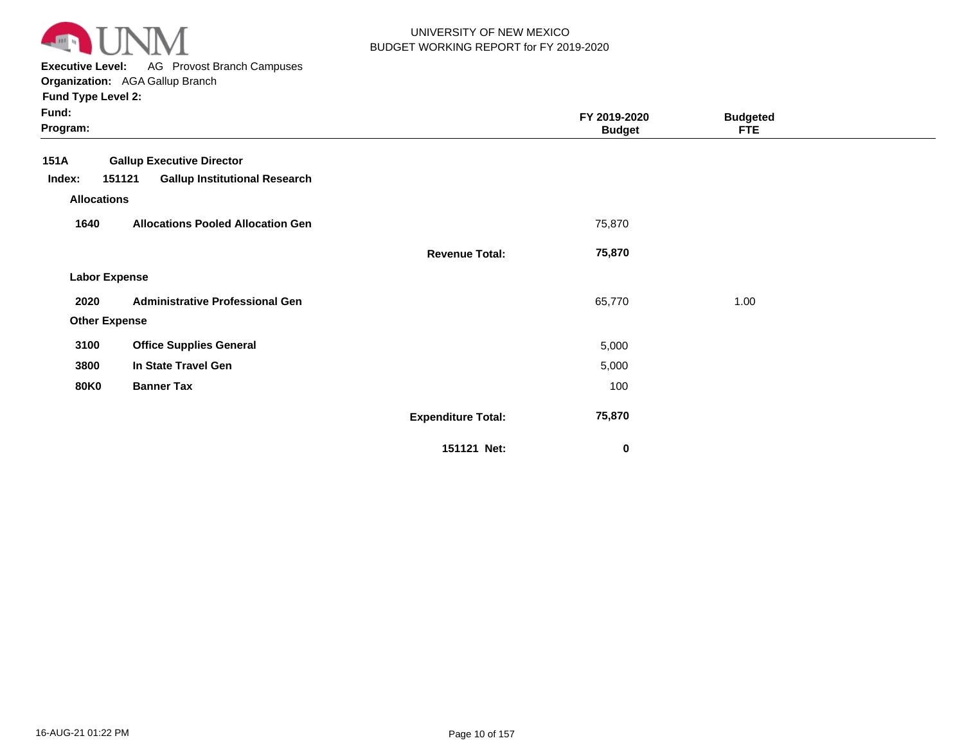

**Executive Level:** AG Provost Branch Campuses

**Organization:**  AGA Gallup Branch

| Fund:<br>Program:    |                                                |                           | FY 2019-2020<br><b>Budget</b> | <b>Budgeted</b><br><b>FTE</b> |  |
|----------------------|------------------------------------------------|---------------------------|-------------------------------|-------------------------------|--|
| <b>151A</b>          | <b>Gallup Executive Director</b>               |                           |                               |                               |  |
| Index:               | 151121<br><b>Gallup Institutional Research</b> |                           |                               |                               |  |
| <b>Allocations</b>   |                                                |                           |                               |                               |  |
| 1640                 | <b>Allocations Pooled Allocation Gen</b>       |                           | 75,870                        |                               |  |
|                      |                                                | <b>Revenue Total:</b>     | 75,870                        |                               |  |
| <b>Labor Expense</b> |                                                |                           |                               |                               |  |
| 2020                 | <b>Administrative Professional Gen</b>         |                           | 65,770                        | 1.00                          |  |
| <b>Other Expense</b> |                                                |                           |                               |                               |  |
| 3100                 | <b>Office Supplies General</b>                 |                           | 5,000                         |                               |  |
| 3800                 | In State Travel Gen                            |                           | 5,000                         |                               |  |
| <b>80K0</b>          | <b>Banner Tax</b>                              |                           | 100                           |                               |  |
|                      |                                                | <b>Expenditure Total:</b> | 75,870                        |                               |  |
|                      |                                                | 151121 Net:               | $\mathbf 0$                   |                               |  |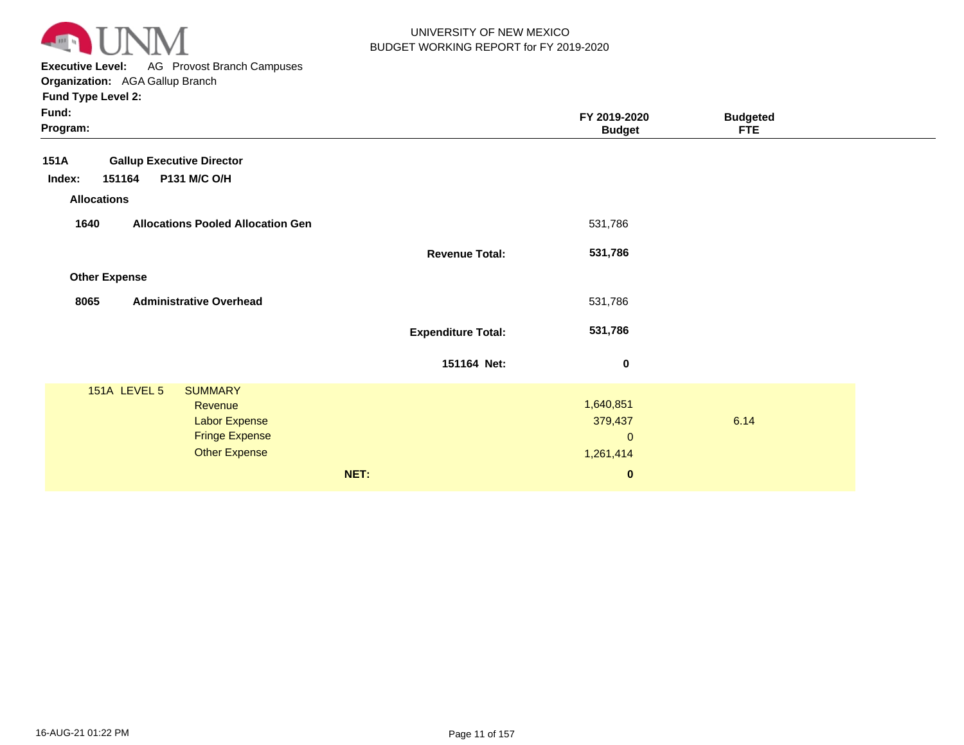

**Executive Level:** AG Provost Branch Campuses

| Fund:<br>Program:                                                                                                  |                           | FY 2019-2020<br><b>Budget</b>                                 | <b>Budgeted</b><br><b>FTE</b> |  |
|--------------------------------------------------------------------------------------------------------------------|---------------------------|---------------------------------------------------------------|-------------------------------|--|
| <b>Gallup Executive Director</b><br>151A<br>151164<br>P131 M/C O/H<br>Index:<br><b>Allocations</b>                 |                           |                                                               |                               |  |
| 1640<br><b>Allocations Pooled Allocation Gen</b>                                                                   |                           | 531,786                                                       |                               |  |
|                                                                                                                    | <b>Revenue Total:</b>     | 531,786                                                       |                               |  |
| <b>Other Expense</b>                                                                                               |                           |                                                               |                               |  |
| 8065<br><b>Administrative Overhead</b>                                                                             |                           | 531,786                                                       |                               |  |
|                                                                                                                    | <b>Expenditure Total:</b> | 531,786                                                       |                               |  |
|                                                                                                                    | 151164 Net:               | $\bf{0}$                                                      |                               |  |
| 151A LEVEL 5<br><b>SUMMARY</b><br>Revenue<br><b>Labor Expense</b><br><b>Fringe Expense</b><br><b>Other Expense</b> | NET:                      | 1,640,851<br>379,437<br>$\mathbf{0}$<br>1,261,414<br>$\bf{0}$ | 6.14                          |  |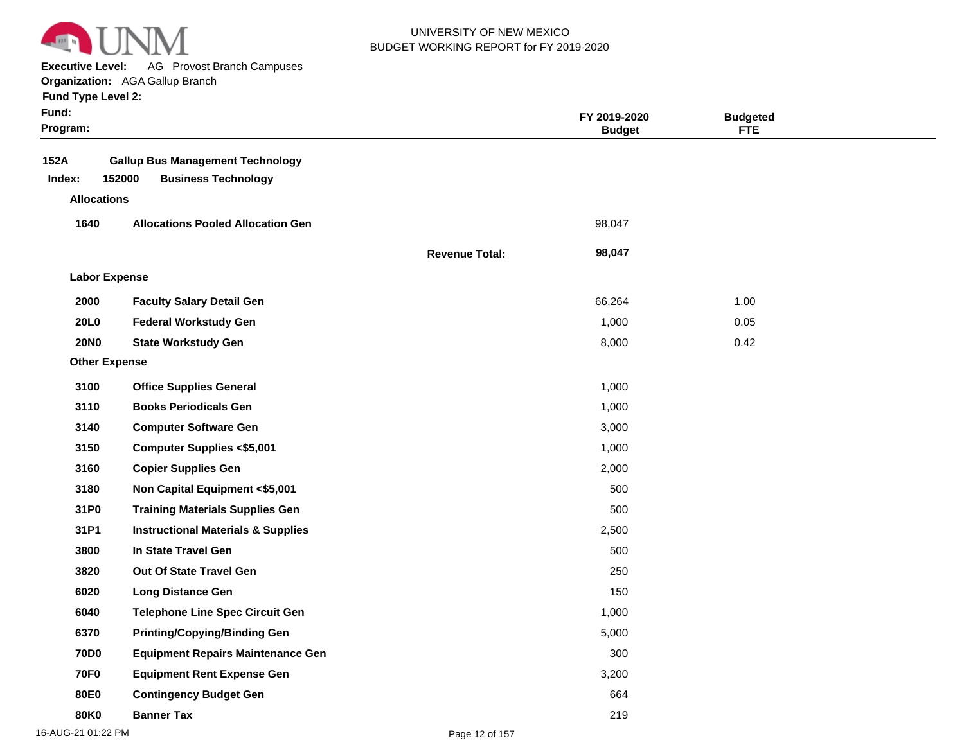

**Executive Level:** AG Provost Branch Campuses

**Organization:**  AGA Gallup Branch

| <b>Fund Type Level 2:</b> |
|---------------------------|
|---------------------------|

| Fund:<br>Program:    |                                                                                 |                       | FY 2019-2020<br><b>Budget</b> | <b>Budgeted</b><br><b>FTE</b> |  |
|----------------------|---------------------------------------------------------------------------------|-----------------------|-------------------------------|-------------------------------|--|
| 152A<br>Index:       | <b>Gallup Bus Management Technology</b><br>152000<br><b>Business Technology</b> |                       |                               |                               |  |
| <b>Allocations</b>   |                                                                                 |                       |                               |                               |  |
| 1640                 | <b>Allocations Pooled Allocation Gen</b>                                        |                       | 98,047                        |                               |  |
|                      |                                                                                 | <b>Revenue Total:</b> | 98,047                        |                               |  |
| <b>Labor Expense</b> |                                                                                 |                       |                               |                               |  |
| 2000                 | <b>Faculty Salary Detail Gen</b>                                                |                       | 66,264                        | 1.00                          |  |
| <b>20L0</b>          | <b>Federal Workstudy Gen</b>                                                    |                       | 1,000                         | 0.05                          |  |
| <b>20NO</b>          | <b>State Workstudy Gen</b>                                                      |                       | 8,000                         | 0.42                          |  |
| <b>Other Expense</b> |                                                                                 |                       |                               |                               |  |
| 3100                 | <b>Office Supplies General</b>                                                  |                       | 1,000                         |                               |  |
| 3110                 | <b>Books Periodicals Gen</b>                                                    |                       | 1,000                         |                               |  |
| 3140                 | <b>Computer Software Gen</b>                                                    |                       | 3,000                         |                               |  |
| 3150                 | <b>Computer Supplies &lt;\$5,001</b>                                            |                       | 1,000                         |                               |  |
| 3160                 | <b>Copier Supplies Gen</b>                                                      |                       | 2,000                         |                               |  |
| 3180                 | Non Capital Equipment <\$5,001                                                  |                       | 500                           |                               |  |
| 31P0                 | <b>Training Materials Supplies Gen</b>                                          |                       | 500                           |                               |  |
| 31P1                 | <b>Instructional Materials &amp; Supplies</b>                                   |                       | 2,500                         |                               |  |
| 3800                 | In State Travel Gen                                                             |                       | 500                           |                               |  |
| 3820                 | <b>Out Of State Travel Gen</b>                                                  |                       | 250                           |                               |  |
| 6020                 | <b>Long Distance Gen</b>                                                        |                       | 150                           |                               |  |
| 6040                 | <b>Telephone Line Spec Circuit Gen</b>                                          |                       | 1,000                         |                               |  |
| 6370                 | <b>Printing/Copying/Binding Gen</b>                                             |                       | 5,000                         |                               |  |
| <b>70D0</b>          | <b>Equipment Repairs Maintenance Gen</b>                                        |                       | 300                           |                               |  |
| <b>70F0</b>          | <b>Equipment Rent Expense Gen</b>                                               |                       | 3,200                         |                               |  |
| 80E0                 | <b>Contingency Budget Gen</b>                                                   |                       | 664                           |                               |  |
| <b>80K0</b>          | <b>Banner Tax</b>                                                               |                       | 219                           |                               |  |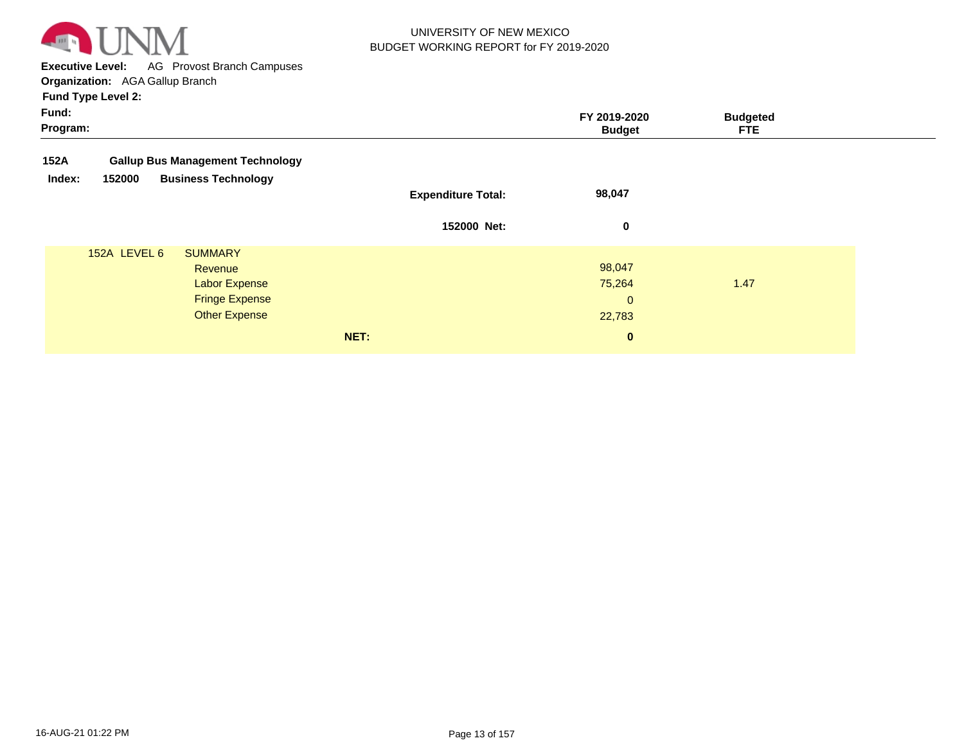

**Executive Level:** AG Provost Branch Campuses **Organization:**  AGA Gallup Branch

|                   | <b>Fund Type Level 2:</b> |                                         |                           |                               |                               |  |
|-------------------|---------------------------|-----------------------------------------|---------------------------|-------------------------------|-------------------------------|--|
| Fund:<br>Program: |                           |                                         |                           | FY 2019-2020<br><b>Budget</b> | <b>Budgeted</b><br><b>FTE</b> |  |
| 152A              |                           | <b>Gallup Bus Management Technology</b> |                           |                               |                               |  |
| Index:            | 152000                    | <b>Business Technology</b>              |                           |                               |                               |  |
|                   |                           |                                         | <b>Expenditure Total:</b> | 98,047                        |                               |  |
|                   |                           |                                         | 152000 Net:               | 0                             |                               |  |
|                   | 152A LEVEL 6              | <b>SUMMARY</b>                          |                           |                               |                               |  |
|                   |                           | Revenue                                 |                           | 98,047                        |                               |  |
|                   |                           | <b>Labor Expense</b>                    |                           | 75,264                        | 1.47                          |  |
|                   |                           | <b>Fringe Expense</b>                   |                           | $\mathbf{0}$                  |                               |  |
|                   |                           | <b>Other Expense</b>                    |                           | 22,783                        |                               |  |
|                   |                           |                                         | NET:                      | $\bf{0}$                      |                               |  |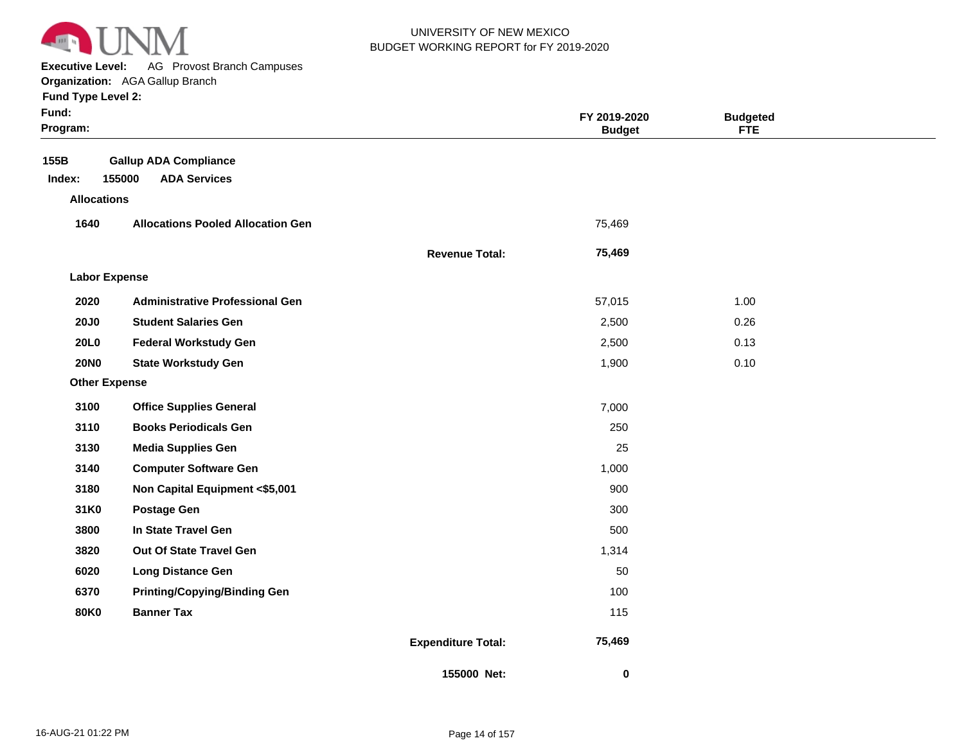

**Executive Level:** AG Provost Branch Campuses

#### **Organization:**  AGA Gallup Branch

| <b>Fund Type Level 2:</b> |  |
|---------------------------|--|
|---------------------------|--|

| ×<br>. .<br>× |
|---------------|
|---------------|

| Fund:<br>Program:    |                                          |                           | FY 2019-2020<br><b>Budget</b> | <b>Budgeted</b><br><b>FTE</b> |  |
|----------------------|------------------------------------------|---------------------------|-------------------------------|-------------------------------|--|
| 155B                 | <b>Gallup ADA Compliance</b>             |                           |                               |                               |  |
| Index:               | 155000<br><b>ADA Services</b>            |                           |                               |                               |  |
| <b>Allocations</b>   |                                          |                           |                               |                               |  |
| 1640                 | <b>Allocations Pooled Allocation Gen</b> |                           | 75,469                        |                               |  |
|                      |                                          | <b>Revenue Total:</b>     | 75,469                        |                               |  |
| <b>Labor Expense</b> |                                          |                           |                               |                               |  |
| 2020                 | <b>Administrative Professional Gen</b>   |                           | 57,015                        | 1.00                          |  |
| <b>20J0</b>          | <b>Student Salaries Gen</b>              |                           | 2,500                         | 0.26                          |  |
| <b>20L0</b>          | <b>Federal Workstudy Gen</b>             |                           | 2,500                         | 0.13                          |  |
| <b>20NO</b>          | <b>State Workstudy Gen</b>               |                           | 1,900                         | 0.10                          |  |
| <b>Other Expense</b> |                                          |                           |                               |                               |  |
| 3100                 | <b>Office Supplies General</b>           |                           | 7,000                         |                               |  |
| 3110                 | <b>Books Periodicals Gen</b>             |                           | 250                           |                               |  |
| 3130                 | <b>Media Supplies Gen</b>                |                           | 25                            |                               |  |
| 3140                 | <b>Computer Software Gen</b>             |                           | 1,000                         |                               |  |
| 3180                 | Non Capital Equipment <\$5,001           |                           | 900                           |                               |  |
| 31K0                 | <b>Postage Gen</b>                       |                           | 300                           |                               |  |
| 3800                 | In State Travel Gen                      |                           | 500                           |                               |  |
| 3820                 | Out Of State Travel Gen                  |                           | 1,314                         |                               |  |
| 6020                 | <b>Long Distance Gen</b>                 |                           | 50                            |                               |  |
| 6370                 | <b>Printing/Copying/Binding Gen</b>      |                           | 100                           |                               |  |
| <b>80K0</b>          | <b>Banner Tax</b>                        |                           | 115                           |                               |  |
|                      |                                          | <b>Expenditure Total:</b> | 75,469                        |                               |  |
|                      |                                          | 155000 Net:               | 0                             |                               |  |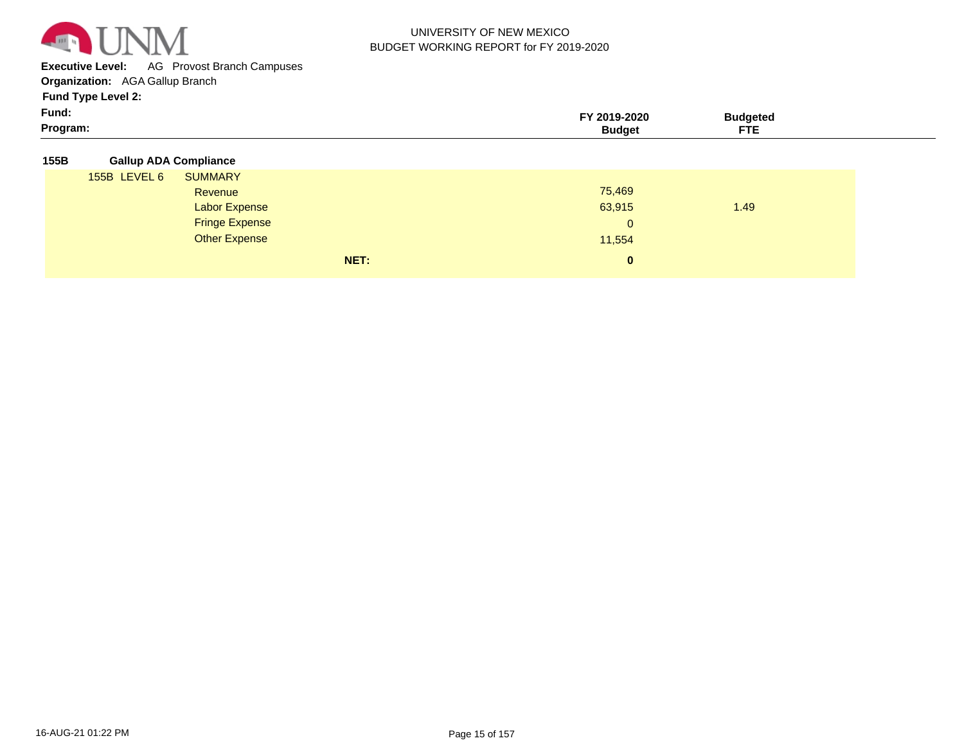

**Executive Level:** AG Provost Branch Campuses

**Organization:**  AGA Gallup Branch

| Fund:<br>Program: | waa | ETE |  |
|-------------------|-----|-----|--|
|                   |     | 1 E |  |

| <b>Gallup ADA Compliance</b><br>155B |  |
|--------------------------------------|--|
|--------------------------------------|--|

| 155B LEVEL 6 | <b>SUMMARY</b>        |      |              |      |  |
|--------------|-----------------------|------|--------------|------|--|
|              | Revenue               |      | 75,469       |      |  |
|              | <b>Labor Expense</b>  |      | 63,915       | 1.49 |  |
|              | <b>Fringe Expense</b> |      | $\mathbf{0}$ |      |  |
|              | <b>Other Expense</b>  |      | 11,554       |      |  |
|              |                       | NET: | $\bf{0}$     |      |  |
|              |                       |      |              |      |  |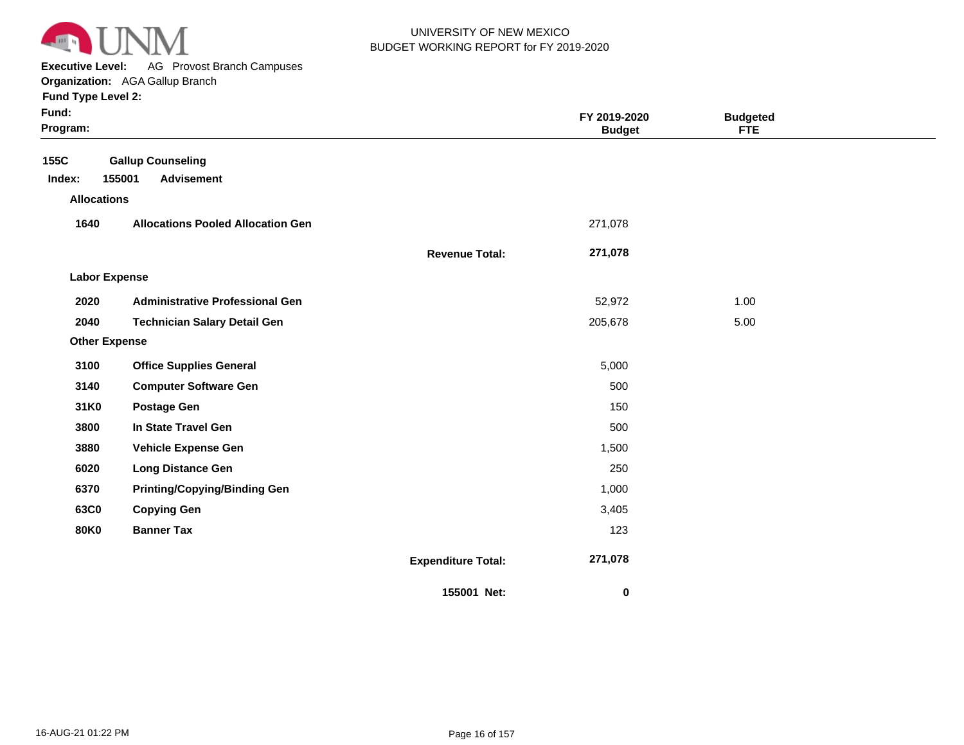

**Executive Level:** AG Provost Branch Campuses

| Fund:<br>Program:                    |                                                         |                           | FY 2019-2020<br><b>Budget</b> | <b>Budgeted</b><br><b>FTE</b> |  |
|--------------------------------------|---------------------------------------------------------|---------------------------|-------------------------------|-------------------------------|--|
| 155C<br>Index:<br><b>Allocations</b> | <b>Gallup Counseling</b><br>155001<br><b>Advisement</b> |                           |                               |                               |  |
| 1640                                 | <b>Allocations Pooled Allocation Gen</b>                |                           | 271,078                       |                               |  |
|                                      |                                                         | <b>Revenue Total:</b>     | 271,078                       |                               |  |
| <b>Labor Expense</b>                 |                                                         |                           |                               |                               |  |
| 2020                                 | <b>Administrative Professional Gen</b>                  |                           | 52,972                        | 1.00                          |  |
| 2040                                 | <b>Technician Salary Detail Gen</b>                     |                           | 205,678                       | 5.00                          |  |
| <b>Other Expense</b>                 |                                                         |                           |                               |                               |  |
| 3100                                 | <b>Office Supplies General</b>                          |                           | 5,000                         |                               |  |
| 3140                                 | <b>Computer Software Gen</b>                            |                           | 500                           |                               |  |
| 31K0                                 | <b>Postage Gen</b>                                      |                           | 150                           |                               |  |
| 3800                                 | In State Travel Gen                                     |                           | 500                           |                               |  |
| 3880                                 | <b>Vehicle Expense Gen</b>                              |                           | 1,500                         |                               |  |
| 6020                                 | <b>Long Distance Gen</b>                                |                           | 250                           |                               |  |
| 6370                                 | <b>Printing/Copying/Binding Gen</b>                     |                           | 1,000                         |                               |  |
| 63C0                                 | <b>Copying Gen</b>                                      |                           | 3,405                         |                               |  |
| <b>80K0</b>                          | <b>Banner Tax</b>                                       |                           | 123                           |                               |  |
|                                      |                                                         | <b>Expenditure Total:</b> | 271,078                       |                               |  |
|                                      |                                                         | 155001 Net:               | 0                             |                               |  |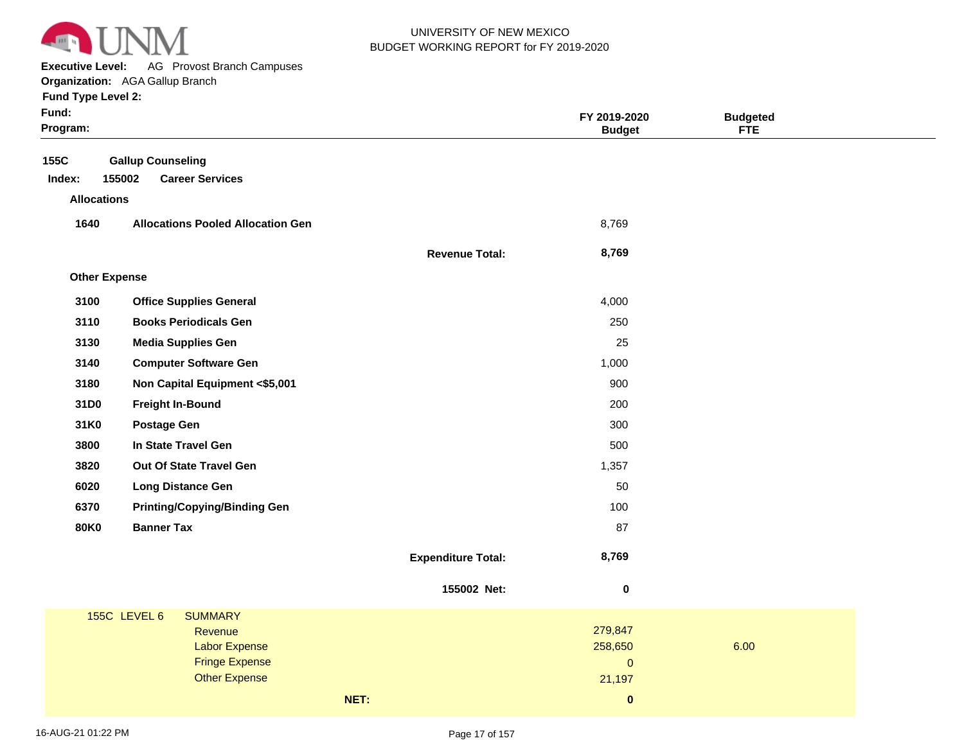

**Executive Level:** AG Provost Branch Campuses

| Fund:<br>Program:  |                                                              |                           | FY 2019-2020<br><b>Budget</b>  | <b>Budgeted</b><br><b>FTE</b> |  |
|--------------------|--------------------------------------------------------------|---------------------------|--------------------------------|-------------------------------|--|
| 155C<br>Index:     | <b>Gallup Counseling</b><br>155002<br><b>Career Services</b> |                           |                                |                               |  |
| <b>Allocations</b> |                                                              |                           |                                |                               |  |
| 1640               | <b>Allocations Pooled Allocation Gen</b>                     |                           | 8,769                          |                               |  |
|                    |                                                              | <b>Revenue Total:</b>     | 8,769                          |                               |  |
|                    | <b>Other Expense</b>                                         |                           |                                |                               |  |
| 3100               | <b>Office Supplies General</b>                               |                           | 4,000                          |                               |  |
| 3110               | <b>Books Periodicals Gen</b>                                 |                           | 250                            |                               |  |
| 3130               | <b>Media Supplies Gen</b>                                    |                           | 25                             |                               |  |
| 3140               | <b>Computer Software Gen</b>                                 |                           | 1,000                          |                               |  |
| 3180               | Non Capital Equipment <\$5,001                               |                           | 900                            |                               |  |
| 31D0               | <b>Freight In-Bound</b>                                      |                           | 200                            |                               |  |
| 31K0               | <b>Postage Gen</b>                                           |                           | 300                            |                               |  |
| 3800               | In State Travel Gen                                          |                           | 500                            |                               |  |
| 3820               | Out Of State Travel Gen                                      |                           | 1,357                          |                               |  |
| 6020               | <b>Long Distance Gen</b>                                     |                           | 50                             |                               |  |
| 6370               | <b>Printing/Copying/Binding Gen</b>                          |                           | 100                            |                               |  |
| <b>80K0</b>        | <b>Banner Tax</b>                                            |                           | 87                             |                               |  |
|                    |                                                              | <b>Expenditure Total:</b> | 8,769                          |                               |  |
|                    |                                                              | 155002 Net:               | $\pmb{0}$                      |                               |  |
|                    | <b>155C LEVEL 6</b><br><b>SUMMARY</b>                        |                           |                                |                               |  |
|                    | Revenue                                                      |                           | 279,847                        |                               |  |
|                    | <b>Labor Expense</b><br><b>Fringe Expense</b>                |                           | 258,650<br>$\mathsf{O}\xspace$ | 6.00                          |  |
|                    | <b>Other Expense</b>                                         |                           | 21,197                         |                               |  |
|                    |                                                              | NET:                      | $\bf{0}$                       |                               |  |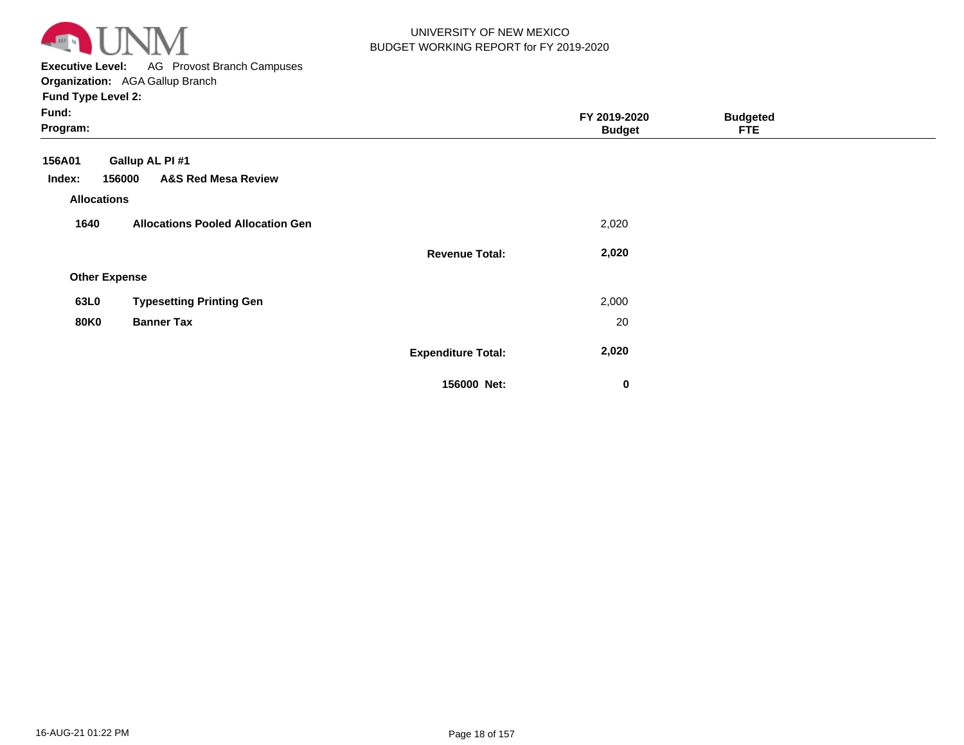

**Executive Level:** AG Provost Branch Campuses **Organization:**  AGA Gallup Branch

| Fund:<br>Program:                                                                                     |                           | FY 2019-2020<br><b>Budget</b> | <b>Budgeted</b><br><b>FTE</b> |  |
|-------------------------------------------------------------------------------------------------------|---------------------------|-------------------------------|-------------------------------|--|
| Gallup AL PI #1<br>156A01<br>156000<br><b>A&amp;S Red Mesa Review</b><br>Index:<br><b>Allocations</b> |                           |                               |                               |  |
| <b>Allocations Pooled Allocation Gen</b><br>1640                                                      |                           | 2,020                         |                               |  |
|                                                                                                       | <b>Revenue Total:</b>     | 2,020                         |                               |  |
| <b>Other Expense</b>                                                                                  |                           |                               |                               |  |
| <b>Typesetting Printing Gen</b><br>63L0                                                               |                           | 2,000                         |                               |  |
| <b>80K0</b><br><b>Banner Tax</b>                                                                      |                           | 20                            |                               |  |
|                                                                                                       | <b>Expenditure Total:</b> | 2,020                         |                               |  |
|                                                                                                       | 156000 Net:               | $\mathbf 0$                   |                               |  |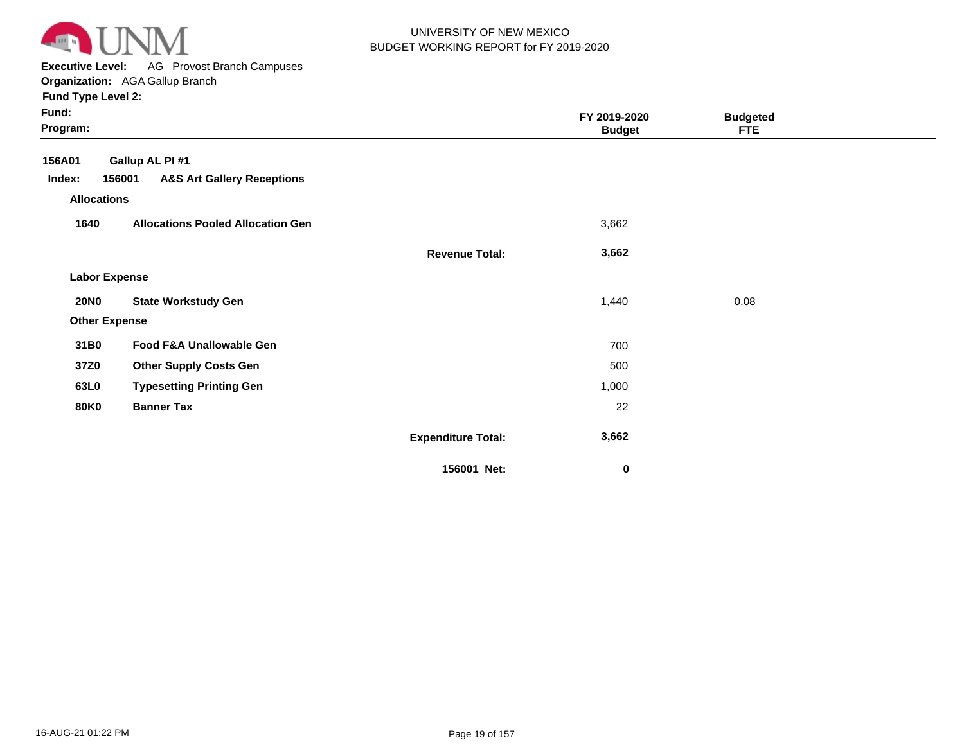

**Executive Level:** AG Provost Branch Campuses

**Organization:**  AGA Gallup Branch

| Fund:<br>Program:    |                                                 |                           | FY 2019-2020<br><b>Budget</b> | <b>Budgeted</b><br><b>FTE</b> |  |
|----------------------|-------------------------------------------------|---------------------------|-------------------------------|-------------------------------|--|
| 156A01               | Gallup AL PI #1                                 |                           |                               |                               |  |
| Index:               | <b>A&amp;S Art Gallery Receptions</b><br>156001 |                           |                               |                               |  |
| <b>Allocations</b>   |                                                 |                           |                               |                               |  |
| 1640                 | <b>Allocations Pooled Allocation Gen</b>        |                           | 3,662                         |                               |  |
|                      |                                                 | <b>Revenue Total:</b>     | 3,662                         |                               |  |
| <b>Labor Expense</b> |                                                 |                           |                               |                               |  |
| <b>20NO</b>          | <b>State Workstudy Gen</b>                      |                           | 1,440                         | 0.08                          |  |
| <b>Other Expense</b> |                                                 |                           |                               |                               |  |
| 31B0                 | Food F&A Unallowable Gen                        |                           | 700                           |                               |  |
| 37Z0                 | <b>Other Supply Costs Gen</b>                   |                           | 500                           |                               |  |
| 63L0                 | <b>Typesetting Printing Gen</b>                 |                           | 1,000                         |                               |  |
| <b>80K0</b>          | <b>Banner Tax</b>                               |                           | 22                            |                               |  |
|                      |                                                 | <b>Expenditure Total:</b> | 3,662                         |                               |  |
|                      |                                                 | 156001 Net:               | 0                             |                               |  |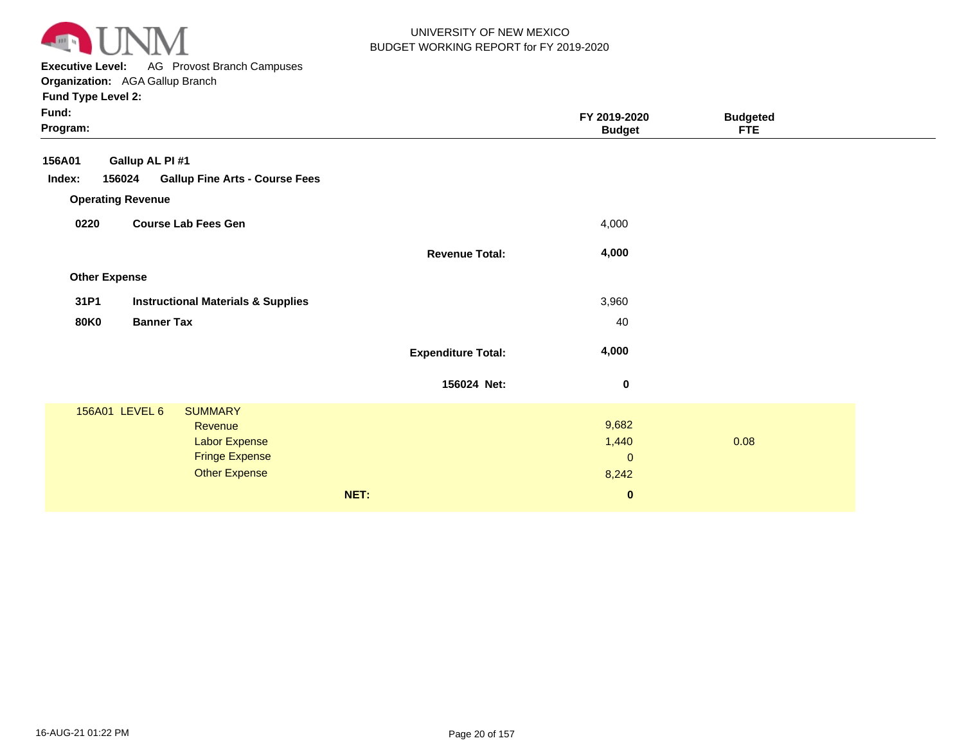

**Executive Level:** AG Provost Branch Campuses **Organization:**  AGA Gallup Branch

| Fund:<br>Program:    |                                                 |                           | FY 2019-2020<br><b>Budget</b> | <b>Budgeted</b><br><b>FTE</b> |  |
|----------------------|-------------------------------------------------|---------------------------|-------------------------------|-------------------------------|--|
| 156A01               | Gallup AL PI #1                                 |                           |                               |                               |  |
| Index:               | 156024<br><b>Gallup Fine Arts - Course Fees</b> |                           |                               |                               |  |
|                      | <b>Operating Revenue</b>                        |                           |                               |                               |  |
| 0220                 | <b>Course Lab Fees Gen</b>                      |                           | 4,000                         |                               |  |
|                      |                                                 | <b>Revenue Total:</b>     | 4,000                         |                               |  |
| <b>Other Expense</b> |                                                 |                           |                               |                               |  |
| 31P1                 | <b>Instructional Materials &amp; Supplies</b>   |                           | 3,960                         |                               |  |
| <b>80K0</b>          | <b>Banner Tax</b>                               |                           | 40                            |                               |  |
|                      |                                                 | <b>Expenditure Total:</b> | 4,000                         |                               |  |
|                      |                                                 | 156024 Net:               | $\boldsymbol{0}$              |                               |  |
|                      | 156A01 LEVEL 6<br><b>SUMMARY</b>                |                           |                               |                               |  |
|                      | Revenue                                         |                           | 9,682                         |                               |  |
|                      | <b>Labor Expense</b><br><b>Fringe Expense</b>   |                           | 1,440                         | 0.08                          |  |
|                      | <b>Other Expense</b>                            |                           | $\mathbf{0}$                  |                               |  |
|                      |                                                 |                           | 8,242                         |                               |  |
|                      |                                                 | NET:                      | $\pmb{0}$                     |                               |  |
|                      |                                                 |                           |                               |                               |  |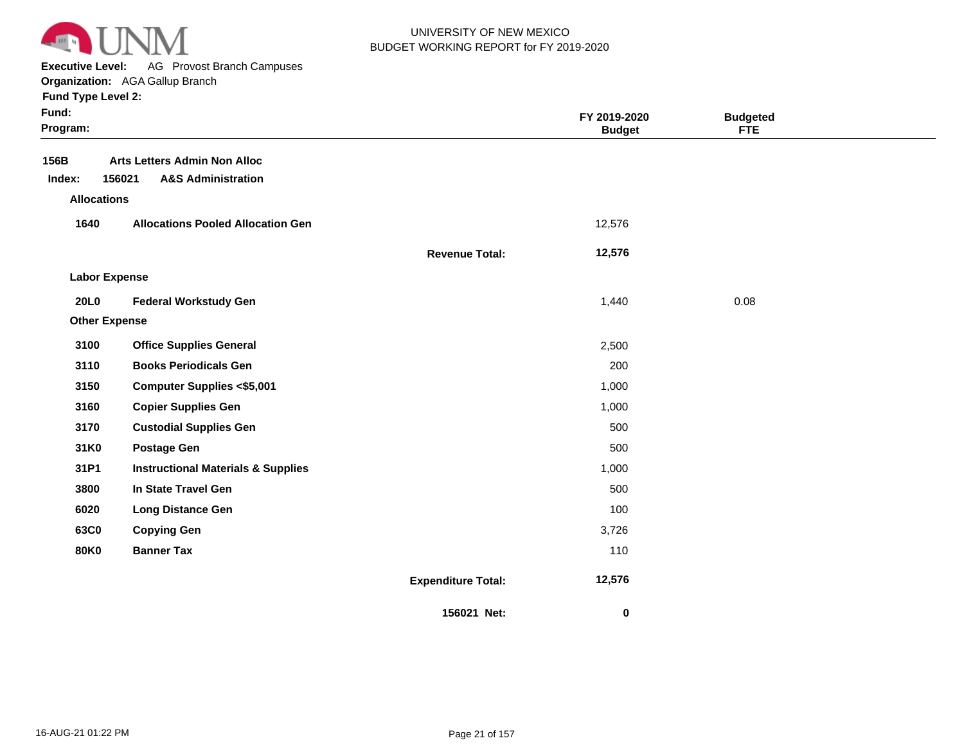

**Executive Level:** AG Provost Branch Campuses

|  | runu Type Leverz: |  |
|--|-------------------|--|
|  |                   |  |

| Fund:<br>Program:    |                                                                                |                           | FY 2019-2020<br><b>Budget</b> | <b>Budgeted</b><br><b>FTE</b> |  |
|----------------------|--------------------------------------------------------------------------------|---------------------------|-------------------------------|-------------------------------|--|
| 156B<br>Index:       | <b>Arts Letters Admin Non Alloc</b><br>156021<br><b>A&amp;S Administration</b> |                           |                               |                               |  |
| <b>Allocations</b>   |                                                                                |                           |                               |                               |  |
| 1640                 | <b>Allocations Pooled Allocation Gen</b>                                       |                           | 12,576                        |                               |  |
|                      |                                                                                | <b>Revenue Total:</b>     | 12,576                        |                               |  |
| <b>Labor Expense</b> |                                                                                |                           |                               |                               |  |
| 20L0                 | <b>Federal Workstudy Gen</b>                                                   |                           | 1,440                         | 0.08                          |  |
| <b>Other Expense</b> |                                                                                |                           |                               |                               |  |
| 3100                 | <b>Office Supplies General</b>                                                 |                           | 2,500                         |                               |  |
| 3110                 | <b>Books Periodicals Gen</b>                                                   |                           | 200                           |                               |  |
| 3150                 | <b>Computer Supplies &lt;\$5,001</b>                                           |                           | 1,000                         |                               |  |
| 3160                 | <b>Copier Supplies Gen</b>                                                     |                           | 1,000                         |                               |  |
| 3170                 | <b>Custodial Supplies Gen</b>                                                  |                           | 500                           |                               |  |
| 31K0                 | <b>Postage Gen</b>                                                             |                           | 500                           |                               |  |
| 31P1                 | <b>Instructional Materials &amp; Supplies</b>                                  |                           | 1,000                         |                               |  |
| 3800                 | In State Travel Gen                                                            |                           | 500                           |                               |  |
| 6020                 | <b>Long Distance Gen</b>                                                       |                           | 100                           |                               |  |
| 63C0                 | <b>Copying Gen</b>                                                             |                           | 3,726                         |                               |  |
| <b>80K0</b>          | <b>Banner Tax</b>                                                              |                           | 110                           |                               |  |
|                      |                                                                                | <b>Expenditure Total:</b> | 12,576                        |                               |  |
|                      |                                                                                | 156021 Net:               | 0                             |                               |  |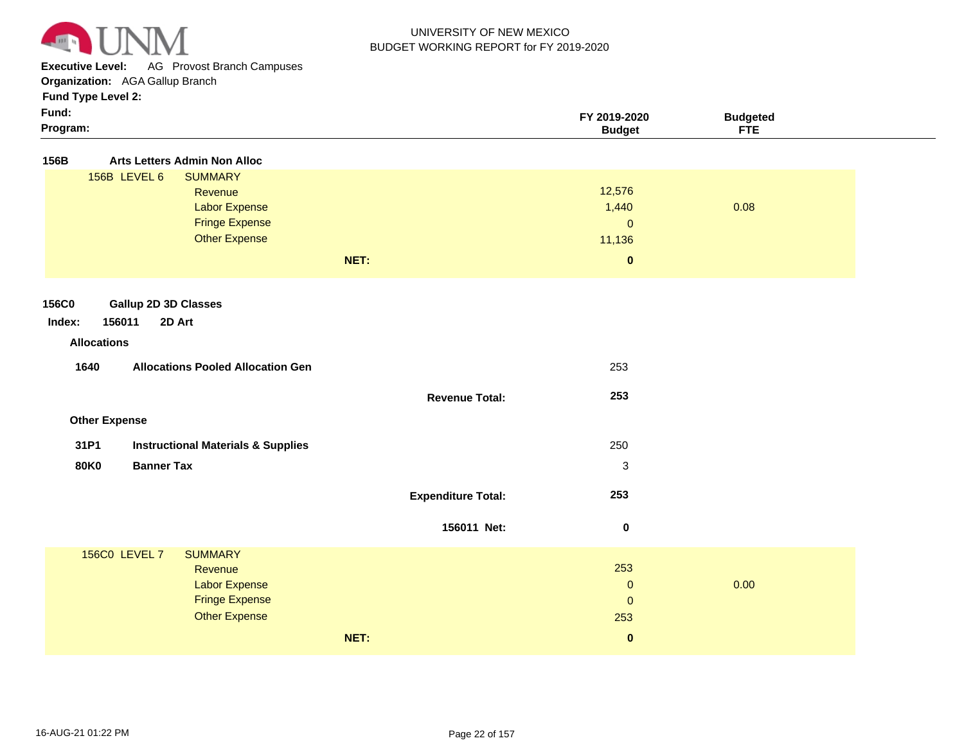

**Executive Level:** AG Provost Branch Campuses

**Organization:**  AGA Gallup Branch

| Fund:    | -2020<br>ה החי | <b>Budaeteo</b> |  |
|----------|----------------|-----------------|--|
| Program: | 3udaet         | <b>CTC</b>      |  |

| 156B         |                                  | <b>Arts Letters Admin Non Alloc</b>           |                           |                |      |
|--------------|----------------------------------|-----------------------------------------------|---------------------------|----------------|------|
|              | 156B LEVEL 6                     | <b>SUMMARY</b>                                |                           |                |      |
|              |                                  | Revenue                                       |                           | 12,576         |      |
|              |                                  | <b>Labor Expense</b>                          |                           | 1,440          | 0.08 |
|              |                                  | <b>Fringe Expense</b>                         |                           | $\overline{0}$ |      |
|              |                                  | <b>Other Expense</b>                          |                           | 11,136         |      |
|              |                                  |                                               | NET:                      | $\pmb{0}$      |      |
|              |                                  |                                               |                           |                |      |
| <b>156C0</b> | <b>Gallup 2D 3D Classes</b>      |                                               |                           |                |      |
| Index:       | 156011<br>2D Art                 |                                               |                           |                |      |
|              | <b>Allocations</b>               |                                               |                           |                |      |
|              | 1640                             | <b>Allocations Pooled Allocation Gen</b>      |                           | 253            |      |
|              |                                  |                                               | <b>Revenue Total:</b>     | 253            |      |
|              | <b>Other Expense</b>             |                                               |                           |                |      |
|              | 31P1                             | <b>Instructional Materials &amp; Supplies</b> |                           | 250            |      |
|              | <b>Banner Tax</b><br><b>80K0</b> |                                               |                           | $\sqrt{3}$     |      |
|              |                                  |                                               |                           |                |      |
|              |                                  |                                               | <b>Expenditure Total:</b> | 253            |      |
|              |                                  |                                               | 156011 Net:               | $\pmb{0}$      |      |
|              | <b>156C0 LEVEL 7</b>             | <b>SUMMARY</b>                                |                           |                |      |
|              |                                  | Revenue                                       |                           | 253            |      |
|              |                                  | <b>Labor Expense</b>                          |                           | $\mathbf{0}$   | 0.00 |
|              |                                  | <b>Fringe Expense</b>                         |                           | $\mathbf 0$    |      |
|              |                                  | <b>Other Expense</b>                          |                           | 253            |      |
|              |                                  |                                               | NET:                      | $\bf{0}$       |      |
|              |                                  |                                               |                           |                |      |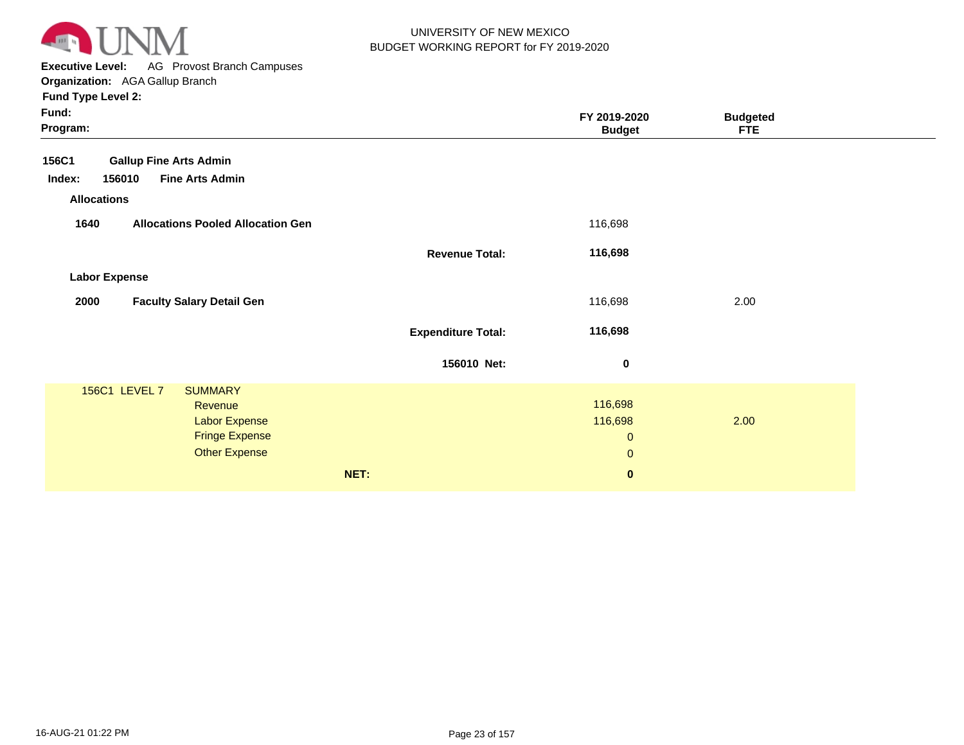

**Executive Level:** AG Provost Branch Campuses **Organization:**  AGA Gallup Branch

| Fund:<br>Program:                                                                                                   |                           | FY 2019-2020<br><b>Budget</b>                      | <b>Budgeted</b><br><b>FTE</b> |
|---------------------------------------------------------------------------------------------------------------------|---------------------------|----------------------------------------------------|-------------------------------|
| 156C1<br><b>Gallup Fine Arts Admin</b><br><b>Fine Arts Admin</b><br>156010<br>Index:                                |                           |                                                    |                               |
| <b>Allocations</b><br>1640<br><b>Allocations Pooled Allocation Gen</b>                                              |                           | 116,698                                            |                               |
|                                                                                                                     | <b>Revenue Total:</b>     | 116,698                                            |                               |
| <b>Labor Expense</b><br><b>Faculty Salary Detail Gen</b><br>2000                                                    |                           | 116,698                                            | 2.00                          |
|                                                                                                                     | <b>Expenditure Total:</b> | 116,698                                            |                               |
|                                                                                                                     | 156010 Net:               | $\pmb{0}$                                          |                               |
| 156C1 LEVEL 7<br><b>SUMMARY</b><br>Revenue<br><b>Labor Expense</b><br><b>Fringe Expense</b><br><b>Other Expense</b> |                           | 116,698<br>116,698<br>$\mathbf{0}$<br>$\mathbf{0}$ | 2.00                          |
|                                                                                                                     | NET:                      | $\pmb{0}$                                          |                               |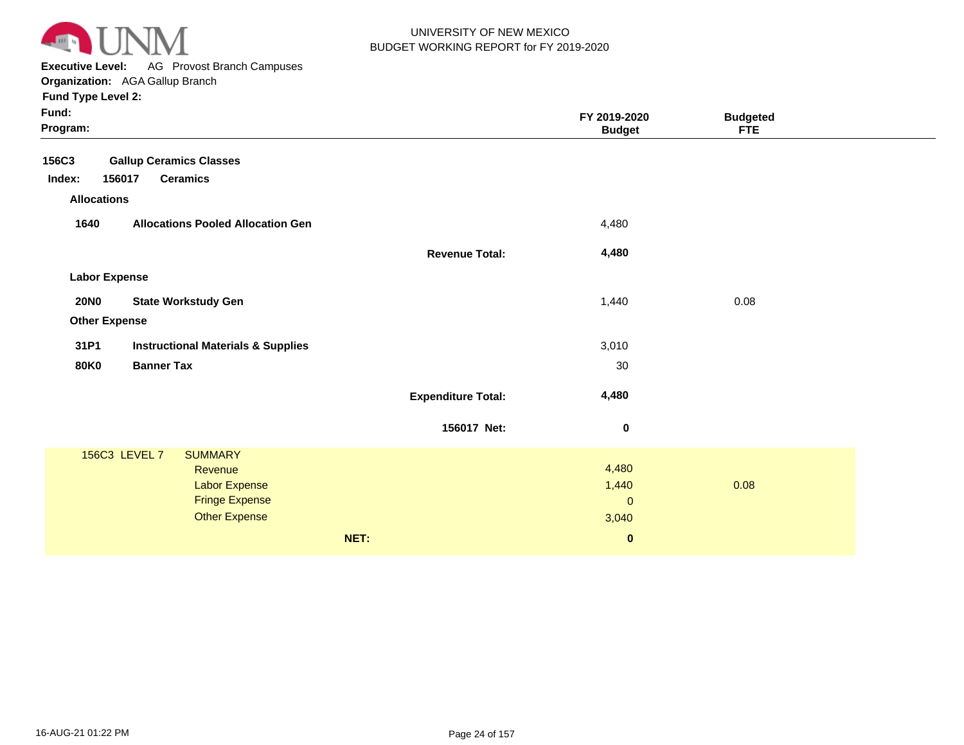

**Executive Level:** AG Provost Branch Campuses

| Fund:<br>Program:                                                                           |                           | FY 2019-2020<br><b>Budget</b>  | <b>Budgeted</b><br><b>FTE</b> |  |
|---------------------------------------------------------------------------------------------|---------------------------|--------------------------------|-------------------------------|--|
| 156C3<br><b>Gallup Ceramics Classes</b><br>Index:<br>156017<br><b>Ceramics</b>              |                           |                                |                               |  |
| <b>Allocations</b>                                                                          |                           |                                |                               |  |
| 1640<br><b>Allocations Pooled Allocation Gen</b>                                            |                           | 4,480                          |                               |  |
|                                                                                             | <b>Revenue Total:</b>     | 4,480                          |                               |  |
| <b>Labor Expense</b>                                                                        |                           |                                |                               |  |
| <b>20NO</b><br><b>State Workstudy Gen</b>                                                   |                           | 1,440                          | 0.08                          |  |
| <b>Other Expense</b>                                                                        |                           |                                |                               |  |
| 31P1<br><b>Instructional Materials &amp; Supplies</b>                                       |                           | 3,010                          |                               |  |
| <b>80K0</b><br><b>Banner Tax</b>                                                            |                           | 30                             |                               |  |
|                                                                                             | <b>Expenditure Total:</b> | 4,480                          |                               |  |
|                                                                                             | 156017 Net:               | $\pmb{0}$                      |                               |  |
| 156C3 LEVEL 7<br><b>SUMMARY</b><br>Revenue<br><b>Labor Expense</b><br><b>Fringe Expense</b> |                           | 4,480<br>1,440<br>$\mathbf{0}$ | 0.08                          |  |
| <b>Other Expense</b>                                                                        | NET:                      | 3,040<br>$\pmb{0}$             |                               |  |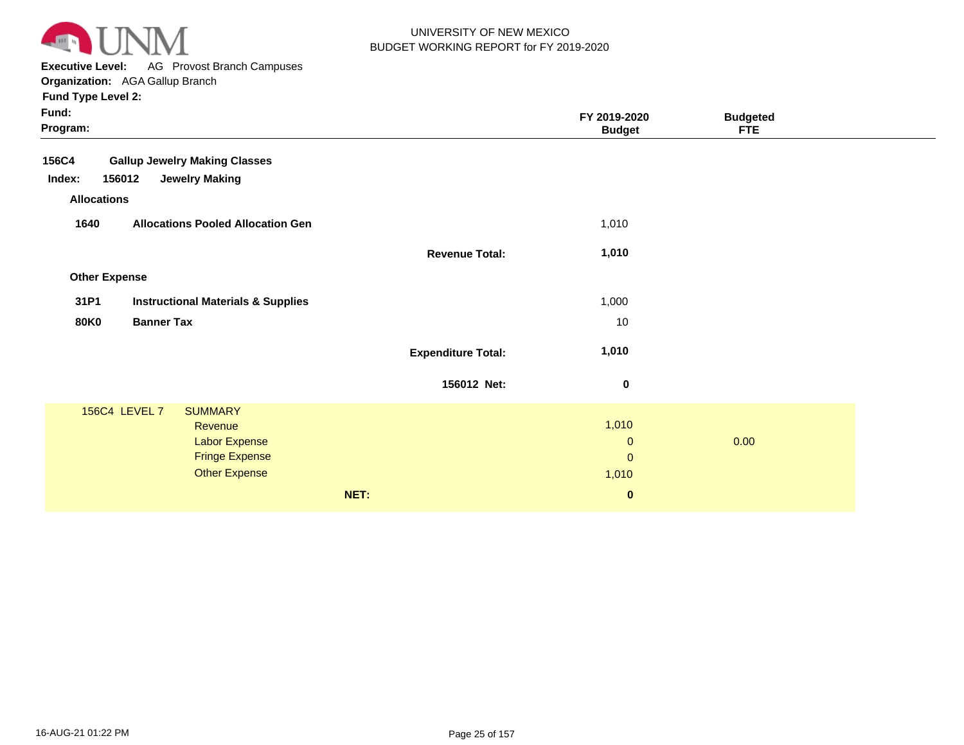

**Executive Level:** AG Provost Branch Campuses **Organization:**  AGA Gallup Branch

| Fund:<br>Program:    |                                               |                           | FY 2019-2020<br><b>Budget</b> | <b>Budgeted</b><br><b>FTE</b> |  |
|----------------------|-----------------------------------------------|---------------------------|-------------------------------|-------------------------------|--|
| <b>156C4</b>         | <b>Gallup Jewelry Making Classes</b>          |                           |                               |                               |  |
| Index:<br>156012     | <b>Jewelry Making</b>                         |                           |                               |                               |  |
| <b>Allocations</b>   |                                               |                           |                               |                               |  |
| 1640                 | <b>Allocations Pooled Allocation Gen</b>      |                           | 1,010                         |                               |  |
|                      |                                               | <b>Revenue Total:</b>     | 1,010                         |                               |  |
| <b>Other Expense</b> |                                               |                           |                               |                               |  |
| 31P1                 | <b>Instructional Materials &amp; Supplies</b> |                           | 1,000                         |                               |  |
| <b>80K0</b>          | <b>Banner Tax</b>                             |                           | 10                            |                               |  |
|                      |                                               | <b>Expenditure Total:</b> | 1,010                         |                               |  |
|                      |                                               | 156012 Net:               | 0                             |                               |  |
| 156C4 LEVEL 7        | <b>SUMMARY</b>                                |                           |                               |                               |  |
|                      | Revenue                                       |                           | 1,010                         |                               |  |
|                      | <b>Labor Expense</b>                          |                           | $\mathbf 0$                   | 0.00                          |  |
|                      | <b>Fringe Expense</b>                         |                           | $\mathbf{0}$                  |                               |  |
|                      | <b>Other Expense</b>                          |                           | 1,010                         |                               |  |
|                      |                                               | NET:                      | $\bf{0}$                      |                               |  |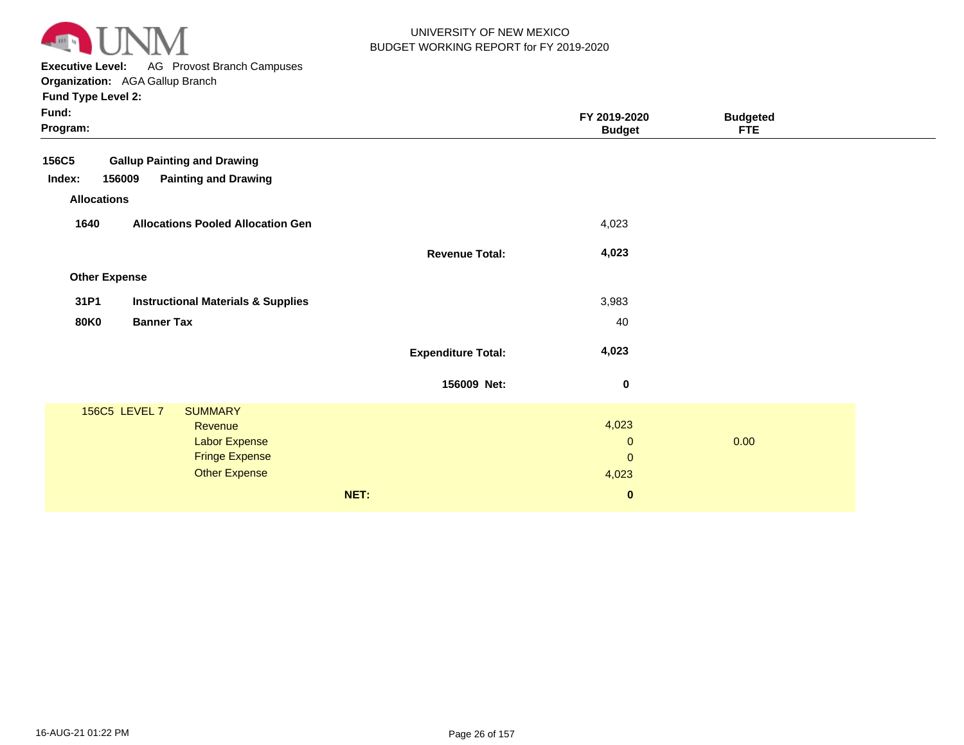

**Executive Level:** AG Provost Branch Campuses

**Organization:**  AGA Gallup Branch

| Program:                                              | <b>Budget</b> | <b>FTE</b> |
|-------------------------------------------------------|---------------|------------|
| <b>Gallup Painting and Drawing</b><br>156C5           |               |            |
| <b>Painting and Drawing</b><br>Index:<br>156009       |               |            |
| <b>Allocations</b>                                    |               |            |
| 1640<br><b>Allocations Pooled Allocation Gen</b>      | 4,023         |            |
| <b>Revenue Total:</b>                                 | 4,023         |            |
| <b>Other Expense</b>                                  |               |            |
| 31P1<br><b>Instructional Materials &amp; Supplies</b> | 3,983         |            |
| <b>Banner Tax</b><br><b>80K0</b>                      | 40            |            |
| <b>Expenditure Total:</b>                             | 4,023         |            |
| 156009 Net:                                           | 0             |            |
| 156C5 LEVEL 7<br><b>SUMMARY</b>                       |               |            |
| Revenue                                               | 4,023         |            |
| Labor Expense                                         | $\mathbf{0}$  | 0.00       |
| <b>Fringe Expense</b>                                 | $\mathbf{0}$  |            |
| <b>Other Expense</b>                                  | 4,023         |            |
| NET:                                                  | $\bf{0}$      |            |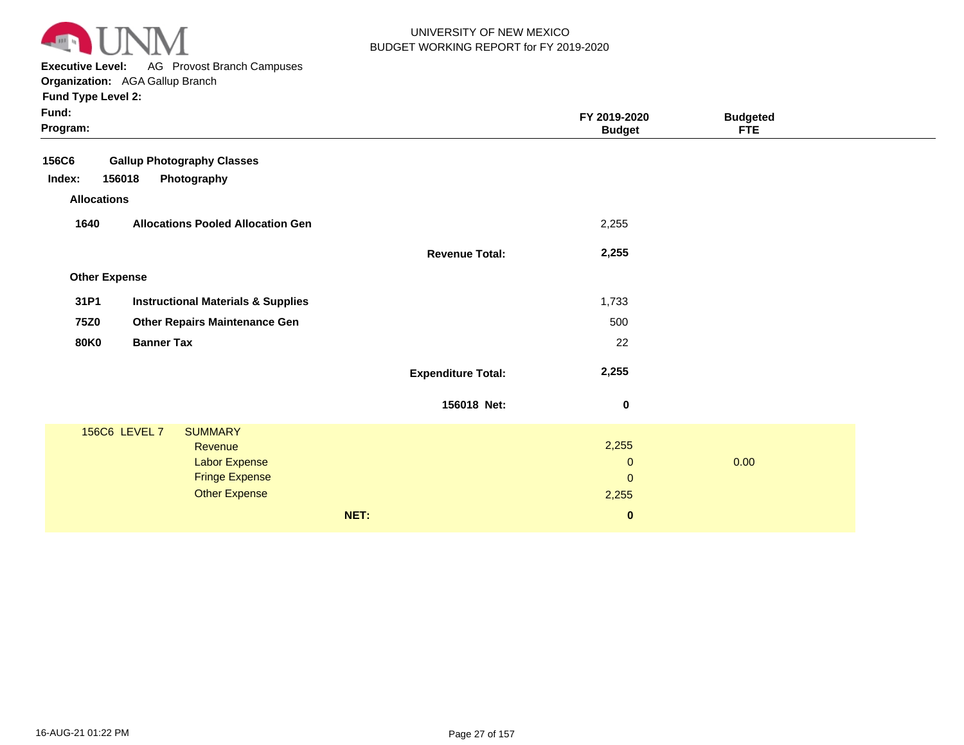

**Executive Level:** AG Provost Branch Campuses

| Fund:<br>Program:    |                                               |                           | FY 2019-2020<br><b>Budget</b> | <b>Budgeted</b><br><b>FTE</b> |  |
|----------------------|-----------------------------------------------|---------------------------|-------------------------------|-------------------------------|--|
| <b>156C6</b>         | <b>Gallup Photography Classes</b>             |                           |                               |                               |  |
| Index:<br>156018     | Photography                                   |                           |                               |                               |  |
| <b>Allocations</b>   |                                               |                           |                               |                               |  |
| 1640                 | <b>Allocations Pooled Allocation Gen</b>      |                           | 2,255                         |                               |  |
|                      |                                               | <b>Revenue Total:</b>     | 2,255                         |                               |  |
| <b>Other Expense</b> |                                               |                           |                               |                               |  |
| 31P1                 | <b>Instructional Materials &amp; Supplies</b> |                           | 1,733                         |                               |  |
| <b>75Z0</b>          | <b>Other Repairs Maintenance Gen</b>          |                           | 500                           |                               |  |
| <b>80K0</b>          | <b>Banner Tax</b>                             |                           | 22                            |                               |  |
|                      |                                               | <b>Expenditure Total:</b> | 2,255                         |                               |  |
|                      |                                               | 156018 Net:               | $\boldsymbol{0}$              |                               |  |
| 156C6 LEVEL 7        | <b>SUMMARY</b>                                |                           |                               |                               |  |
|                      | Revenue                                       |                           | 2,255                         |                               |  |
|                      | <b>Labor Expense</b>                          |                           | $\boldsymbol{0}$              | 0.00                          |  |
|                      | <b>Fringe Expense</b><br><b>Other Expense</b> |                           | $\pmb{0}$                     |                               |  |
|                      |                                               |                           | 2,255                         |                               |  |
|                      |                                               | NET:                      | $\pmb{0}$                     |                               |  |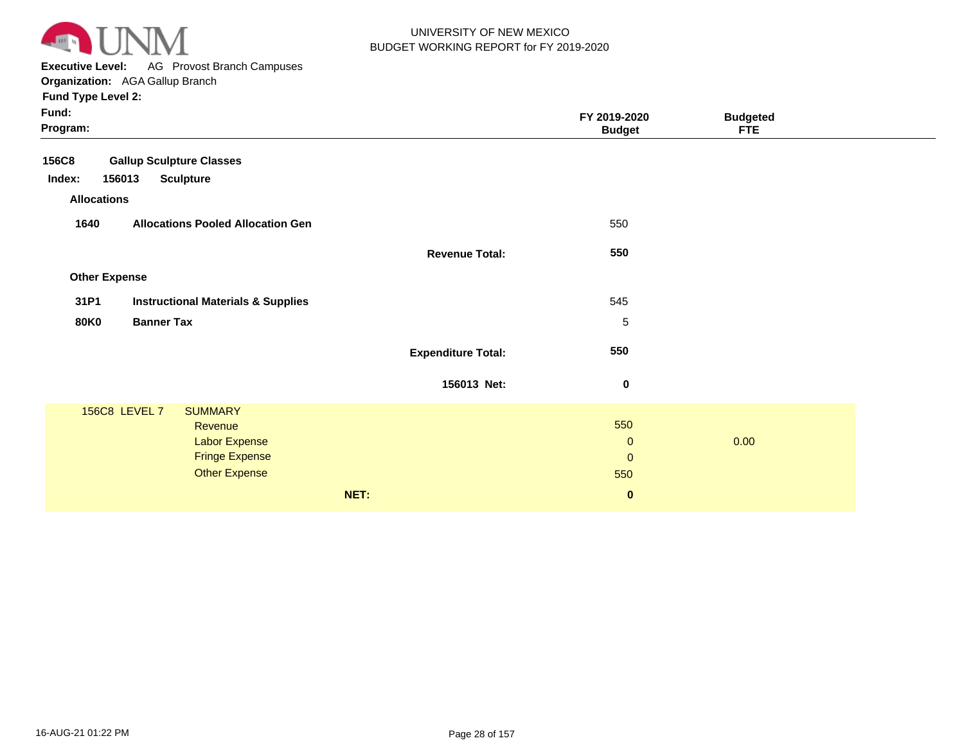

**Executive Level:** AG Provost Branch Campuses **Organization:**  AGA Gallup Branch

| Fund:<br>Program:    |                                               |                           | FY 2019-2020<br><b>Budget</b> | <b>Budgeted</b><br><b>FTE</b> |  |
|----------------------|-----------------------------------------------|---------------------------|-------------------------------|-------------------------------|--|
| <b>156C8</b>         | <b>Gallup Sculpture Classes</b>               |                           |                               |                               |  |
| Index:<br>156013     | <b>Sculpture</b>                              |                           |                               |                               |  |
| <b>Allocations</b>   |                                               |                           |                               |                               |  |
| 1640                 | <b>Allocations Pooled Allocation Gen</b>      |                           | 550                           |                               |  |
|                      |                                               | <b>Revenue Total:</b>     | 550                           |                               |  |
| <b>Other Expense</b> |                                               |                           |                               |                               |  |
| 31P1                 | <b>Instructional Materials &amp; Supplies</b> |                           | 545                           |                               |  |
| <b>80K0</b>          | <b>Banner Tax</b>                             |                           | 5                             |                               |  |
|                      |                                               | <b>Expenditure Total:</b> | 550                           |                               |  |
|                      |                                               | 156013 Net:               | 0                             |                               |  |
|                      | 156C8 LEVEL 7<br><b>SUMMARY</b>               |                           |                               |                               |  |
|                      | Revenue                                       |                           | 550                           |                               |  |
|                      | <b>Labor Expense</b>                          |                           | $\mathbf{0}$                  | 0.00                          |  |
|                      | <b>Fringe Expense</b>                         |                           | $\mathbf{0}$                  |                               |  |
|                      | <b>Other Expense</b>                          |                           | 550                           |                               |  |
|                      |                                               | NET:                      | $\bf{0}$                      |                               |  |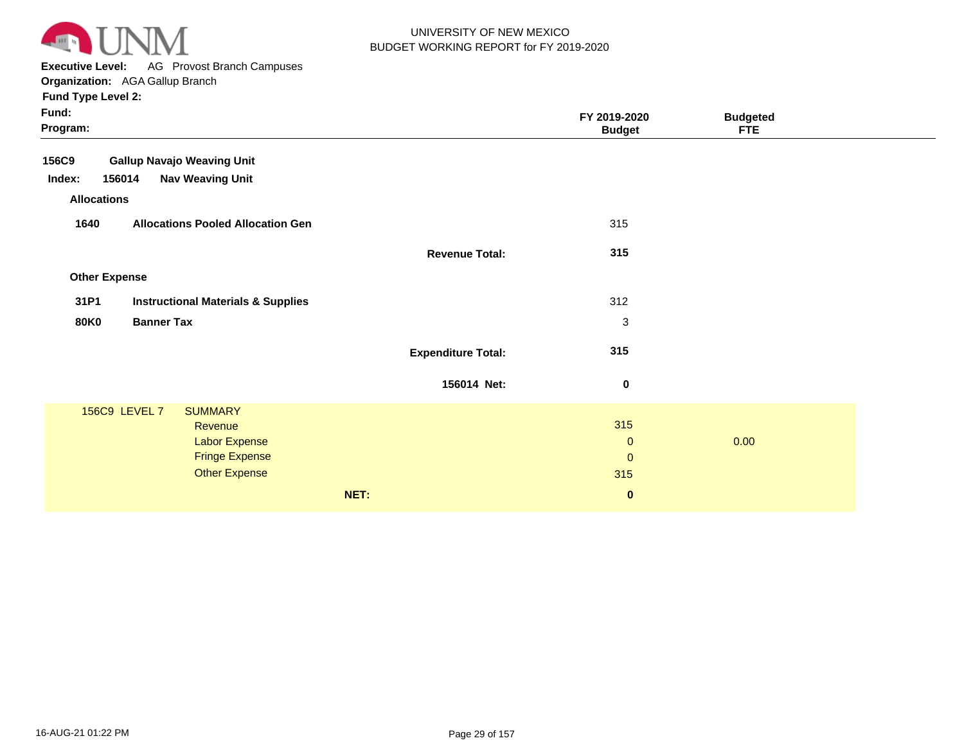

**Executive Level:** AG Provost Branch Campuses

| Fund:<br>Program:    |                                               |                           | FY 2019-2020<br><b>Budget</b> | <b>Budgeted</b><br><b>FTE</b> |  |
|----------------------|-----------------------------------------------|---------------------------|-------------------------------|-------------------------------|--|
| 156C9                | <b>Gallup Navajo Weaving Unit</b>             |                           |                               |                               |  |
| Index:<br>156014     | <b>Nav Weaving Unit</b>                       |                           |                               |                               |  |
| <b>Allocations</b>   |                                               |                           |                               |                               |  |
| 1640                 | <b>Allocations Pooled Allocation Gen</b>      |                           | 315                           |                               |  |
|                      |                                               | <b>Revenue Total:</b>     | 315                           |                               |  |
| <b>Other Expense</b> |                                               |                           |                               |                               |  |
| 31P1                 | <b>Instructional Materials &amp; Supplies</b> |                           | 312                           |                               |  |
| <b>80K0</b>          | <b>Banner Tax</b>                             |                           | $\sqrt{3}$                    |                               |  |
|                      |                                               | <b>Expenditure Total:</b> | 315                           |                               |  |
|                      |                                               | 156014 Net:               | $\bf{0}$                      |                               |  |
| 156C9 LEVEL 7        | <b>SUMMARY</b>                                |                           |                               |                               |  |
|                      | Revenue                                       |                           | 315                           |                               |  |
|                      | <b>Labor Expense</b>                          |                           | $\mathbf{0}$                  | 0.00                          |  |
|                      | <b>Fringe Expense</b>                         |                           | $\mathbf{0}$                  |                               |  |
|                      | <b>Other Expense</b>                          |                           | 315                           |                               |  |
|                      |                                               | NET:                      | $\mathbf 0$                   |                               |  |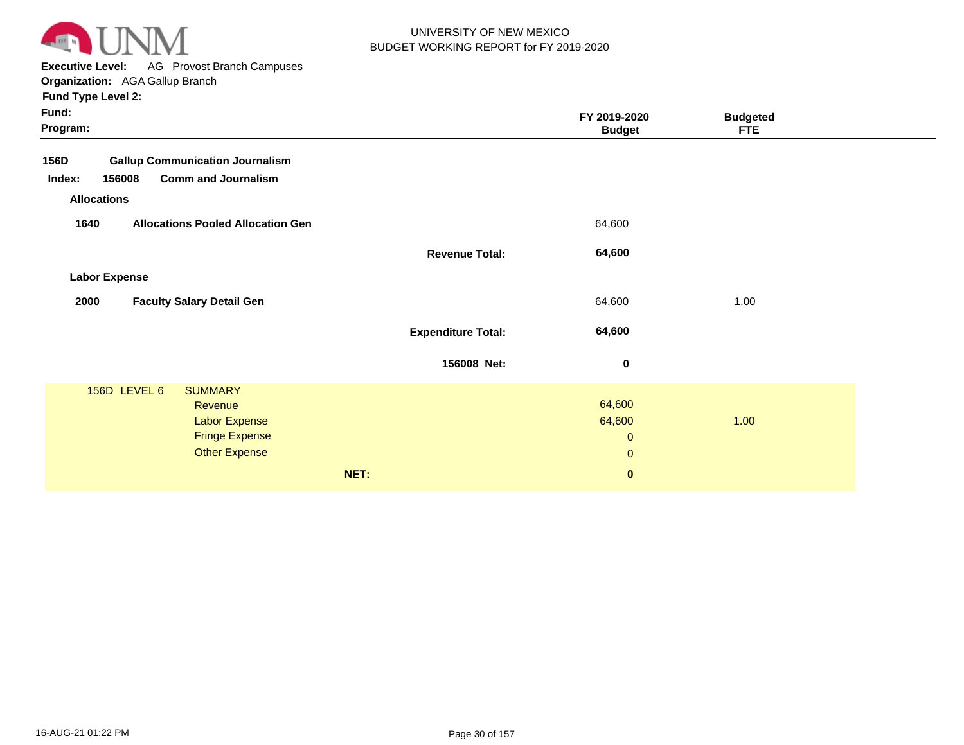

**Executive Level:** AG Provost Branch Campuses

| Fund:<br>Program:    |                                          |                           | FY 2019-2020<br><b>Budget</b> | <b>Budgeted</b><br><b>FTE</b> |
|----------------------|------------------------------------------|---------------------------|-------------------------------|-------------------------------|
| 156D                 | <b>Gallup Communication Journalism</b>   |                           |                               |                               |
| 156008<br>Index:     | <b>Comm and Journalism</b>               |                           |                               |                               |
| <b>Allocations</b>   |                                          |                           |                               |                               |
| 1640                 | <b>Allocations Pooled Allocation Gen</b> |                           | 64,600                        |                               |
|                      |                                          | <b>Revenue Total:</b>     | 64,600                        |                               |
| <b>Labor Expense</b> |                                          |                           |                               |                               |
| 2000                 | <b>Faculty Salary Detail Gen</b>         |                           | 64,600                        | 1.00                          |
|                      |                                          | <b>Expenditure Total:</b> | 64,600                        |                               |
|                      |                                          | 156008 Net:               | 0                             |                               |
| 156D LEVEL 6         | <b>SUMMARY</b><br>Revenue                |                           | 64,600                        |                               |
|                      | <b>Labor Expense</b>                     |                           | 64,600                        | 1.00                          |
|                      | <b>Fringe Expense</b>                    |                           | $\boldsymbol{0}$              |                               |
|                      | <b>Other Expense</b>                     |                           | $\pmb{0}$                     |                               |
|                      | NET:                                     |                           | $\mathbf 0$                   |                               |
|                      |                                          |                           |                               |                               |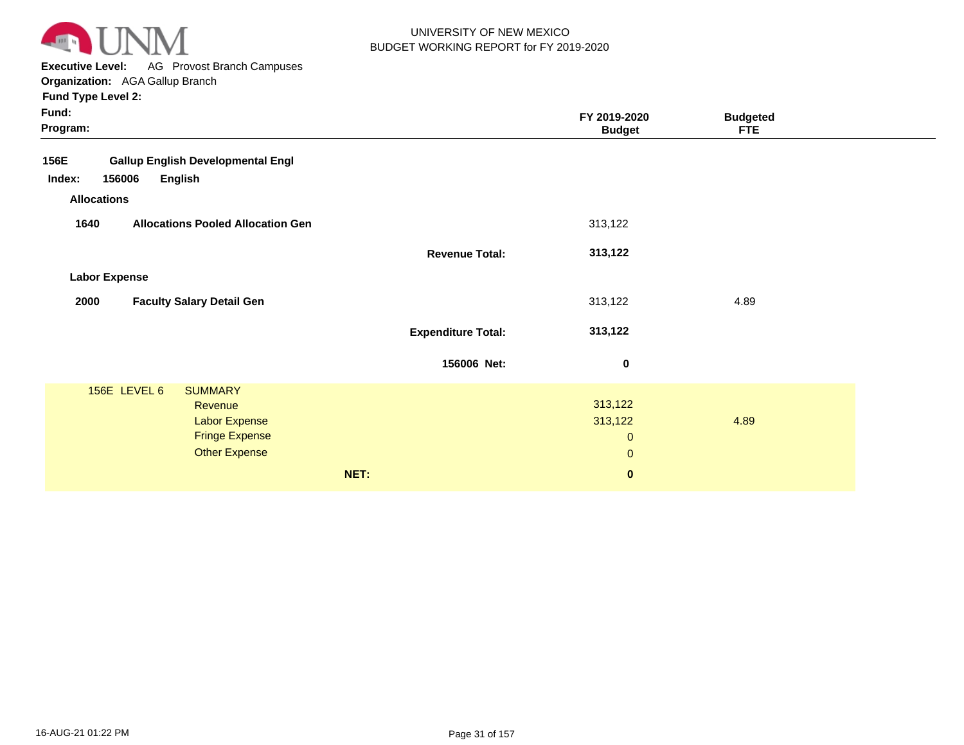

**Executive Level:** AG Provost Branch Campuses **Organization:**  AGA Gallup Branch

| Fund:<br>Program:                                                 |                           | FY 2019-2020<br><b>Budget</b> | <b>Budgeted</b><br><b>FTE</b> |  |
|-------------------------------------------------------------------|---------------------------|-------------------------------|-------------------------------|--|
| 156E<br><b>Gallup English Developmental Engl</b>                  |                           |                               |                               |  |
| 156006<br><b>English</b><br>Index:                                |                           |                               |                               |  |
| <b>Allocations</b>                                                |                           |                               |                               |  |
| <b>Allocations Pooled Allocation Gen</b><br>1640                  |                           | 313,122                       |                               |  |
|                                                                   | <b>Revenue Total:</b>     | 313,122                       |                               |  |
| <b>Labor Expense</b>                                              |                           |                               |                               |  |
| <b>Faculty Salary Detail Gen</b><br>2000                          |                           | 313,122                       | 4.89                          |  |
|                                                                   | <b>Expenditure Total:</b> | 313,122                       |                               |  |
|                                                                   | 156006 Net:               | $\mathbf 0$                   |                               |  |
| 156E LEVEL 6<br><b>SUMMARY</b><br>Revenue<br><b>Labor Expense</b> |                           | 313,122<br>313,122            | 4.89                          |  |
| <b>Fringe Expense</b>                                             |                           | $\mathbf 0$                   |                               |  |
| <b>Other Expense</b>                                              |                           | $\mathbf{0}$                  |                               |  |
|                                                                   | NET:                      | $\mathbf 0$                   |                               |  |
|                                                                   |                           |                               |                               |  |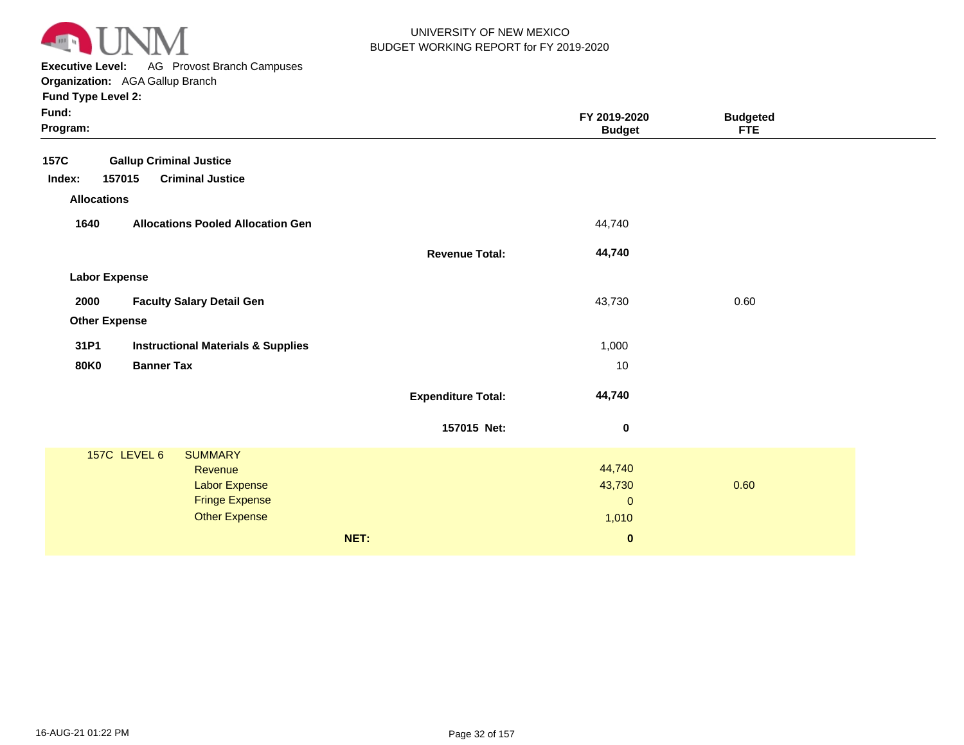

**Executive Level:** AG Provost Branch Campuses

**Organization:**  AGA Gallup Branch

| Fund:<br>Program:    |                                               |                           | FY 2019-2020<br><b>Budget</b> | <b>Budgeted</b><br><b>FTE</b> |  |
|----------------------|-----------------------------------------------|---------------------------|-------------------------------|-------------------------------|--|
| <b>157C</b>          | <b>Gallup Criminal Justice</b>                |                           |                               |                               |  |
| Index:               | <b>Criminal Justice</b><br>157015             |                           |                               |                               |  |
| <b>Allocations</b>   |                                               |                           |                               |                               |  |
| 1640                 | <b>Allocations Pooled Allocation Gen</b>      |                           | 44,740                        |                               |  |
|                      |                                               | <b>Revenue Total:</b>     | 44,740                        |                               |  |
| <b>Labor Expense</b> |                                               |                           |                               |                               |  |
| 2000                 | <b>Faculty Salary Detail Gen</b>              |                           | 43,730                        | 0.60                          |  |
| <b>Other Expense</b> |                                               |                           |                               |                               |  |
| 31P1                 | <b>Instructional Materials &amp; Supplies</b> |                           | 1,000                         |                               |  |
| <b>80K0</b>          | <b>Banner Tax</b>                             |                           | 10                            |                               |  |
|                      |                                               | <b>Expenditure Total:</b> | 44,740                        |                               |  |
|                      |                                               | 157015 Net:               | 0                             |                               |  |
|                      | 157C LEVEL 6<br><b>SUMMARY</b>                |                           |                               |                               |  |
|                      | <b>Revenue</b>                                |                           | 44,740                        |                               |  |
|                      | Labor Expense<br><b>Fringe Expense</b>        |                           | 43,730<br>$\mathbf{0}$        | 0.60                          |  |
|                      | <b>Other Expense</b>                          |                           | 1,010                         |                               |  |
|                      |                                               | NET:                      | $\pmb{0}$                     |                               |  |
|                      |                                               |                           |                               |                               |  |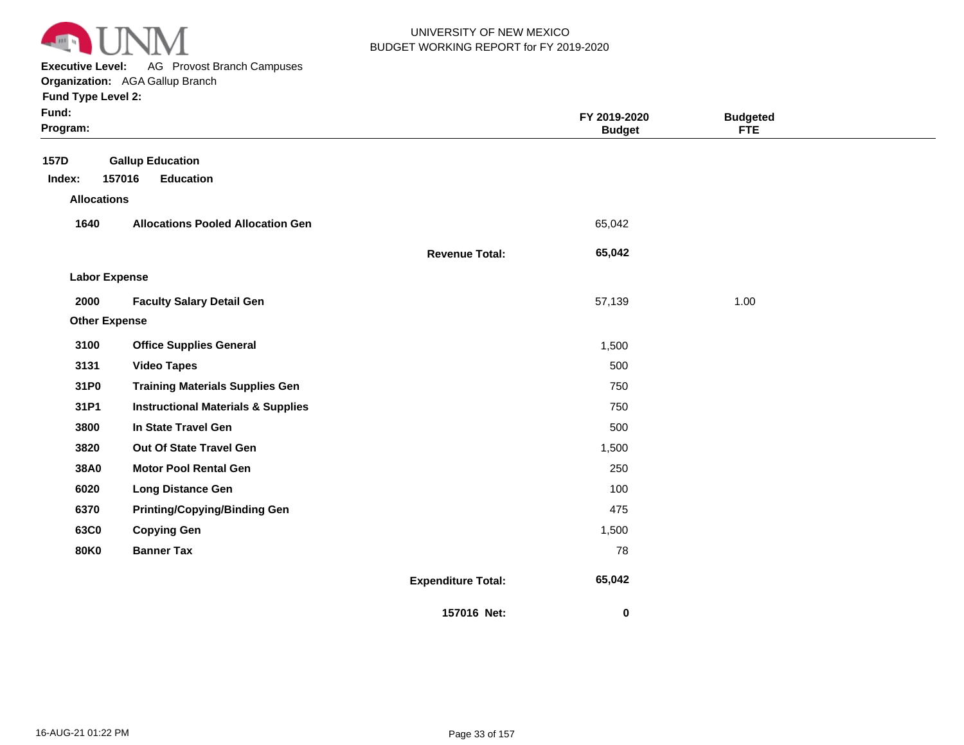

**Executive Level:** AG Provost Branch Campuses

| Fund:<br>Program:     |                                                       |                           | FY 2019-2020<br><b>Budget</b> | <b>Budgeted</b><br><b>FTE</b> |  |
|-----------------------|-------------------------------------------------------|---------------------------|-------------------------------|-------------------------------|--|
| <b>157D</b><br>Index: | <b>Gallup Education</b><br>157016<br><b>Education</b> |                           |                               |                               |  |
| <b>Allocations</b>    |                                                       |                           |                               |                               |  |
| 1640                  | <b>Allocations Pooled Allocation Gen</b>              |                           | 65,042                        |                               |  |
|                       |                                                       | <b>Revenue Total:</b>     | 65,042                        |                               |  |
| <b>Labor Expense</b>  |                                                       |                           |                               |                               |  |
| 2000                  | <b>Faculty Salary Detail Gen</b>                      |                           | 57,139                        | 1.00                          |  |
| <b>Other Expense</b>  |                                                       |                           |                               |                               |  |
| 3100                  | <b>Office Supplies General</b>                        |                           | 1,500                         |                               |  |
| 3131                  | <b>Video Tapes</b>                                    |                           | 500                           |                               |  |
| 31P0                  | <b>Training Materials Supplies Gen</b>                |                           | 750                           |                               |  |
| 31P1                  | <b>Instructional Materials &amp; Supplies</b>         |                           | 750                           |                               |  |
| 3800                  | In State Travel Gen                                   |                           | 500                           |                               |  |
| 3820                  | Out Of State Travel Gen                               |                           | 1,500                         |                               |  |
| 38A0                  | <b>Motor Pool Rental Gen</b>                          |                           | 250                           |                               |  |
| 6020                  | <b>Long Distance Gen</b>                              |                           | 100                           |                               |  |
| 6370                  | <b>Printing/Copying/Binding Gen</b>                   |                           | 475                           |                               |  |
| 63C0                  | <b>Copying Gen</b>                                    |                           | 1,500                         |                               |  |
| <b>80K0</b>           | <b>Banner Tax</b>                                     |                           | 78                            |                               |  |
|                       |                                                       | <b>Expenditure Total:</b> | 65,042                        |                               |  |
|                       |                                                       | 157016 Net:               | 0                             |                               |  |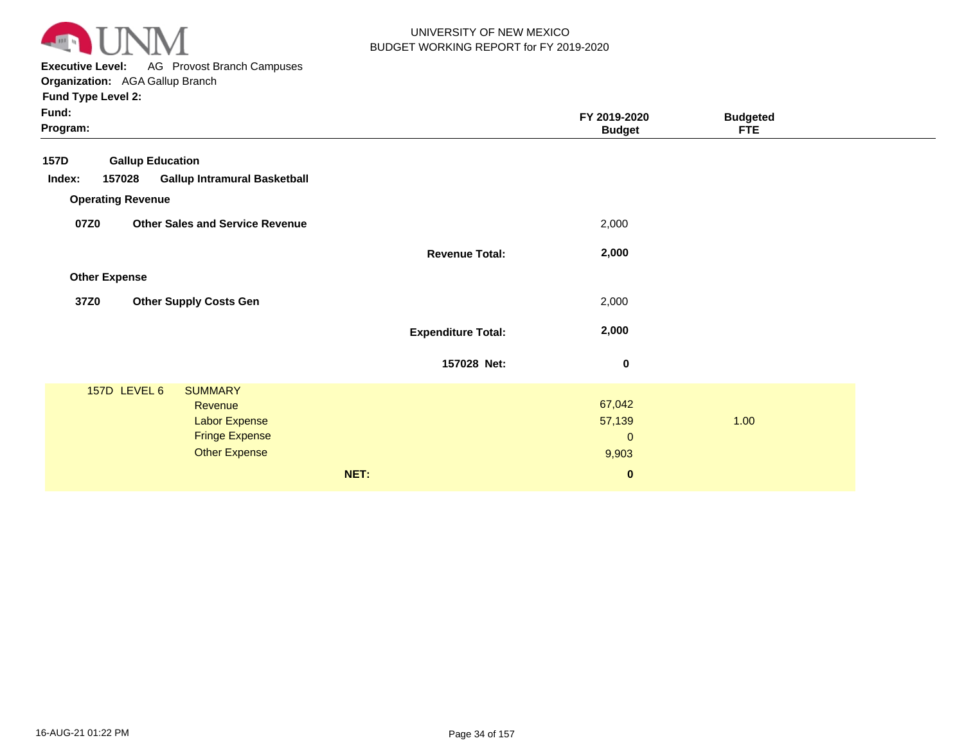

**Executive Level:** AG Provost Branch Campuses **Organization:**  AGA Gallup Branch

| Fund:<br>Program: |                          |                                                                                             |                           | FY 2019-2020<br><b>Budget</b>            | <b>Budgeted</b><br><b>FTE</b> |  |
|-------------------|--------------------------|---------------------------------------------------------------------------------------------|---------------------------|------------------------------------------|-------------------------------|--|
| <b>157D</b>       | <b>Gallup Education</b>  |                                                                                             |                           |                                          |                               |  |
| Index:            | 157028                   | <b>Gallup Intramural Basketball</b>                                                         |                           |                                          |                               |  |
|                   | <b>Operating Revenue</b> |                                                                                             |                           |                                          |                               |  |
| 07Z0              |                          | <b>Other Sales and Service Revenue</b>                                                      |                           | 2,000                                    |                               |  |
|                   |                          |                                                                                             | <b>Revenue Total:</b>     | 2,000                                    |                               |  |
|                   | <b>Other Expense</b>     |                                                                                             |                           |                                          |                               |  |
| 37Z0              |                          | <b>Other Supply Costs Gen</b>                                                               |                           | 2,000                                    |                               |  |
|                   |                          |                                                                                             | <b>Expenditure Total:</b> | 2,000                                    |                               |  |
|                   |                          |                                                                                             | 157028 Net:               | $\pmb{0}$                                |                               |  |
|                   | 157D LEVEL 6             | <b>SUMMARY</b><br>Revenue<br>Labor Expense<br><b>Fringe Expense</b><br><b>Other Expense</b> |                           | 67,042<br>57,139<br>$\mathbf 0$<br>9,903 | 1.00                          |  |
|                   |                          |                                                                                             | NET:                      | $\bf{0}$                                 |                               |  |
|                   |                          |                                                                                             |                           |                                          |                               |  |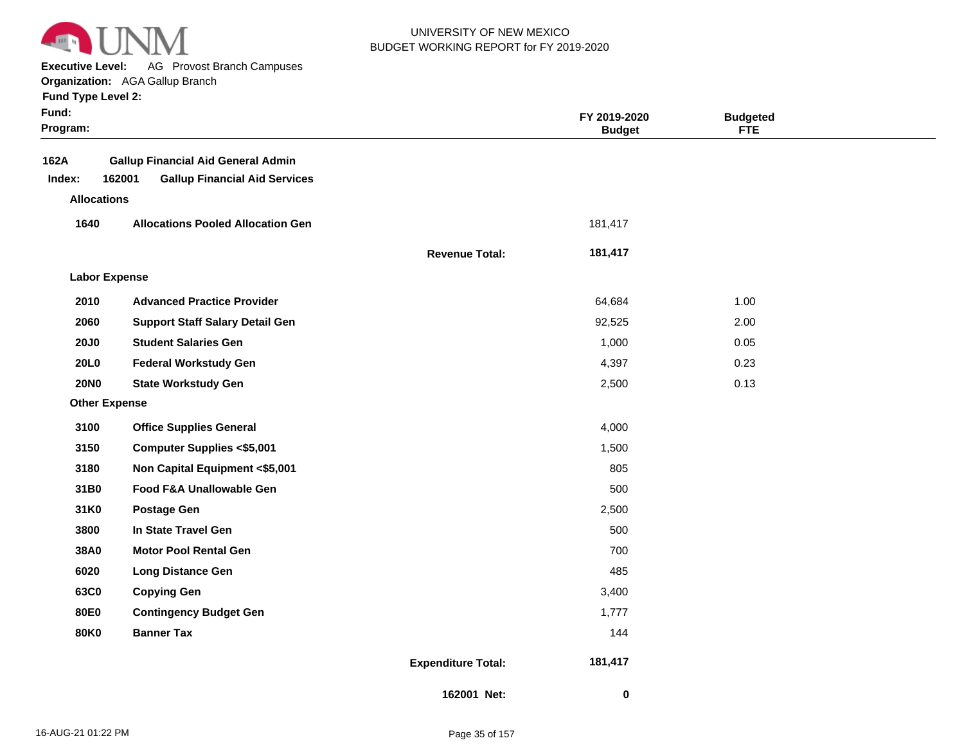

**Executive Level:** AG Provost Branch Campuses

**Organization:**  AGA Gallup Branch

| <b>Fund Type Level 2:</b> |  |
|---------------------------|--|
|---------------------------|--|

| Fund:<br>Program:    |                                                                                             |                           | FY 2019-2020<br><b>Budget</b> | <b>Budgeted</b><br><b>FTE</b> |  |
|----------------------|---------------------------------------------------------------------------------------------|---------------------------|-------------------------------|-------------------------------|--|
| 162A<br>Index:       | <b>Gallup Financial Aid General Admin</b><br>162001<br><b>Gallup Financial Aid Services</b> |                           |                               |                               |  |
| <b>Allocations</b>   |                                                                                             |                           |                               |                               |  |
| 1640                 | <b>Allocations Pooled Allocation Gen</b>                                                    |                           | 181,417                       |                               |  |
|                      |                                                                                             | <b>Revenue Total:</b>     | 181,417                       |                               |  |
| <b>Labor Expense</b> |                                                                                             |                           |                               |                               |  |
| 2010                 | <b>Advanced Practice Provider</b>                                                           |                           | 64,684                        | 1.00                          |  |
| 2060                 | <b>Support Staff Salary Detail Gen</b>                                                      |                           | 92,525                        | 2.00                          |  |
| <b>20J0</b>          | <b>Student Salaries Gen</b>                                                                 |                           | 1,000                         | 0.05                          |  |
| 20L0                 | <b>Federal Workstudy Gen</b>                                                                |                           | 4,397                         | 0.23                          |  |
| <b>20NO</b>          | <b>State Workstudy Gen</b>                                                                  |                           | 2,500                         | 0.13                          |  |
| <b>Other Expense</b> |                                                                                             |                           |                               |                               |  |
| 3100                 | <b>Office Supplies General</b>                                                              |                           | 4,000                         |                               |  |
| 3150                 | <b>Computer Supplies &lt;\$5,001</b>                                                        |                           | 1,500                         |                               |  |
| 3180                 | Non Capital Equipment <\$5,001                                                              |                           | 805                           |                               |  |
| 31B0                 | Food F&A Unallowable Gen                                                                    |                           | 500                           |                               |  |
| 31K0                 | <b>Postage Gen</b>                                                                          |                           | 2,500                         |                               |  |
| 3800                 | In State Travel Gen                                                                         |                           | 500                           |                               |  |
| 38A0                 | <b>Motor Pool Rental Gen</b>                                                                |                           | 700                           |                               |  |
| 6020                 | <b>Long Distance Gen</b>                                                                    |                           | 485                           |                               |  |
| 63C0                 | <b>Copying Gen</b>                                                                          |                           | 3,400                         |                               |  |
| 80E0                 | <b>Contingency Budget Gen</b>                                                               |                           | 1,777                         |                               |  |
| <b>80K0</b>          | <b>Banner Tax</b>                                                                           |                           | 144                           |                               |  |
|                      |                                                                                             | <b>Expenditure Total:</b> | 181,417                       |                               |  |
|                      |                                                                                             | 162001 Net:               | $\mathbf 0$                   |                               |  |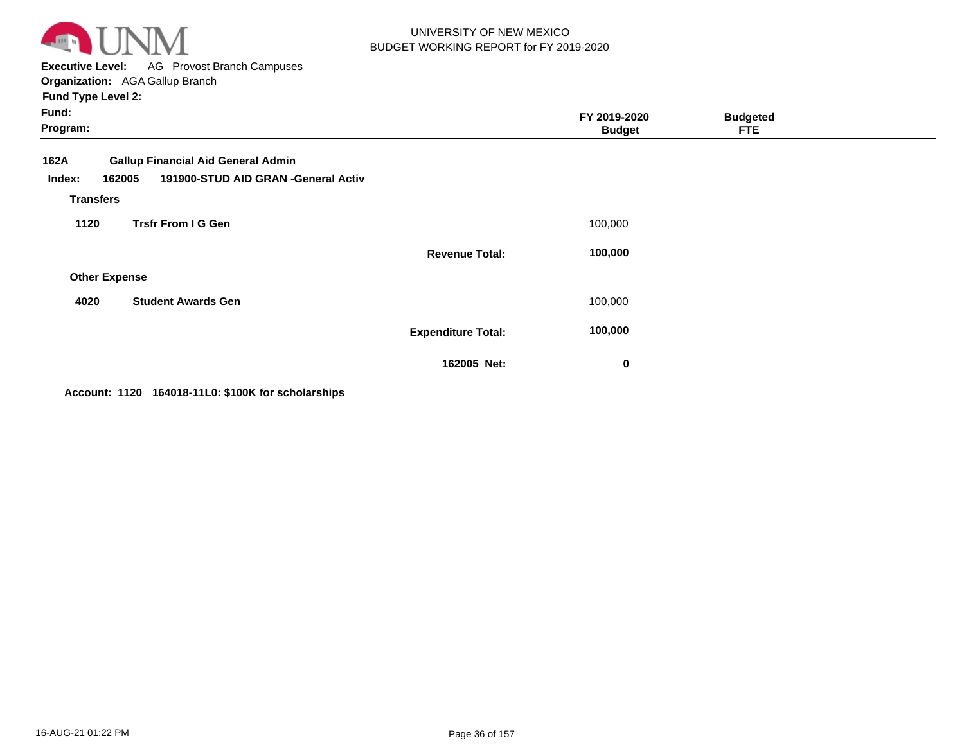

**Executive Level:** AG Provost Branch Campuses **Organization:**  AGA Gallup Branch

**Fund Type Level 2:**

| Fund:<br>Program:                 |                                                                                  | FY 2019-2020<br><b>Budget</b> | <b>Budgeted</b><br><b>FTE</b> |  |
|-----------------------------------|----------------------------------------------------------------------------------|-------------------------------|-------------------------------|--|
| 162A<br>162005<br>Index:          | <b>Gallup Financial Aid General Admin</b><br>191900-STUD AID GRAN -General Activ |                               |                               |  |
| <b>Transfers</b>                  |                                                                                  |                               |                               |  |
| <b>Trsfr From I G Gen</b><br>1120 |                                                                                  | 100,000                       |                               |  |
|                                   | <b>Revenue Total:</b>                                                            | 100,000                       |                               |  |
| <b>Other Expense</b>              |                                                                                  |                               |                               |  |
| 4020                              | <b>Student Awards Gen</b>                                                        | 100,000                       |                               |  |
|                                   | <b>Expenditure Total:</b>                                                        | 100,000                       |                               |  |
|                                   | 162005 Net:                                                                      | 0                             |                               |  |

**Account: 1120 164018-11L0: \$100K for scholarships**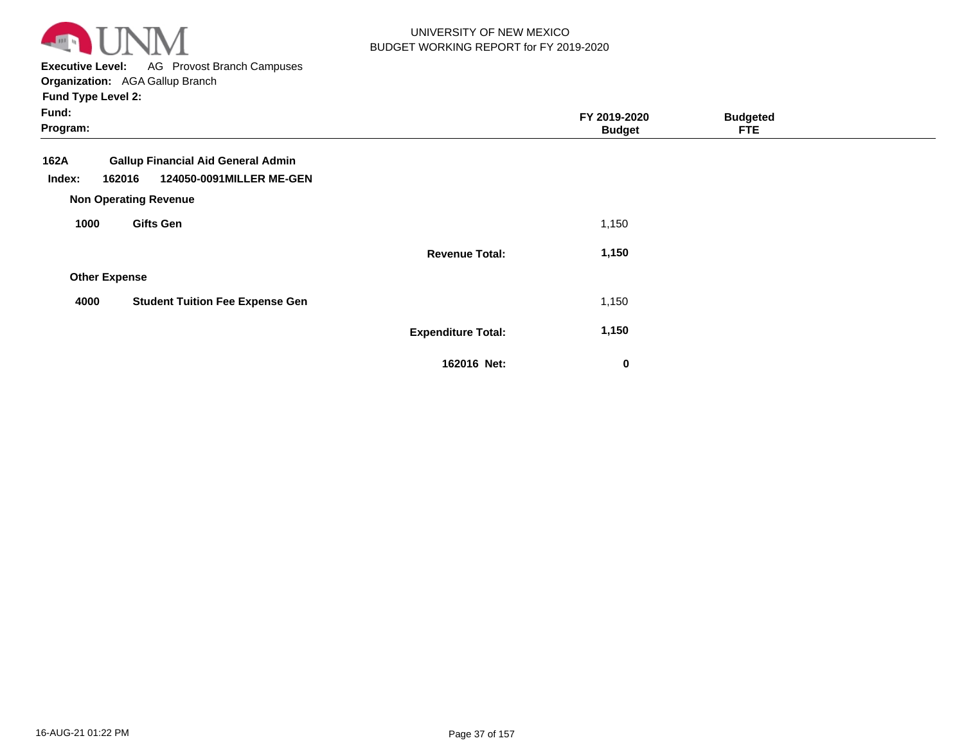

**Executive Level:** AG Provost Branch Campuses **Organization:**  AGA Gallup Branch

| Fund:<br>Program:    |                                                                                                                 |                           | FY 2019-2020<br><b>Budget</b> | <b>Budgeted</b><br><b>FTE</b> |  |
|----------------------|-----------------------------------------------------------------------------------------------------------------|---------------------------|-------------------------------|-------------------------------|--|
| 162A<br>Index:       | <b>Gallup Financial Aid General Admin</b><br>124050-0091MILLER ME-GEN<br>162016<br><b>Non Operating Revenue</b> |                           |                               |                               |  |
| 1000                 | <b>Gifts Gen</b>                                                                                                |                           | 1,150                         |                               |  |
|                      |                                                                                                                 | <b>Revenue Total:</b>     | 1,150                         |                               |  |
| <b>Other Expense</b> |                                                                                                                 |                           |                               |                               |  |
| 4000                 | <b>Student Tuition Fee Expense Gen</b>                                                                          |                           | 1,150                         |                               |  |
|                      |                                                                                                                 | <b>Expenditure Total:</b> | 1,150                         |                               |  |
|                      |                                                                                                                 | 162016 Net:               | $\bf{0}$                      |                               |  |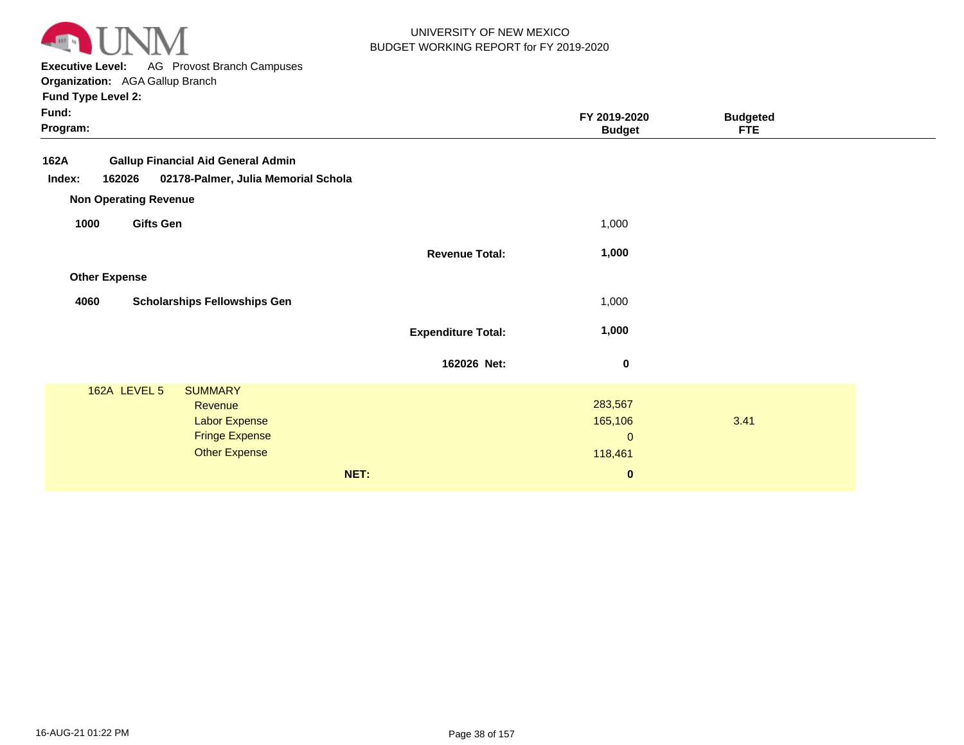

**Executive Level:** AG Provost Branch Campuses **Organization:**  AGA Gallup Branch

|                           | FY 2019-2020<br><b>Budget</b>                              | <b>Budgeted</b><br><b>FTE</b> |  |
|---------------------------|------------------------------------------------------------|-------------------------------|--|
|                           |                                                            |                               |  |
|                           | 1,000                                                      |                               |  |
| <b>Revenue Total:</b>     | 1,000                                                      |                               |  |
|                           |                                                            |                               |  |
|                           | 1,000                                                      |                               |  |
| <b>Expenditure Total:</b> | 1,000                                                      |                               |  |
| 162026 Net:               | 0                                                          |                               |  |
|                           | 283,567<br>165,106<br>$\mathbf{0}$<br>118,461<br>$\pmb{0}$ | 3.41                          |  |
|                           |                                                            |                               |  |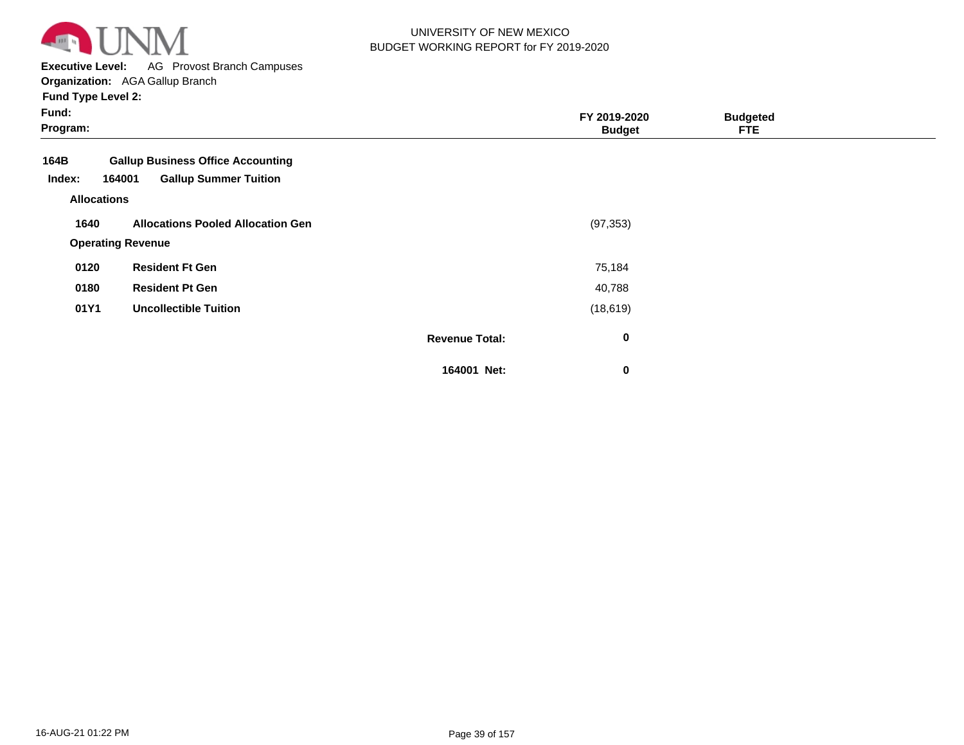

**Executive Level:** AG Provost Branch Campuses

**Organization:**  AGA Gallup Branch

| Fund:<br>Program:                                                                                    |                       | FY 2019-2020<br><b>Budget</b> | <b>Budgeted</b><br><b>FTE</b> |  |
|------------------------------------------------------------------------------------------------------|-----------------------|-------------------------------|-------------------------------|--|
| <b>Gallup Business Office Accounting</b><br>164B<br><b>Gallup Summer Tuition</b><br>Index:<br>164001 |                       |                               |                               |  |
| <b>Allocations</b>                                                                                   |                       |                               |                               |  |
| 1640<br><b>Allocations Pooled Allocation Gen</b>                                                     |                       | (97, 353)                     |                               |  |
| <b>Operating Revenue</b>                                                                             |                       |                               |                               |  |
| <b>Resident Ft Gen</b><br>0120                                                                       |                       | 75,184                        |                               |  |
| 0180<br><b>Resident Pt Gen</b>                                                                       |                       | 40,788                        |                               |  |
| 01Y1<br><b>Uncollectible Tuition</b>                                                                 |                       | (18, 619)                     |                               |  |
|                                                                                                      | <b>Revenue Total:</b> | $\mathbf 0$                   |                               |  |
|                                                                                                      | 164001 Net:           | 0                             |                               |  |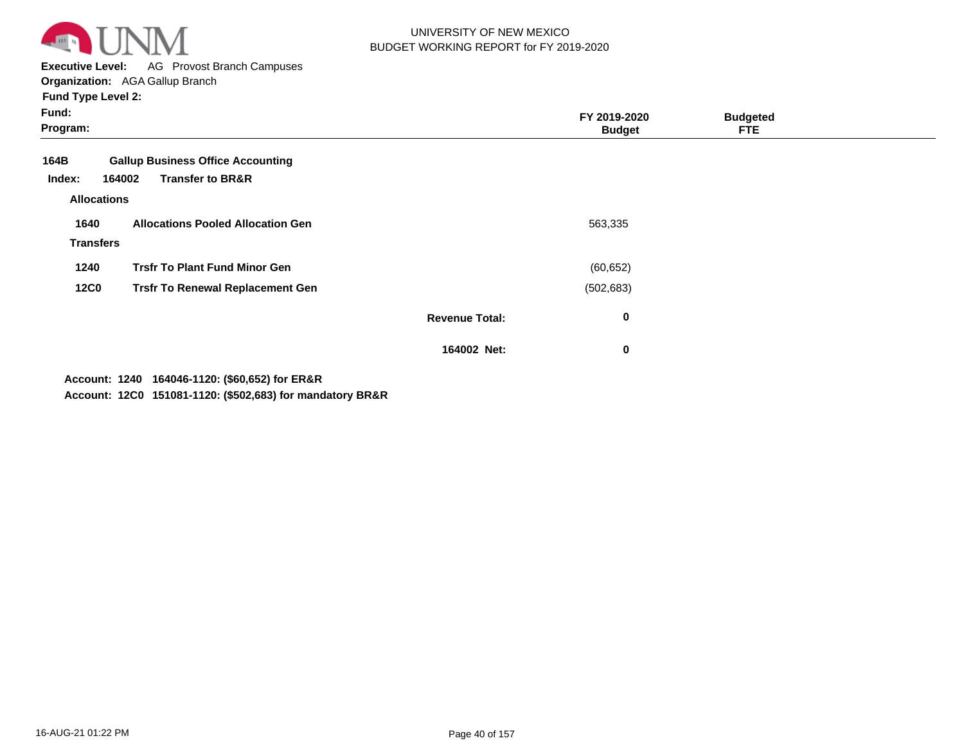

**Executive Level:** AG Provost Branch Campuses **Organization:**  AGA Gallup Branch

**Fund Type Level 2:**

| Fund:<br>Program:  |                                                                                   |                       | FY 2019-2020<br><b>Budget</b> | <b>Budgeted</b><br><b>FTE</b> |  |
|--------------------|-----------------------------------------------------------------------------------|-----------------------|-------------------------------|-------------------------------|--|
| 164B<br>Index:     | <b>Gallup Business Office Accounting</b><br><b>Transfer to BR&amp;R</b><br>164002 |                       |                               |                               |  |
| <b>Allocations</b> |                                                                                   |                       |                               |                               |  |
| 1640               | <b>Allocations Pooled Allocation Gen</b>                                          |                       | 563,335                       |                               |  |
| <b>Transfers</b>   |                                                                                   |                       |                               |                               |  |
| 1240               | <b>Trsfr To Plant Fund Minor Gen</b>                                              |                       | (60, 652)                     |                               |  |
| <b>12C0</b>        | <b>Trsfr To Renewal Replacement Gen</b>                                           |                       | (502, 683)                    |                               |  |
|                    |                                                                                   | <b>Revenue Total:</b> | $\bf{0}$                      |                               |  |
|                    |                                                                                   | 164002 Net:           | $\mathbf 0$                   |                               |  |
|                    |                                                                                   |                       |                               |                               |  |

**1240 164046-1120: (\$60,652) for ER&R Account:**

**12C0 151081-1120: (\$502,683) for mandatory BR&R Account:**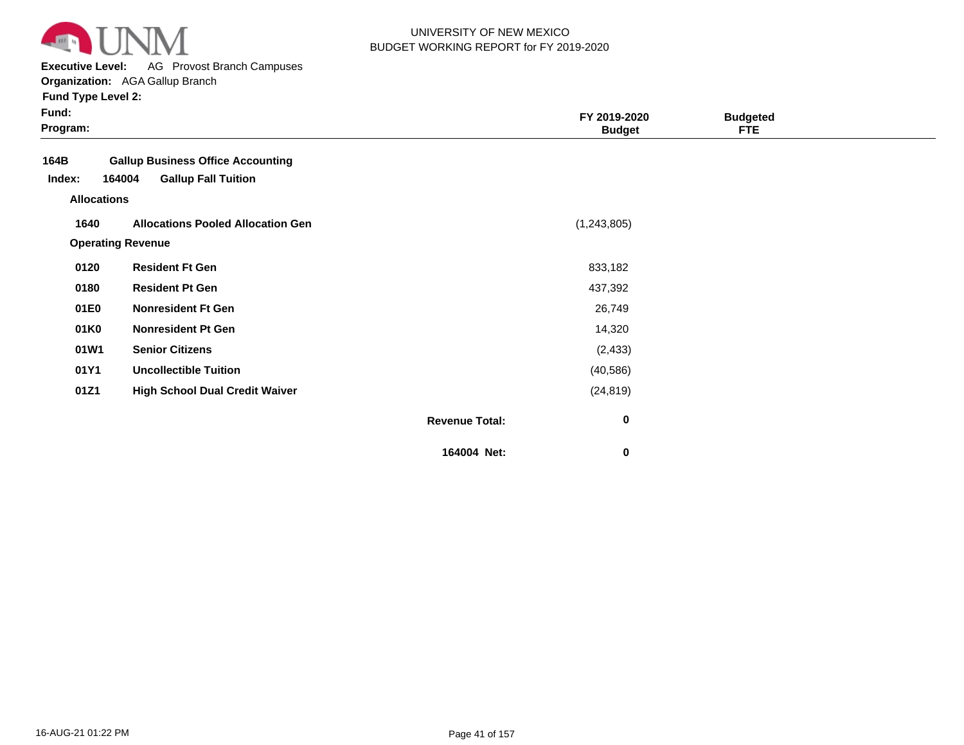

**Executive Level:** AG Provost Branch Campuses

**Organization:**  AGA Gallup Branch

| <b>Fund Type Level 2:</b> |  |  |
|---------------------------|--|--|
|---------------------------|--|--|

| × | × |  |
|---|---|--|
|   |   |  |

| Fund:<br>Program:                    |                                                                                  | FY 2019-2020<br><b>Budget</b>      | <b>Budgeted</b><br><b>FTE</b> |  |
|--------------------------------------|----------------------------------------------------------------------------------|------------------------------------|-------------------------------|--|
| 164B<br>Index:<br><b>Allocations</b> | <b>Gallup Business Office Accounting</b><br><b>Gallup Fall Tuition</b><br>164004 |                                    |                               |  |
| 1640                                 | <b>Allocations Pooled Allocation Gen</b><br><b>Operating Revenue</b>             | (1,243,805)                        |                               |  |
| 0120                                 | <b>Resident Ft Gen</b>                                                           | 833,182                            |                               |  |
| 0180                                 | <b>Resident Pt Gen</b>                                                           | 437,392                            |                               |  |
| 01E0                                 | <b>Nonresident Ft Gen</b>                                                        | 26,749                             |                               |  |
| 01K0                                 | <b>Nonresident Pt Gen</b>                                                        | 14,320                             |                               |  |
| 01W1                                 | <b>Senior Citizens</b>                                                           | (2, 433)                           |                               |  |
| 01Y1                                 | <b>Uncollectible Tuition</b>                                                     | (40, 586)                          |                               |  |
| 01Z1                                 | <b>High School Dual Credit Waiver</b>                                            | (24, 819)                          |                               |  |
|                                      |                                                                                  | $\pmb{0}$<br><b>Revenue Total:</b> |                               |  |

**164004 Net:**

 **0**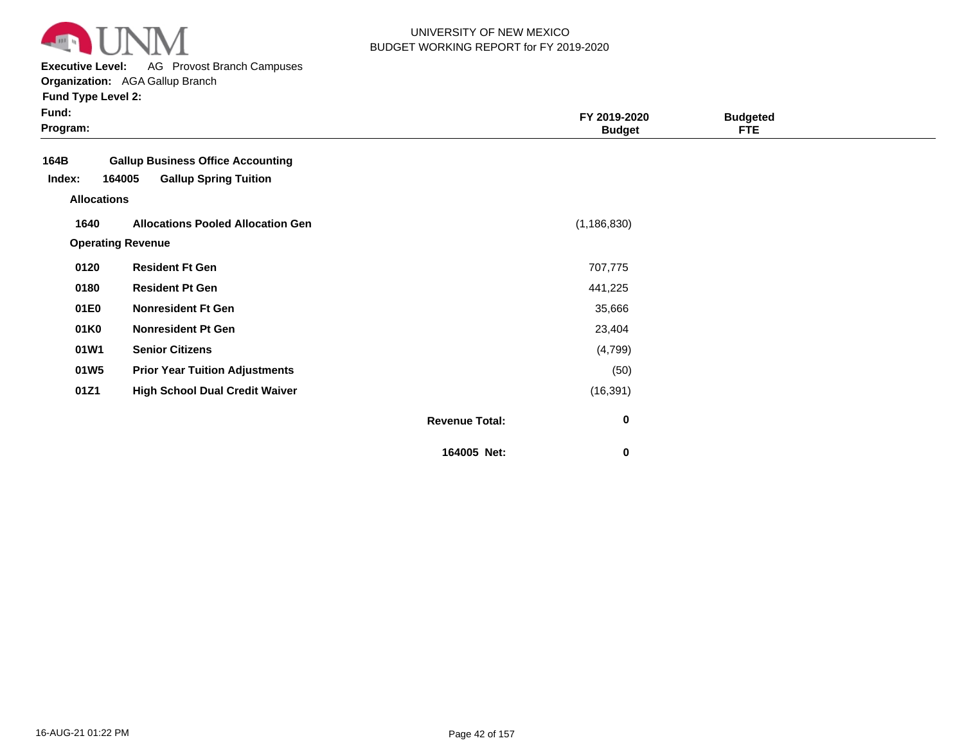

**Executive Level:** AG Provost Branch Campuses

**Organization:**  AGA Gallup Branch

| <b>Fund Type Level 2:</b> |  |
|---------------------------|--|
|---------------------------|--|

| Fund:<br>Program:  |                                          |                       | FY 2019-2020<br><b>Budget</b> | <b>Budgeted</b><br><b>FTE</b> |  |
|--------------------|------------------------------------------|-----------------------|-------------------------------|-------------------------------|--|
| 164B               | <b>Gallup Business Office Accounting</b> |                       |                               |                               |  |
| Index:             | 164005<br><b>Gallup Spring Tuition</b>   |                       |                               |                               |  |
| <b>Allocations</b> |                                          |                       |                               |                               |  |
| 1640               | <b>Allocations Pooled Allocation Gen</b> |                       | (1, 186, 830)                 |                               |  |
|                    | <b>Operating Revenue</b>                 |                       |                               |                               |  |
| 0120               | <b>Resident Ft Gen</b>                   |                       | 707,775                       |                               |  |
| 0180               | <b>Resident Pt Gen</b>                   |                       | 441,225                       |                               |  |
| 01E0               | <b>Nonresident Ft Gen</b>                |                       | 35,666                        |                               |  |
| 01K0               | <b>Nonresident Pt Gen</b>                |                       | 23,404                        |                               |  |
| 01W1               | <b>Senior Citizens</b>                   |                       | (4,799)                       |                               |  |
| 01W <sub>5</sub>   | <b>Prior Year Tuition Adjustments</b>    |                       | (50)                          |                               |  |
| 01Z1               | <b>High School Dual Credit Waiver</b>    |                       | (16, 391)                     |                               |  |
|                    |                                          | <b>Revenue Total:</b> | 0                             |                               |  |
|                    |                                          | 164005 Net:           | 0                             |                               |  |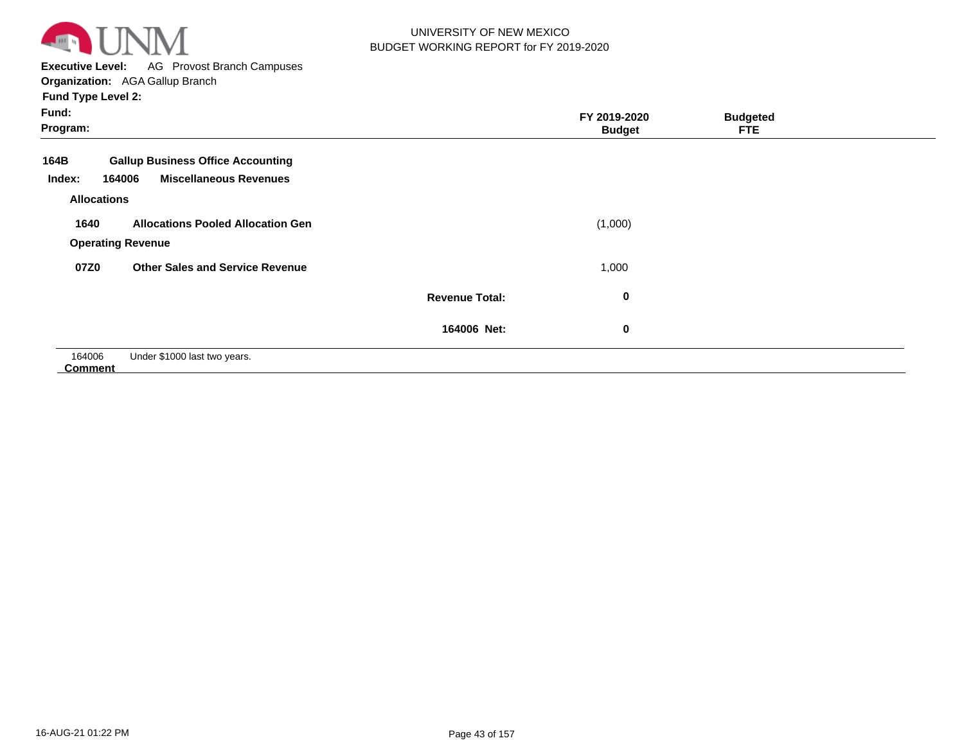

# UNIVERSITY OF NEW MEXICO BUDGET WORKING REPORT for FY 2019-2020

**Executive Level:** AG Provost Branch Campuses

**Organization:**  AGA Gallup Branch

| <b>Urganization.</b> AUA Udilup Didilum                  |                       |               |                 |  |
|----------------------------------------------------------|-----------------------|---------------|-----------------|--|
| <b>Fund Type Level 2:</b>                                |                       |               |                 |  |
| Fund:                                                    |                       | FY 2019-2020  | <b>Budgeted</b> |  |
| Program:                                                 |                       | <b>Budget</b> | <b>FTE</b>      |  |
| <b>Gallup Business Office Accounting</b><br>164B         |                       |               |                 |  |
| <b>Miscellaneous Revenues</b><br>164006<br>Index:        |                       |               |                 |  |
| <b>Allocations</b>                                       |                       |               |                 |  |
| <b>Allocations Pooled Allocation Gen</b><br>1640         |                       | (1,000)       |                 |  |
| <b>Operating Revenue</b>                                 |                       |               |                 |  |
| <b>Other Sales and Service Revenue</b><br>07Z0           |                       | 1,000         |                 |  |
|                                                          | <b>Revenue Total:</b> | $\bf{0}$      |                 |  |
|                                                          | 164006 Net:           | $\bf{0}$      |                 |  |
| 164006<br>Under \$1000 last two years.<br><b>Comment</b> |                       |               |                 |  |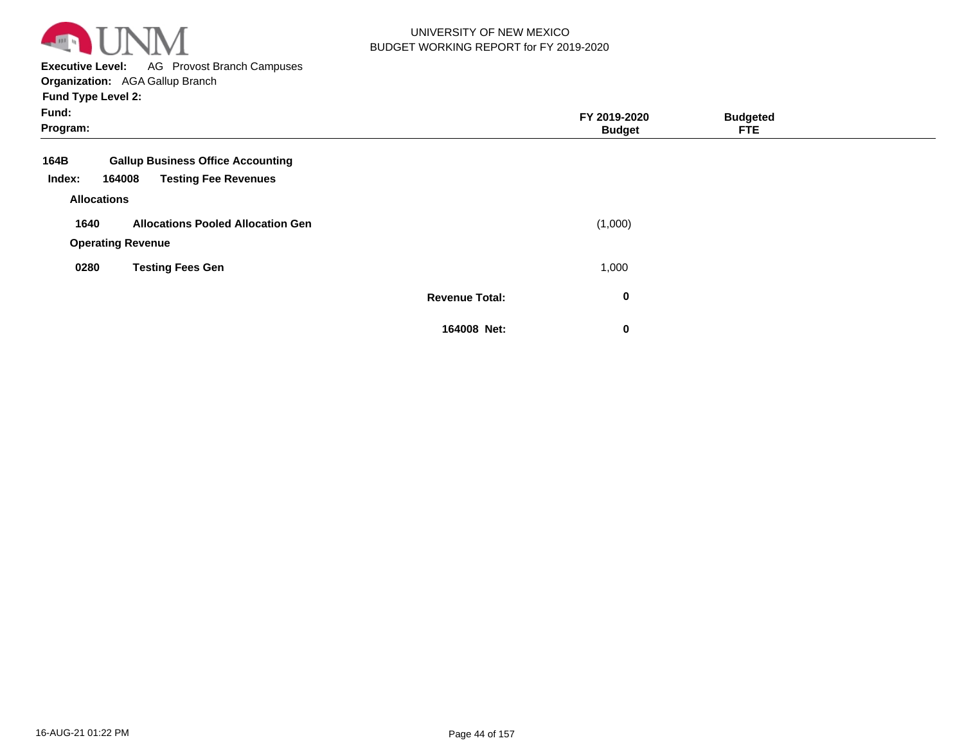

**Executive Level:** AG Provost Branch Campuses

**Organization:**  AGA Gallup Branch

| Fund:<br>Program:  |                                          |                       | FY 2019-2020<br><b>Budget</b> | <b>Budgeted</b><br><b>FTE</b> |  |
|--------------------|------------------------------------------|-----------------------|-------------------------------|-------------------------------|--|
| 164B               | <b>Gallup Business Office Accounting</b> |                       |                               |                               |  |
| Index:             | <b>Testing Fee Revenues</b><br>164008    |                       |                               |                               |  |
| <b>Allocations</b> |                                          |                       |                               |                               |  |
| 1640               | <b>Allocations Pooled Allocation Gen</b> |                       | (1,000)                       |                               |  |
|                    | <b>Operating Revenue</b>                 |                       |                               |                               |  |
| 0280               | <b>Testing Fees Gen</b>                  |                       | 1,000                         |                               |  |
|                    |                                          | <b>Revenue Total:</b> | $\bf{0}$                      |                               |  |
|                    |                                          | 164008 Net:           | $\bf{0}$                      |                               |  |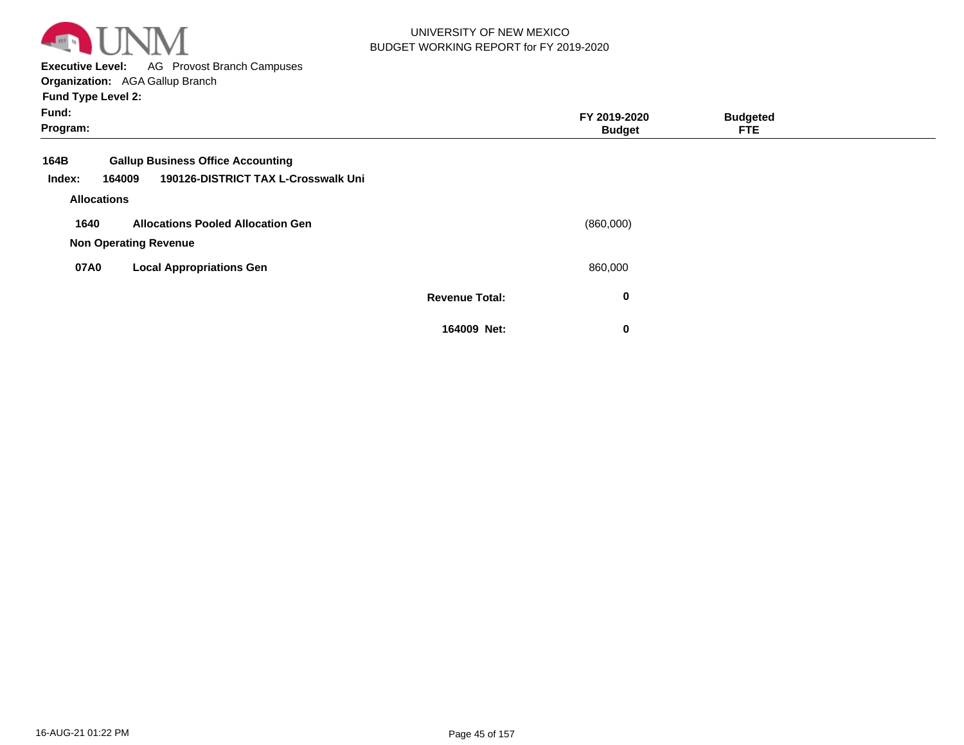

**Executive Level:** AG Provost Branch Campuses

**Organization:**  AGA Gallup Branch

| Fund:<br>Program: |                                               |                       | FY 2019-2020<br><b>Budget</b> | <b>Budgeted</b><br><b>FTE</b> |  |
|-------------------|-----------------------------------------------|-----------------------|-------------------------------|-------------------------------|--|
| 164B              | <b>Gallup Business Office Accounting</b>      |                       |                               |                               |  |
| Index:            | 190126-DISTRICT TAX L-Crosswalk Uni<br>164009 |                       |                               |                               |  |
|                   | <b>Allocations</b>                            |                       |                               |                               |  |
| 1640              | <b>Allocations Pooled Allocation Gen</b>      |                       | (860,000)                     |                               |  |
|                   | <b>Non Operating Revenue</b>                  |                       |                               |                               |  |
| 07A0              | <b>Local Appropriations Gen</b>               |                       | 860,000                       |                               |  |
|                   |                                               | <b>Revenue Total:</b> | 0                             |                               |  |
|                   |                                               | 164009 Net:           | 0                             |                               |  |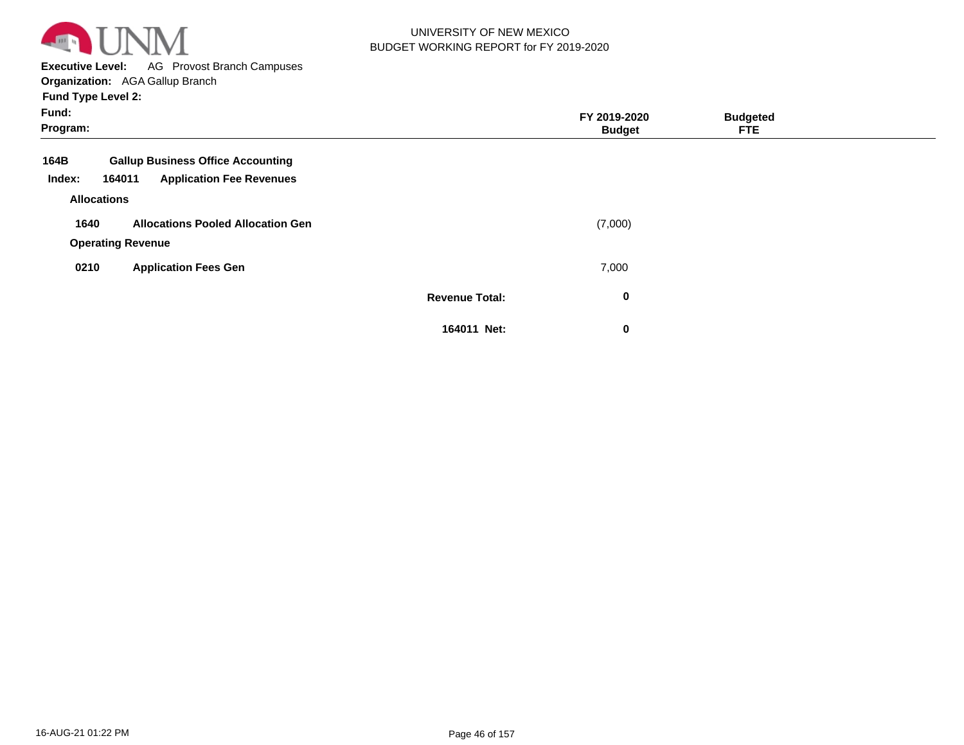

**Executive Level:** AG Provost Branch Campuses

**Organization:**  AGA Gallup Branch

| Fund:<br>Program:  |                                           |                       | FY 2019-2020<br><b>Budget</b> | <b>Budgeted</b><br><b>FTE</b> |  |
|--------------------|-------------------------------------------|-----------------------|-------------------------------|-------------------------------|--|
| 164B               | <b>Gallup Business Office Accounting</b>  |                       |                               |                               |  |
| Index:             | <b>Application Fee Revenues</b><br>164011 |                       |                               |                               |  |
| <b>Allocations</b> |                                           |                       |                               |                               |  |
| 1640               | <b>Allocations Pooled Allocation Gen</b>  |                       | (7,000)                       |                               |  |
|                    | <b>Operating Revenue</b>                  |                       |                               |                               |  |
| 0210               | <b>Application Fees Gen</b>               |                       | 7,000                         |                               |  |
|                    |                                           | <b>Revenue Total:</b> | 0                             |                               |  |
|                    |                                           | 164011 Net:           | 0                             |                               |  |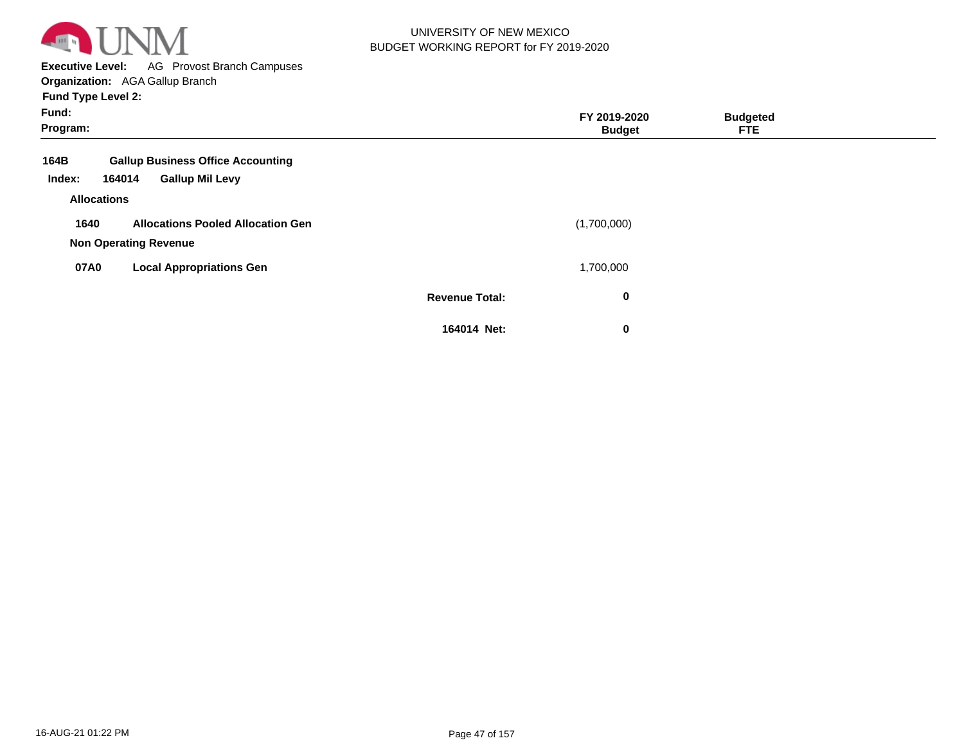

**Executive Level:** AG Provost Branch Campuses **Organization:**  AGA Gallup Branch

| Fund:<br>Program:                                                                              |                       | FY 2019-2020<br><b>Budget</b> | <b>Budgeted</b><br><b>FTE</b> |  |
|------------------------------------------------------------------------------------------------|-----------------------|-------------------------------|-------------------------------|--|
| 164B<br><b>Gallup Business Office Accounting</b><br><b>Gallup Mil Levy</b><br>Index:<br>164014 |                       |                               |                               |  |
| <b>Allocations</b>                                                                             |                       |                               |                               |  |
| 1640<br><b>Allocations Pooled Allocation Gen</b><br><b>Non Operating Revenue</b>               |                       | (1,700,000)                   |                               |  |
| 07A0<br><b>Local Appropriations Gen</b>                                                        |                       | 1,700,000                     |                               |  |
|                                                                                                | <b>Revenue Total:</b> | $\bf{0}$                      |                               |  |
|                                                                                                | 164014 Net:           | $\bf{0}$                      |                               |  |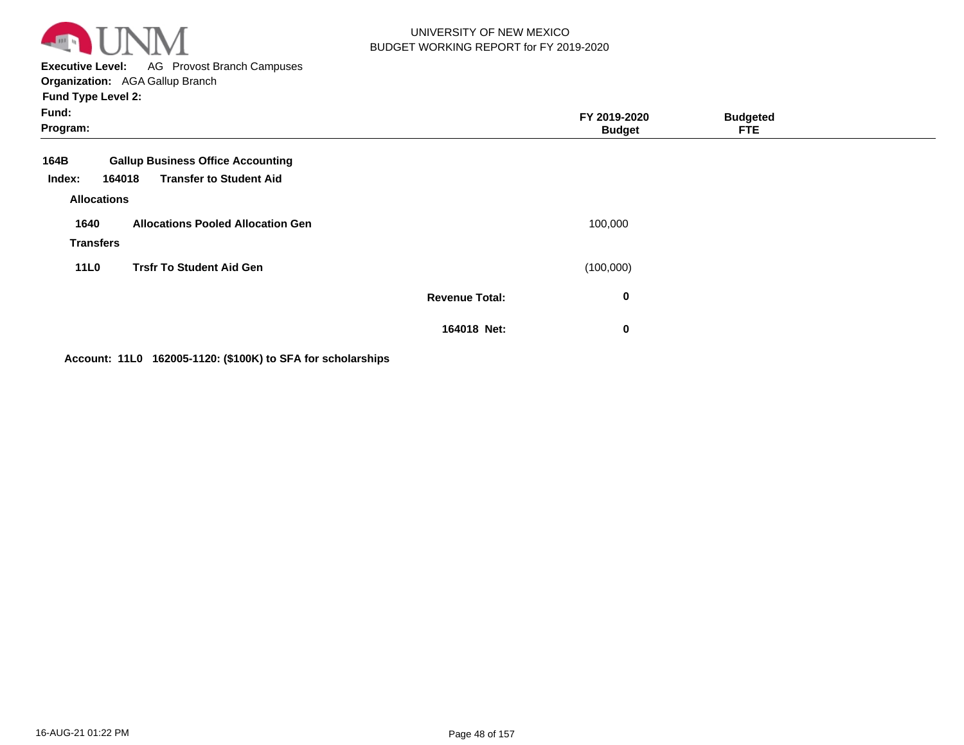

**Executive Level:** AG Provost Branch Campuses **Organization:**  AGA Gallup Branch

**Fund Type Level 2:**

| Fund:<br>Program:                    |                                                                                      |                       | FY 2019-2020<br><b>Budget</b> | <b>Budgeted</b><br><b>FTE</b> |  |
|--------------------------------------|--------------------------------------------------------------------------------------|-----------------------|-------------------------------|-------------------------------|--|
| 164B<br>Index:<br><b>Allocations</b> | <b>Gallup Business Office Accounting</b><br><b>Transfer to Student Aid</b><br>164018 |                       |                               |                               |  |
| 1640<br><b>Transfers</b>             | <b>Allocations Pooled Allocation Gen</b>                                             |                       | 100,000                       |                               |  |
| <b>11L0</b>                          | <b>Trsfr To Student Aid Gen</b>                                                      |                       | (100,000)                     |                               |  |
|                                      |                                                                                      | <b>Revenue Total:</b> | 0                             |                               |  |
|                                      |                                                                                      | 164018 Net:           | $\bf{0}$                      |                               |  |

**Account: 11L0 162005-1120: (\$100K) to SFA for scholarships**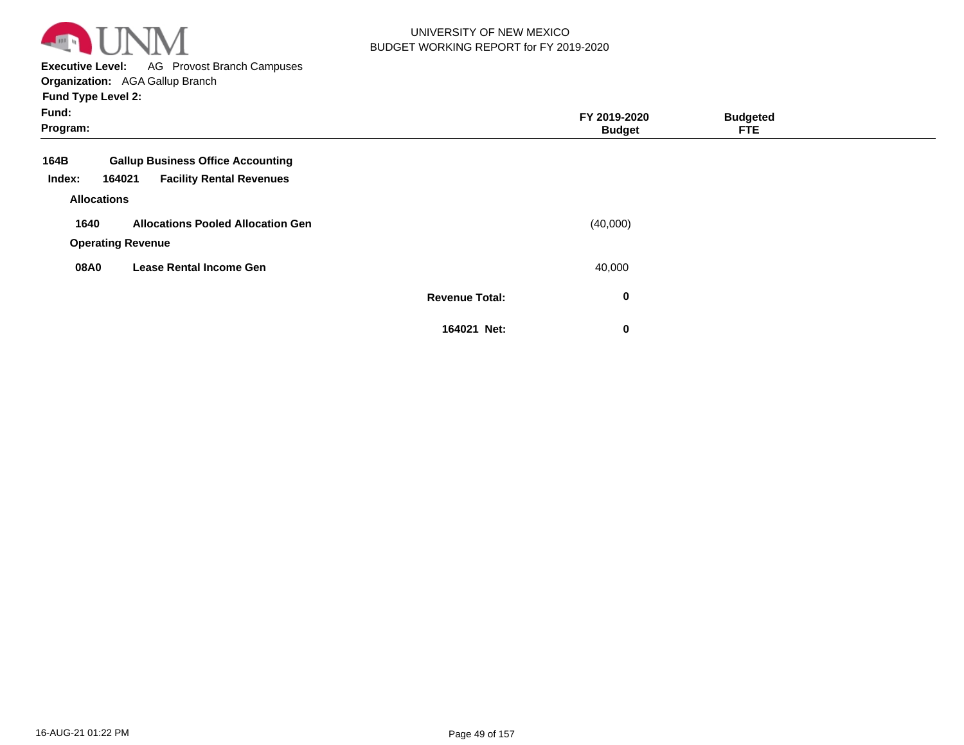

**Executive Level:** AG Provost Branch Campuses

**Organization:**  AGA Gallup Branch

| Fund:<br>Program: |                          |                                          |                       | FY 2019-2020<br><b>Budget</b> | <b>Budgeted</b><br><b>FTE</b> |  |
|-------------------|--------------------------|------------------------------------------|-----------------------|-------------------------------|-------------------------------|--|
| 164B              |                          | <b>Gallup Business Office Accounting</b> |                       |                               |                               |  |
| Index:            | 164021                   | <b>Facility Rental Revenues</b>          |                       |                               |                               |  |
|                   | <b>Allocations</b>       |                                          |                       |                               |                               |  |
| 1640              |                          | <b>Allocations Pooled Allocation Gen</b> |                       | (40,000)                      |                               |  |
|                   | <b>Operating Revenue</b> |                                          |                       |                               |                               |  |
| 08A0              |                          | <b>Lease Rental Income Gen</b>           |                       | 40,000                        |                               |  |
|                   |                          |                                          | <b>Revenue Total:</b> | $\bf{0}$                      |                               |  |
|                   |                          |                                          | 164021 Net:           | $\bf{0}$                      |                               |  |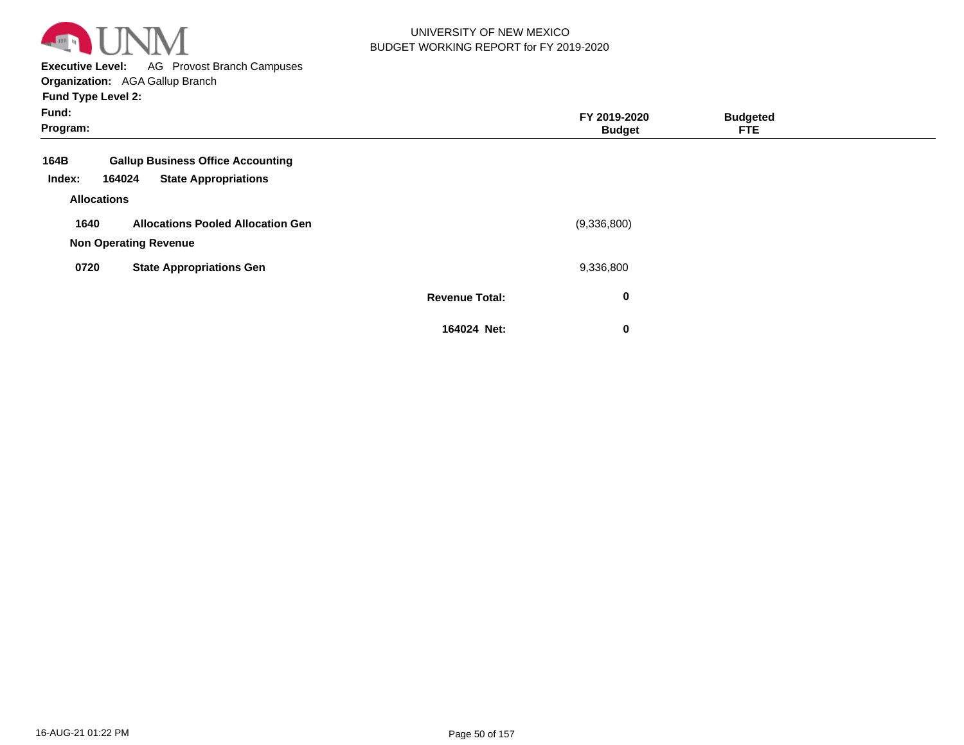

**Executive Level:** AG Provost Branch Campuses **Organization:**  AGA Gallup Branch

| Fund:<br>Program:            |                                                                          |                       | FY 2019-2020<br><b>Budget</b> | <b>Budgeted</b><br><b>FTE</b> |  |
|------------------------------|--------------------------------------------------------------------------|-----------------------|-------------------------------|-------------------------------|--|
| 164B                         | <b>Gallup Business Office Accounting</b>                                 |                       |                               |                               |  |
| Index:<br><b>Allocations</b> | <b>State Appropriations</b><br>164024                                    |                       |                               |                               |  |
| 1640                         | <b>Allocations Pooled Allocation Gen</b><br><b>Non Operating Revenue</b> |                       | (9,336,800)                   |                               |  |
| 0720                         | <b>State Appropriations Gen</b>                                          |                       | 9,336,800                     |                               |  |
|                              |                                                                          | <b>Revenue Total:</b> | $\bf{0}$                      |                               |  |
|                              |                                                                          | 164024 Net:           | 0                             |                               |  |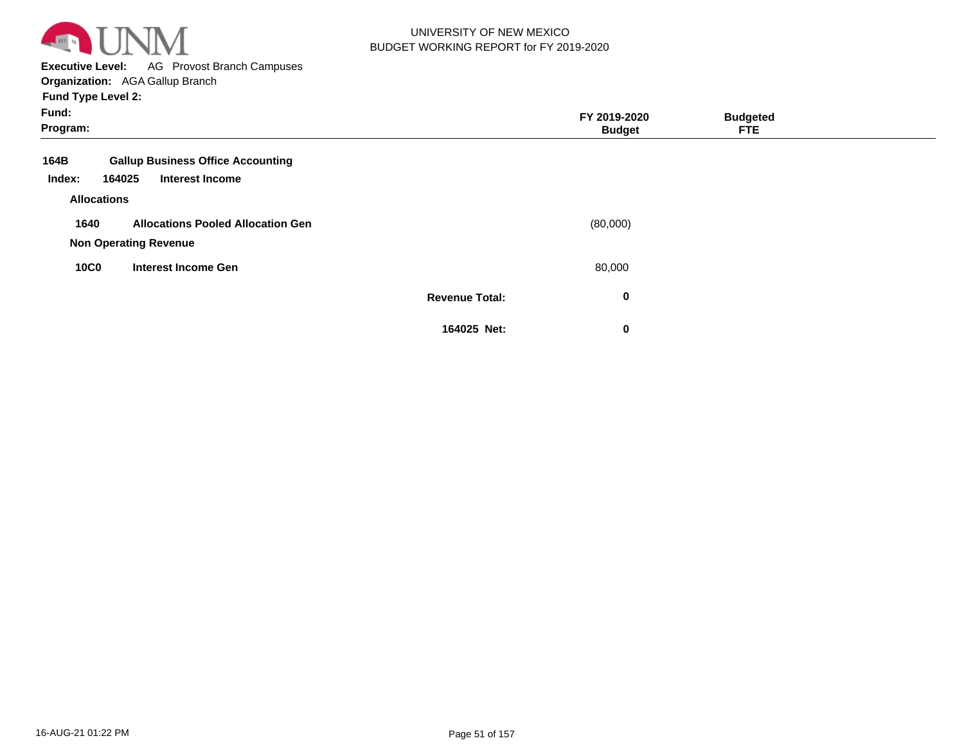

**Executive Level:** AG Provost Branch Campuses **Organization:**  AGA Gallup Branch

| Fund:<br>Program:                    |                                                                    |                       | FY 2019-2020<br><b>Budget</b> | <b>Budgeted</b><br><b>FTE</b> |  |
|--------------------------------------|--------------------------------------------------------------------|-----------------------|-------------------------------|-------------------------------|--|
| 164B<br>164025<br>Index:             | <b>Gallup Business Office Accounting</b><br><b>Interest Income</b> |                       |                               |                               |  |
| <b>Allocations</b>                   |                                                                    |                       |                               |                               |  |
| 1640<br><b>Non Operating Revenue</b> | <b>Allocations Pooled Allocation Gen</b>                           |                       | (80,000)                      |                               |  |
| <b>10C0</b>                          | <b>Interest Income Gen</b>                                         |                       | 80,000                        |                               |  |
|                                      |                                                                    | <b>Revenue Total:</b> | 0                             |                               |  |
|                                      |                                                                    | 164025 Net:           | 0                             |                               |  |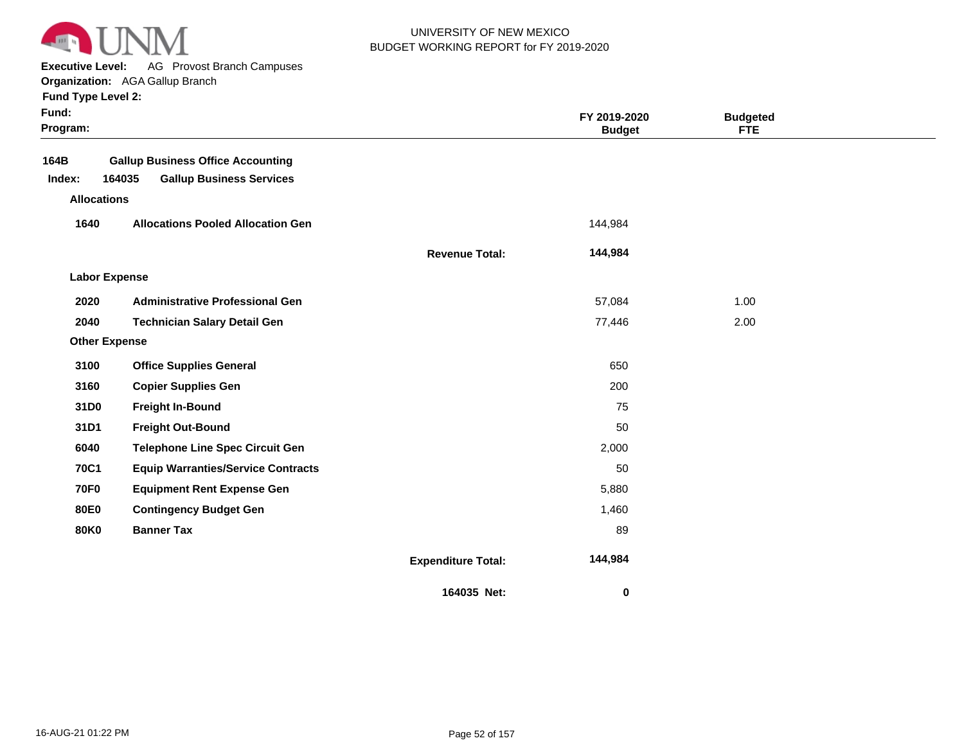

**Executive Level:** AG Provost Branch Campuses

**Organization:**  AGA Gallup Branch

|  | <b>Fund Type Level 2:</b> |  |  |
|--|---------------------------|--|--|
|  |                           |  |  |

| Fund:<br>Program:                    |                                                                                       |                           | FY 2019-2020<br><b>Budget</b> | <b>Budgeted</b><br><b>FTE</b> |  |
|--------------------------------------|---------------------------------------------------------------------------------------|---------------------------|-------------------------------|-------------------------------|--|
| 164B<br>Index:<br><b>Allocations</b> | <b>Gallup Business Office Accounting</b><br>164035<br><b>Gallup Business Services</b> |                           |                               |                               |  |
| 1640                                 | <b>Allocations Pooled Allocation Gen</b>                                              |                           | 144,984                       |                               |  |
|                                      |                                                                                       | <b>Revenue Total:</b>     | 144,984                       |                               |  |
| <b>Labor Expense</b>                 |                                                                                       |                           |                               |                               |  |
| 2020                                 | <b>Administrative Professional Gen</b>                                                |                           | 57,084                        | 1.00                          |  |
| 2040                                 | <b>Technician Salary Detail Gen</b>                                                   |                           | 77,446                        | 2.00                          |  |
| <b>Other Expense</b>                 |                                                                                       |                           |                               |                               |  |
| 3100                                 | <b>Office Supplies General</b>                                                        |                           | 650                           |                               |  |
| 3160                                 | <b>Copier Supplies Gen</b>                                                            |                           | 200                           |                               |  |
| 31D0                                 | <b>Freight In-Bound</b>                                                               |                           | 75                            |                               |  |
| 31D1                                 | <b>Freight Out-Bound</b>                                                              |                           | 50                            |                               |  |
| 6040                                 | <b>Telephone Line Spec Circuit Gen</b>                                                |                           | 2,000                         |                               |  |
| <b>70C1</b>                          | <b>Equip Warranties/Service Contracts</b>                                             |                           | 50                            |                               |  |
| <b>70F0</b>                          | <b>Equipment Rent Expense Gen</b>                                                     |                           | 5,880                         |                               |  |
| <b>80E0</b>                          | <b>Contingency Budget Gen</b>                                                         |                           | 1,460                         |                               |  |
| <b>80K0</b>                          | <b>Banner Tax</b>                                                                     |                           | 89                            |                               |  |
|                                      |                                                                                       | <b>Expenditure Total:</b> | 144,984                       |                               |  |
|                                      |                                                                                       | 164035 Net:               | 0                             |                               |  |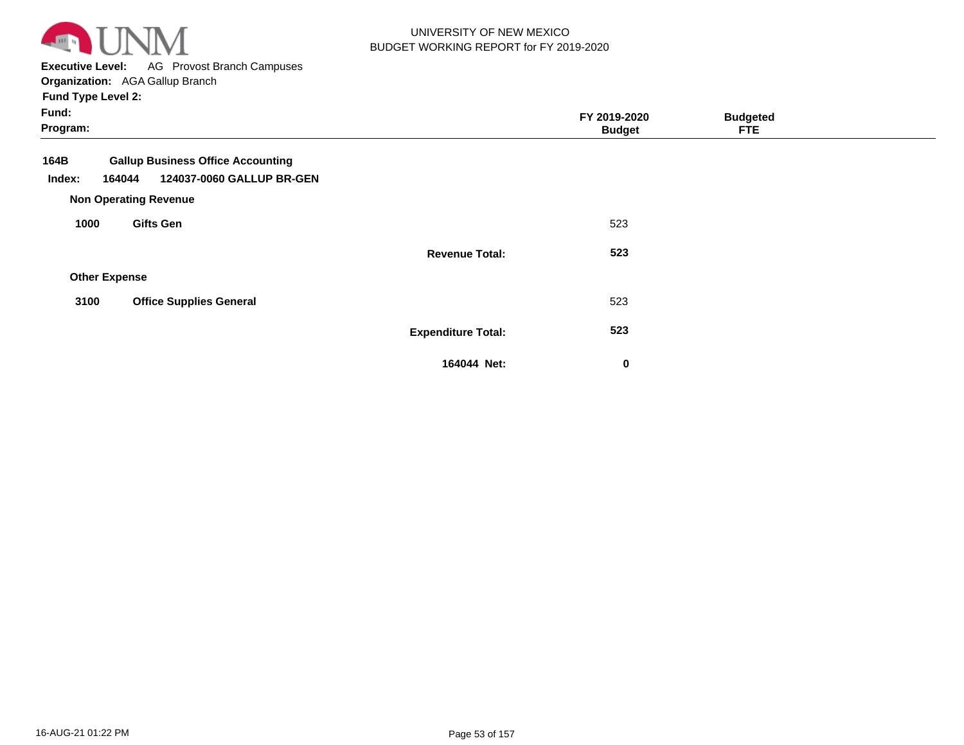

**Executive Level:** AG Provost Branch Campuses

**Organization:**  AGA Gallup Branch **Fund Type Level 2:**

| Fund:<br>Program:    |                                                                                 |                           | FY 2019-2020<br><b>Budget</b> | <b>Budgeted</b><br><b>FTE</b> |  |
|----------------------|---------------------------------------------------------------------------------|---------------------------|-------------------------------|-------------------------------|--|
| 164B<br>Index:       | <b>Gallup Business Office Accounting</b><br>124037-0060 GALLUP BR-GEN<br>164044 |                           |                               |                               |  |
|                      | <b>Non Operating Revenue</b>                                                    |                           |                               |                               |  |
| 1000                 | <b>Gifts Gen</b>                                                                |                           | 523                           |                               |  |
|                      |                                                                                 | <b>Revenue Total:</b>     | 523                           |                               |  |
| <b>Other Expense</b> |                                                                                 |                           |                               |                               |  |
| 3100                 | <b>Office Supplies General</b>                                                  |                           | 523                           |                               |  |
|                      |                                                                                 | <b>Expenditure Total:</b> | 523                           |                               |  |
|                      |                                                                                 | 164044 Net:               | 0                             |                               |  |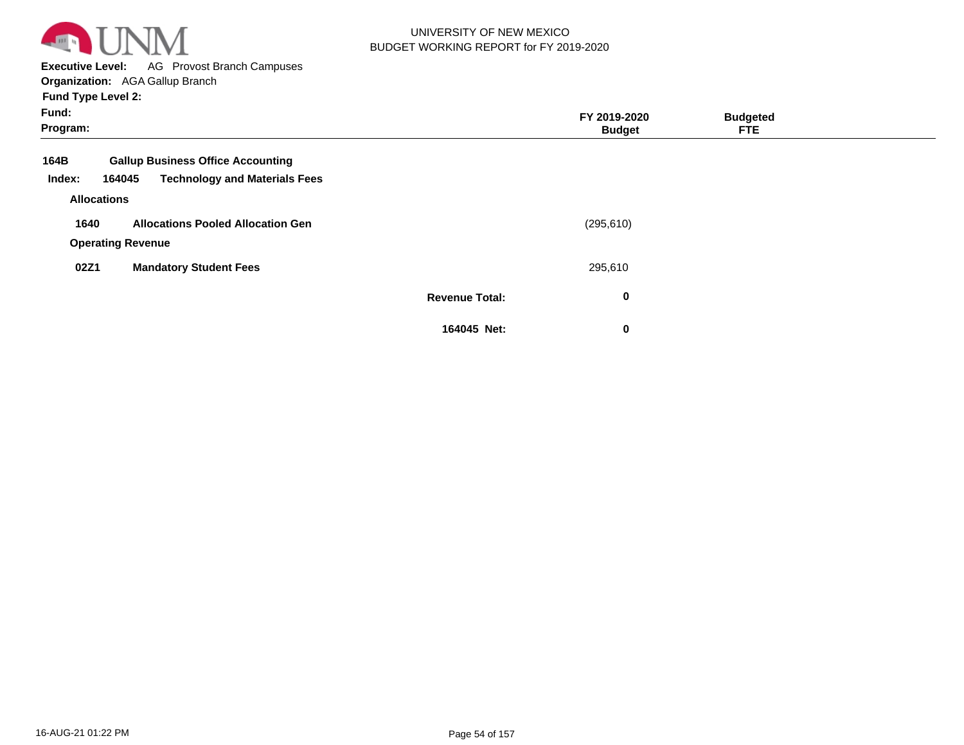

**Executive Level:** AG Provost Branch Campuses

**Organization:**  AGA Gallup Branch

| Fund:<br>Program: |                          |                                          |                       | FY 2019-2020<br><b>Budget</b> | <b>Budgeted</b><br><b>FTE</b> |  |
|-------------------|--------------------------|------------------------------------------|-----------------------|-------------------------------|-------------------------------|--|
| 164B              |                          | <b>Gallup Business Office Accounting</b> |                       |                               |                               |  |
| Index:            | 164045                   | <b>Technology and Materials Fees</b>     |                       |                               |                               |  |
|                   | <b>Allocations</b>       |                                          |                       |                               |                               |  |
| 1640              |                          | <b>Allocations Pooled Allocation Gen</b> |                       | (295, 610)                    |                               |  |
|                   | <b>Operating Revenue</b> |                                          |                       |                               |                               |  |
| 02Z1              |                          | <b>Mandatory Student Fees</b>            |                       | 295,610                       |                               |  |
|                   |                          |                                          | <b>Revenue Total:</b> | 0                             |                               |  |
|                   |                          |                                          | 164045 Net:           | 0                             |                               |  |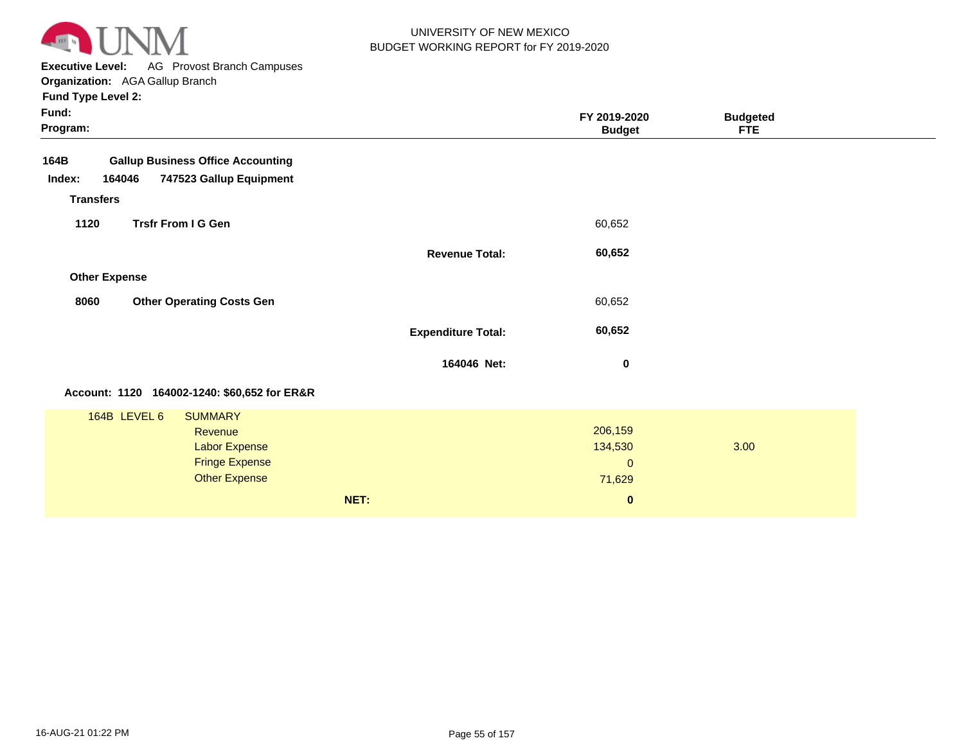

**Executive Level:** AG Provost Branch Campuses

**Organization:**  AGA Gallup Branch **Fund Type Level 2:**

| Fund:<br>Program:                                                                                                         |                           | FY 2019-2020<br><b>Budget</b>                            | <b>Budgeted</b><br><b>FTE</b> |  |
|---------------------------------------------------------------------------------------------------------------------------|---------------------------|----------------------------------------------------------|-------------------------------|--|
| <b>Gallup Business Office Accounting</b><br>164B<br>164046<br>747523 Gallup Equipment<br>Index:                           |                           |                                                          |                               |  |
| <b>Transfers</b><br><b>Trsfr From I G Gen</b><br>1120                                                                     |                           | 60,652                                                   |                               |  |
| <b>Other Expense</b>                                                                                                      | <b>Revenue Total:</b>     | 60,652                                                   |                               |  |
| 8060<br><b>Other Operating Costs Gen</b>                                                                                  |                           | 60,652                                                   |                               |  |
|                                                                                                                           | <b>Expenditure Total:</b> | 60,652                                                   |                               |  |
|                                                                                                                           | 164046 Net:               | 0                                                        |                               |  |
| Account: 1120 164002-1240: \$60,652 for ER&R                                                                              |                           |                                                          |                               |  |
| 164B LEVEL 6<br><b>SUMMARY</b><br><b>Revenue</b><br><b>Labor Expense</b><br><b>Fringe Expense</b><br><b>Other Expense</b> | NET:                      | 206,159<br>134,530<br>$\mathbf 0$<br>71,629<br>$\pmb{0}$ | 3.00                          |  |
|                                                                                                                           |                           |                                                          |                               |  |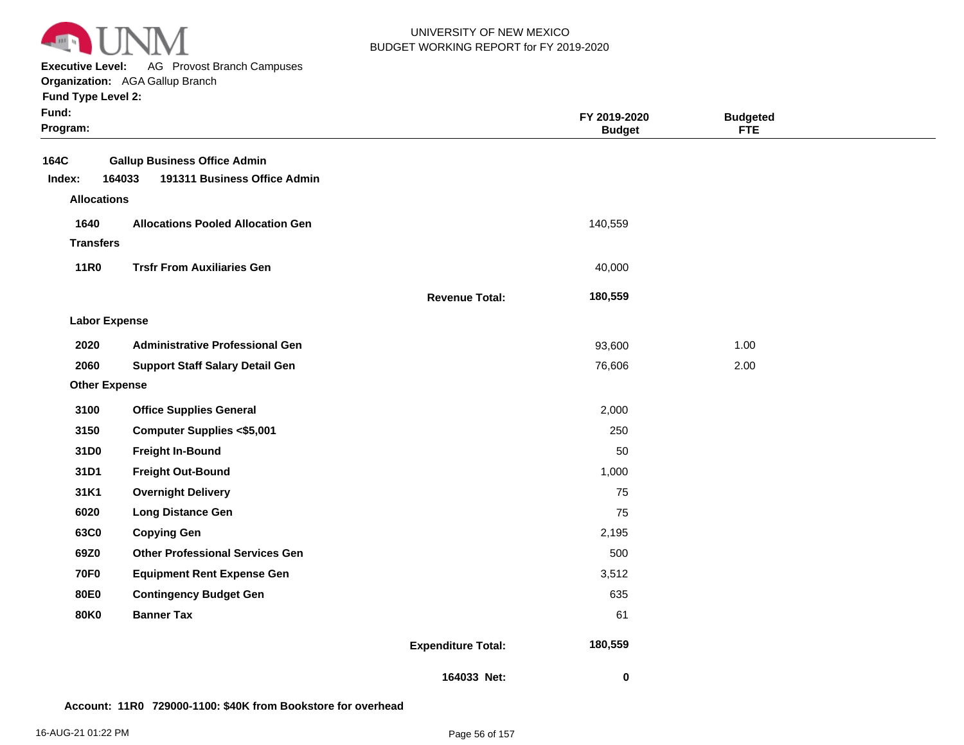

**Executive Level:** AG Provost Branch Campuses

**Organization:**  AGA Gallup Branch

**Fund Type Level 2:**

| Fund:<br>Program:    |                                                                               |                           | FY 2019-2020<br><b>Budget</b> | <b>Budgeted</b><br><b>FTE</b> |  |
|----------------------|-------------------------------------------------------------------------------|---------------------------|-------------------------------|-------------------------------|--|
| 164C<br>Index:       | <b>Gallup Business Office Admin</b><br>191311 Business Office Admin<br>164033 |                           |                               |                               |  |
| <b>Allocations</b>   |                                                                               |                           |                               |                               |  |
| 1640                 | <b>Allocations Pooled Allocation Gen</b>                                      |                           | 140,559                       |                               |  |
| <b>Transfers</b>     |                                                                               |                           |                               |                               |  |
| <b>11R0</b>          | <b>Trsfr From Auxiliaries Gen</b>                                             |                           | 40,000                        |                               |  |
|                      |                                                                               | <b>Revenue Total:</b>     | 180,559                       |                               |  |
| <b>Labor Expense</b> |                                                                               |                           |                               |                               |  |
| 2020                 | <b>Administrative Professional Gen</b>                                        |                           | 93,600                        | 1.00                          |  |
| 2060                 | <b>Support Staff Salary Detail Gen</b>                                        |                           | 76,606                        | 2.00                          |  |
| <b>Other Expense</b> |                                                                               |                           |                               |                               |  |
| 3100                 | <b>Office Supplies General</b>                                                |                           | 2,000                         |                               |  |
| 3150                 | <b>Computer Supplies &lt;\$5,001</b>                                          |                           | 250                           |                               |  |
| 31D0                 | <b>Freight In-Bound</b>                                                       |                           | 50                            |                               |  |
| 31D1                 | <b>Freight Out-Bound</b>                                                      |                           | 1,000                         |                               |  |
| 31K1                 | <b>Overnight Delivery</b>                                                     |                           | 75                            |                               |  |
| 6020                 | <b>Long Distance Gen</b>                                                      |                           | 75                            |                               |  |
| 63C0                 | <b>Copying Gen</b>                                                            |                           | 2,195                         |                               |  |
| 69Z0                 | <b>Other Professional Services Gen</b>                                        |                           | 500                           |                               |  |
| <b>70F0</b>          | <b>Equipment Rent Expense Gen</b>                                             |                           | 3,512                         |                               |  |
| <b>80E0</b>          | <b>Contingency Budget Gen</b>                                                 |                           | 635                           |                               |  |
| <b>80K0</b>          | <b>Banner Tax</b>                                                             |                           | 61                            |                               |  |
|                      |                                                                               | <b>Expenditure Total:</b> | 180,559                       |                               |  |
|                      |                                                                               | 164033 Net:               | 0                             |                               |  |

#### **Account: 11R0 729000-1100: \$40K from Bookstore for overhead**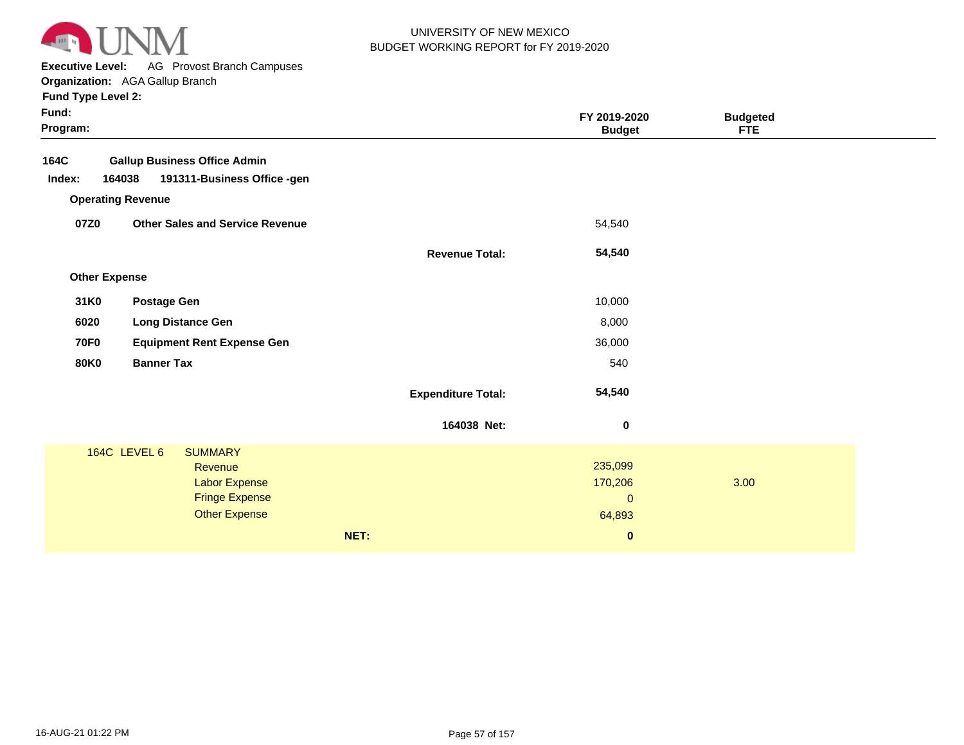

**Executive Level:** AG Provost Branch Campuses

**Organization:**  AGA Gallup Branch

| Fund:<br>Program: |                          |                                        |      |                           | FY 2019-2020<br><b>Budget</b> | <b>Budgeted</b><br><b>FTE</b> |  |
|-------------------|--------------------------|----------------------------------------|------|---------------------------|-------------------------------|-------------------------------|--|
| 164C              |                          | <b>Gallup Business Office Admin</b>    |      |                           |                               |                               |  |
| Index:            | 164038                   | 191311-Business Office -gen            |      |                           |                               |                               |  |
|                   | <b>Operating Revenue</b> |                                        |      |                           |                               |                               |  |
| 07Z0              |                          | <b>Other Sales and Service Revenue</b> |      |                           | 54,540                        |                               |  |
|                   |                          |                                        |      | <b>Revenue Total:</b>     | 54,540                        |                               |  |
|                   | <b>Other Expense</b>     |                                        |      |                           |                               |                               |  |
| 31K0              | <b>Postage Gen</b>       |                                        |      |                           | 10,000                        |                               |  |
| 6020              |                          | <b>Long Distance Gen</b>               |      |                           | 8,000                         |                               |  |
| <b>70F0</b>       |                          | <b>Equipment Rent Expense Gen</b>      |      |                           | 36,000                        |                               |  |
| <b>80K0</b>       | <b>Banner Tax</b>        |                                        |      |                           | 540                           |                               |  |
|                   |                          |                                        |      | <b>Expenditure Total:</b> | 54,540                        |                               |  |
|                   |                          |                                        |      | 164038 Net:               | $\bf{0}$                      |                               |  |
|                   | 164C LEVEL 6             | <b>SUMMARY</b>                         |      |                           |                               |                               |  |
|                   |                          | Revenue                                |      |                           | 235,099                       |                               |  |
|                   |                          | <b>Labor Expense</b>                   |      |                           | 170,206                       | 3.00                          |  |
|                   |                          | <b>Fringe Expense</b>                  |      |                           | $\mathbf 0$                   |                               |  |
|                   |                          | <b>Other Expense</b>                   |      |                           | 64,893                        |                               |  |
|                   |                          |                                        | NET: |                           | $\bf{0}$                      |                               |  |
|                   |                          |                                        |      |                           |                               |                               |  |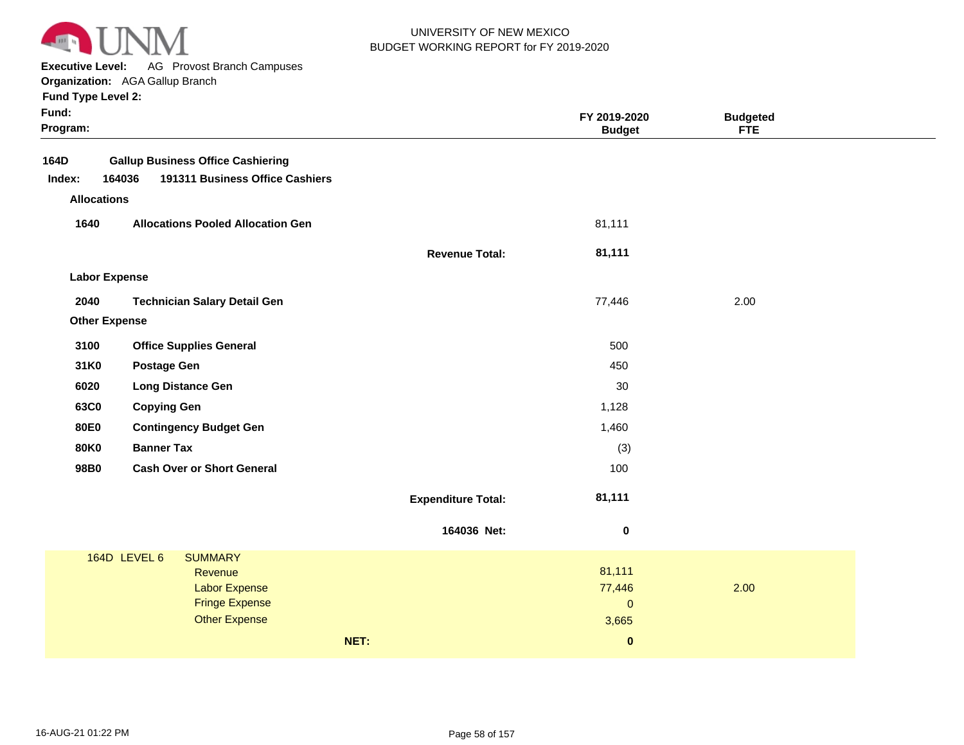

**Executive Level:** AG Provost Branch Campuses

**Organization:**  AGA Gallup Branch

|  |  | <b>Fund Type Level 2:</b> |  |
|--|--|---------------------------|--|
|--|--|---------------------------|--|

| Fund:<br>Program:    |                                           |                           | FY 2019-2020<br><b>Budget</b> | <b>Budgeted</b><br><b>FTE</b> |  |
|----------------------|-------------------------------------------|---------------------------|-------------------------------|-------------------------------|--|
| 164D                 | <b>Gallup Business Office Cashiering</b>  |                           |                               |                               |  |
| Index:               | 164036<br>191311 Business Office Cashiers |                           |                               |                               |  |
| <b>Allocations</b>   |                                           |                           |                               |                               |  |
| 1640                 | <b>Allocations Pooled Allocation Gen</b>  |                           | 81,111                        |                               |  |
|                      |                                           | <b>Revenue Total:</b>     | 81,111                        |                               |  |
| <b>Labor Expense</b> |                                           |                           |                               |                               |  |
| 2040                 | <b>Technician Salary Detail Gen</b>       |                           | 77,446                        | 2.00                          |  |
| <b>Other Expense</b> |                                           |                           |                               |                               |  |
| 3100                 | <b>Office Supplies General</b>            |                           | 500                           |                               |  |
| 31K0                 | <b>Postage Gen</b>                        |                           | 450                           |                               |  |
| 6020                 | <b>Long Distance Gen</b>                  |                           | 30                            |                               |  |
| 63C0                 | <b>Copying Gen</b>                        |                           | 1,128                         |                               |  |
| <b>80E0</b>          | <b>Contingency Budget Gen</b>             |                           | 1,460                         |                               |  |
| <b>80K0</b>          | <b>Banner Tax</b>                         |                           | (3)                           |                               |  |
| 98B0                 | <b>Cash Over or Short General</b>         |                           | 100                           |                               |  |
|                      |                                           | <b>Expenditure Total:</b> | 81,111                        |                               |  |
|                      |                                           | 164036 Net:               | $\bf{0}$                      |                               |  |
|                      | 164D LEVEL 6<br><b>SUMMARY</b>            |                           |                               |                               |  |
|                      | Revenue<br><b>Labor Expense</b>           |                           | 81,111<br>77,446              | 2.00                          |  |
|                      | <b>Fringe Expense</b>                     |                           | $\mathbf{0}$                  |                               |  |
|                      | <b>Other Expense</b>                      |                           | 3,665                         |                               |  |
|                      | NET:                                      |                           | $\bf{0}$                      |                               |  |
|                      |                                           |                           |                               |                               |  |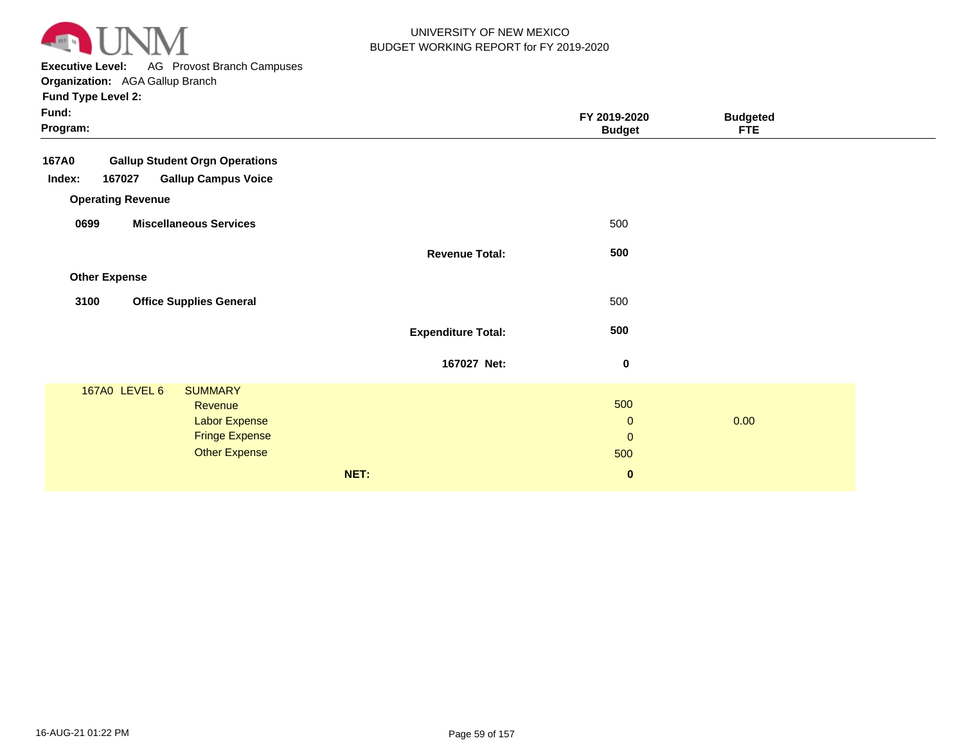

**Executive Level:** AG Provost Branch Campuses **Organization:**  AGA Gallup Branch

| <b>Fund Type Level 2:</b>                             |                           |                               |                               |
|-------------------------------------------------------|---------------------------|-------------------------------|-------------------------------|
| Fund:<br>Program:                                     |                           | FY 2019-2020<br><b>Budget</b> | <b>Budgeted</b><br><b>FTE</b> |
| <b>Gallup Student Orgn Operations</b><br><b>167A0</b> |                           |                               |                               |
| <b>Gallup Campus Voice</b><br>Index:<br>167027        |                           |                               |                               |
| <b>Operating Revenue</b>                              |                           |                               |                               |
| 0699<br><b>Miscellaneous Services</b>                 |                           | 500                           |                               |
|                                                       | <b>Revenue Total:</b>     | 500                           |                               |
| <b>Other Expense</b>                                  |                           |                               |                               |
| 3100<br><b>Office Supplies General</b>                |                           | 500                           |                               |
|                                                       | <b>Expenditure Total:</b> | 500                           |                               |
|                                                       | 167027 Net:               | $\pmb{0}$                     |                               |
| 167A0 LEVEL 6<br><b>SUMMARY</b>                       |                           |                               |                               |
| <b>Revenue</b>                                        |                           | 500<br>$\mathbf{0}$           | 0.00                          |
| <b>Labor Expense</b><br><b>Fringe Expense</b>         |                           | $\mathbf{0}$                  |                               |
| <b>Other Expense</b>                                  |                           | 500                           |                               |
|                                                       | NET:                      | $\pmb{0}$                     |                               |
|                                                       |                           |                               |                               |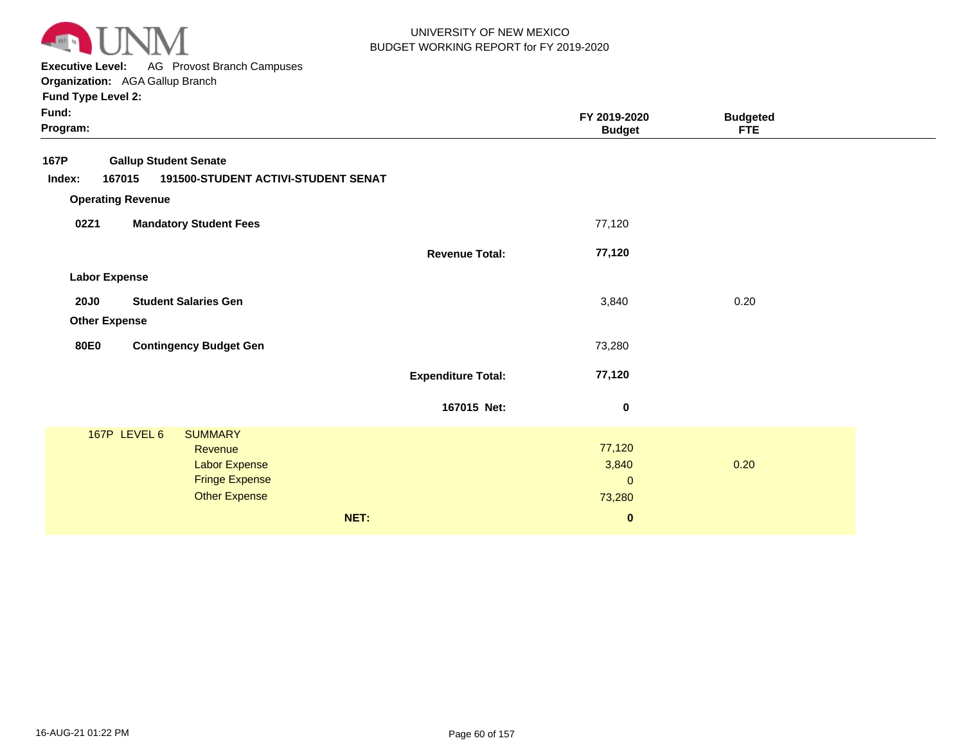

**Executive Level:** AG Provost Branch Campuses

**Organization:**  AGA Gallup Branch

| Fund:<br>Program: |                              |                                     |                           | FY 2019-2020<br><b>Budget</b> | <b>Budgeted</b><br><b>FTE</b> |  |
|-------------------|------------------------------|-------------------------------------|---------------------------|-------------------------------|-------------------------------|--|
| 167P              | <b>Gallup Student Senate</b> |                                     |                           |                               |                               |  |
| Index:            | 167015                       | 191500-STUDENT ACTIVI-STUDENT SENAT |                           |                               |                               |  |
|                   | <b>Operating Revenue</b>     |                                     |                           |                               |                               |  |
| 02Z1              |                              | <b>Mandatory Student Fees</b>       |                           | 77,120                        |                               |  |
|                   |                              |                                     | <b>Revenue Total:</b>     | 77,120                        |                               |  |
|                   | <b>Labor Expense</b>         |                                     |                           |                               |                               |  |
| <b>20J0</b>       |                              | <b>Student Salaries Gen</b>         |                           | 3,840                         | 0.20                          |  |
|                   | <b>Other Expense</b>         |                                     |                           |                               |                               |  |
|                   |                              |                                     |                           |                               |                               |  |
| <b>80E0</b>       |                              | <b>Contingency Budget Gen</b>       |                           | 73,280                        |                               |  |
|                   |                              |                                     | <b>Expenditure Total:</b> | 77,120                        |                               |  |
|                   |                              |                                     |                           |                               |                               |  |
|                   |                              |                                     | 167015 Net:               | $\bf{0}$                      |                               |  |
|                   | 167P LEVEL 6                 | <b>SUMMARY</b>                      |                           |                               |                               |  |
|                   |                              | Revenue                             |                           | 77,120                        |                               |  |
|                   |                              | Labor Expense                       |                           | 3,840                         | 0.20                          |  |
|                   |                              | <b>Fringe Expense</b>               |                           | $\mathbf 0$                   |                               |  |
|                   |                              | <b>Other Expense</b>                |                           | 73,280                        |                               |  |
|                   |                              |                                     | NET:                      | $\pmb{0}$                     |                               |  |
|                   |                              |                                     |                           |                               |                               |  |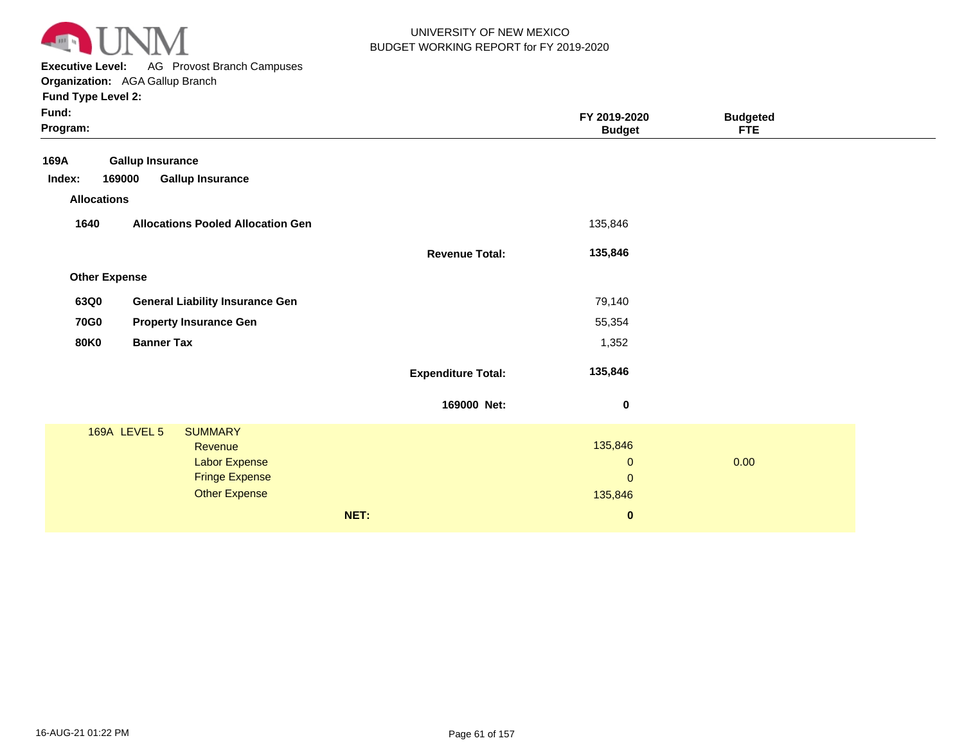

**Executive Level:** AG Provost Branch Campuses **Organization:**  AGA Gallup Branch

| Fund:<br>Program:    |                                               |                           | FY 2019-2020<br><b>Budget</b> | <b>Budgeted</b><br><b>FTE</b> |  |
|----------------------|-----------------------------------------------|---------------------------|-------------------------------|-------------------------------|--|
| 169A                 | <b>Gallup Insurance</b>                       |                           |                               |                               |  |
| Index:               | <b>Gallup Insurance</b><br>169000             |                           |                               |                               |  |
| <b>Allocations</b>   |                                               |                           |                               |                               |  |
| 1640                 | <b>Allocations Pooled Allocation Gen</b>      |                           | 135,846                       |                               |  |
|                      |                                               | <b>Revenue Total:</b>     | 135,846                       |                               |  |
| <b>Other Expense</b> |                                               |                           |                               |                               |  |
| 63Q0                 | <b>General Liability Insurance Gen</b>        |                           | 79,140                        |                               |  |
| <b>70G0</b>          | <b>Property Insurance Gen</b>                 |                           | 55,354                        |                               |  |
| <b>80K0</b>          | <b>Banner Tax</b>                             |                           | 1,352                         |                               |  |
|                      |                                               | <b>Expenditure Total:</b> | 135,846                       |                               |  |
|                      |                                               | 169000 Net:               | $\bf{0}$                      |                               |  |
|                      | <b>169A LEVEL 5</b><br><b>SUMMARY</b>         |                           |                               |                               |  |
|                      | Revenue                                       |                           | 135,846                       |                               |  |
|                      | <b>Labor Expense</b>                          |                           | $\mathbf 0$                   | 0.00                          |  |
|                      | <b>Fringe Expense</b><br><b>Other Expense</b> |                           | $\mathbf{0}$                  |                               |  |
|                      |                                               |                           | 135,846                       |                               |  |
|                      |                                               | NET:                      | $\bf{0}$                      |                               |  |
|                      |                                               |                           |                               |                               |  |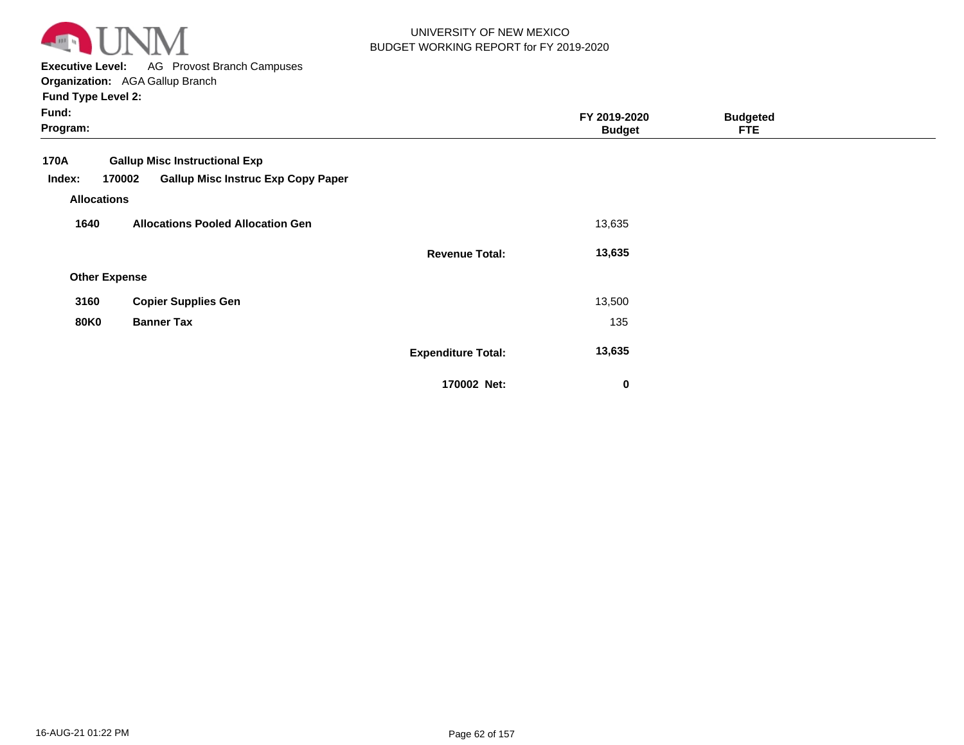

**Executive Level:** AG Provost Branch Campuses

**Organization:**  AGA Gallup Branch **Fund Type Level 2:**

| Fund:<br>Program:    |                                           |                           | FY 2019-2020<br><b>Budget</b> | <b>Budgeted</b><br><b>FTE</b> |  |
|----------------------|-------------------------------------------|---------------------------|-------------------------------|-------------------------------|--|
| 170A                 | <b>Gallup Misc Instructional Exp</b>      |                           |                               |                               |  |
| Index:<br>170002     | <b>Gallup Misc Instruc Exp Copy Paper</b> |                           |                               |                               |  |
| <b>Allocations</b>   |                                           |                           |                               |                               |  |
| 1640                 | <b>Allocations Pooled Allocation Gen</b>  |                           | 13,635                        |                               |  |
|                      |                                           | <b>Revenue Total:</b>     | 13,635                        |                               |  |
| <b>Other Expense</b> |                                           |                           |                               |                               |  |
| 3160                 | <b>Copier Supplies Gen</b>                |                           | 13,500                        |                               |  |
| <b>80K0</b>          | <b>Banner Tax</b>                         |                           | 135                           |                               |  |
|                      |                                           | <b>Expenditure Total:</b> | 13,635                        |                               |  |
|                      |                                           | 170002 Net:               | 0                             |                               |  |

 **0**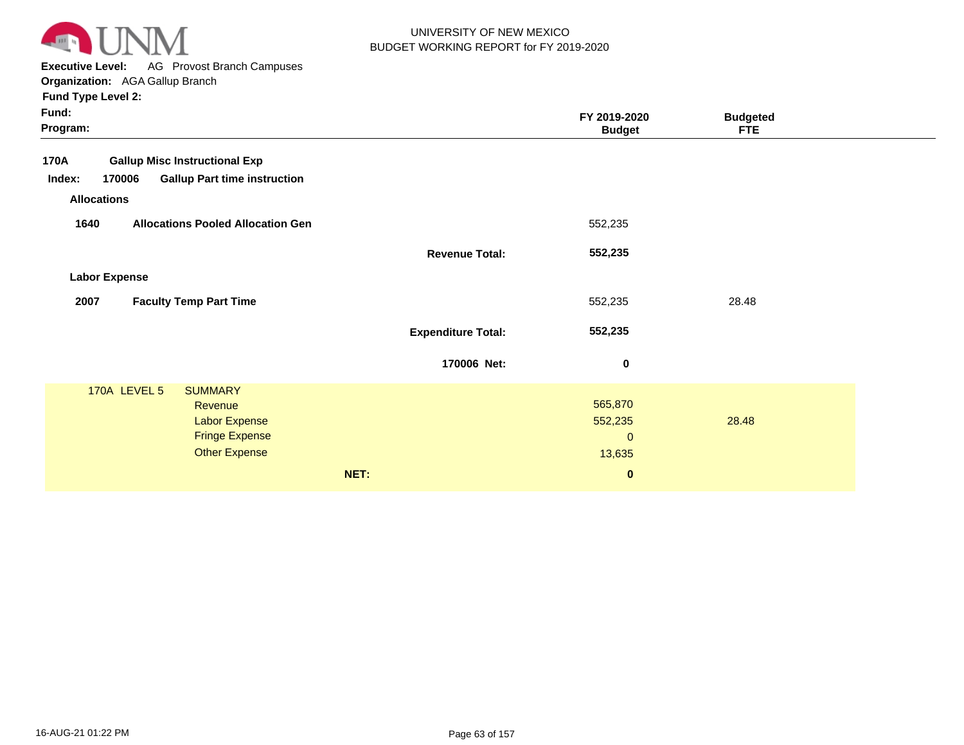

**Executive Level:** AG Provost Branch Campuses

**Organization:**  AGA Gallup Branch

| Fund:<br>Program:                                                                                                  |                           | FY 2019-2020<br><b>Budget</b>                  | <b>Budgeted</b><br><b>FTE</b> |  |
|--------------------------------------------------------------------------------------------------------------------|---------------------------|------------------------------------------------|-------------------------------|--|
| <b>Gallup Misc Instructional Exp</b><br>170A                                                                       |                           |                                                |                               |  |
| <b>Gallup Part time instruction</b><br>170006<br>Index:                                                            |                           |                                                |                               |  |
| <b>Allocations</b>                                                                                                 |                           |                                                |                               |  |
| <b>Allocations Pooled Allocation Gen</b><br>1640                                                                   |                           | 552,235                                        |                               |  |
|                                                                                                                    | <b>Revenue Total:</b>     | 552,235                                        |                               |  |
| <b>Labor Expense</b>                                                                                               |                           |                                                |                               |  |
| <b>Faculty Temp Part Time</b><br>2007                                                                              |                           | 552,235                                        | 28.48                         |  |
|                                                                                                                    | <b>Expenditure Total:</b> | 552,235                                        |                               |  |
|                                                                                                                    | 170006 Net:               | $\pmb{0}$                                      |                               |  |
| 170A LEVEL 5<br><b>SUMMARY</b><br>Revenue<br><b>Labor Expense</b><br><b>Fringe Expense</b><br><b>Other Expense</b> |                           | 565,870<br>552,235<br>$\overline{0}$<br>13,635 | 28.48                         |  |
|                                                                                                                    | NET:                      | $\bf{0}$                                       |                               |  |
|                                                                                                                    |                           |                                                |                               |  |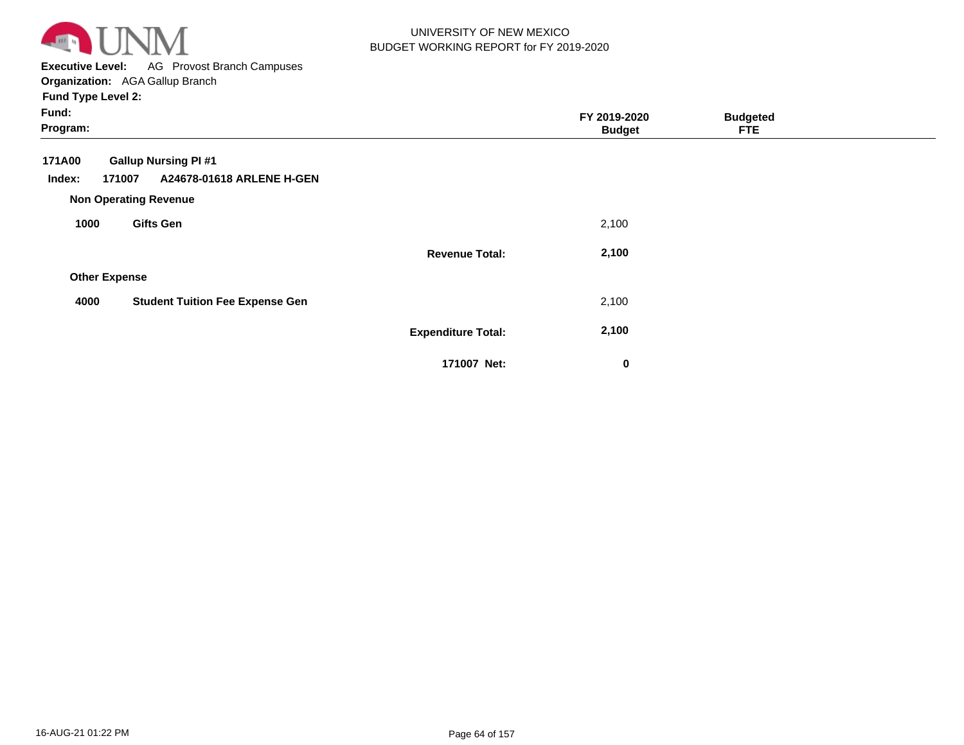

**Executive Level:** AG Provost Branch Campuses **Organization:**  AGA Gallup Branch

| Fund:<br>Program:    |                                                                                                   |                           | FY 2019-2020<br><b>Budget</b> | <b>Budgeted</b><br><b>FTE</b> |  |
|----------------------|---------------------------------------------------------------------------------------------------|---------------------------|-------------------------------|-------------------------------|--|
| 171A00<br>Index:     | <b>Gallup Nursing PI#1</b><br>171007<br>A24678-01618 ARLENE H-GEN<br><b>Non Operating Revenue</b> |                           |                               |                               |  |
| 1000                 | <b>Gifts Gen</b>                                                                                  |                           | 2,100                         |                               |  |
|                      |                                                                                                   | <b>Revenue Total:</b>     | 2,100                         |                               |  |
| <b>Other Expense</b> |                                                                                                   |                           |                               |                               |  |
| 4000                 | <b>Student Tuition Fee Expense Gen</b>                                                            |                           | 2,100                         |                               |  |
|                      |                                                                                                   | <b>Expenditure Total:</b> | 2,100                         |                               |  |
|                      |                                                                                                   | 171007 Net:               | 0                             |                               |  |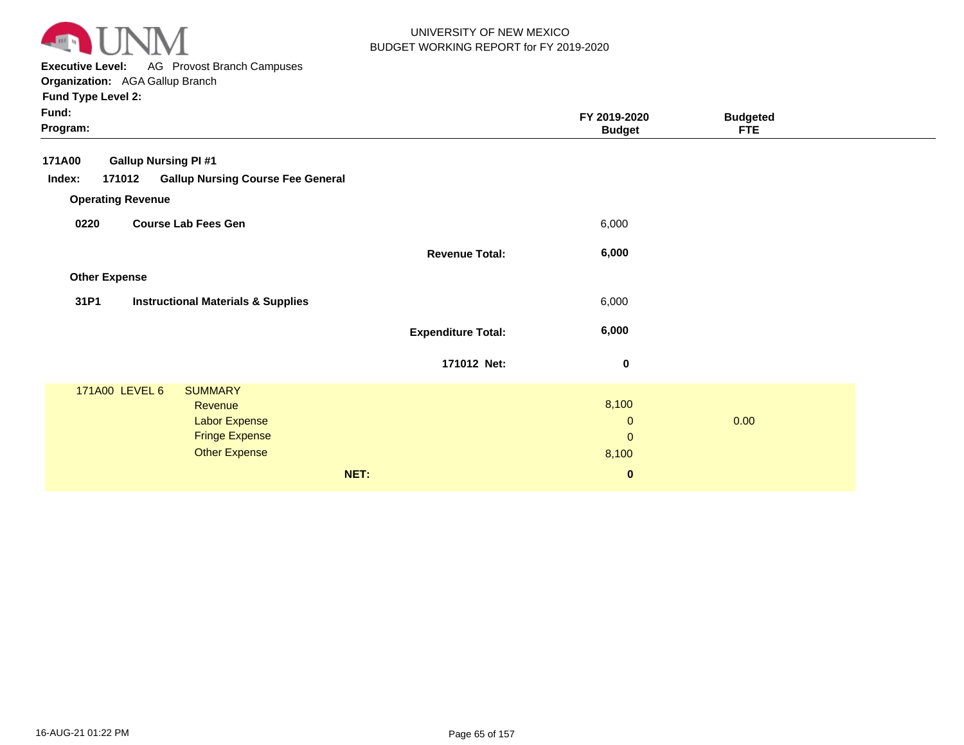

**Executive Level:** AG Provost Branch Campuses **Organization:**  AGA Gallup Branch

| Fund:<br>Program:    |                                                                                                                      |                           | FY 2019-2020<br><b>Budget</b>                 | <b>Budgeted</b><br><b>FTE</b> |  |
|----------------------|----------------------------------------------------------------------------------------------------------------------|---------------------------|-----------------------------------------------|-------------------------------|--|
| 171A00               | <b>Gallup Nursing PI #1</b>                                                                                          |                           |                                               |                               |  |
| Index:               | <b>Gallup Nursing Course Fee General</b><br>171012                                                                   |                           |                                               |                               |  |
|                      | <b>Operating Revenue</b>                                                                                             |                           |                                               |                               |  |
| 0220                 | <b>Course Lab Fees Gen</b>                                                                                           |                           | 6,000                                         |                               |  |
|                      |                                                                                                                      | <b>Revenue Total:</b>     | 6,000                                         |                               |  |
| <b>Other Expense</b> |                                                                                                                      |                           |                                               |                               |  |
| 31P1                 | <b>Instructional Materials &amp; Supplies</b>                                                                        |                           | 6,000                                         |                               |  |
|                      |                                                                                                                      | <b>Expenditure Total:</b> | 6,000                                         |                               |  |
|                      |                                                                                                                      | 171012 Net:               | $\boldsymbol{0}$                              |                               |  |
|                      | 171A00 LEVEL 6<br><b>SUMMARY</b><br>Revenue<br><b>Labor Expense</b><br><b>Fringe Expense</b><br><b>Other Expense</b> |                           | 8,100<br>$\mathbf{0}$<br>$\mathbf 0$<br>8,100 | 0.00                          |  |
|                      |                                                                                                                      | NET:                      | $\pmb{0}$                                     |                               |  |
|                      |                                                                                                                      |                           |                                               |                               |  |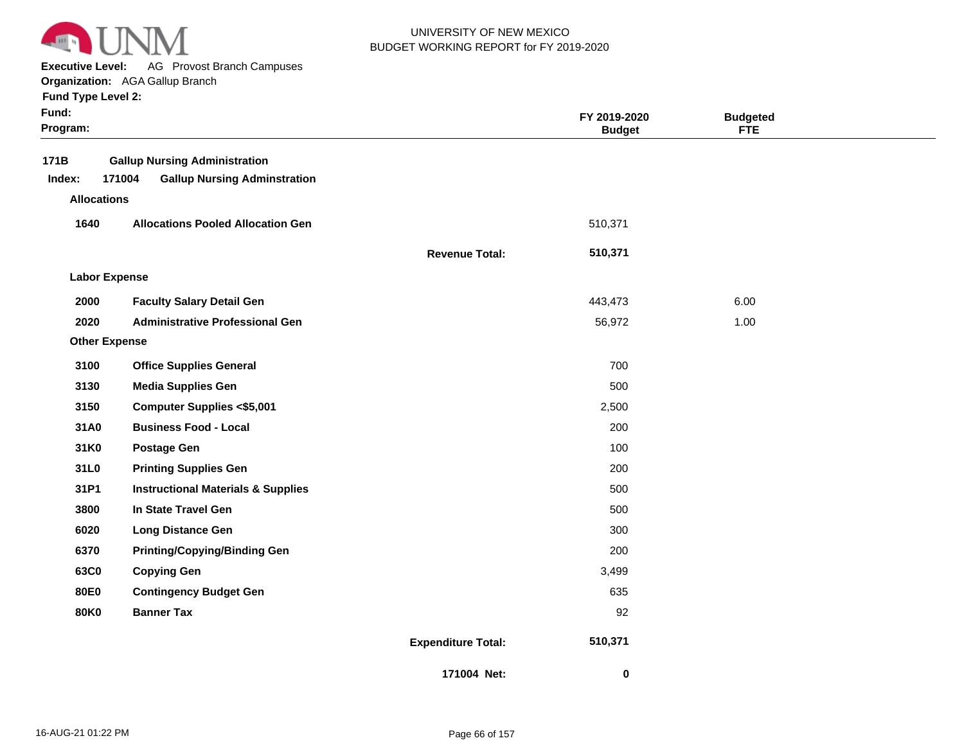

**Executive Level:** AG Provost Branch Campuses

**Organization:**  AGA Gallup Branch

|  |  | <b>Fund Type Level 2:</b> |  |
|--|--|---------------------------|--|
|--|--|---------------------------|--|

| Fund:<br>Program:                    |                                                                                       |                           | FY 2019-2020<br><b>Budget</b> | <b>Budgeted</b><br><b>FTE</b> |  |
|--------------------------------------|---------------------------------------------------------------------------------------|---------------------------|-------------------------------|-------------------------------|--|
| 171B<br>Index:<br><b>Allocations</b> | <b>Gallup Nursing Administration</b><br>171004<br><b>Gallup Nursing Adminstration</b> |                           |                               |                               |  |
| 1640                                 | <b>Allocations Pooled Allocation Gen</b>                                              |                           | 510,371                       |                               |  |
|                                      |                                                                                       | <b>Revenue Total:</b>     | 510,371                       |                               |  |
| <b>Labor Expense</b>                 |                                                                                       |                           |                               |                               |  |
| 2000                                 | <b>Faculty Salary Detail Gen</b>                                                      |                           | 443,473                       | 6.00                          |  |
| 2020                                 | <b>Administrative Professional Gen</b>                                                |                           | 56,972                        | 1.00                          |  |
| <b>Other Expense</b>                 |                                                                                       |                           |                               |                               |  |
| 3100                                 | <b>Office Supplies General</b>                                                        |                           | 700                           |                               |  |
| 3130                                 | <b>Media Supplies Gen</b>                                                             |                           | 500                           |                               |  |
| 3150                                 | <b>Computer Supplies &lt;\$5,001</b>                                                  |                           | 2,500                         |                               |  |
| 31A0                                 | <b>Business Food - Local</b>                                                          |                           | 200                           |                               |  |
| 31K0                                 | <b>Postage Gen</b>                                                                    |                           | 100                           |                               |  |
| 31L0                                 | <b>Printing Supplies Gen</b>                                                          |                           | 200                           |                               |  |
| 31P1                                 | <b>Instructional Materials &amp; Supplies</b>                                         |                           | 500                           |                               |  |
| 3800                                 | In State Travel Gen                                                                   |                           | 500                           |                               |  |
| 6020                                 | <b>Long Distance Gen</b>                                                              |                           | 300                           |                               |  |
| 6370                                 | <b>Printing/Copying/Binding Gen</b>                                                   |                           | 200                           |                               |  |
| 63C0                                 | <b>Copying Gen</b>                                                                    |                           | 3,499                         |                               |  |
| 80E0                                 | <b>Contingency Budget Gen</b>                                                         |                           | 635                           |                               |  |
| 80K0                                 | <b>Banner Tax</b>                                                                     |                           | 92                            |                               |  |
|                                      |                                                                                       | <b>Expenditure Total:</b> | 510,371                       |                               |  |
|                                      |                                                                                       | 171004 Net:               | $\bf{0}$                      |                               |  |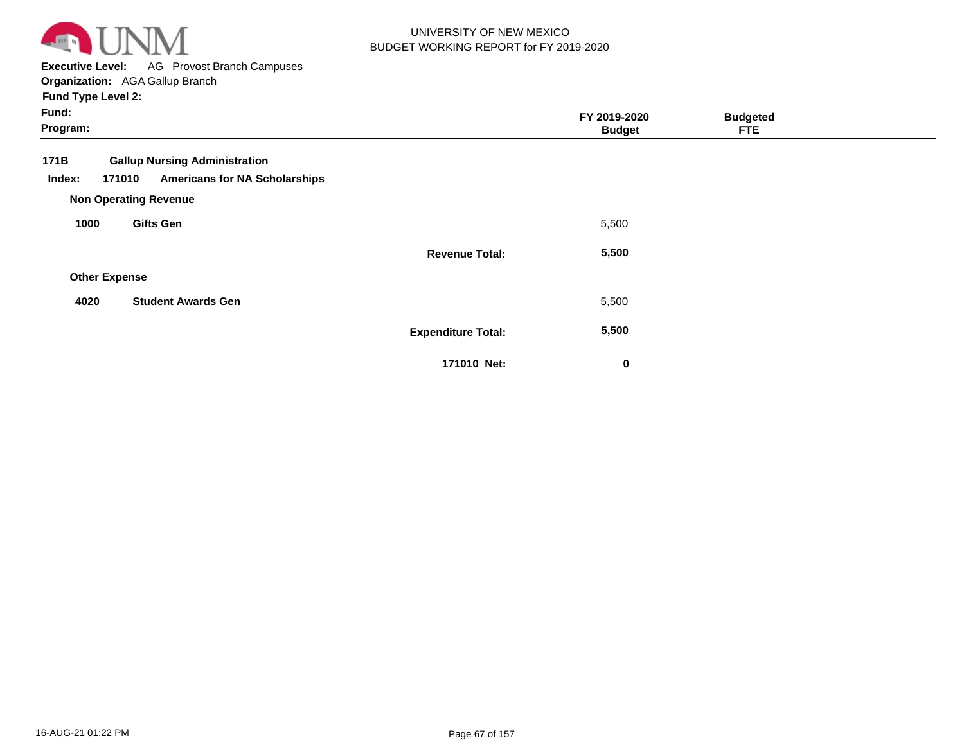

**Executive Level:** AG Provost Branch Campuses

**Organization:**  AGA Gallup Branch **Fund Type Level 2:**

| Fund:<br>Program:    |                                                                                        |                           | FY 2019-2020<br><b>Budget</b> | <b>Budgeted</b><br><b>FTE</b> |  |
|----------------------|----------------------------------------------------------------------------------------|---------------------------|-------------------------------|-------------------------------|--|
| 171B<br>Index:       | <b>Gallup Nursing Administration</b><br><b>Americans for NA Scholarships</b><br>171010 |                           |                               |                               |  |
|                      | <b>Non Operating Revenue</b>                                                           |                           |                               |                               |  |
| 1000                 | <b>Gifts Gen</b>                                                                       |                           | 5,500                         |                               |  |
|                      |                                                                                        | <b>Revenue Total:</b>     | 5,500                         |                               |  |
| <b>Other Expense</b> |                                                                                        |                           |                               |                               |  |
| 4020                 | <b>Student Awards Gen</b>                                                              |                           | 5,500                         |                               |  |
|                      |                                                                                        | <b>Expenditure Total:</b> | 5,500                         |                               |  |
|                      |                                                                                        | 171010 Net:               | 0                             |                               |  |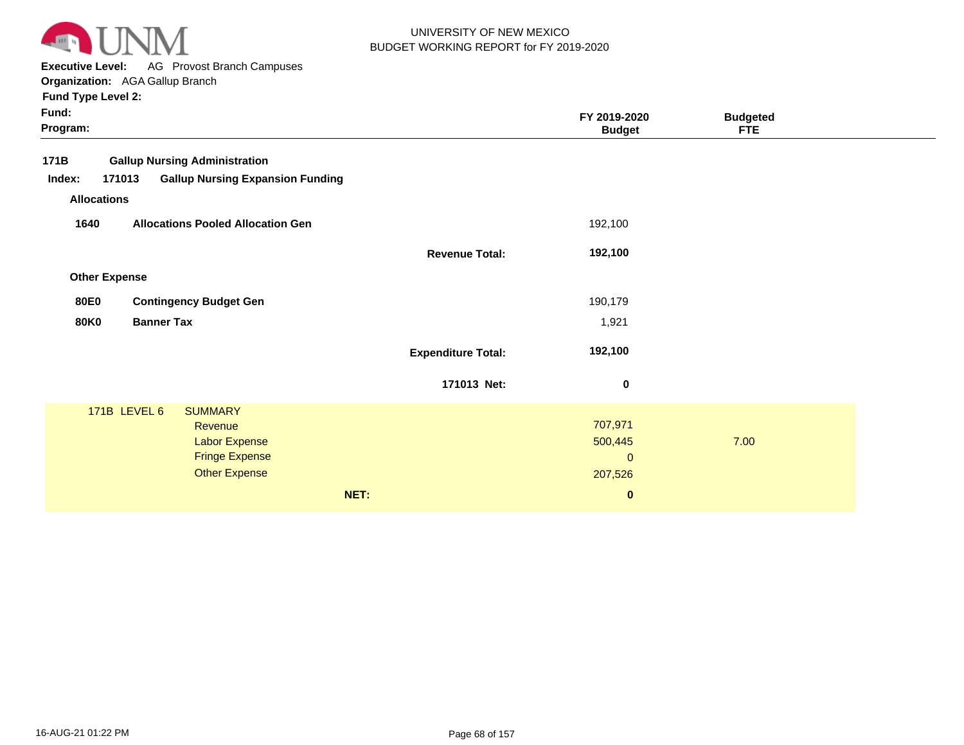

**Executive Level:** AG Provost Branch Campuses

**Organization:**  AGA Gallup Branch

| Fund:<br>Program:                                           |                           | FY 2019-2020<br><b>Budget</b> | <b>Budgeted</b><br><b>FTE</b> |
|-------------------------------------------------------------|---------------------------|-------------------------------|-------------------------------|
| 171B<br><b>Gallup Nursing Administration</b>                |                           |                               |                               |
| <b>Gallup Nursing Expansion Funding</b><br>Index:<br>171013 |                           |                               |                               |
| <b>Allocations</b>                                          |                           |                               |                               |
| 1640<br><b>Allocations Pooled Allocation Gen</b>            |                           | 192,100                       |                               |
|                                                             | <b>Revenue Total:</b>     | 192,100                       |                               |
| <b>Other Expense</b>                                        |                           |                               |                               |
| <b>80E0</b><br><b>Contingency Budget Gen</b>                |                           | 190,179                       |                               |
| <b>80K0</b><br><b>Banner Tax</b>                            |                           | 1,921                         |                               |
|                                                             | <b>Expenditure Total:</b> | 192,100                       |                               |
|                                                             | 171013 Net:               | $\pmb{0}$                     |                               |
| 171B LEVEL 6<br><b>SUMMARY</b>                              |                           |                               |                               |
| <b>Revenue</b>                                              |                           | 707,971                       |                               |
| Labor Expense<br><b>Fringe Expense</b>                      |                           | 500,445<br>$\mathbf{0}$       | 7.00                          |
| <b>Other Expense</b>                                        |                           | 207,526                       |                               |
|                                                             |                           |                               |                               |
| NET:                                                        |                           | $\bf{0}$                      |                               |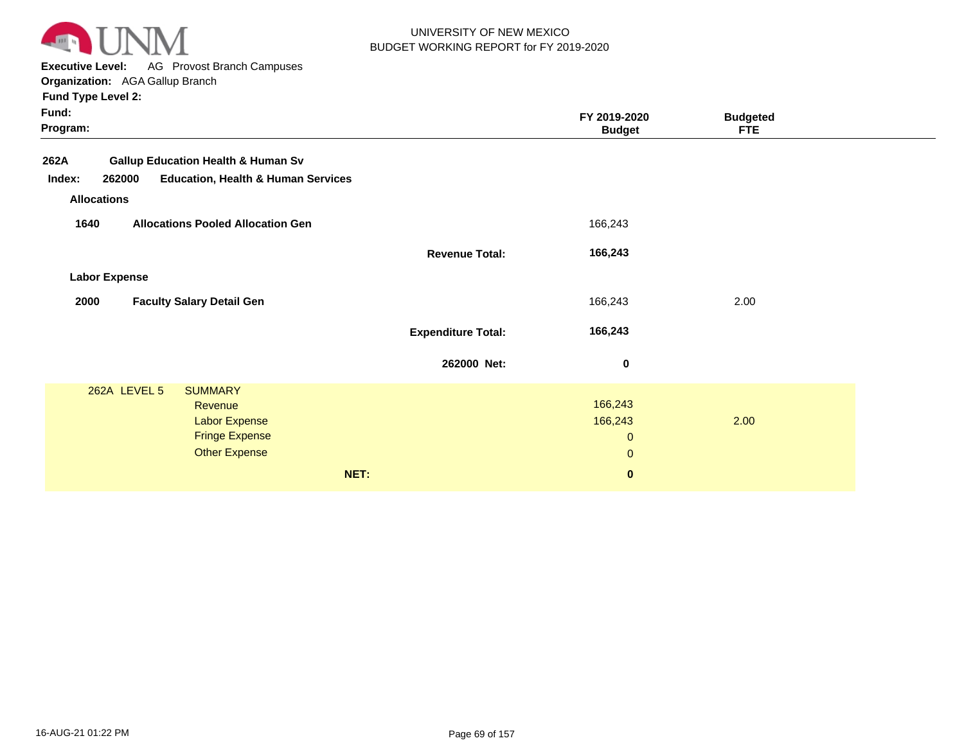

**Executive Level:** AG Provost Branch Campuses

**Organization:**  AGA Gallup Branch

|  | <b>Fund Type Level 2:</b> |  |
|--|---------------------------|--|
|  |                           |  |

| Fund:<br>Program:                                                                                                          |                           | FY 2019-2020<br><b>Budget</b>                   | <b>Budgeted</b><br><b>FTE</b> |  |
|----------------------------------------------------------------------------------------------------------------------------|---------------------------|-------------------------------------------------|-------------------------------|--|
| <b>Gallup Education Health &amp; Human Sv</b><br>262A<br><b>Education, Health &amp; Human Services</b><br>Index:<br>262000 |                           |                                                 |                               |  |
| <b>Allocations</b>                                                                                                         |                           |                                                 |                               |  |
| <b>Allocations Pooled Allocation Gen</b><br>1640                                                                           |                           | 166,243                                         |                               |  |
|                                                                                                                            | <b>Revenue Total:</b>     | 166,243                                         |                               |  |
| <b>Labor Expense</b>                                                                                                       |                           |                                                 |                               |  |
| 2000<br><b>Faculty Salary Detail Gen</b>                                                                                   |                           | 166,243                                         | 2.00                          |  |
|                                                                                                                            | <b>Expenditure Total:</b> | 166,243                                         |                               |  |
|                                                                                                                            | 262000 Net:               | 0                                               |                               |  |
| 262A LEVEL 5<br><b>SUMMARY</b><br>Revenue<br><b>Labor Expense</b><br><b>Fringe Expense</b><br><b>Other Expense</b>         |                           | 166,243<br>166,243<br>$\mathbf{0}$<br>$\pmb{0}$ | 2.00                          |  |
|                                                                                                                            | NET:                      | $\mathbf 0$                                     |                               |  |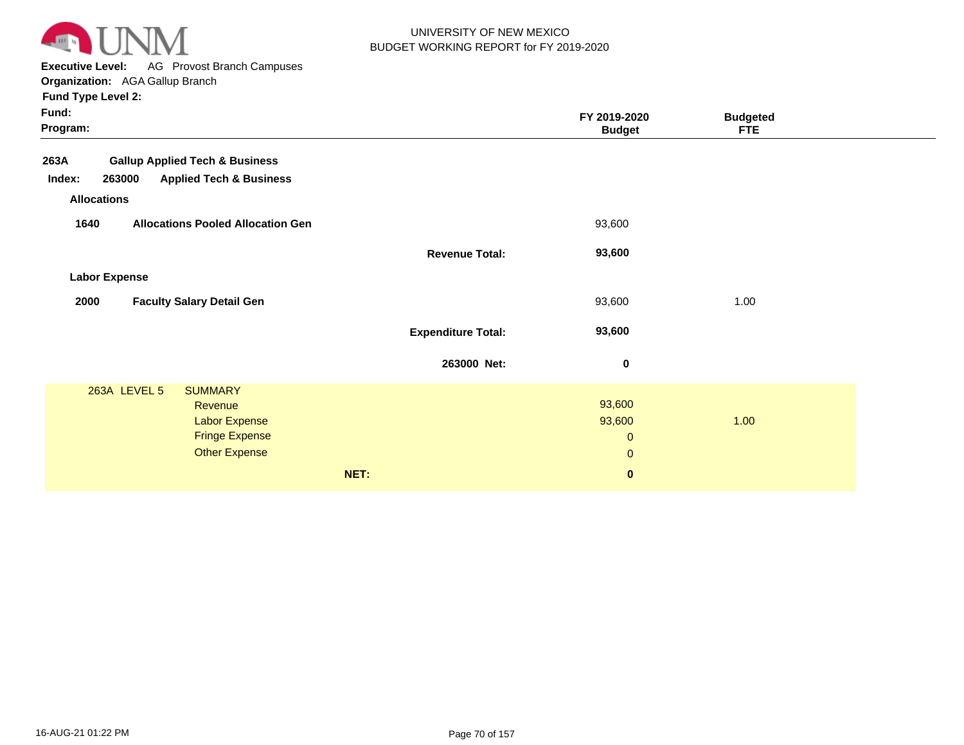

**Executive Level:** AG Provost Branch Campuses

**Organization:**  AGA Gallup Branch **Fund Type Level 2:**

| Fund:<br>Program:                                                                                                                 |                                          | FY 2019-2020<br><b>Budget</b>                                | <b>Budgeted</b><br><b>FTE</b> |  |
|-----------------------------------------------------------------------------------------------------------------------------------|------------------------------------------|--------------------------------------------------------------|-------------------------------|--|
| <b>Gallup Applied Tech &amp; Business</b><br>263A<br><b>Applied Tech &amp; Business</b><br>263000<br>Index:<br><b>Allocations</b> |                                          |                                                              |                               |  |
| <b>Allocations Pooled Allocation Gen</b><br>1640                                                                                  | <b>Revenue Total:</b>                    | 93,600<br>93,600                                             |                               |  |
| <b>Labor Expense</b><br><b>Faculty Salary Detail Gen</b><br>2000                                                                  |                                          | 93,600                                                       | 1.00                          |  |
|                                                                                                                                   | <b>Expenditure Total:</b><br>263000 Net: | 93,600<br>$\mathbf 0$                                        |                               |  |
| 263A LEVEL 5<br><b>SUMMARY</b><br>Revenue<br><b>Labor Expense</b><br><b>Fringe Expense</b><br><b>Other Expense</b>                | NET:                                     | 93,600<br>93,600<br>$\mathbf 0$<br>$\mathbf{0}$<br>$\pmb{0}$ | 1.00                          |  |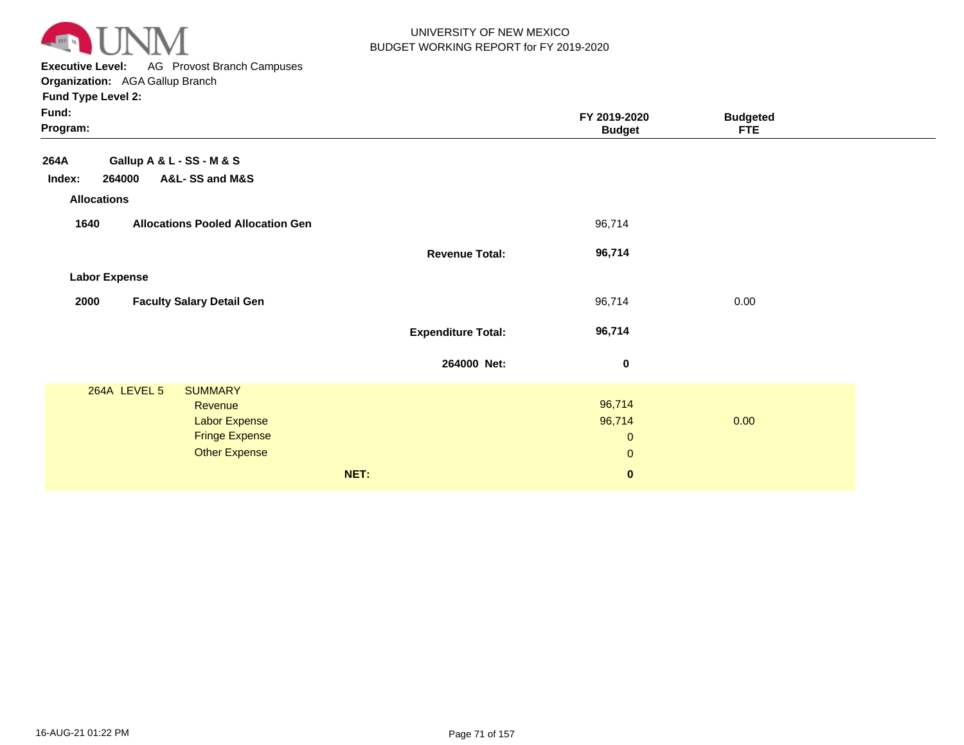

**Executive Level:** AG Provost Branch Campuses

**Organization:**  AGA Gallup Branch

| Fund:<br>Program:                                                                                           |                           | FY 2019-2020<br><b>Budget</b>                   | <b>Budgeted</b><br><b>FTE</b> |  |
|-------------------------------------------------------------------------------------------------------------|---------------------------|-------------------------------------------------|-------------------------------|--|
| Gallup A & L - SS - M & S<br>264A                                                                           |                           |                                                 |                               |  |
| A&L-SS and M&S<br>264000<br>Index:                                                                          |                           |                                                 |                               |  |
| <b>Allocations</b>                                                                                          |                           |                                                 |                               |  |
| <b>Allocations Pooled Allocation Gen</b><br>1640                                                            |                           | 96,714                                          |                               |  |
|                                                                                                             | <b>Revenue Total:</b>     | 96,714                                          |                               |  |
| <b>Labor Expense</b>                                                                                        |                           |                                                 |                               |  |
| 2000<br><b>Faculty Salary Detail Gen</b>                                                                    |                           | 96,714                                          | 0.00                          |  |
|                                                                                                             | <b>Expenditure Total:</b> | 96,714                                          |                               |  |
|                                                                                                             | 264000 Net:               | $\pmb{0}$                                       |                               |  |
| 264A LEVEL 5<br><b>SUMMARY</b><br>Revenue<br>Labor Expense<br><b>Fringe Expense</b><br><b>Other Expense</b> |                           | 96,714<br>96,714<br>$\mathbf 0$<br>$\mathbf{0}$ | 0.00                          |  |
| NET:                                                                                                        |                           | $\pmb{0}$                                       |                               |  |
|                                                                                                             |                           |                                                 |                               |  |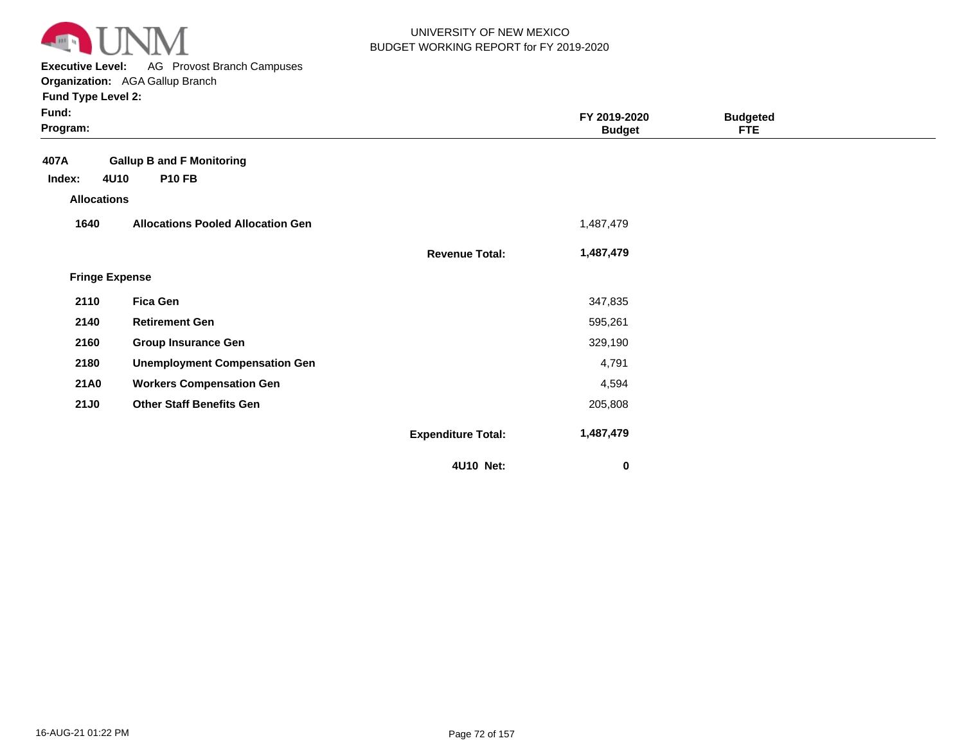

**Executive Level:** AG Provost Branch Campuses **Organization:**  AGA Gallup Branch

| Fund:<br>Program:     |                                          |                           | FY 2019-2020<br><b>Budget</b> | <b>Budgeted</b><br><b>FTE</b> |  |
|-----------------------|------------------------------------------|---------------------------|-------------------------------|-------------------------------|--|
| 407A                  | <b>Gallup B and F Monitoring</b>         |                           |                               |                               |  |
| 4U10<br>Index:        | <b>P10 FB</b>                            |                           |                               |                               |  |
| <b>Allocations</b>    |                                          |                           |                               |                               |  |
| 1640                  | <b>Allocations Pooled Allocation Gen</b> |                           | 1,487,479                     |                               |  |
|                       |                                          | <b>Revenue Total:</b>     | 1,487,479                     |                               |  |
| <b>Fringe Expense</b> |                                          |                           |                               |                               |  |
| 2110                  | <b>Fica Gen</b>                          |                           | 347,835                       |                               |  |
| 2140                  | <b>Retirement Gen</b>                    |                           | 595,261                       |                               |  |
| 2160                  | <b>Group Insurance Gen</b>               |                           | 329,190                       |                               |  |
| 2180                  | <b>Unemployment Compensation Gen</b>     |                           | 4,791                         |                               |  |
| <b>21A0</b>           | <b>Workers Compensation Gen</b>          |                           | 4,594                         |                               |  |
| <b>21J0</b>           | <b>Other Staff Benefits Gen</b>          |                           | 205,808                       |                               |  |
|                       |                                          | <b>Expenditure Total:</b> | 1,487,479                     |                               |  |
|                       |                                          | 4U10 Net:                 | $\bf{0}$                      |                               |  |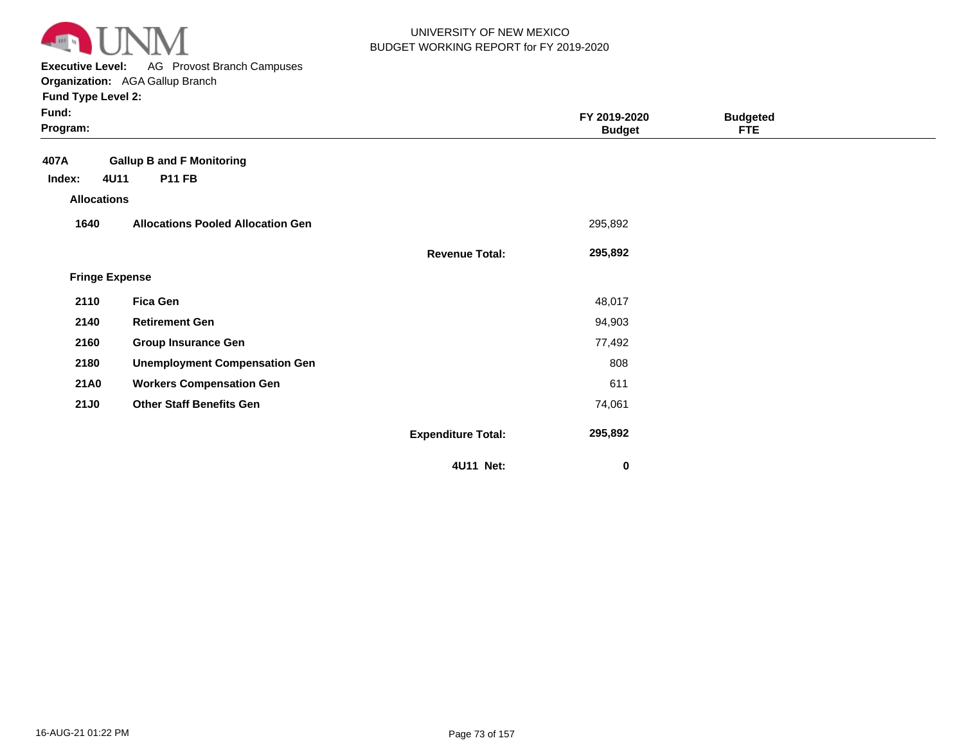

**Executive Level:** AG Provost Branch Campuses **Organization:**  AGA Gallup Branch

| Fund:<br>Program:     |                                          |                           | FY 2019-2020<br><b>Budget</b> | <b>Budgeted</b><br><b>FTE</b> |  |
|-----------------------|------------------------------------------|---------------------------|-------------------------------|-------------------------------|--|
| 407A                  | <b>Gallup B and F Monitoring</b>         |                           |                               |                               |  |
| 4U11<br>Index:        | <b>P11 FB</b>                            |                           |                               |                               |  |
| <b>Allocations</b>    |                                          |                           |                               |                               |  |
| 1640                  | <b>Allocations Pooled Allocation Gen</b> |                           | 295,892                       |                               |  |
|                       |                                          | <b>Revenue Total:</b>     | 295,892                       |                               |  |
| <b>Fringe Expense</b> |                                          |                           |                               |                               |  |
| 2110                  | <b>Fica Gen</b>                          |                           | 48,017                        |                               |  |
| 2140                  | <b>Retirement Gen</b>                    |                           | 94,903                        |                               |  |
| 2160                  | <b>Group Insurance Gen</b>               |                           | 77,492                        |                               |  |
| 2180                  | <b>Unemployment Compensation Gen</b>     |                           | 808                           |                               |  |
| <b>21A0</b>           | <b>Workers Compensation Gen</b>          |                           | 611                           |                               |  |
| <b>21J0</b>           | <b>Other Staff Benefits Gen</b>          |                           | 74,061                        |                               |  |
|                       |                                          | <b>Expenditure Total:</b> | 295,892                       |                               |  |
|                       |                                          | 4U11 Net:                 | 0                             |                               |  |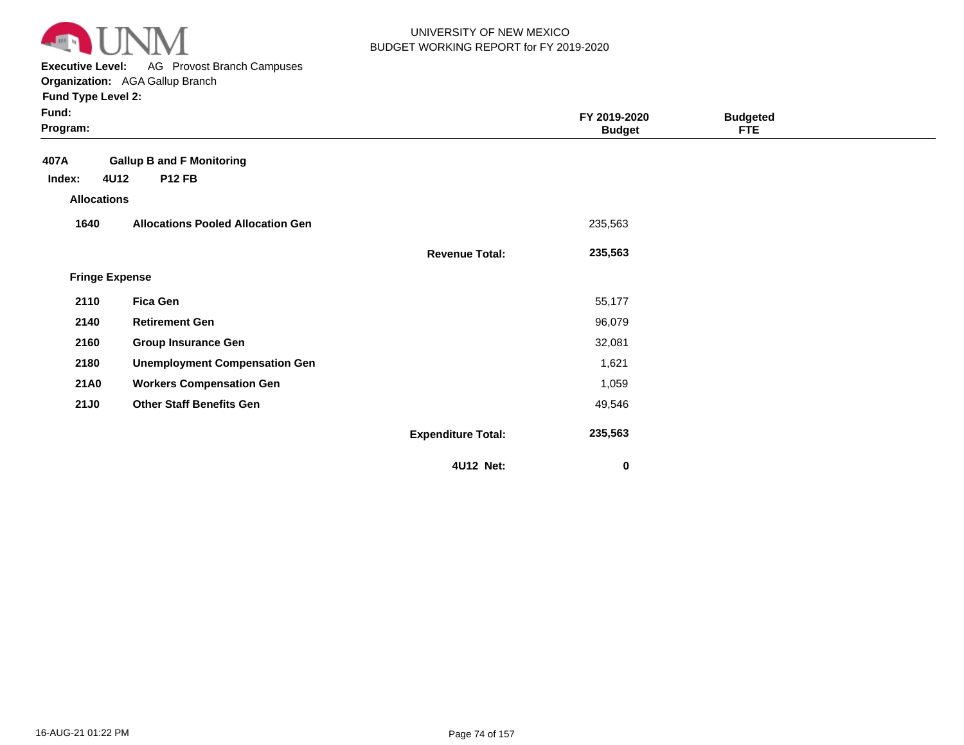

**Executive Level:** AG Provost Branch Campuses **Organization:**  AGA Gallup Branch

| Fund:<br>Program:     |                                          |                           | FY 2019-2020<br><b>Budget</b> | <b>Budgeted</b><br><b>FTE</b> |  |
|-----------------------|------------------------------------------|---------------------------|-------------------------------|-------------------------------|--|
| 407A                  | <b>Gallup B and F Monitoring</b>         |                           |                               |                               |  |
| 4U12<br>Index:        | <b>P12 FB</b>                            |                           |                               |                               |  |
| <b>Allocations</b>    |                                          |                           |                               |                               |  |
| 1640                  | <b>Allocations Pooled Allocation Gen</b> |                           | 235,563                       |                               |  |
|                       |                                          | <b>Revenue Total:</b>     | 235,563                       |                               |  |
| <b>Fringe Expense</b> |                                          |                           |                               |                               |  |
| 2110                  | <b>Fica Gen</b>                          |                           | 55,177                        |                               |  |
| 2140                  | <b>Retirement Gen</b>                    |                           | 96,079                        |                               |  |
| 2160                  | <b>Group Insurance Gen</b>               |                           | 32,081                        |                               |  |
| 2180                  | <b>Unemployment Compensation Gen</b>     |                           | 1,621                         |                               |  |
| <b>21A0</b>           | <b>Workers Compensation Gen</b>          |                           | 1,059                         |                               |  |
| <b>21J0</b>           | <b>Other Staff Benefits Gen</b>          |                           | 49,546                        |                               |  |
|                       |                                          | <b>Expenditure Total:</b> | 235,563                       |                               |  |
|                       |                                          | 4U12 Net:                 | 0                             |                               |  |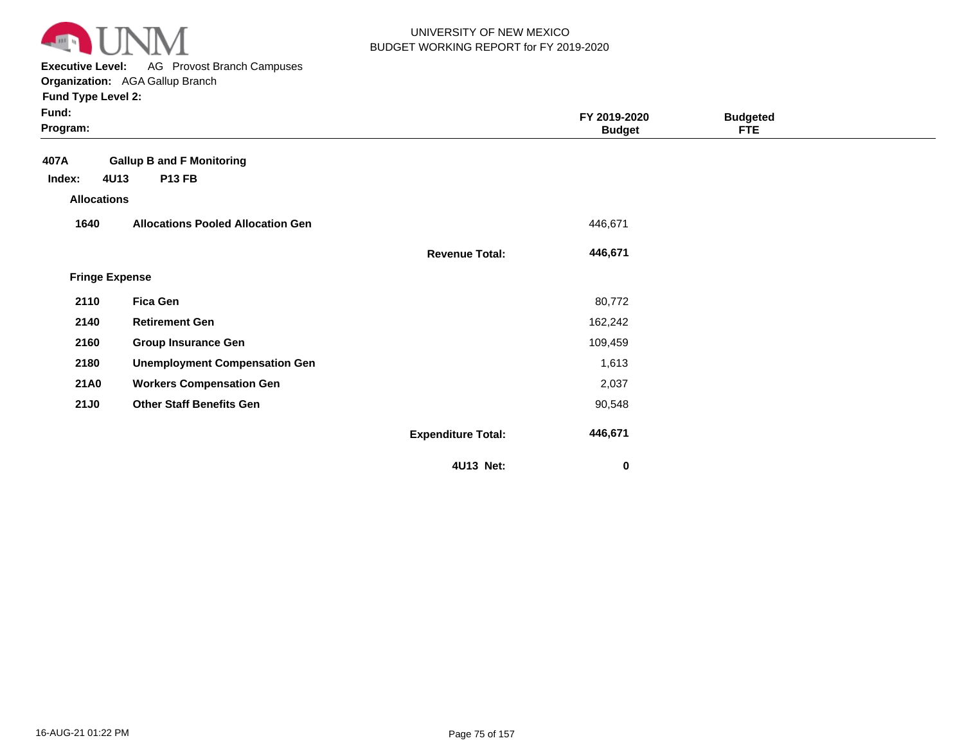

**Executive Level:** AG Provost Branch Campuses **Organization:**  AGA Gallup Branch

| Fund:<br>Program:                    |                                          |                           | FY 2019-2020<br><b>Budget</b> | <b>Budgeted</b><br><b>FTE</b> |  |
|--------------------------------------|------------------------------------------|---------------------------|-------------------------------|-------------------------------|--|
| 407A                                 | <b>Gallup B and F Monitoring</b>         |                           |                               |                               |  |
| 4U13<br>Index:<br><b>Allocations</b> | <b>P13 FB</b>                            |                           |                               |                               |  |
| 1640                                 | <b>Allocations Pooled Allocation Gen</b> |                           | 446,671                       |                               |  |
|                                      |                                          | <b>Revenue Total:</b>     | 446,671                       |                               |  |
| <b>Fringe Expense</b>                |                                          |                           |                               |                               |  |
| 2110                                 | <b>Fica Gen</b>                          |                           | 80,772                        |                               |  |
| 2140                                 | <b>Retirement Gen</b>                    |                           | 162,242                       |                               |  |
| 2160                                 | <b>Group Insurance Gen</b>               |                           | 109,459                       |                               |  |
| 2180                                 | <b>Unemployment Compensation Gen</b>     |                           | 1,613                         |                               |  |
| <b>21A0</b>                          | <b>Workers Compensation Gen</b>          |                           | 2,037                         |                               |  |
| <b>21J0</b>                          | <b>Other Staff Benefits Gen</b>          |                           | 90,548                        |                               |  |
|                                      |                                          | <b>Expenditure Total:</b> | 446,671                       |                               |  |
|                                      |                                          | 4U13 Net:                 | $\bf{0}$                      |                               |  |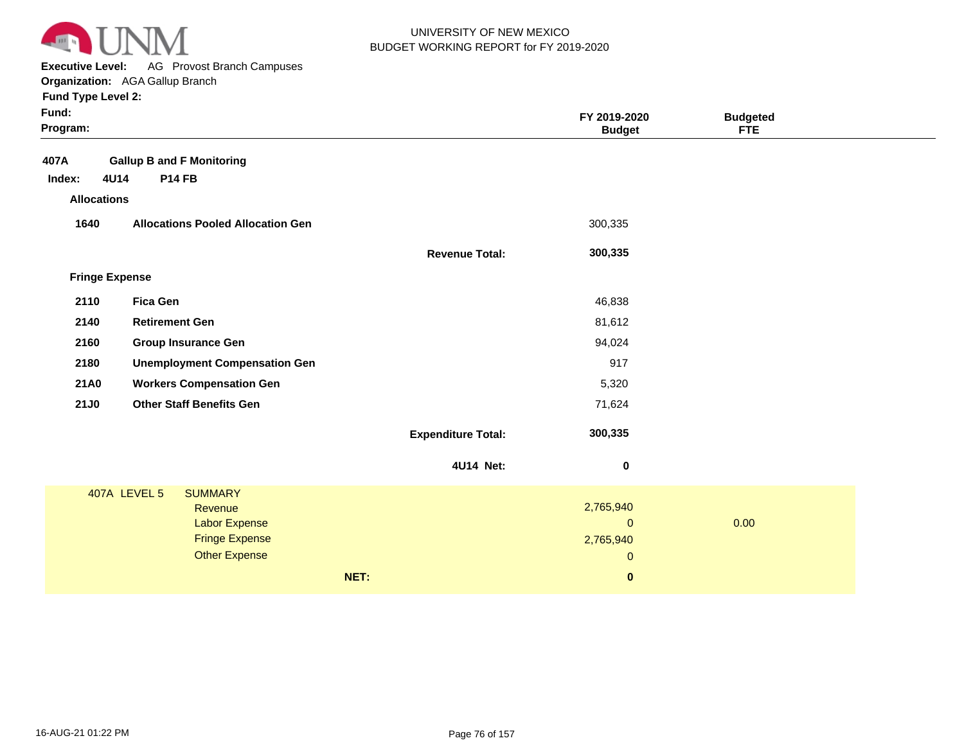

**Executive Level:** AG Provost Branch Campuses **Organization:**  AGA Gallup Branch

| <b>Gallup B and F Monitoring</b><br>407A<br>4U14<br><b>P14 FB</b><br>Index:<br><b>Allocations</b><br>1640<br>300,335<br><b>Allocations Pooled Allocation Gen</b><br>300,335<br><b>Revenue Total:</b><br><b>Fringe Expense</b><br>2110<br><b>Fica Gen</b><br>46,838<br>2140<br><b>Retirement Gen</b><br>81,612<br>2160<br>94,024<br><b>Group Insurance Gen</b><br>917<br>2180<br><b>Unemployment Compensation Gen</b><br>21A0<br><b>Workers Compensation Gen</b><br>5,320<br><b>21J0</b><br><b>Other Staff Benefits Gen</b><br>71,624<br>300,335<br><b>Expenditure Total:</b><br>4U14 Net:<br>$\boldsymbol{0}$<br>407A LEVEL 5<br><b>SUMMARY</b><br>2,765,940<br>Revenue<br>0.00<br><b>Labor Expense</b><br>$\pmb{0}$<br><b>Fringe Expense</b><br>2,765,940<br><b>Other Expense</b><br>$\pmb{0}$<br>NET:<br>$\pmb{0}$ | Fund:<br>Program: |  | FY 2019-2020<br><b>Budget</b> | <b>Budgeted</b><br><b>FTE</b> |  |
|----------------------------------------------------------------------------------------------------------------------------------------------------------------------------------------------------------------------------------------------------------------------------------------------------------------------------------------------------------------------------------------------------------------------------------------------------------------------------------------------------------------------------------------------------------------------------------------------------------------------------------------------------------------------------------------------------------------------------------------------------------------------------------------------------------------------|-------------------|--|-------------------------------|-------------------------------|--|
|                                                                                                                                                                                                                                                                                                                                                                                                                                                                                                                                                                                                                                                                                                                                                                                                                      |                   |  |                               |                               |  |
|                                                                                                                                                                                                                                                                                                                                                                                                                                                                                                                                                                                                                                                                                                                                                                                                                      |                   |  |                               |                               |  |
|                                                                                                                                                                                                                                                                                                                                                                                                                                                                                                                                                                                                                                                                                                                                                                                                                      |                   |  |                               |                               |  |
|                                                                                                                                                                                                                                                                                                                                                                                                                                                                                                                                                                                                                                                                                                                                                                                                                      |                   |  |                               |                               |  |
|                                                                                                                                                                                                                                                                                                                                                                                                                                                                                                                                                                                                                                                                                                                                                                                                                      |                   |  |                               |                               |  |
|                                                                                                                                                                                                                                                                                                                                                                                                                                                                                                                                                                                                                                                                                                                                                                                                                      |                   |  |                               |                               |  |
|                                                                                                                                                                                                                                                                                                                                                                                                                                                                                                                                                                                                                                                                                                                                                                                                                      |                   |  |                               |                               |  |
|                                                                                                                                                                                                                                                                                                                                                                                                                                                                                                                                                                                                                                                                                                                                                                                                                      |                   |  |                               |                               |  |
|                                                                                                                                                                                                                                                                                                                                                                                                                                                                                                                                                                                                                                                                                                                                                                                                                      |                   |  |                               |                               |  |
|                                                                                                                                                                                                                                                                                                                                                                                                                                                                                                                                                                                                                                                                                                                                                                                                                      |                   |  |                               |                               |  |
|                                                                                                                                                                                                                                                                                                                                                                                                                                                                                                                                                                                                                                                                                                                                                                                                                      |                   |  |                               |                               |  |
|                                                                                                                                                                                                                                                                                                                                                                                                                                                                                                                                                                                                                                                                                                                                                                                                                      |                   |  |                               |                               |  |
|                                                                                                                                                                                                                                                                                                                                                                                                                                                                                                                                                                                                                                                                                                                                                                                                                      |                   |  |                               |                               |  |
|                                                                                                                                                                                                                                                                                                                                                                                                                                                                                                                                                                                                                                                                                                                                                                                                                      |                   |  |                               |                               |  |
|                                                                                                                                                                                                                                                                                                                                                                                                                                                                                                                                                                                                                                                                                                                                                                                                                      |                   |  |                               |                               |  |
|                                                                                                                                                                                                                                                                                                                                                                                                                                                                                                                                                                                                                                                                                                                                                                                                                      |                   |  |                               |                               |  |
|                                                                                                                                                                                                                                                                                                                                                                                                                                                                                                                                                                                                                                                                                                                                                                                                                      |                   |  |                               |                               |  |
|                                                                                                                                                                                                                                                                                                                                                                                                                                                                                                                                                                                                                                                                                                                                                                                                                      |                   |  |                               |                               |  |
|                                                                                                                                                                                                                                                                                                                                                                                                                                                                                                                                                                                                                                                                                                                                                                                                                      |                   |  |                               |                               |  |
|                                                                                                                                                                                                                                                                                                                                                                                                                                                                                                                                                                                                                                                                                                                                                                                                                      |                   |  |                               |                               |  |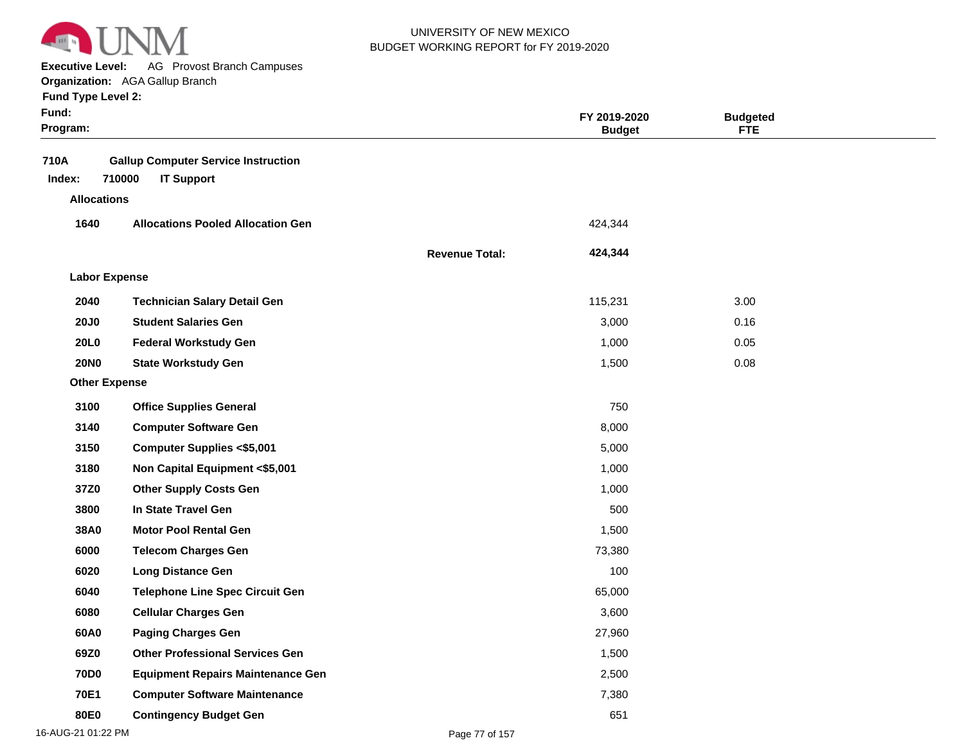

**Executive Level:** AG Provost Branch Campuses **Organization:**  AGA Gallup Branch

| Fund:<br>Program:    |                                                                           |                       | FY 2019-2020<br><b>Budget</b> | <b>Budgeted</b><br><b>FTE</b> |  |
|----------------------|---------------------------------------------------------------------------|-----------------------|-------------------------------|-------------------------------|--|
| 710A<br>Index:       | <b>Gallup Computer Service Instruction</b><br>710000<br><b>IT Support</b> |                       |                               |                               |  |
| <b>Allocations</b>   |                                                                           |                       |                               |                               |  |
| 1640                 | <b>Allocations Pooled Allocation Gen</b>                                  |                       | 424,344                       |                               |  |
|                      |                                                                           | <b>Revenue Total:</b> | 424,344                       |                               |  |
| <b>Labor Expense</b> |                                                                           |                       |                               |                               |  |
| 2040                 | <b>Technician Salary Detail Gen</b>                                       |                       | 115,231                       | 3.00                          |  |
| <b>20J0</b>          | <b>Student Salaries Gen</b>                                               |                       | 3,000                         | 0.16                          |  |
| <b>20L0</b>          | <b>Federal Workstudy Gen</b>                                              |                       | 1,000                         | 0.05                          |  |
| <b>20NO</b>          | <b>State Workstudy Gen</b>                                                |                       | 1,500                         | 0.08                          |  |
| <b>Other Expense</b> |                                                                           |                       |                               |                               |  |
| 3100                 | <b>Office Supplies General</b>                                            |                       | 750                           |                               |  |
| 3140                 | <b>Computer Software Gen</b>                                              |                       | 8,000                         |                               |  |
| 3150                 | <b>Computer Supplies &lt;\$5,001</b>                                      |                       | 5,000                         |                               |  |
| 3180                 | Non Capital Equipment <\$5,001                                            |                       | 1,000                         |                               |  |
| 37Z0                 | <b>Other Supply Costs Gen</b>                                             |                       | 1,000                         |                               |  |
| 3800                 | In State Travel Gen                                                       |                       | 500                           |                               |  |
| 38A0                 | <b>Motor Pool Rental Gen</b>                                              |                       | 1,500                         |                               |  |
| 6000                 | <b>Telecom Charges Gen</b>                                                |                       | 73,380                        |                               |  |
| 6020                 | <b>Long Distance Gen</b>                                                  |                       | 100                           |                               |  |
| 6040                 | <b>Telephone Line Spec Circuit Gen</b>                                    |                       | 65,000                        |                               |  |
| 6080                 | <b>Cellular Charges Gen</b>                                               |                       | 3,600                         |                               |  |
| 60A0                 | <b>Paging Charges Gen</b>                                                 |                       | 27,960                        |                               |  |
| 69Z0                 | <b>Other Professional Services Gen</b>                                    |                       | 1,500                         |                               |  |
| <b>70D0</b>          | <b>Equipment Repairs Maintenance Gen</b>                                  |                       | 2,500                         |                               |  |
| 70E1                 | <b>Computer Software Maintenance</b>                                      |                       | 7,380                         |                               |  |
| 80E0                 | <b>Contingency Budget Gen</b>                                             |                       | 651                           |                               |  |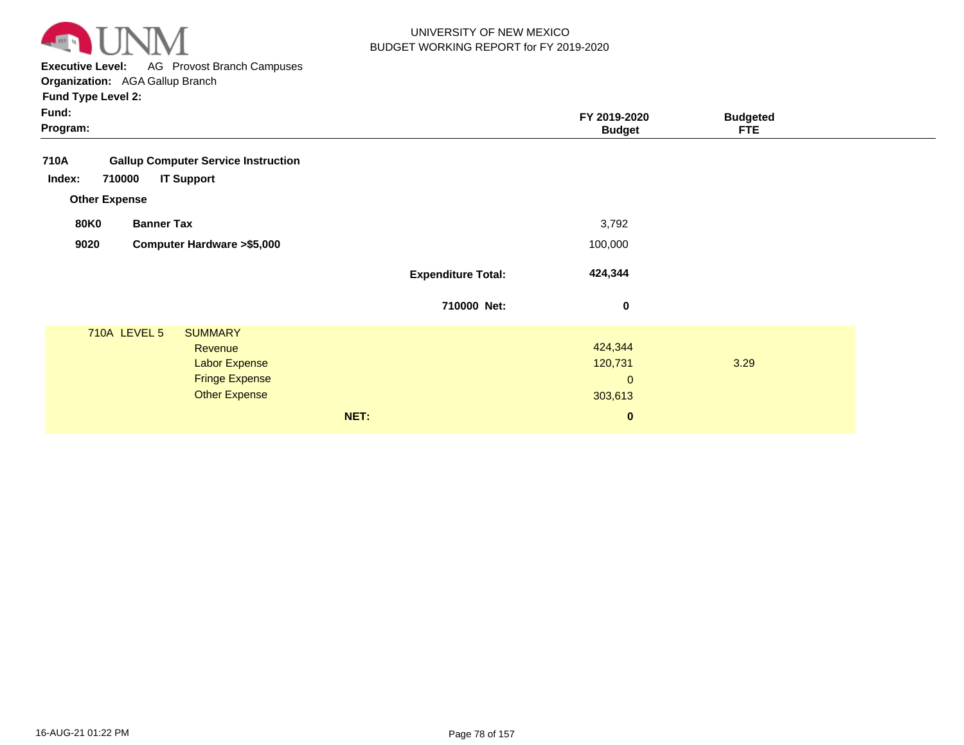

**Executive Level:** AG Provost Branch Campuses

**Organization:**  AGA Gallup Branch

| Fund:<br>Program:                                  |                           | FY 2019-2020<br><b>Budget</b> | <b>Budgeted</b><br><b>FTE</b> |  |
|----------------------------------------------------|---------------------------|-------------------------------|-------------------------------|--|
| <b>Gallup Computer Service Instruction</b><br>710A |                           |                               |                               |  |
| <b>IT Support</b><br>Index:<br>710000              |                           |                               |                               |  |
| <b>Other Expense</b>                               |                           |                               |                               |  |
| <b>80K0</b><br><b>Banner Tax</b>                   |                           | 3,792                         |                               |  |
| <b>Computer Hardware &gt;\$5,000</b><br>9020       |                           | 100,000                       |                               |  |
|                                                    | <b>Expenditure Total:</b> | 424,344                       |                               |  |
|                                                    | 710000 Net:               | $\bf{0}$                      |                               |  |
| <b>710A LEVEL 5</b><br><b>SUMMARY</b>              |                           |                               |                               |  |
| Revenue                                            |                           | 424,344                       |                               |  |
| <b>Labor Expense</b>                               |                           | 120,731                       | 3.29                          |  |
| <b>Fringe Expense</b>                              |                           | $\mathbf{0}$                  |                               |  |
| <b>Other Expense</b>                               |                           | 303,613                       |                               |  |
|                                                    | NET:                      | $\mathbf 0$                   |                               |  |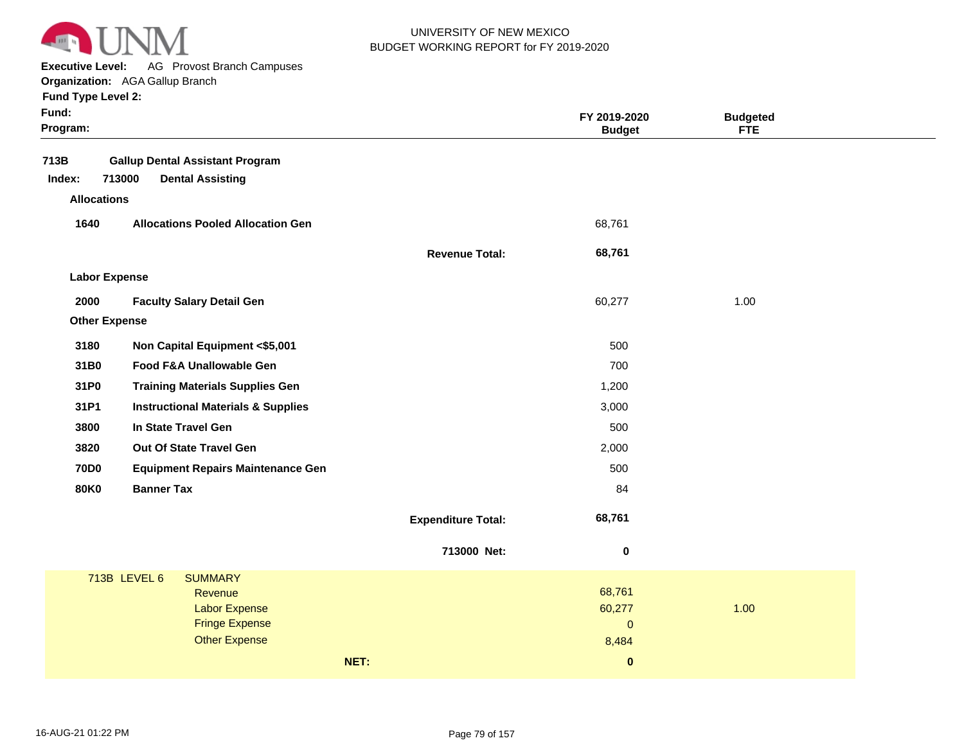

**Executive Level:** AG Provost Branch Campuses

**Organization:**  AGA Gallup Branch **Fund Type Level 2:**

| Fund:<br>Program:    |                                               |                           | FY 2019-2020<br><b>Budget</b> | <b>Budgeted</b><br><b>FTE</b> |
|----------------------|-----------------------------------------------|---------------------------|-------------------------------|-------------------------------|
| 713B                 | <b>Gallup Dental Assistant Program</b>        |                           |                               |                               |
| Index:               | 713000<br><b>Dental Assisting</b>             |                           |                               |                               |
| <b>Allocations</b>   |                                               |                           |                               |                               |
| 1640                 | <b>Allocations Pooled Allocation Gen</b>      |                           | 68,761                        |                               |
|                      |                                               |                           |                               |                               |
|                      |                                               | <b>Revenue Total:</b>     | 68,761                        |                               |
| <b>Labor Expense</b> |                                               |                           |                               |                               |
| 2000                 | <b>Faculty Salary Detail Gen</b>              |                           | 60,277                        | 1.00                          |
| <b>Other Expense</b> |                                               |                           |                               |                               |
| 3180                 | Non Capital Equipment <\$5,001                |                           | 500                           |                               |
| 31B0                 | Food F&A Unallowable Gen                      |                           | 700                           |                               |
| 31P0                 | <b>Training Materials Supplies Gen</b>        |                           | 1,200                         |                               |
| 31P1                 | <b>Instructional Materials &amp; Supplies</b> |                           | 3,000                         |                               |
| 3800                 | In State Travel Gen                           |                           | 500                           |                               |
| 3820                 | Out Of State Travel Gen                       |                           | 2,000                         |                               |
| <b>70D0</b>          | <b>Equipment Repairs Maintenance Gen</b>      |                           | 500                           |                               |
| <b>80K0</b>          | <b>Banner Tax</b>                             |                           | 84                            |                               |
|                      |                                               | <b>Expenditure Total:</b> | 68,761                        |                               |
|                      |                                               |                           |                               |                               |
|                      |                                               | 713000 Net:               | $\bf{0}$                      |                               |
|                      | 713B LEVEL 6<br><b>SUMMARY</b>                |                           |                               |                               |
|                      | Revenue                                       |                           | 68,761                        |                               |
|                      | <b>Labor Expense</b>                          |                           | 60,277                        | 1.00                          |
|                      | <b>Fringe Expense</b><br><b>Other Expense</b> |                           | $\pmb{0}$<br>8,484            |                               |
|                      |                                               | NET:                      | $\bf{0}$                      |                               |
|                      |                                               |                           |                               |                               |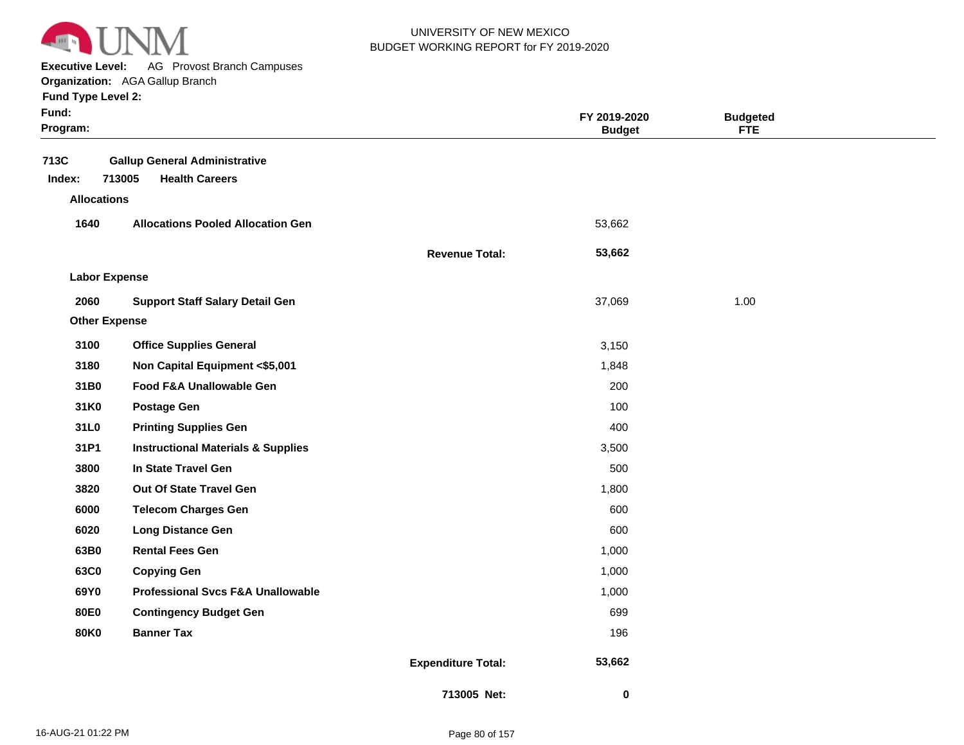

**Executive Level:** AG Provost Branch Campuses

**Organization:**  AGA Gallup Branch **Fund Type Level 2:**

| Fund:<br>Program:    |                                               |                           | FY 2019-2020<br><b>Budget</b> | <b>Budgeted</b><br><b>FTE</b> |  |
|----------------------|-----------------------------------------------|---------------------------|-------------------------------|-------------------------------|--|
| 713C                 | <b>Gallup General Administrative</b>          |                           |                               |                               |  |
| Index:               | 713005<br><b>Health Careers</b>               |                           |                               |                               |  |
| <b>Allocations</b>   |                                               |                           |                               |                               |  |
| 1640                 | <b>Allocations Pooled Allocation Gen</b>      |                           | 53,662                        |                               |  |
|                      |                                               | <b>Revenue Total:</b>     | 53,662                        |                               |  |
| <b>Labor Expense</b> |                                               |                           |                               |                               |  |
| 2060                 | <b>Support Staff Salary Detail Gen</b>        |                           | 37,069                        | 1.00                          |  |
| <b>Other Expense</b> |                                               |                           |                               |                               |  |
| 3100                 | <b>Office Supplies General</b>                |                           | 3,150                         |                               |  |
| 3180                 | Non Capital Equipment <\$5,001                |                           | 1,848                         |                               |  |
| 31B0                 | Food F&A Unallowable Gen                      |                           | 200                           |                               |  |
| 31K0                 | <b>Postage Gen</b>                            |                           | 100                           |                               |  |
| 31L0                 | <b>Printing Supplies Gen</b>                  |                           | 400                           |                               |  |
| 31P1                 | <b>Instructional Materials &amp; Supplies</b> |                           | 3,500                         |                               |  |
| 3800                 | In State Travel Gen                           |                           | 500                           |                               |  |
| 3820                 | Out Of State Travel Gen                       |                           | 1,800                         |                               |  |
| 6000                 | <b>Telecom Charges Gen</b>                    |                           | 600                           |                               |  |
| 6020                 | <b>Long Distance Gen</b>                      |                           | 600                           |                               |  |
| 63B0                 | <b>Rental Fees Gen</b>                        |                           | 1,000                         |                               |  |
| 63C0                 | <b>Copying Gen</b>                            |                           | 1,000                         |                               |  |
| 69Y0                 | <b>Professional Svcs F&amp;A Unallowable</b>  |                           | 1,000                         |                               |  |
| <b>80E0</b>          | <b>Contingency Budget Gen</b>                 |                           | 699                           |                               |  |
| <b>80K0</b>          | <b>Banner Tax</b>                             |                           | 196                           |                               |  |
|                      |                                               | <b>Expenditure Total:</b> | 53,662                        |                               |  |
|                      |                                               | 713005 Net:               | 0                             |                               |  |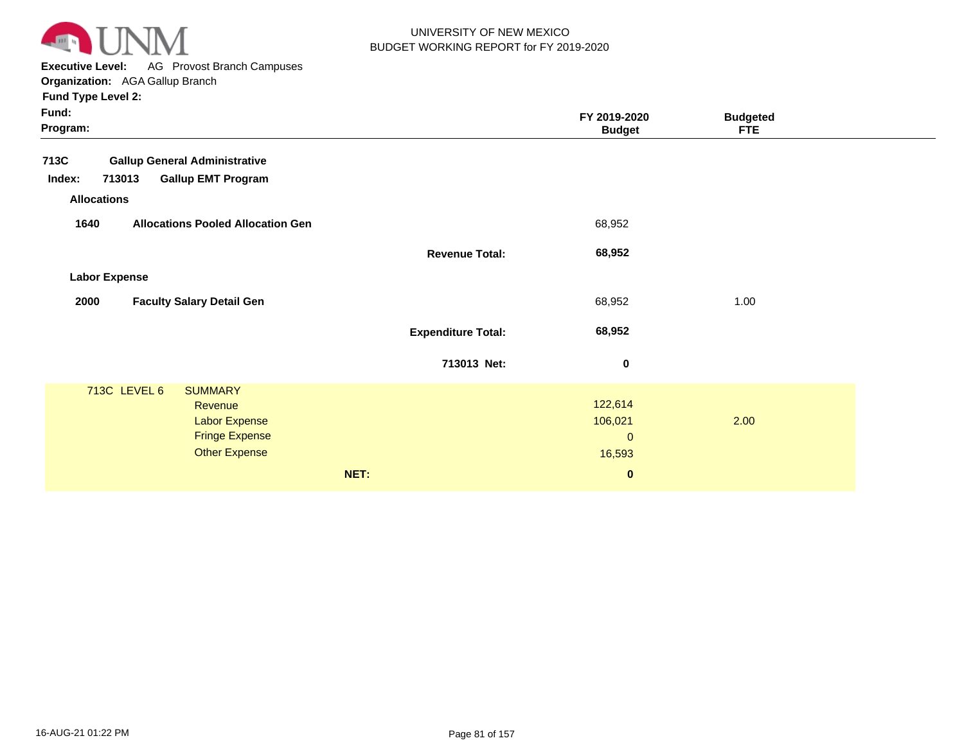

**Executive Level:** AG Provost Branch Campuses

**Organization:**  AGA Gallup Branch

| Fund:<br>Program:                                                                                                  |                           | FY 2019-2020<br><b>Budget</b>                | <b>Budgeted</b><br><b>FTE</b> |  |
|--------------------------------------------------------------------------------------------------------------------|---------------------------|----------------------------------------------|-------------------------------|--|
| 713C<br><b>Gallup General Administrative</b>                                                                       |                           |                                              |                               |  |
| 713013<br><b>Gallup EMT Program</b><br>Index:                                                                      |                           |                                              |                               |  |
| <b>Allocations</b>                                                                                                 |                           |                                              |                               |  |
| <b>Allocations Pooled Allocation Gen</b><br>1640                                                                   |                           | 68,952                                       |                               |  |
|                                                                                                                    | <b>Revenue Total:</b>     | 68,952                                       |                               |  |
| <b>Labor Expense</b>                                                                                               |                           |                                              |                               |  |
| 2000<br><b>Faculty Salary Detail Gen</b>                                                                           |                           | 68,952                                       | 1.00                          |  |
|                                                                                                                    | <b>Expenditure Total:</b> | 68,952                                       |                               |  |
|                                                                                                                    | 713013 Net:               | $\pmb{0}$                                    |                               |  |
| 713C LEVEL 6<br><b>SUMMARY</b><br>Revenue<br><b>Labor Expense</b><br><b>Fringe Expense</b><br><b>Other Expense</b> |                           | 122,614<br>106,021<br>$\mathbf{0}$<br>16,593 | 2.00                          |  |
|                                                                                                                    | NET:                      | $\bf{0}$                                     |                               |  |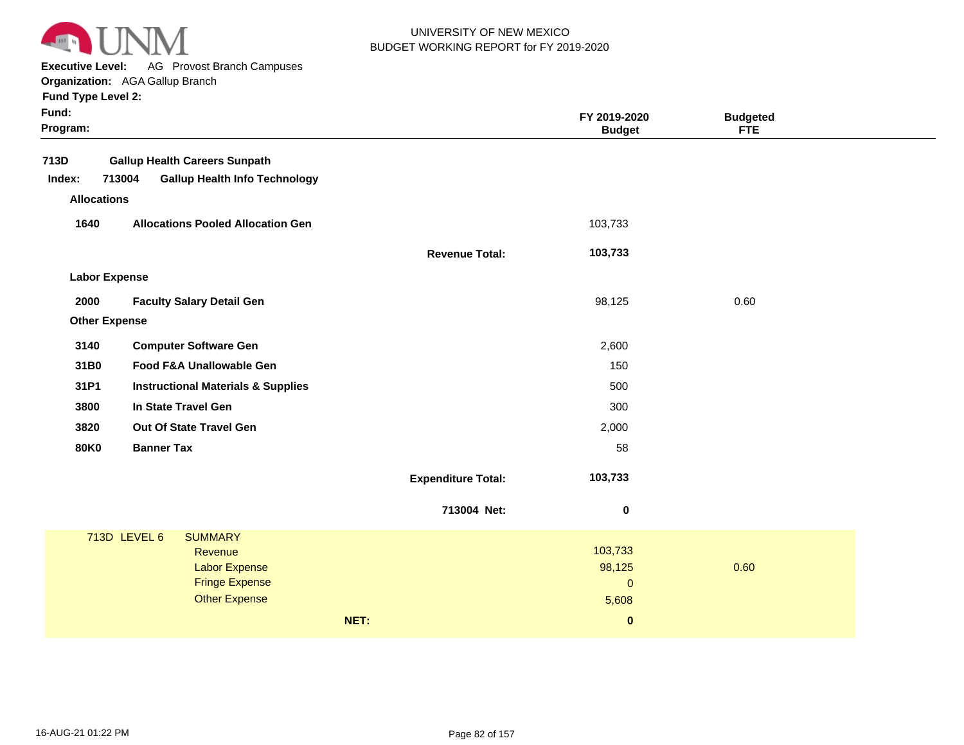

**Executive Level:** AG Provost Branch Campuses

**Organization:**  AGA Gallup Branch

|  |  | <b>Fund Type Level 2:</b> |  |
|--|--|---------------------------|--|
|--|--|---------------------------|--|

| $1$ und type Lever 2. |                                               |                           |                               |                               |
|-----------------------|-----------------------------------------------|---------------------------|-------------------------------|-------------------------------|
| Fund:<br>Program:     |                                               |                           | FY 2019-2020<br><b>Budget</b> | <b>Budgeted</b><br><b>FTE</b> |
| 713D                  | <b>Gallup Health Careers Sunpath</b>          |                           |                               |                               |
| 713004<br>Index:      | <b>Gallup Health Info Technology</b>          |                           |                               |                               |
| <b>Allocations</b>    |                                               |                           |                               |                               |
| 1640                  | <b>Allocations Pooled Allocation Gen</b>      |                           | 103,733                       |                               |
|                       |                                               | <b>Revenue Total:</b>     | 103,733                       |                               |
| <b>Labor Expense</b>  |                                               |                           |                               |                               |
| 2000                  | <b>Faculty Salary Detail Gen</b>              |                           | 98,125                        | 0.60                          |
| <b>Other Expense</b>  |                                               |                           |                               |                               |
| 3140                  | <b>Computer Software Gen</b>                  |                           | 2,600                         |                               |
| 31B0                  | Food F&A Unallowable Gen                      |                           | 150                           |                               |
| 31P1                  | <b>Instructional Materials &amp; Supplies</b> |                           | 500                           |                               |
| 3800                  | In State Travel Gen                           |                           | 300                           |                               |
| 3820                  | Out Of State Travel Gen                       |                           | 2,000                         |                               |
| 80K0                  | <b>Banner Tax</b>                             |                           | 58                            |                               |
|                       |                                               | <b>Expenditure Total:</b> | 103,733                       |                               |
|                       |                                               | 713004 Net:               | $\pmb{0}$                     |                               |
| 713D LEVEL 6          | <b>SUMMARY</b>                                |                           |                               |                               |
|                       | Revenue                                       |                           | 103,733                       |                               |
|                       | <b>Labor Expense</b><br><b>Fringe Expense</b> |                           | 98,125<br>$\mathbf 0$         | 0.60                          |
|                       | <b>Other Expense</b>                          |                           | 5,608                         |                               |

**NET: 0**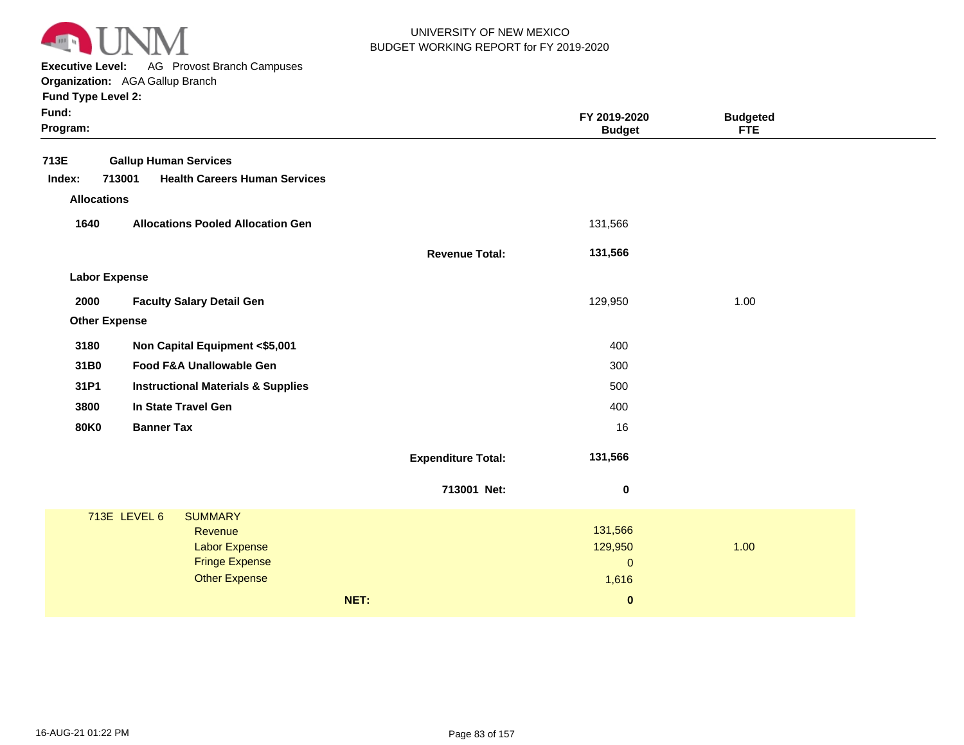

**Executive Level:** AG Provost Branch Campuses

**Organization:**  AGA Gallup Branch

| Fund:<br>Program:    |                                                |                           | FY 2019-2020<br><b>Budget</b> | <b>Budgeted</b><br><b>FTE</b> |  |
|----------------------|------------------------------------------------|---------------------------|-------------------------------|-------------------------------|--|
| 713E                 | <b>Gallup Human Services</b>                   |                           |                               |                               |  |
| Index:               | 713001<br><b>Health Careers Human Services</b> |                           |                               |                               |  |
| <b>Allocations</b>   |                                                |                           |                               |                               |  |
| 1640                 | <b>Allocations Pooled Allocation Gen</b>       |                           | 131,566                       |                               |  |
|                      |                                                | <b>Revenue Total:</b>     | 131,566                       |                               |  |
| <b>Labor Expense</b> |                                                |                           |                               |                               |  |
| 2000                 | <b>Faculty Salary Detail Gen</b>               |                           | 129,950                       | 1.00                          |  |
| <b>Other Expense</b> |                                                |                           |                               |                               |  |
| 3180                 | Non Capital Equipment <\$5,001                 |                           | 400                           |                               |  |
| 31B0                 | Food F&A Unallowable Gen                       |                           | 300                           |                               |  |
| 31P1                 | <b>Instructional Materials &amp; Supplies</b>  |                           | 500                           |                               |  |
| 3800                 | In State Travel Gen                            |                           | 400                           |                               |  |
| <b>80K0</b>          | <b>Banner Tax</b>                              |                           | 16                            |                               |  |
|                      |                                                | <b>Expenditure Total:</b> | 131,566                       |                               |  |
|                      |                                                | 713001 Net:               | $\bf{0}$                      |                               |  |
|                      | 713E LEVEL 6<br><b>SUMMARY</b>                 |                           |                               |                               |  |
|                      | Revenue<br><b>Labor Expense</b>                |                           | 131,566<br>129,950            | 1.00                          |  |
|                      | <b>Fringe Expense</b>                          |                           | $\mathbf{0}$                  |                               |  |
|                      | <b>Other Expense</b>                           |                           | 1,616                         |                               |  |
|                      |                                                | NET:                      | $\pmb{0}$                     |                               |  |
|                      |                                                |                           |                               |                               |  |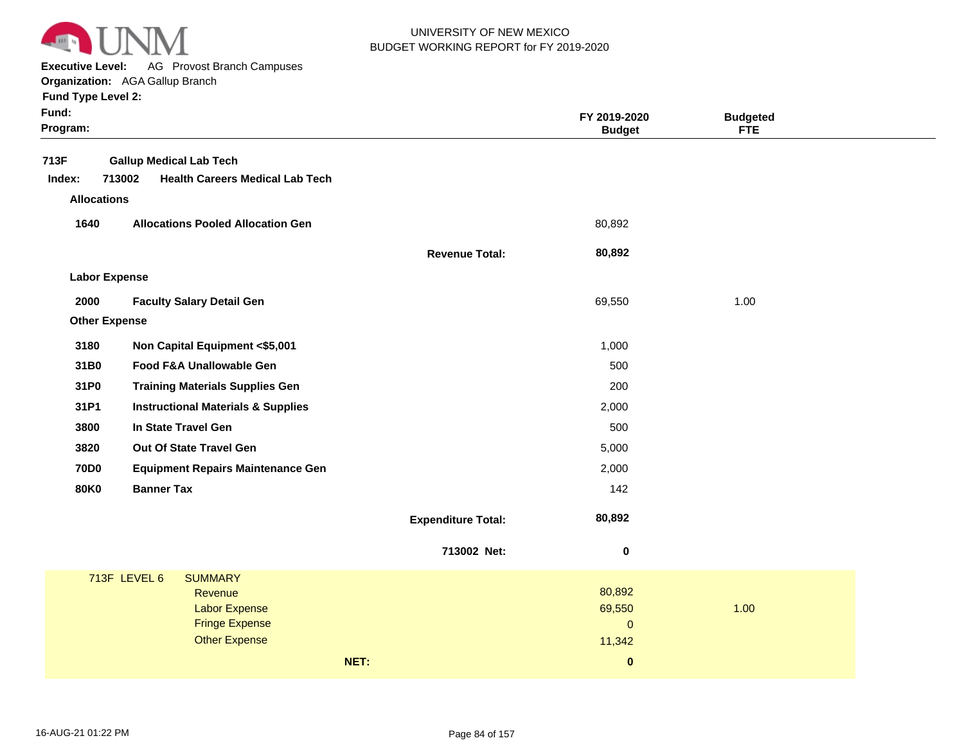

**Executive Level:** AG Provost Branch Campuses

**Organization:**  AGA Gallup Branch

| Fund:<br>Program:    |                                                                                    |                           | FY 2019-2020<br><b>Budget</b> | <b>Budgeted</b><br><b>FTE</b> |  |
|----------------------|------------------------------------------------------------------------------------|---------------------------|-------------------------------|-------------------------------|--|
| 713F<br>Index:       | <b>Gallup Medical Lab Tech</b><br>713002<br><b>Health Careers Medical Lab Tech</b> |                           |                               |                               |  |
| <b>Allocations</b>   |                                                                                    |                           |                               |                               |  |
| 1640                 | <b>Allocations Pooled Allocation Gen</b>                                           |                           | 80,892                        |                               |  |
|                      |                                                                                    | <b>Revenue Total:</b>     | 80,892                        |                               |  |
| <b>Labor Expense</b> |                                                                                    |                           |                               |                               |  |
| 2000                 | <b>Faculty Salary Detail Gen</b>                                                   |                           | 69,550                        | 1.00                          |  |
| <b>Other Expense</b> |                                                                                    |                           |                               |                               |  |
| 3180                 | Non Capital Equipment <\$5,001                                                     |                           | 1,000                         |                               |  |
| 31B0                 | Food F&A Unallowable Gen                                                           |                           | 500                           |                               |  |
| 31P0                 | <b>Training Materials Supplies Gen</b>                                             |                           | 200                           |                               |  |
| 31P1                 | <b>Instructional Materials &amp; Supplies</b>                                      |                           | 2,000                         |                               |  |
| 3800                 | In State Travel Gen                                                                |                           | 500                           |                               |  |
| 3820                 | Out Of State Travel Gen                                                            |                           | 5,000                         |                               |  |
| <b>70D0</b>          | <b>Equipment Repairs Maintenance Gen</b>                                           |                           | 2,000                         |                               |  |
| <b>80K0</b>          | <b>Banner Tax</b>                                                                  |                           | 142                           |                               |  |
|                      |                                                                                    | <b>Expenditure Total:</b> | 80,892                        |                               |  |
|                      |                                                                                    | 713002 Net:               | $\pmb{0}$                     |                               |  |
|                      | 713F LEVEL 6<br><b>SUMMARY</b>                                                     |                           |                               |                               |  |
|                      | <b>Revenue</b><br><b>Labor Expense</b>                                             |                           | 80,892<br>69,550              | 1.00                          |  |
|                      | <b>Fringe Expense</b>                                                              |                           | $\mathbf{O}$                  |                               |  |
|                      | <b>Other Expense</b>                                                               |                           | 11,342                        |                               |  |
|                      | NET:                                                                               |                           | $\pmb{0}$                     |                               |  |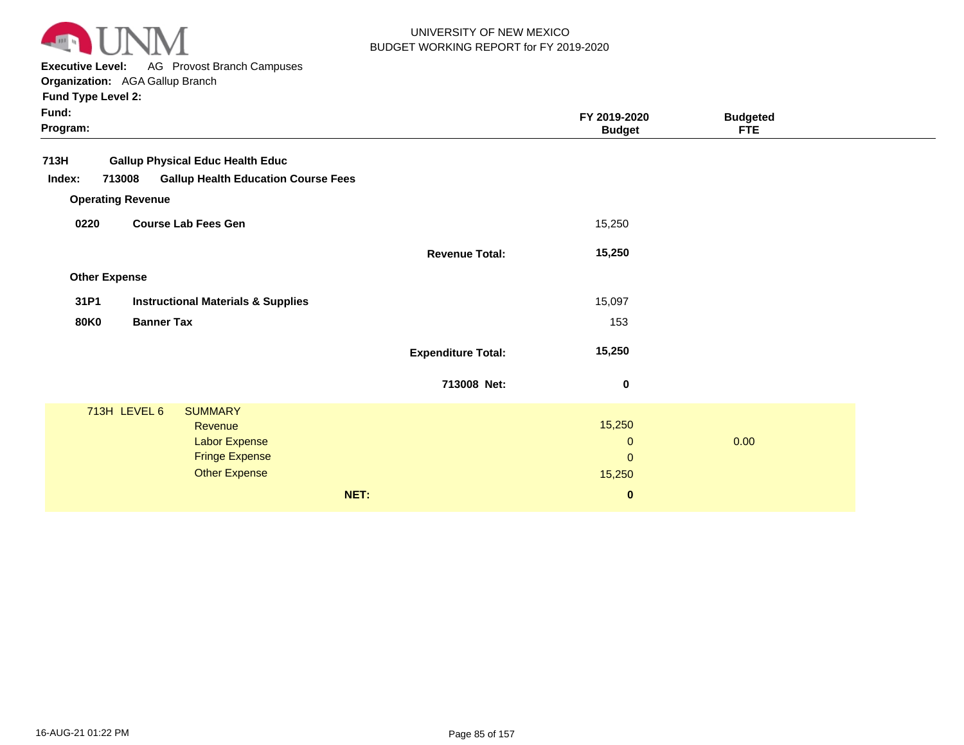

**Executive Level:** AG Provost Branch Campuses

**Organization:**  AGA Gallup Branch

| Fund:<br>Program: |                          |                                               |                           | FY 2019-2020<br><b>Budget</b> | <b>Budgeted</b><br><b>FTE</b> |  |
|-------------------|--------------------------|-----------------------------------------------|---------------------------|-------------------------------|-------------------------------|--|
| 713H              |                          | <b>Gallup Physical Educ Health Educ</b>       |                           |                               |                               |  |
| Index:            | 713008                   | <b>Gallup Health Education Course Fees</b>    |                           |                               |                               |  |
|                   | <b>Operating Revenue</b> |                                               |                           |                               |                               |  |
| 0220              |                          | <b>Course Lab Fees Gen</b>                    |                           | 15,250                        |                               |  |
|                   |                          |                                               | <b>Revenue Total:</b>     | 15,250                        |                               |  |
|                   | <b>Other Expense</b>     |                                               |                           |                               |                               |  |
| 31P1              |                          | <b>Instructional Materials &amp; Supplies</b> |                           | 15,097                        |                               |  |
| <b>80K0</b>       | <b>Banner Tax</b>        |                                               |                           | 153                           |                               |  |
|                   |                          |                                               | <b>Expenditure Total:</b> | 15,250                        |                               |  |
|                   |                          |                                               | 713008 Net:               | 0                             |                               |  |
|                   | 713H LEVEL 6             | <b>SUMMARY</b>                                |                           |                               |                               |  |
|                   |                          | Revenue                                       |                           | 15,250                        |                               |  |
|                   |                          | <b>Labor Expense</b>                          |                           | $\mathbf{0}$                  | 0.00                          |  |
|                   |                          | <b>Fringe Expense</b>                         |                           | $\mathbf 0$                   |                               |  |
|                   |                          | <b>Other Expense</b>                          |                           | 15,250                        |                               |  |
|                   |                          |                                               | NET:                      | $\bf{0}$                      |                               |  |
|                   |                          |                                               |                           |                               |                               |  |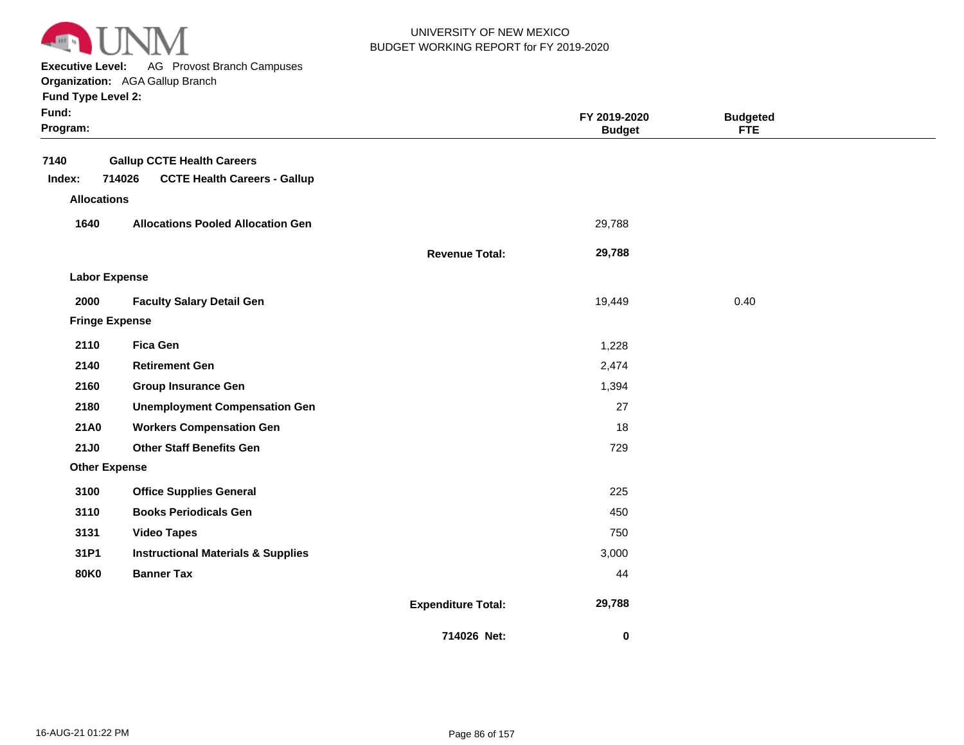

**Executive Level:** AG Provost Branch Campuses

**Organization:**  AGA Gallup Branch

| Fund:<br>Program:     |                                               |                           | FY 2019-2020<br><b>Budget</b> | <b>Budgeted</b><br><b>FTE</b> |  |
|-----------------------|-----------------------------------------------|---------------------------|-------------------------------|-------------------------------|--|
| 7140                  | <b>Gallup CCTE Health Careers</b>             |                           |                               |                               |  |
| Index:                | 714026<br><b>CCTE Health Careers - Gallup</b> |                           |                               |                               |  |
| <b>Allocations</b>    |                                               |                           |                               |                               |  |
| 1640                  | <b>Allocations Pooled Allocation Gen</b>      |                           | 29,788                        |                               |  |
|                       |                                               | <b>Revenue Total:</b>     | 29,788                        |                               |  |
| <b>Labor Expense</b>  |                                               |                           |                               |                               |  |
| 2000                  | <b>Faculty Salary Detail Gen</b>              |                           | 19,449                        | 0.40                          |  |
| <b>Fringe Expense</b> |                                               |                           |                               |                               |  |
| 2110                  | <b>Fica Gen</b>                               |                           | 1,228                         |                               |  |
| 2140                  | <b>Retirement Gen</b>                         |                           | 2,474                         |                               |  |
| 2160                  | <b>Group Insurance Gen</b>                    |                           | 1,394                         |                               |  |
| 2180                  | <b>Unemployment Compensation Gen</b>          |                           | 27                            |                               |  |
| <b>21A0</b>           | <b>Workers Compensation Gen</b>               |                           | 18                            |                               |  |
| <b>21J0</b>           | <b>Other Staff Benefits Gen</b>               |                           | 729                           |                               |  |
| <b>Other Expense</b>  |                                               |                           |                               |                               |  |
| 3100                  | <b>Office Supplies General</b>                |                           | 225                           |                               |  |
| 3110                  | <b>Books Periodicals Gen</b>                  |                           | 450                           |                               |  |
| 3131                  | <b>Video Tapes</b>                            |                           | 750                           |                               |  |
| 31P1                  | <b>Instructional Materials &amp; Supplies</b> |                           | 3,000                         |                               |  |
| <b>80K0</b>           | <b>Banner Tax</b>                             |                           | 44                            |                               |  |
|                       |                                               | <b>Expenditure Total:</b> | 29,788                        |                               |  |
|                       |                                               | 714026 Net:               | 0                             |                               |  |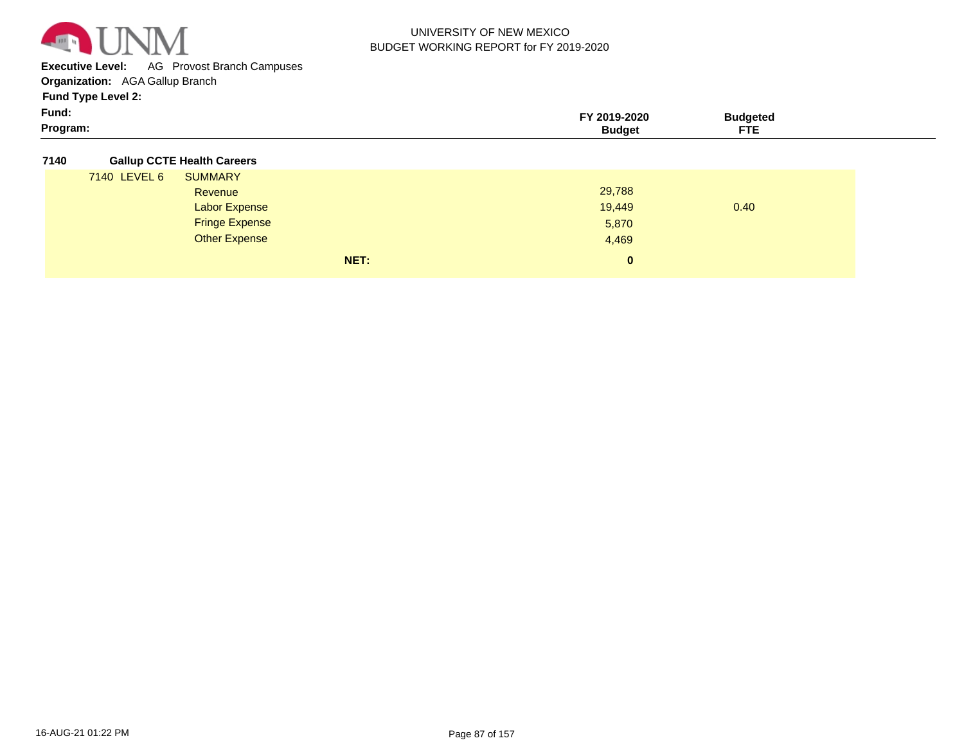

**Executive Level:** AG Provost Branch Campuses

**Organization:**  AGA Gallup Branch

**Fund Type Level 2:**

| Fund:    | 2020         |                              |  |
|----------|--------------|------------------------------|--|
| Program: | $\mathbf{z}$ | $\sim$ $\sim$<br>----<br>. . |  |

#### **7140 Gallup CCTE Health Careers**

| 7140 LEVEL 6 | <b>SUMMARY</b>        |      |              |      |
|--------------|-----------------------|------|--------------|------|
|              | Revenue               |      | 29,788       |      |
|              | <b>Labor Expense</b>  |      | 19,449       | 0.40 |
|              | <b>Fringe Expense</b> |      | 5,870        |      |
|              | <b>Other Expense</b>  |      | 4,469        |      |
|              |                       | NET: | $\mathbf{0}$ |      |
|              |                       |      |              |      |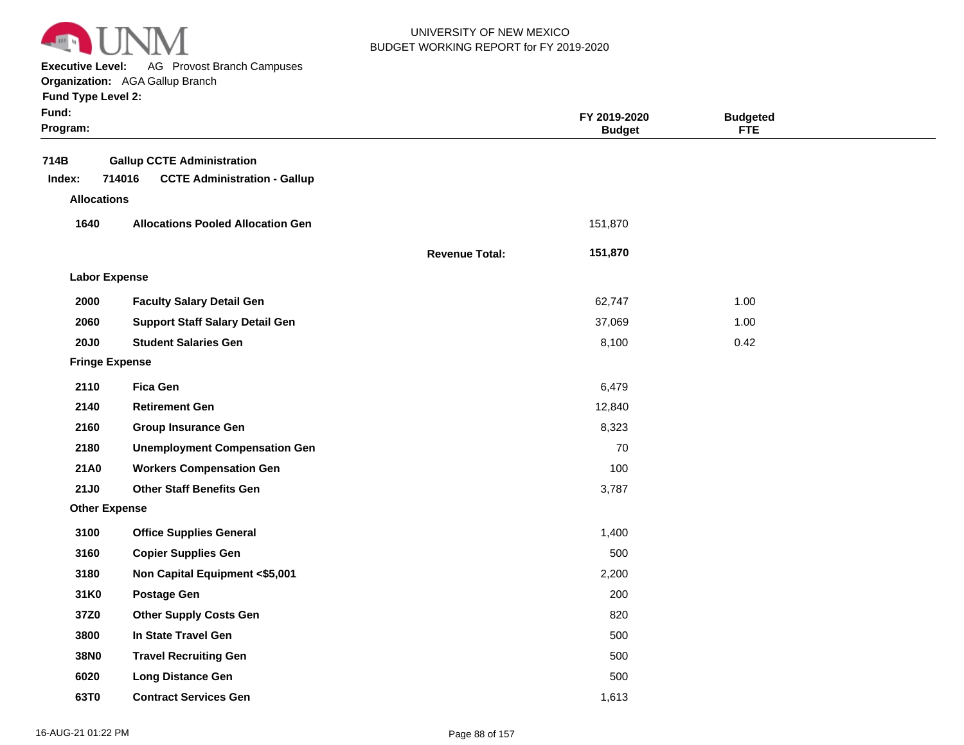

**Executive Level:** AG Provost Branch Campuses

**Organization:**  AGA Gallup Branch

| Fund:<br>Program:  |                                                                                    |                       | FY 2019-2020<br><b>Budget</b> | <b>Budgeted</b><br><b>FTE</b> |  |
|--------------------|------------------------------------------------------------------------------------|-----------------------|-------------------------------|-------------------------------|--|
| 714B<br>Index:     | <b>Gallup CCTE Administration</b><br>714016<br><b>CCTE Administration - Gallup</b> |                       |                               |                               |  |
| <b>Allocations</b> |                                                                                    |                       |                               |                               |  |
| 1640               | <b>Allocations Pooled Allocation Gen</b>                                           |                       | 151,870                       |                               |  |
|                    |                                                                                    | <b>Revenue Total:</b> | 151,870                       |                               |  |
|                    | <b>Labor Expense</b>                                                               |                       |                               |                               |  |
| 2000               | <b>Faculty Salary Detail Gen</b>                                                   |                       | 62,747                        | 1.00                          |  |
| 2060               | <b>Support Staff Salary Detail Gen</b>                                             |                       | 37,069                        | 1.00                          |  |
| <b>20J0</b>        | <b>Student Salaries Gen</b>                                                        |                       | 8,100                         | 0.42                          |  |
|                    | <b>Fringe Expense</b>                                                              |                       |                               |                               |  |
| 2110               | <b>Fica Gen</b>                                                                    |                       | 6,479                         |                               |  |
| 2140               | <b>Retirement Gen</b>                                                              |                       | 12,840                        |                               |  |
| 2160               | <b>Group Insurance Gen</b>                                                         |                       | 8,323                         |                               |  |
| 2180               | <b>Unemployment Compensation Gen</b>                                               |                       | 70                            |                               |  |
| 21A0               | <b>Workers Compensation Gen</b>                                                    |                       | 100                           |                               |  |
| 21J0               | <b>Other Staff Benefits Gen</b>                                                    |                       | 3,787                         |                               |  |
|                    | <b>Other Expense</b>                                                               |                       |                               |                               |  |
| 3100               | <b>Office Supplies General</b>                                                     |                       | 1,400                         |                               |  |
| 3160               | <b>Copier Supplies Gen</b>                                                         |                       | 500                           |                               |  |
| 3180               | Non Capital Equipment <\$5,001                                                     |                       | 2,200                         |                               |  |
| 31K0               | <b>Postage Gen</b>                                                                 |                       | 200                           |                               |  |
| 37Z0               | <b>Other Supply Costs Gen</b>                                                      |                       | 820                           |                               |  |
| 3800               | In State Travel Gen                                                                |                       | 500                           |                               |  |
| <b>38N0</b>        | <b>Travel Recruiting Gen</b>                                                       |                       | 500                           |                               |  |
| 6020               | <b>Long Distance Gen</b>                                                           |                       | 500                           |                               |  |
| 63T0               | <b>Contract Services Gen</b>                                                       |                       | 1,613                         |                               |  |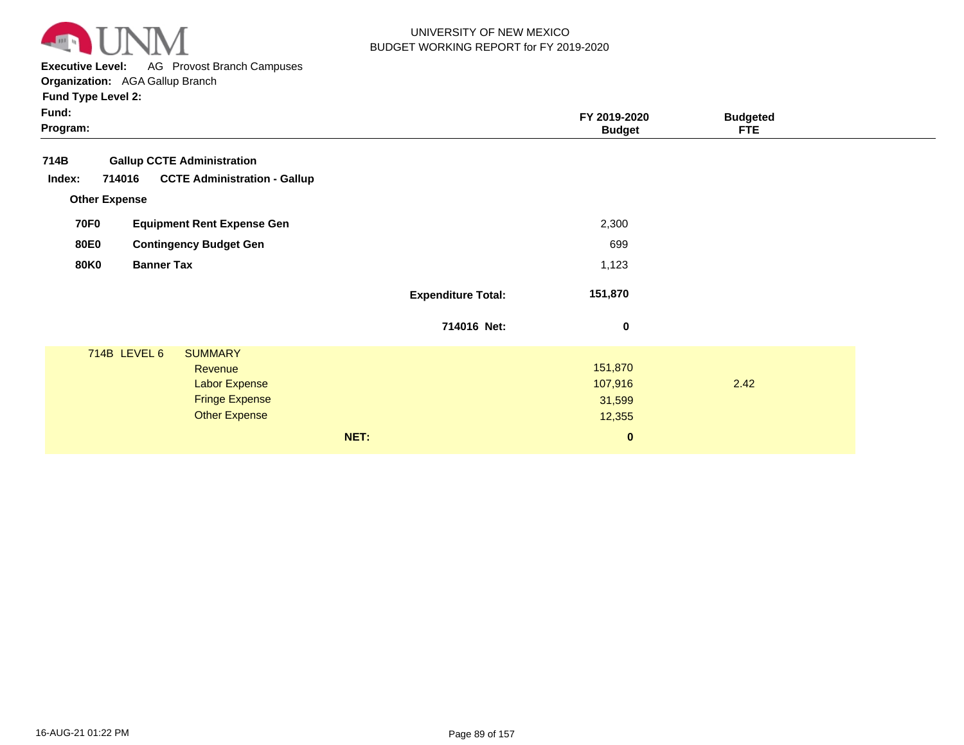

**Executive Level:** AG Provost Branch Campuses

**Organization:**  AGA Gallup Branch

|                                                                                                    |                                                                                                                                                                     | FY 2019-2020<br><b>Budget</b>                         | <b>Budgeted</b><br><b>FTE</b> |  |
|----------------------------------------------------------------------------------------------------|---------------------------------------------------------------------------------------------------------------------------------------------------------------------|-------------------------------------------------------|-------------------------------|--|
|                                                                                                    |                                                                                                                                                                     |                                                       |                               |  |
|                                                                                                    |                                                                                                                                                                     | 2,300                                                 |                               |  |
|                                                                                                    |                                                                                                                                                                     | 699                                                   |                               |  |
|                                                                                                    |                                                                                                                                                                     | 1,123                                                 |                               |  |
|                                                                                                    | <b>Expenditure Total:</b>                                                                                                                                           | 151,870                                               |                               |  |
|                                                                                                    | 714016 Net:                                                                                                                                                         | 0                                                     |                               |  |
| <b>SUMMARY</b><br>Revenue<br><b>Labor Expense</b><br><b>Fringe Expense</b><br><b>Other Expense</b> | NET:                                                                                                                                                                | 151,870<br>107,916<br>31,599<br>12,355<br>$\mathbf 0$ | 2.42                          |  |
|                                                                                                    | <b>Gallup CCTE Administration</b><br><b>CCTE Administration - Gallup</b><br><b>Equipment Rent Expense Gen</b><br><b>Contingency Budget Gen</b><br><b>Banner Tax</b> |                                                       |                               |  |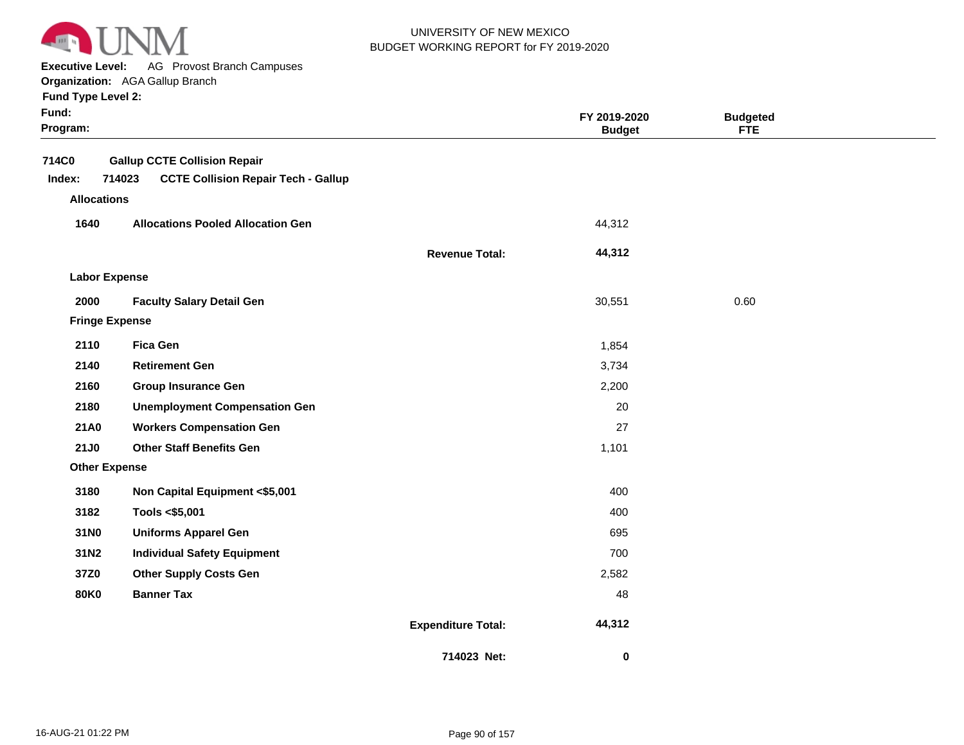

**Executive Level:** AG Provost Branch Campuses

**Organization:**  AGA Gallup Branch

| Fund:<br>Program:     |                                                      |                           | FY 2019-2020<br><b>Budget</b> | <b>Budgeted</b><br><b>FTE</b> |  |
|-----------------------|------------------------------------------------------|---------------------------|-------------------------------|-------------------------------|--|
| 714C0                 | <b>Gallup CCTE Collision Repair</b>                  |                           |                               |                               |  |
| Index:                | <b>CCTE Collision Repair Tech - Gallup</b><br>714023 |                           |                               |                               |  |
| <b>Allocations</b>    |                                                      |                           |                               |                               |  |
| 1640                  | <b>Allocations Pooled Allocation Gen</b>             |                           | 44,312                        |                               |  |
|                       |                                                      | <b>Revenue Total:</b>     | 44,312                        |                               |  |
| <b>Labor Expense</b>  |                                                      |                           |                               |                               |  |
| 2000                  | <b>Faculty Salary Detail Gen</b>                     |                           | 30,551                        | 0.60                          |  |
| <b>Fringe Expense</b> |                                                      |                           |                               |                               |  |
| 2110                  | <b>Fica Gen</b>                                      |                           | 1,854                         |                               |  |
| 2140                  | <b>Retirement Gen</b>                                |                           | 3,734                         |                               |  |
| 2160                  | <b>Group Insurance Gen</b>                           |                           | 2,200                         |                               |  |
| 2180                  | <b>Unemployment Compensation Gen</b>                 |                           | 20                            |                               |  |
| 21A0                  | <b>Workers Compensation Gen</b>                      |                           | 27                            |                               |  |
| 21J0                  | <b>Other Staff Benefits Gen</b>                      |                           | 1,101                         |                               |  |
| <b>Other Expense</b>  |                                                      |                           |                               |                               |  |
| 3180                  | Non Capital Equipment <\$5,001                       |                           | 400                           |                               |  |
| 3182                  | Tools <\$5,001                                       |                           | 400                           |                               |  |
| 31N0                  | <b>Uniforms Apparel Gen</b>                          |                           | 695                           |                               |  |
| 31N2                  | <b>Individual Safety Equipment</b>                   |                           | 700                           |                               |  |
| 37Z0                  | <b>Other Supply Costs Gen</b>                        |                           | 2,582                         |                               |  |
| <b>80K0</b>           | <b>Banner Tax</b>                                    |                           | 48                            |                               |  |
|                       |                                                      | <b>Expenditure Total:</b> | 44,312                        |                               |  |
|                       |                                                      | 714023 Net:               | 0                             |                               |  |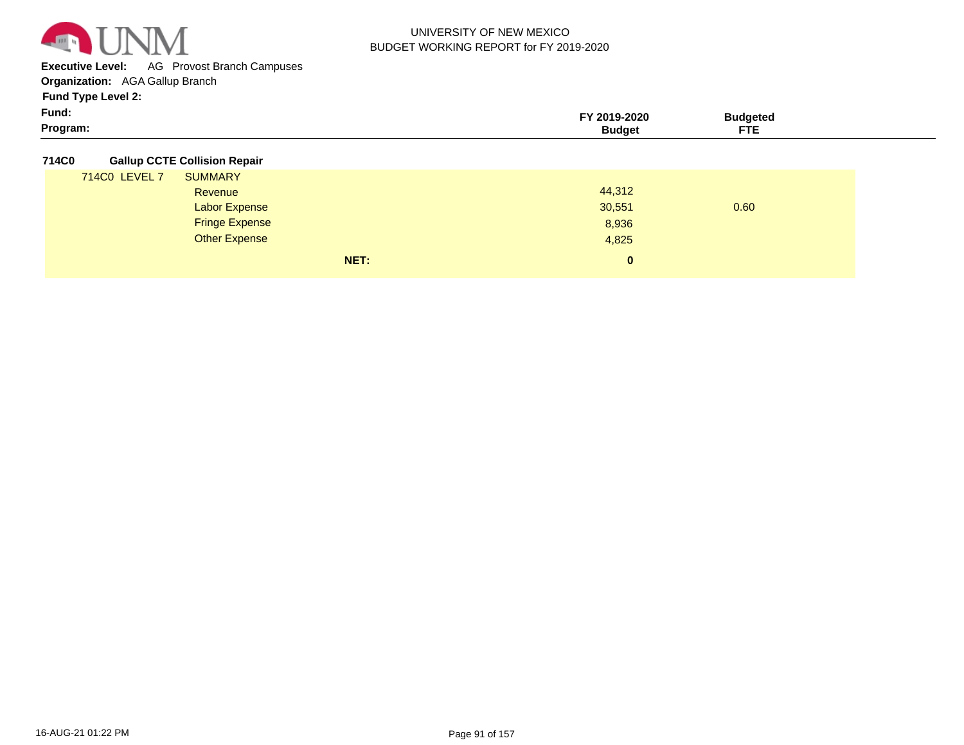

**Executive Level:** AG Provost Branch Campuses

**Organization:**  AGA Gallup Branch

**Fund Type Level 2:**

| Fund:    | `ባ19-2020<br>2019- | ∵ıdaete⊾                    |  |
|----------|--------------------|-----------------------------|--|
| Program: |                    | ____<br>---<br>$\mathbf{H}$ |  |

#### **714C0 Gallup CCTE Collision Repair**

|               | NET:                  | $\bf{0}$ |      |
|---------------|-----------------------|----------|------|
|               | <b>Other Expense</b>  | 4,825    |      |
|               | <b>Fringe Expense</b> | 8,936    |      |
|               | Labor Expense         | 30,551   | 0.60 |
|               | Revenue               | 44,312   |      |
| 714C0 LEVEL 7 | <b>SUMMARY</b>        |          |      |
|               |                       |          |      |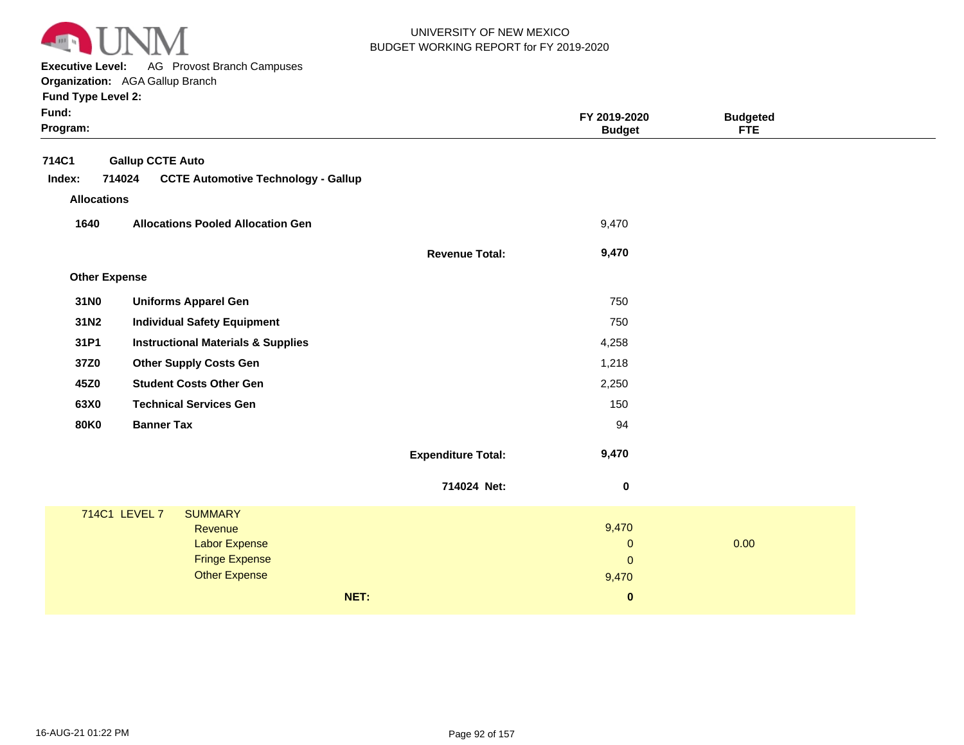

**Executive Level:** AG Provost Branch Campuses **Organization:**  AGA Gallup Branch

| Fund:<br>Program: |                      |                         |                                               |      |                           | FY 2019-2020<br><b>Budget</b> | <b>Budgeted</b><br><b>FTE</b> |  |
|-------------------|----------------------|-------------------------|-----------------------------------------------|------|---------------------------|-------------------------------|-------------------------------|--|
| 714C1             |                      | <b>Gallup CCTE Auto</b> |                                               |      |                           |                               |                               |  |
| Index:            | 714024               |                         | <b>CCTE Automotive Technology - Gallup</b>    |      |                           |                               |                               |  |
|                   | <b>Allocations</b>   |                         |                                               |      |                           |                               |                               |  |
| 1640              |                      |                         | <b>Allocations Pooled Allocation Gen</b>      |      |                           | 9,470                         |                               |  |
|                   |                      |                         |                                               |      | <b>Revenue Total:</b>     | 9,470                         |                               |  |
|                   | <b>Other Expense</b> |                         |                                               |      |                           |                               |                               |  |
| 31N0              |                      |                         | <b>Uniforms Apparel Gen</b>                   |      |                           | 750                           |                               |  |
| 31N2              |                      |                         | <b>Individual Safety Equipment</b>            |      |                           | 750                           |                               |  |
| 31P1              |                      |                         | <b>Instructional Materials &amp; Supplies</b> |      |                           | 4,258                         |                               |  |
| 37Z0              |                      |                         | <b>Other Supply Costs Gen</b>                 |      |                           | 1,218                         |                               |  |
| 45Z0              |                      |                         | <b>Student Costs Other Gen</b>                |      |                           | 2,250                         |                               |  |
| 63X0              |                      |                         | <b>Technical Services Gen</b>                 |      |                           | 150                           |                               |  |
| <b>80K0</b>       |                      | <b>Banner Tax</b>       |                                               |      |                           | 94                            |                               |  |
|                   |                      |                         |                                               |      | <b>Expenditure Total:</b> | 9,470                         |                               |  |
|                   |                      |                         |                                               |      | 714024 Net:               | $\mathbf 0$                   |                               |  |
|                   | 714C1 LEVEL 7        |                         | <b>SUMMARY</b>                                |      |                           |                               |                               |  |
|                   |                      |                         | Revenue                                       |      |                           | 9,470                         |                               |  |
|                   |                      |                         | Labor Expense<br><b>Fringe Expense</b>        |      |                           | $\mathbf 0$                   | 0.00                          |  |
|                   |                      |                         | <b>Other Expense</b>                          |      |                           | $\mathbf{0}$<br>9,470         |                               |  |
|                   |                      |                         |                                               |      |                           |                               |                               |  |
|                   |                      |                         |                                               | NET: |                           | $\mathbf 0$                   |                               |  |
|                   |                      |                         |                                               |      |                           |                               |                               |  |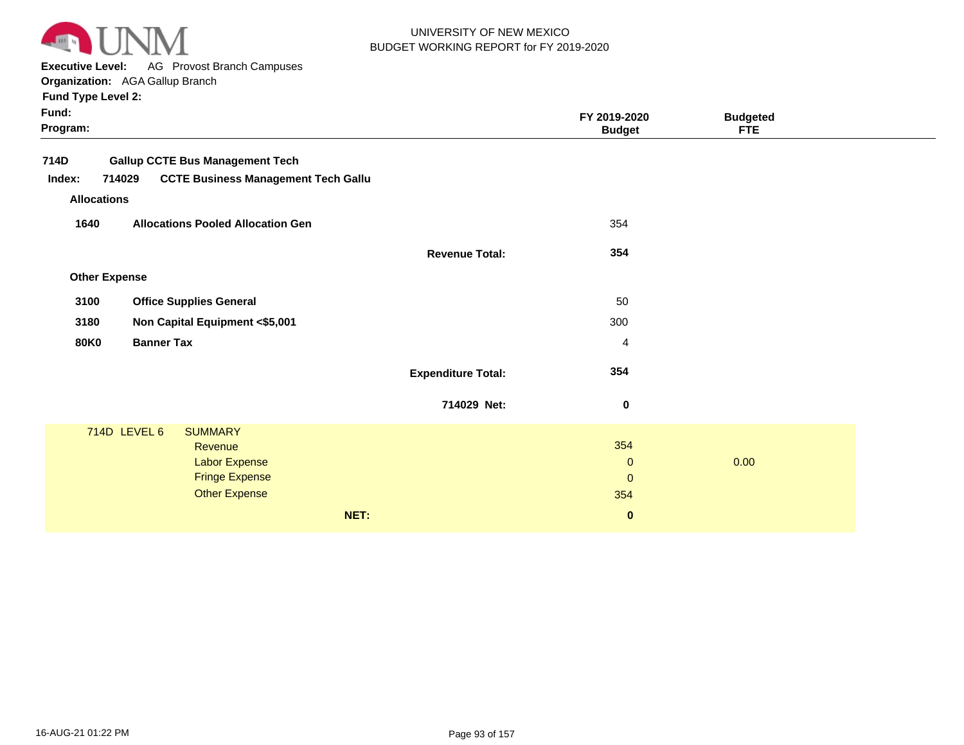

**Executive Level:** AG Provost Branch Campuses

**Organization:**  AGA Gallup Branch **Fund Type Level 2:**

**Program: Fund: Budgeted FTE FY 2019-2020 Budget 714D Gallup CCTE Bus Management Tech Revenue Allocations Other Expense 714029 CCTE Business Management Tech Gallu Revenue Total: Expenditure Total: 354 354 Index: SUMMARY 1640 3100 3180 80K0 Allocations Pooled Allocation Gen Office Supplies General Non Capital Equipment <\$5,001 Banner Tax** 714D LEVEL 6 **714029 Net:** 354 354 354 50 300 4 0  **0**  0 **NET: 0**  0.00 **Revenue** Labor Expense Fringe Expense Other Expense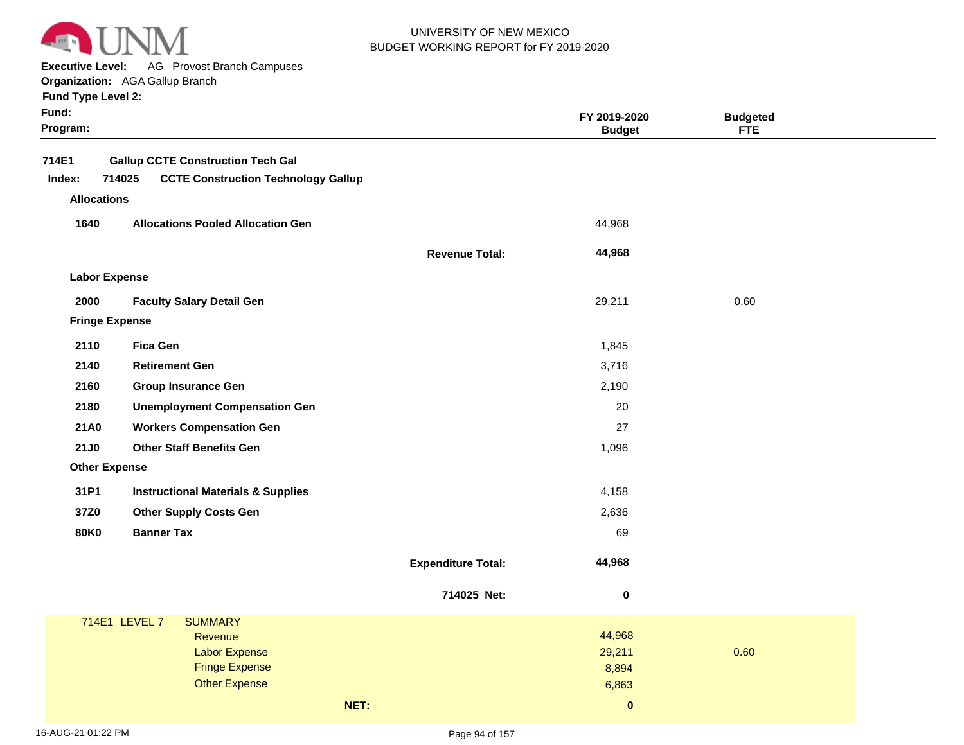

**Executive Level:** AG Provost Branch Campuses

**Organization:**  AGA Gallup Branch

|  |  | <b>Fund Type Level 2:</b> |  |
|--|--|---------------------------|--|
|--|--|---------------------------|--|

| Fund:<br>Program: |                                                      |                           | FY 2019-2020<br><b>Budget</b> | <b>Budgeted</b><br><b>FTE</b> |  |
|-------------------|------------------------------------------------------|---------------------------|-------------------------------|-------------------------------|--|
| 714E1             | <b>Gallup CCTE Construction Tech Gal</b>             |                           |                               |                               |  |
| Index:            | 714025<br><b>CCTE Construction Technology Gallup</b> |                           |                               |                               |  |
|                   | <b>Allocations</b>                                   |                           |                               |                               |  |
| 1640              | <b>Allocations Pooled Allocation Gen</b>             |                           | 44,968                        |                               |  |
|                   |                                                      | <b>Revenue Total:</b>     | 44,968                        |                               |  |
|                   | <b>Labor Expense</b>                                 |                           |                               |                               |  |
| 2000              | <b>Faculty Salary Detail Gen</b>                     |                           | 29,211                        | 0.60                          |  |
|                   | <b>Fringe Expense</b>                                |                           |                               |                               |  |
| 2110              | <b>Fica Gen</b>                                      |                           | 1,845                         |                               |  |
| 2140              | <b>Retirement Gen</b>                                |                           | 3,716                         |                               |  |
| 2160              | <b>Group Insurance Gen</b>                           |                           | 2,190                         |                               |  |
| 2180              | <b>Unemployment Compensation Gen</b>                 |                           | 20                            |                               |  |
| 21A0              | <b>Workers Compensation Gen</b>                      |                           | 27                            |                               |  |
| <b>21J0</b>       | <b>Other Staff Benefits Gen</b>                      |                           | 1,096                         |                               |  |
|                   | <b>Other Expense</b>                                 |                           |                               |                               |  |
| 31P1              | <b>Instructional Materials &amp; Supplies</b>        |                           | 4,158                         |                               |  |
| 37Z0              | <b>Other Supply Costs Gen</b>                        |                           | 2,636                         |                               |  |
| <b>80K0</b>       | <b>Banner Tax</b>                                    |                           | 69                            |                               |  |
|                   |                                                      | <b>Expenditure Total:</b> | 44,968                        |                               |  |
|                   |                                                      | 714025 Net:               | $\bf{0}$                      |                               |  |
|                   | 714E1 LEVEL 7<br><b>SUMMARY</b>                      |                           |                               |                               |  |
|                   | Revenue                                              |                           | 44,968                        |                               |  |
|                   | <b>Labor Expense</b><br><b>Fringe Expense</b>        |                           | 29,211<br>8,894               | 0.60                          |  |
|                   | <b>Other Expense</b>                                 |                           | 6,863                         |                               |  |
|                   | NET:                                                 |                           | $\mathbf{0}$                  |                               |  |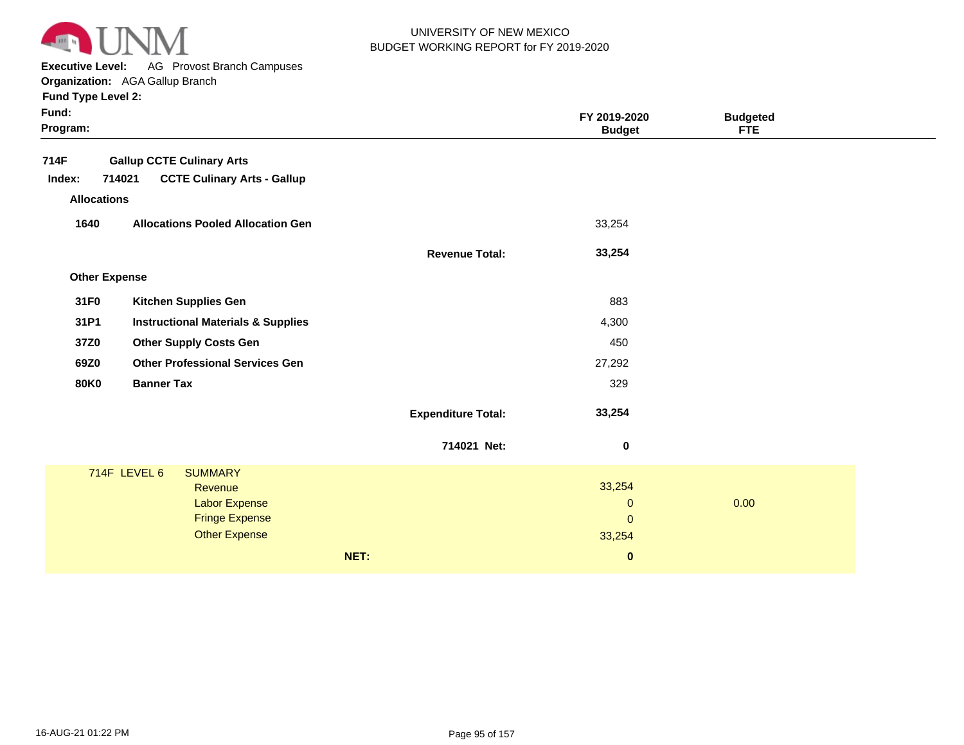

**Executive Level:** AG Provost Branch Campuses

**Organization:**  AGA Gallup Branch

|                                                                                                                                                                                                                                                                                                                                                                                                          | FY 2019-2020<br><b>Budget</b> | <b>Budgeted</b><br><b>FTE</b>                     |      |
|----------------------------------------------------------------------------------------------------------------------------------------------------------------------------------------------------------------------------------------------------------------------------------------------------------------------------------------------------------------------------------------------------------|-------------------------------|---------------------------------------------------|------|
|                                                                                                                                                                                                                                                                                                                                                                                                          |                               |                                                   |      |
|                                                                                                                                                                                                                                                                                                                                                                                                          |                               |                                                   |      |
|                                                                                                                                                                                                                                                                                                                                                                                                          |                               |                                                   |      |
|                                                                                                                                                                                                                                                                                                                                                                                                          | 33,254                        |                                                   |      |
| <b>Revenue Total:</b>                                                                                                                                                                                                                                                                                                                                                                                    | 33,254                        |                                                   |      |
|                                                                                                                                                                                                                                                                                                                                                                                                          |                               |                                                   |      |
|                                                                                                                                                                                                                                                                                                                                                                                                          | 883                           |                                                   |      |
|                                                                                                                                                                                                                                                                                                                                                                                                          | 4,300                         |                                                   |      |
|                                                                                                                                                                                                                                                                                                                                                                                                          | 450                           |                                                   |      |
|                                                                                                                                                                                                                                                                                                                                                                                                          | 27,292                        |                                                   |      |
|                                                                                                                                                                                                                                                                                                                                                                                                          | 329                           |                                                   |      |
| <b>Expenditure Total:</b>                                                                                                                                                                                                                                                                                                                                                                                | 33,254                        |                                                   |      |
| 714021 Net:                                                                                                                                                                                                                                                                                                                                                                                              | $\boldsymbol{0}$              |                                                   |      |
|                                                                                                                                                                                                                                                                                                                                                                                                          |                               |                                                   |      |
|                                                                                                                                                                                                                                                                                                                                                                                                          |                               |                                                   |      |
|                                                                                                                                                                                                                                                                                                                                                                                                          |                               |                                                   |      |
|                                                                                                                                                                                                                                                                                                                                                                                                          |                               |                                                   |      |
|                                                                                                                                                                                                                                                                                                                                                                                                          | $\bf{0}$                      |                                                   |      |
| <b>Gallup CCTE Culinary Arts</b><br><b>CCTE Culinary Arts - Gallup</b><br><b>Allocations Pooled Allocation Gen</b><br><b>Kitchen Supplies Gen</b><br><b>Instructional Materials &amp; Supplies</b><br><b>Other Supply Costs Gen</b><br><b>Other Professional Services Gen</b><br><b>Banner Tax</b><br><b>SUMMARY</b><br>Revenue<br><b>Labor Expense</b><br><b>Fringe Expense</b><br><b>Other Expense</b> | NET:                          | 33,254<br>$\mathbf 0$<br>$\overline{0}$<br>33,254 | 0.00 |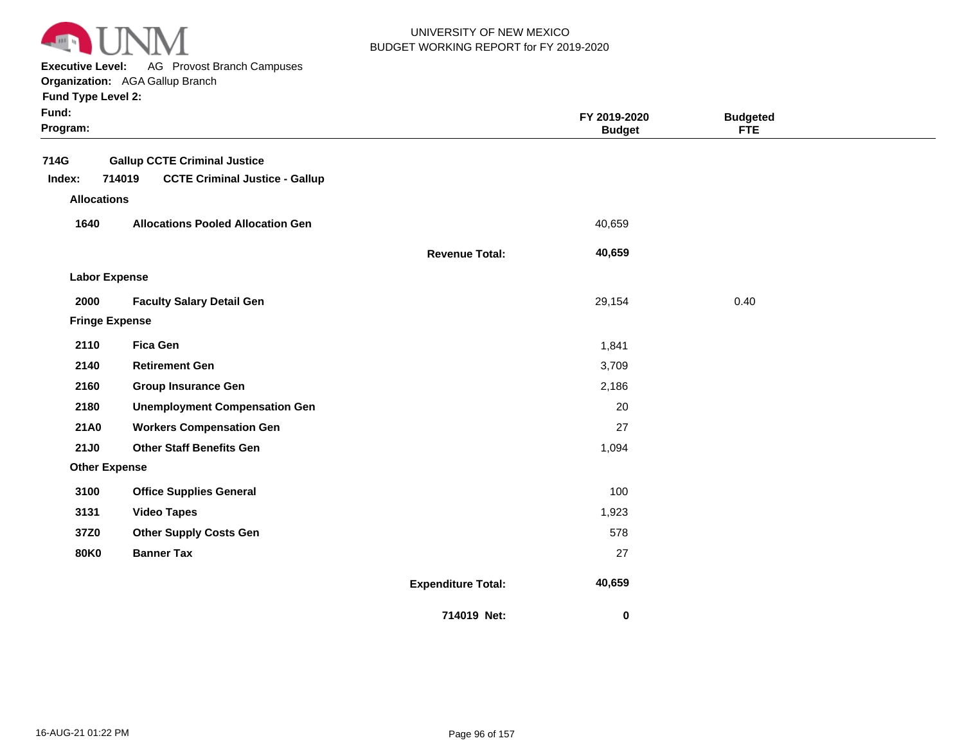

**Executive Level:** AG Provost Branch Campuses

**Organization:**  AGA Gallup Branch

| Fund:<br>Program:  |                                                                                        |                           | FY 2019-2020<br><b>Budget</b> | <b>Budgeted</b><br><b>FTE</b> |  |
|--------------------|----------------------------------------------------------------------------------------|---------------------------|-------------------------------|-------------------------------|--|
| 714G<br>Index:     | <b>Gallup CCTE Criminal Justice</b><br>714019<br><b>CCTE Criminal Justice - Gallup</b> |                           |                               |                               |  |
| <b>Allocations</b> |                                                                                        |                           |                               |                               |  |
| 1640               | <b>Allocations Pooled Allocation Gen</b>                                               |                           | 40,659                        |                               |  |
|                    |                                                                                        | <b>Revenue Total:</b>     | 40,659                        |                               |  |
|                    | <b>Labor Expense</b>                                                                   |                           |                               |                               |  |
| 2000               | <b>Faculty Salary Detail Gen</b>                                                       |                           | 29,154                        | 0.40                          |  |
|                    | <b>Fringe Expense</b>                                                                  |                           |                               |                               |  |
| 2110               | <b>Fica Gen</b>                                                                        |                           | 1,841                         |                               |  |
| 2140               | <b>Retirement Gen</b>                                                                  |                           | 3,709                         |                               |  |
| 2160               | <b>Group Insurance Gen</b>                                                             |                           | 2,186                         |                               |  |
| 2180               | <b>Unemployment Compensation Gen</b>                                                   |                           | 20                            |                               |  |
| 21A0               | <b>Workers Compensation Gen</b>                                                        |                           | 27                            |                               |  |
| <b>21J0</b>        | <b>Other Staff Benefits Gen</b>                                                        |                           | 1,094                         |                               |  |
|                    | <b>Other Expense</b>                                                                   |                           |                               |                               |  |
| 3100               | <b>Office Supplies General</b>                                                         |                           | 100                           |                               |  |
| 3131               | <b>Video Tapes</b>                                                                     |                           | 1,923                         |                               |  |
| 37Z0               | <b>Other Supply Costs Gen</b>                                                          |                           | 578                           |                               |  |
| <b>80K0</b>        | <b>Banner Tax</b>                                                                      |                           | 27                            |                               |  |
|                    |                                                                                        | <b>Expenditure Total:</b> | 40,659                        |                               |  |
|                    |                                                                                        | 714019 Net:               | 0                             |                               |  |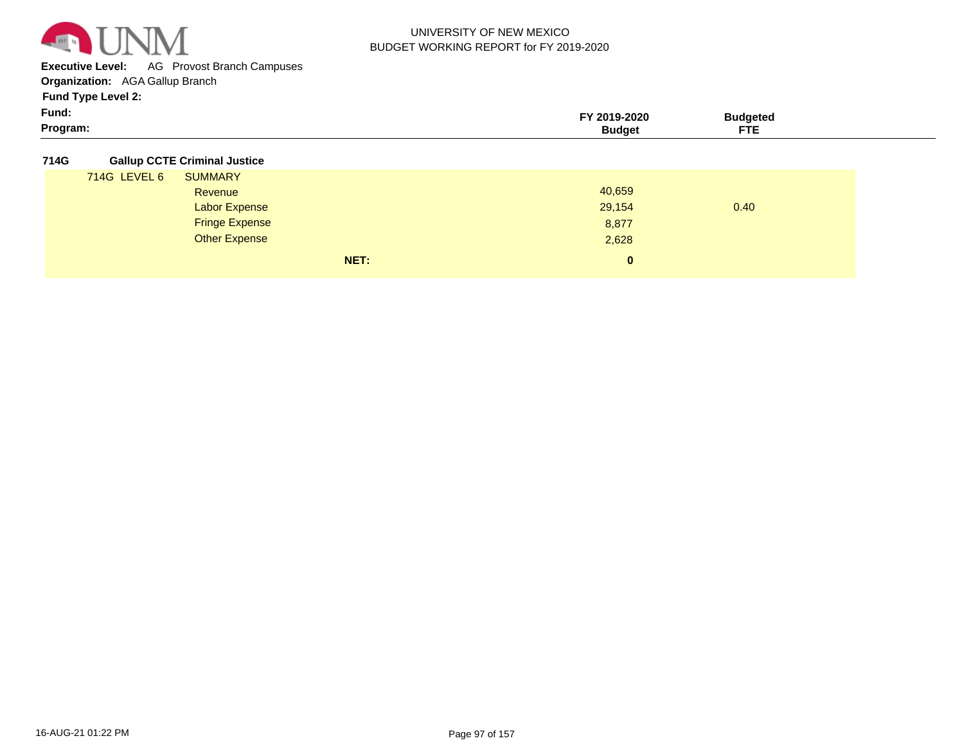

**Executive Level:** AG Provost Branch Campuses

**Organization:**  AGA Gallup Branch

**Fund Type Level 2:**

| Fund:    | 2019-2020 | ™uadete∆   |
|----------|-----------|------------|
| Program: | Budael    | <b>FTE</b> |

**714G Gallup CCTE Criminal Justice**

|              | NET:                  | $\mathbf{0}$ |      |
|--------------|-----------------------|--------------|------|
|              | <b>Other Expense</b>  | 2,628        |      |
|              | <b>Fringe Expense</b> | 8,877        |      |
|              | <b>Labor Expense</b>  | 29,154       | 0.40 |
|              | Revenue               | 40,659       |      |
| 714G LEVEL 6 | <b>SUMMARY</b>        |              |      |
|              |                       |              |      |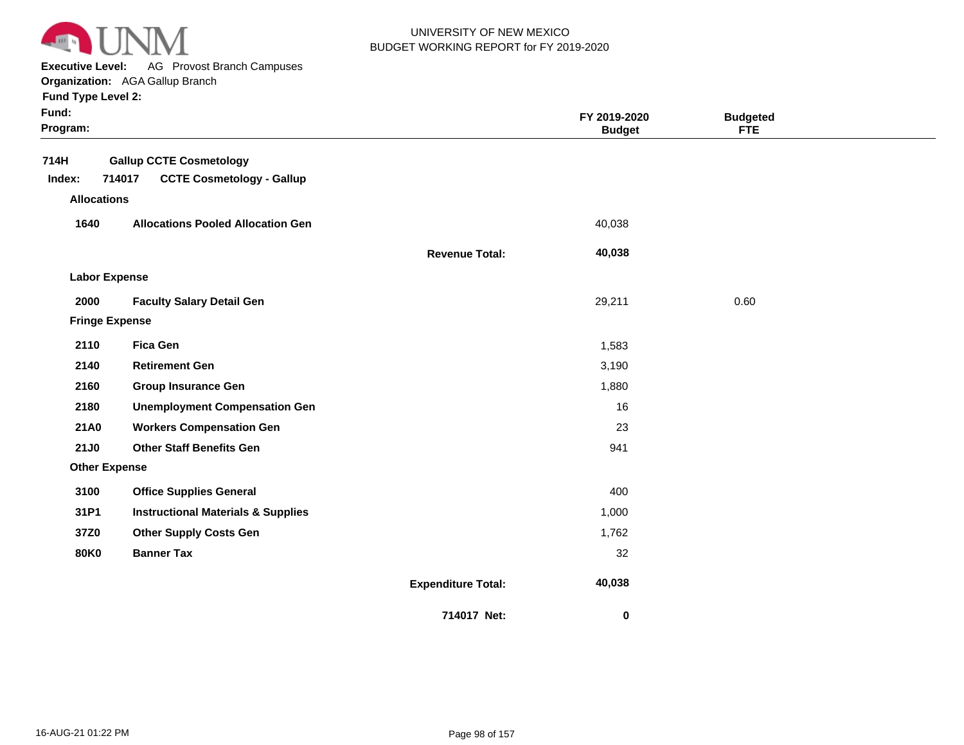

**Executive Level:** AG Provost Branch Campuses

**Organization:**  AGA Gallup Branch **Fund Type Level 2:**

| Fund Type Level 2: |  |
|--------------------|--|
|--------------------|--|

| × | × |  |
|---|---|--|
|   |   |  |

| Fund:<br>Program:     |                                                                              |                           | FY 2019-2020<br><b>Budget</b> | <b>Budgeted</b><br><b>FTE</b> |  |
|-----------------------|------------------------------------------------------------------------------|---------------------------|-------------------------------|-------------------------------|--|
| 714H<br>Index:        | <b>Gallup CCTE Cosmetology</b><br>714017<br><b>CCTE Cosmetology - Gallup</b> |                           |                               |                               |  |
| <b>Allocations</b>    |                                                                              |                           |                               |                               |  |
| 1640                  | <b>Allocations Pooled Allocation Gen</b>                                     |                           | 40,038                        |                               |  |
|                       |                                                                              | <b>Revenue Total:</b>     | 40,038                        |                               |  |
| <b>Labor Expense</b>  |                                                                              |                           |                               |                               |  |
| 2000                  | <b>Faculty Salary Detail Gen</b>                                             |                           | 29,211                        | 0.60                          |  |
| <b>Fringe Expense</b> |                                                                              |                           |                               |                               |  |
| 2110                  | <b>Fica Gen</b>                                                              |                           | 1,583                         |                               |  |
| 2140                  | <b>Retirement Gen</b>                                                        |                           | 3,190                         |                               |  |
| 2160                  | <b>Group Insurance Gen</b>                                                   |                           | 1,880                         |                               |  |
| 2180                  | <b>Unemployment Compensation Gen</b>                                         |                           | 16                            |                               |  |
| 21A0                  | <b>Workers Compensation Gen</b>                                              |                           | 23                            |                               |  |
| <b>21J0</b>           | <b>Other Staff Benefits Gen</b>                                              |                           | 941                           |                               |  |
| <b>Other Expense</b>  |                                                                              |                           |                               |                               |  |
| 3100                  | <b>Office Supplies General</b>                                               |                           | 400                           |                               |  |
| 31P1                  | <b>Instructional Materials &amp; Supplies</b>                                |                           | 1,000                         |                               |  |
| 37Z0                  | <b>Other Supply Costs Gen</b>                                                |                           | 1,762                         |                               |  |
| <b>80K0</b>           | <b>Banner Tax</b>                                                            |                           | 32                            |                               |  |
|                       |                                                                              | <b>Expenditure Total:</b> | 40,038                        |                               |  |
|                       |                                                                              | 714017 Net:               | 0                             |                               |  |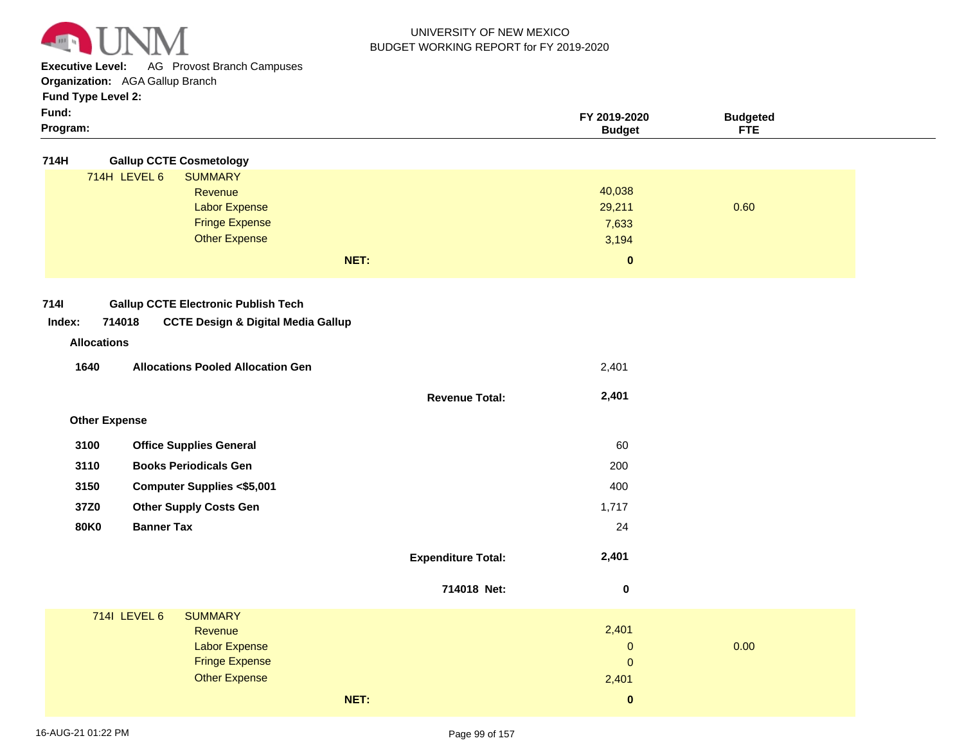

**Executive Level:** AG Provost Branch Campuses

**Organization:**  AGA Gallup Branch

**Fund Type Level 2:**

| Fund:<br>Program: | Fund Type Level 2.             | FY 2019-2020<br><b>Budget</b> | <b>Budgeted</b><br><b>FTE</b> |  |
|-------------------|--------------------------------|-------------------------------|-------------------------------|--|
| 714H              | <b>Gallup CCTE Cosmetology</b> |                               |                               |  |

|                                                       | 714H LEVEL 6<br><b>SUMMARY</b><br>Revenue<br><b>Labor Expense</b><br><b>Fringe Expense</b><br><b>Other Expense</b><br>NET: |                           | 40,038<br>29,211<br>7,633<br>3,194<br>$\mathbf 0$ | 0.60 |
|-------------------------------------------------------|----------------------------------------------------------------------------------------------------------------------------|---------------------------|---------------------------------------------------|------|
| <b>7141</b><br>Index:<br>714018<br><b>Allocations</b> | <b>Gallup CCTE Electronic Publish Tech</b><br><b>CCTE Design &amp; Digital Media Gallup</b>                                |                           |                                                   |      |
| 1640                                                  | <b>Allocations Pooled Allocation Gen</b>                                                                                   |                           | 2,401                                             |      |
|                                                       |                                                                                                                            | <b>Revenue Total:</b>     | 2,401                                             |      |
| <b>Other Expense</b>                                  |                                                                                                                            |                           |                                                   |      |
| 3100                                                  | <b>Office Supplies General</b>                                                                                             |                           | 60                                                |      |
| 3110                                                  | <b>Books Periodicals Gen</b>                                                                                               |                           | 200                                               |      |
| 3150                                                  | <b>Computer Supplies &lt;\$5,001</b>                                                                                       |                           | 400                                               |      |
| 37Z0                                                  | <b>Other Supply Costs Gen</b>                                                                                              |                           | 1,717                                             |      |
| <b>80K0</b>                                           | <b>Banner Tax</b>                                                                                                          |                           | 24                                                |      |
|                                                       |                                                                                                                            | <b>Expenditure Total:</b> | 2,401                                             |      |
|                                                       |                                                                                                                            | 714018 Net:               | $\bf{0}$                                          |      |
|                                                       | <b>714I LEVEL 6</b><br><b>SUMMARY</b><br>Revenue<br><b>Labor Expense</b><br><b>Fringe Expense</b><br><b>Other Expense</b>  |                           | 2,401<br>$\pmb{0}$<br>$\pmb{0}$<br>2,401          | 0.00 |

**NET:**

 **0**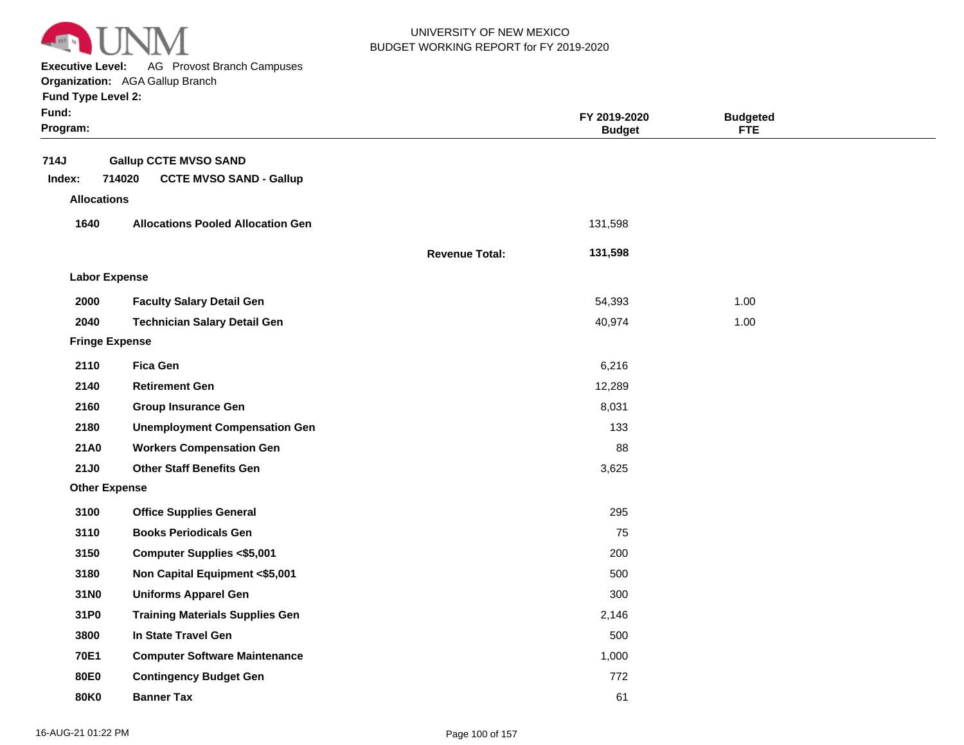

**Executive Level:** AG Provost Branch Campuses

#### **Organization:**  AGA Gallup Branch

| Fund:<br>Program:                    |                                                                          |                       | FY 2019-2020<br><b>Budget</b> | <b>Budgeted</b><br><b>FTE</b> |  |
|--------------------------------------|--------------------------------------------------------------------------|-----------------------|-------------------------------|-------------------------------|--|
| 714J<br>Index:<br><b>Allocations</b> | <b>Gallup CCTE MVSO SAND</b><br>714020<br><b>CCTE MVSO SAND - Gallup</b> |                       |                               |                               |  |
| 1640                                 | <b>Allocations Pooled Allocation Gen</b>                                 |                       | 131,598                       |                               |  |
|                                      |                                                                          | <b>Revenue Total:</b> | 131,598                       |                               |  |
| <b>Labor Expense</b>                 |                                                                          |                       |                               |                               |  |
| 2000                                 | <b>Faculty Salary Detail Gen</b>                                         |                       | 54,393                        | 1.00                          |  |
| 2040                                 | <b>Technician Salary Detail Gen</b>                                      |                       | 40,974                        | 1.00                          |  |
| <b>Fringe Expense</b>                |                                                                          |                       |                               |                               |  |
| 2110                                 | <b>Fica Gen</b>                                                          |                       | 6,216                         |                               |  |
| 2140                                 | <b>Retirement Gen</b>                                                    |                       | 12,289                        |                               |  |
| 2160                                 | <b>Group Insurance Gen</b>                                               |                       | 8,031                         |                               |  |
| 2180                                 | <b>Unemployment Compensation Gen</b>                                     |                       | 133                           |                               |  |
| 21A0                                 | <b>Workers Compensation Gen</b>                                          |                       | 88                            |                               |  |
| 21J0                                 | <b>Other Staff Benefits Gen</b>                                          |                       | 3,625                         |                               |  |
| <b>Other Expense</b>                 |                                                                          |                       |                               |                               |  |
| 3100                                 | <b>Office Supplies General</b>                                           |                       | 295                           |                               |  |
| 3110                                 | <b>Books Periodicals Gen</b>                                             |                       | 75                            |                               |  |
| 3150                                 | <b>Computer Supplies &lt;\$5,001</b>                                     |                       | 200                           |                               |  |
| 3180                                 | Non Capital Equipment <\$5,001                                           |                       | 500                           |                               |  |
| 31N0                                 | <b>Uniforms Apparel Gen</b>                                              |                       | 300                           |                               |  |
| 31P0                                 | <b>Training Materials Supplies Gen</b>                                   |                       | 2,146                         |                               |  |
| 3800                                 | In State Travel Gen                                                      |                       | 500                           |                               |  |
| 70E1                                 | <b>Computer Software Maintenance</b>                                     |                       | 1,000                         |                               |  |
| 80E0                                 | <b>Contingency Budget Gen</b>                                            |                       | 772                           |                               |  |
| 80K0                                 | <b>Banner Tax</b>                                                        |                       | 61                            |                               |  |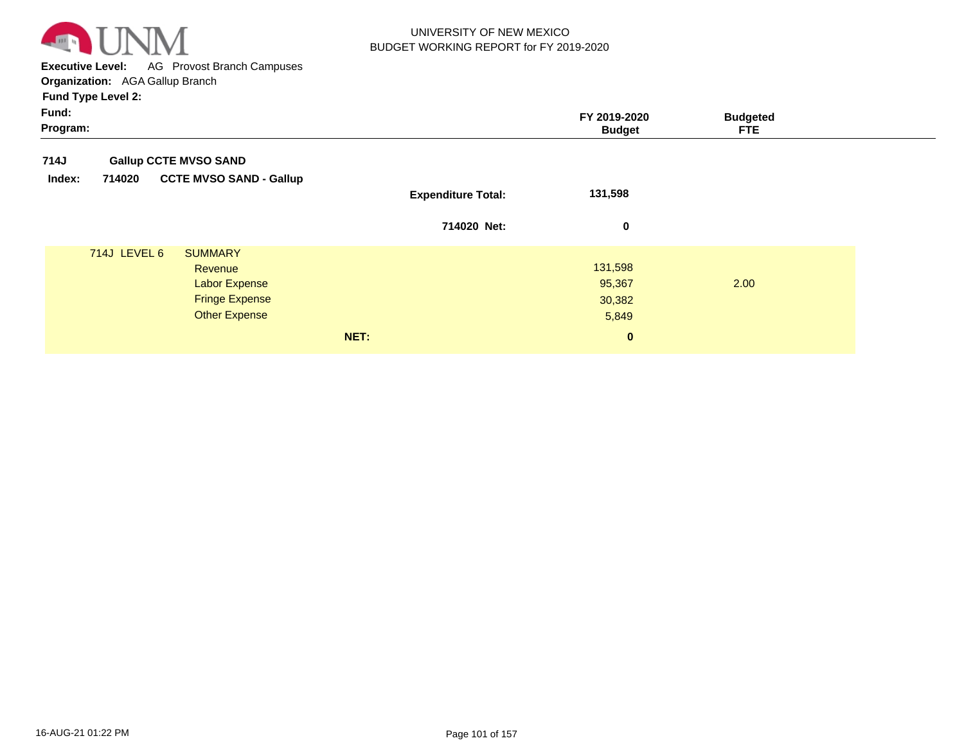

**Executive Level:** AG Provost Branch Campuses **Organization:**  AGA Gallup Branch

| Fund:<br>Program: |                                                  |                           | FY 2019-2020<br><b>Budget</b> | <b>Budgeted</b><br><b>FTE</b> |
|-------------------|--------------------------------------------------|---------------------------|-------------------------------|-------------------------------|
| 714J              | <b>Gallup CCTE MVSO SAND</b>                     |                           |                               |                               |
| Index:            | <b>CCTE MVSO SAND - Gallup</b><br>714020         | <b>Expenditure Total:</b> | 131,598                       |                               |
|                   |                                                  | 714020 Net:               | $\bf{0}$                      |                               |
|                   | <b>714J LEVEL 6</b><br><b>SUMMARY</b><br>Revenue |                           | 131,598                       |                               |
|                   | <b>Labor Expense</b>                             |                           | 95,367                        | 2.00                          |
|                   | <b>Fringe Expense</b>                            |                           | 30,382                        |                               |
|                   | <b>Other Expense</b>                             |                           | 5,849                         |                               |
|                   |                                                  | NET:                      | $\bf{0}$                      |                               |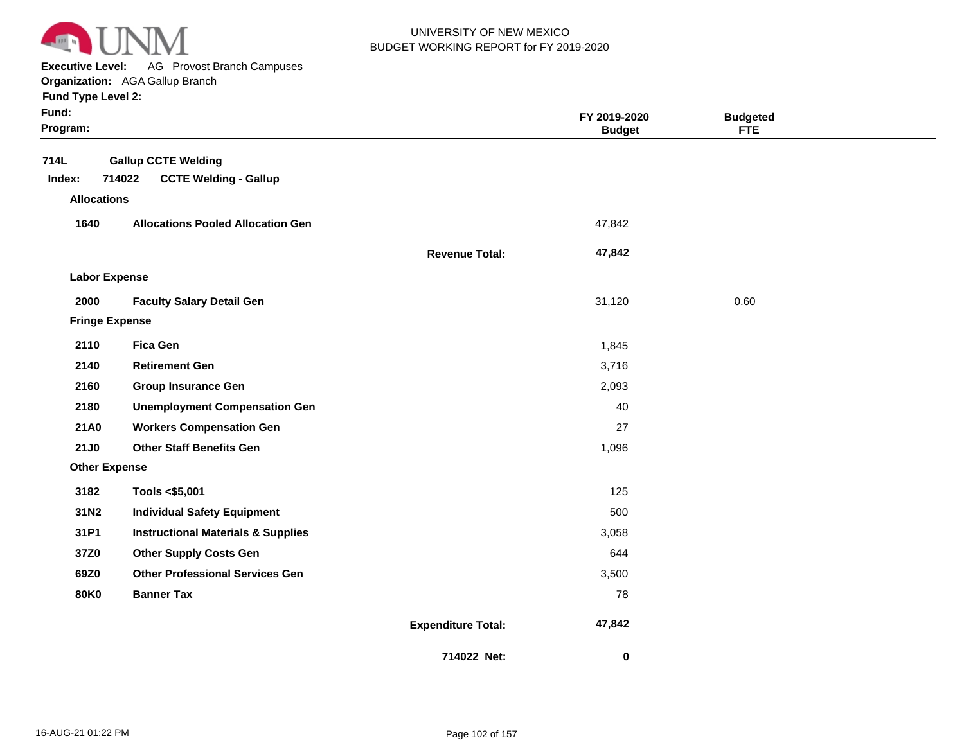

**Executive Level:** AG Provost Branch Campuses

**Organization:**  AGA Gallup Branch **Fund Type Level 2:**

|  | runu i ype Levei z: |  |
|--|---------------------|--|
|  |                     |  |

| Fund:<br>Program:     |                                                                      |                           | FY 2019-2020<br><b>Budget</b> | <b>Budgeted</b><br><b>FTE</b> |  |
|-----------------------|----------------------------------------------------------------------|---------------------------|-------------------------------|-------------------------------|--|
| 714L<br>Index:        | <b>Gallup CCTE Welding</b><br>714022<br><b>CCTE Welding - Gallup</b> |                           |                               |                               |  |
| <b>Allocations</b>    |                                                                      |                           |                               |                               |  |
| 1640                  | <b>Allocations Pooled Allocation Gen</b>                             |                           | 47,842                        |                               |  |
|                       |                                                                      | <b>Revenue Total:</b>     | 47,842                        |                               |  |
| <b>Labor Expense</b>  |                                                                      |                           |                               |                               |  |
| 2000                  | <b>Faculty Salary Detail Gen</b>                                     |                           | 31,120                        | 0.60                          |  |
| <b>Fringe Expense</b> |                                                                      |                           |                               |                               |  |
| 2110                  | <b>Fica Gen</b>                                                      |                           | 1,845                         |                               |  |
| 2140                  | <b>Retirement Gen</b>                                                |                           | 3,716                         |                               |  |
| 2160                  | <b>Group Insurance Gen</b>                                           |                           | 2,093                         |                               |  |
| 2180                  | <b>Unemployment Compensation Gen</b>                                 |                           | 40                            |                               |  |
| 21A0                  | <b>Workers Compensation Gen</b>                                      |                           | 27                            |                               |  |
| <b>21J0</b>           | <b>Other Staff Benefits Gen</b>                                      |                           | 1,096                         |                               |  |
| <b>Other Expense</b>  |                                                                      |                           |                               |                               |  |
| 3182                  | Tools <\$5,001                                                       |                           | 125                           |                               |  |
| 31N2                  | <b>Individual Safety Equipment</b>                                   |                           | 500                           |                               |  |
| 31P1                  | <b>Instructional Materials &amp; Supplies</b>                        |                           | 3,058                         |                               |  |
| 37Z0                  | <b>Other Supply Costs Gen</b>                                        |                           | 644                           |                               |  |
| 69Z0                  | <b>Other Professional Services Gen</b>                               |                           | 3,500                         |                               |  |
| <b>80K0</b>           | <b>Banner Tax</b>                                                    |                           | 78                            |                               |  |
|                       |                                                                      | <b>Expenditure Total:</b> | 47,842                        |                               |  |
|                       |                                                                      | 714022 Net:               | 0                             |                               |  |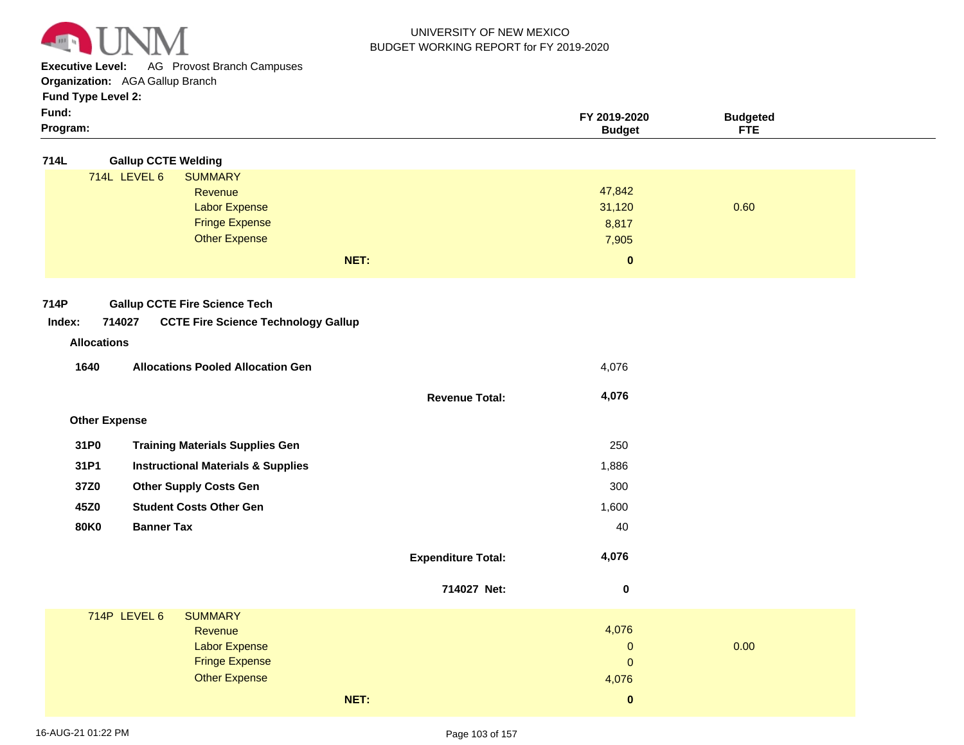

**Executive Level:** AG Provost Branch Campuses

**Organization:**  AGA Gallup Branch

# **Fund Type Level 2:**

| Program: | 'udae        | ---         |  |
|----------|--------------|-------------|--|
| Fund:    | FY 2019-2020 | 'daeteo<br> |  |
| .        |              |             |  |

| <b>Gallup CCTE Welding</b><br>714L |
|------------------------------------|
|------------------------------------|

| . |              |                       |          |      |
|---|--------------|-----------------------|----------|------|
|   | 714L LEVEL 6 | <b>SUMMARY</b>        |          |      |
|   |              | Revenue               | 47,842   |      |
|   |              | <b>Labor Expense</b>  | 31,120   | 0.60 |
|   |              | <b>Fringe Expense</b> | 8,817    |      |
|   |              | <b>Other Expense</b>  | 7,905    |      |
|   |              | NET:                  | $\bf{0}$ |      |
|   |              |                       |          |      |

**Revenue Total:**

 **4,076** 

#### **714P Gallup CCTE Fire Science Tech**

#### **714027 CCTE Fire Science Technology Gallup Index:**

# **Revenue Allocations**

| 1640 | <b>Allocations Pooled Allocation Gen</b> | 4.076 |
|------|------------------------------------------|-------|
|      |                                          |       |

| <b>Other Expense</b> |
|----------------------|

| 31P0 | <b>Training Materials Supplies Gen</b>        | 250   |
|------|-----------------------------------------------|-------|
| 31P1 | <b>Instructional Materials &amp; Supplies</b> | 1,886 |
| 37Z0 | <b>Other Supply Costs Gen</b>                 | 300   |
| 45Z0 | <b>Student Costs Other Gen</b>                | 1,600 |
| 80K0 | <b>Banner Tax</b>                             | 40    |
|      |                                               |       |

| <b>Expenditure Total:</b> | 4.076 |
|---------------------------|-------|
|                           |       |

|                                                                                            | 714027 Net: | 0                                       |      |  |
|--------------------------------------------------------------------------------------------|-------------|-----------------------------------------|------|--|
| 714P LEVEL 6<br><b>SUMMARY</b><br>Revenue<br><b>Labor Expense</b><br><b>Fringe Expense</b> |             | 4,076<br>$\overline{0}$<br>$\mathbf{0}$ | 0.00 |  |
| <b>Other Expense</b>                                                                       |             | 4,076                                   |      |  |
| NET:                                                                                       |             | $\bf{0}$                                |      |  |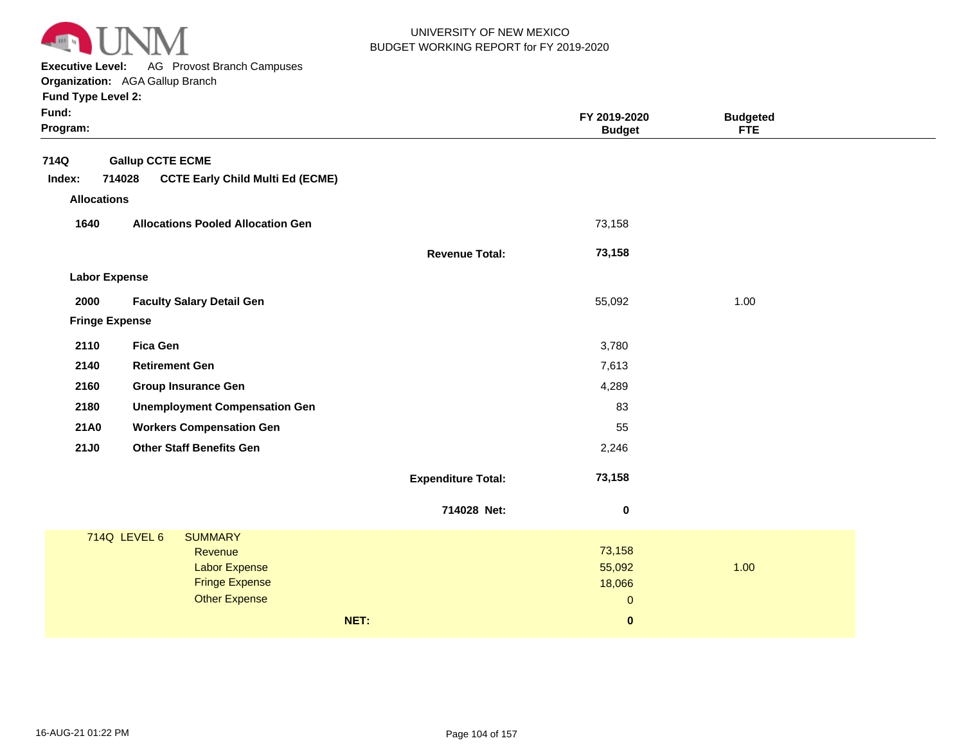

**Executive Level:** AG Provost Branch Campuses

**Organization:**  AGA Gallup Branch

| Fund:<br>Program:     |                                  |                                                                                                    |      |                           | FY 2019-2020<br><b>Budget</b>             | <b>Budgeted</b><br><b>FTE</b> |  |
|-----------------------|----------------------------------|----------------------------------------------------------------------------------------------------|------|---------------------------|-------------------------------------------|-------------------------------|--|
| 714Q                  | <b>Gallup CCTE ECME</b>          |                                                                                                    |      |                           |                                           |                               |  |
| Index:                | 714028                           | <b>CCTE Early Child Multi Ed (ECME)</b>                                                            |      |                           |                                           |                               |  |
| <b>Allocations</b>    |                                  |                                                                                                    |      |                           |                                           |                               |  |
| 1640                  |                                  | <b>Allocations Pooled Allocation Gen</b>                                                           |      |                           | 73,158                                    |                               |  |
|                       |                                  |                                                                                                    |      | <b>Revenue Total:</b>     | 73,158                                    |                               |  |
| <b>Labor Expense</b>  |                                  |                                                                                                    |      |                           |                                           |                               |  |
| 2000                  | <b>Faculty Salary Detail Gen</b> |                                                                                                    |      |                           | 55,092                                    | 1.00                          |  |
| <b>Fringe Expense</b> |                                  |                                                                                                    |      |                           |                                           |                               |  |
| 2110                  | <b>Fica Gen</b>                  |                                                                                                    |      |                           | 3,780                                     |                               |  |
| 2140                  | <b>Retirement Gen</b>            |                                                                                                    |      |                           | 7,613                                     |                               |  |
| 2160                  | <b>Group Insurance Gen</b>       |                                                                                                    |      |                           | 4,289                                     |                               |  |
| 2180                  |                                  | <b>Unemployment Compensation Gen</b>                                                               |      |                           | 83                                        |                               |  |
| 21A0                  |                                  | <b>Workers Compensation Gen</b>                                                                    |      |                           | 55                                        |                               |  |
| <b>21J0</b>           | <b>Other Staff Benefits Gen</b>  |                                                                                                    |      |                           | 2,246                                     |                               |  |
|                       |                                  |                                                                                                    |      | <b>Expenditure Total:</b> | 73,158                                    |                               |  |
|                       |                                  |                                                                                                    |      | 714028 Net:               | 0                                         |                               |  |
|                       | 714Q LEVEL 6                     | <b>SUMMARY</b><br>Revenue<br><b>Labor Expense</b><br><b>Fringe Expense</b><br><b>Other Expense</b> |      |                           | 73,158<br>55,092<br>18,066<br>$\mathbf 0$ | 1.00                          |  |
|                       |                                  |                                                                                                    | NET: |                           | $\pmb{0}$                                 |                               |  |
|                       |                                  |                                                                                                    |      |                           |                                           |                               |  |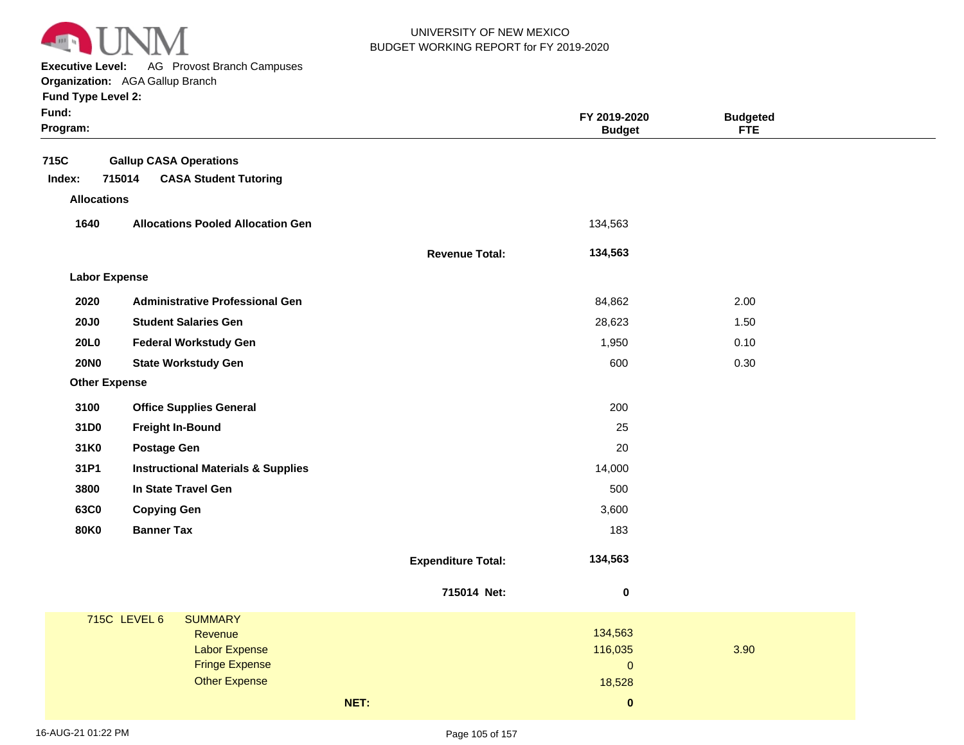

**Executive Level:** AG Provost Branch Campuses

**Organization:**  AGA Gallup Branch **Fund Type Level 2:**

|  | runu i ype Levei z: |  |
|--|---------------------|--|
|  |                     |  |

| Fund:<br>Program:    |                                               |                           | FY 2019-2020<br><b>Budget</b> | <b>Budgeted</b><br><b>FTE</b> |  |
|----------------------|-----------------------------------------------|---------------------------|-------------------------------|-------------------------------|--|
| 715C                 | <b>Gallup CASA Operations</b>                 |                           |                               |                               |  |
| Index:               | 715014<br><b>CASA Student Tutoring</b>        |                           |                               |                               |  |
| <b>Allocations</b>   |                                               |                           |                               |                               |  |
| 1640                 | <b>Allocations Pooled Allocation Gen</b>      |                           | 134,563                       |                               |  |
|                      |                                               |                           |                               |                               |  |
|                      |                                               | <b>Revenue Total:</b>     | 134,563                       |                               |  |
| <b>Labor Expense</b> |                                               |                           |                               |                               |  |
| 2020                 | <b>Administrative Professional Gen</b>        |                           | 84,862                        | 2.00                          |  |
| <b>20J0</b>          | <b>Student Salaries Gen</b>                   |                           | 28,623                        | 1.50                          |  |
| <b>20L0</b>          | <b>Federal Workstudy Gen</b>                  |                           | 1,950                         | 0.10                          |  |
| <b>20NO</b>          | <b>State Workstudy Gen</b>                    |                           | 600                           | 0.30                          |  |
| <b>Other Expense</b> |                                               |                           |                               |                               |  |
| 3100                 | <b>Office Supplies General</b>                |                           | 200                           |                               |  |
| 31D0                 | <b>Freight In-Bound</b>                       |                           | 25                            |                               |  |
| 31K0                 | <b>Postage Gen</b>                            |                           | 20                            |                               |  |
| 31P1                 | <b>Instructional Materials &amp; Supplies</b> |                           | 14,000                        |                               |  |
| 3800                 | In State Travel Gen                           |                           | 500                           |                               |  |
| 63C0                 | <b>Copying Gen</b>                            |                           | 3,600                         |                               |  |
| <b>80K0</b>          | <b>Banner Tax</b>                             |                           | 183                           |                               |  |
|                      |                                               | <b>Expenditure Total:</b> | 134,563                       |                               |  |
|                      |                                               | 715014 Net:               | $\boldsymbol{0}$              |                               |  |
|                      | <b>715C LEVEL 6</b><br><b>SUMMARY</b>         |                           |                               |                               |  |
|                      | Revenue                                       |                           | 134,563                       |                               |  |
|                      | <b>Labor Expense</b><br><b>Fringe Expense</b> |                           | 116,035<br>$\overline{0}$     | 3.90                          |  |
|                      | <b>Other Expense</b>                          |                           | 18,528                        |                               |  |
|                      |                                               | NET:                      | $\pmb{0}$                     |                               |  |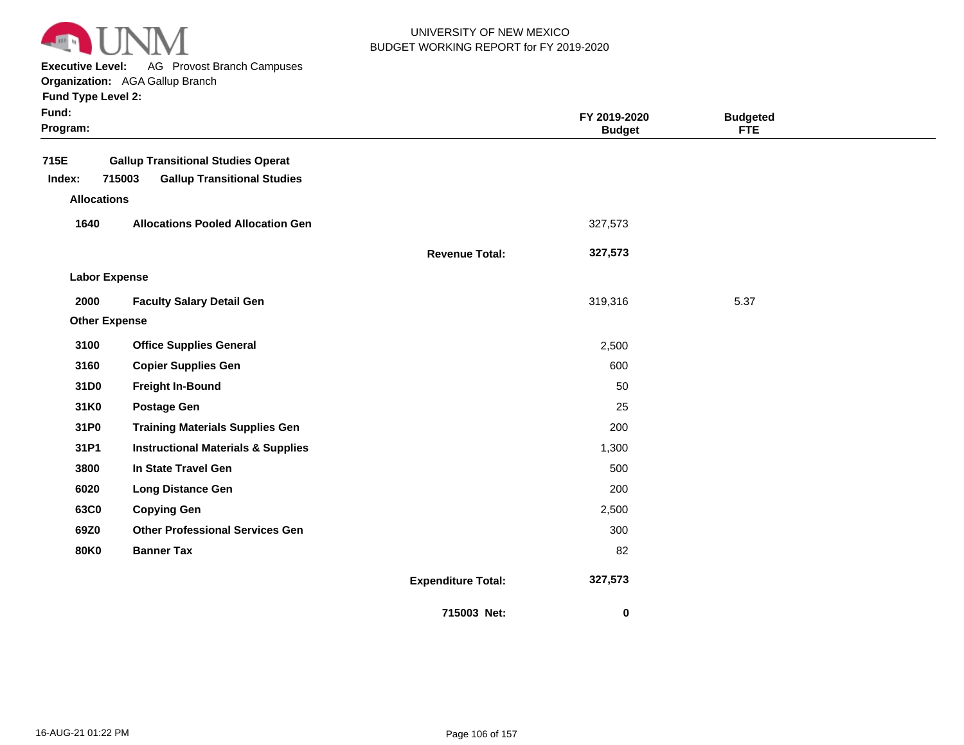

**Executive Level:** AG Provost Branch Campuses

**Organization:**  AGA Gallup Branch

| <b>Fund Type Level 2:</b> |  |  |  |
|---------------------------|--|--|--|
|---------------------------|--|--|--|

| Fund:<br>Program:                    |                                                                                           |                           | FY 2019-2020<br><b>Budget</b> | <b>Budgeted</b><br><b>FTE</b> |  |
|--------------------------------------|-------------------------------------------------------------------------------------------|---------------------------|-------------------------------|-------------------------------|--|
| 715E<br>Index:<br><b>Allocations</b> | <b>Gallup Transitional Studies Operat</b><br>715003<br><b>Gallup Transitional Studies</b> |                           |                               |                               |  |
| 1640                                 | <b>Allocations Pooled Allocation Gen</b>                                                  |                           | 327,573                       |                               |  |
|                                      |                                                                                           | <b>Revenue Total:</b>     | 327,573                       |                               |  |
| <b>Labor Expense</b>                 |                                                                                           |                           |                               |                               |  |
| 2000                                 | <b>Faculty Salary Detail Gen</b>                                                          |                           | 319,316                       | 5.37                          |  |
| <b>Other Expense</b>                 |                                                                                           |                           |                               |                               |  |
| 3100                                 | <b>Office Supplies General</b>                                                            |                           | 2,500                         |                               |  |
| 3160                                 | <b>Copier Supplies Gen</b>                                                                |                           | 600                           |                               |  |
| 31D0                                 | <b>Freight In-Bound</b>                                                                   |                           | 50                            |                               |  |
| 31K0                                 | <b>Postage Gen</b>                                                                        |                           | 25                            |                               |  |
| 31P0                                 | <b>Training Materials Supplies Gen</b>                                                    |                           | 200                           |                               |  |
| 31P1                                 | <b>Instructional Materials &amp; Supplies</b>                                             |                           | 1,300                         |                               |  |
| 3800                                 | In State Travel Gen                                                                       |                           | 500                           |                               |  |
| 6020                                 | <b>Long Distance Gen</b>                                                                  |                           | 200                           |                               |  |
| 63C0                                 | <b>Copying Gen</b>                                                                        |                           | 2,500                         |                               |  |
| 69Z0                                 | <b>Other Professional Services Gen</b>                                                    |                           | 300                           |                               |  |
| <b>80K0</b>                          | <b>Banner Tax</b>                                                                         |                           | 82                            |                               |  |
|                                      |                                                                                           | <b>Expenditure Total:</b> | 327,573                       |                               |  |
|                                      |                                                                                           | 715003 Net:               | 0                             |                               |  |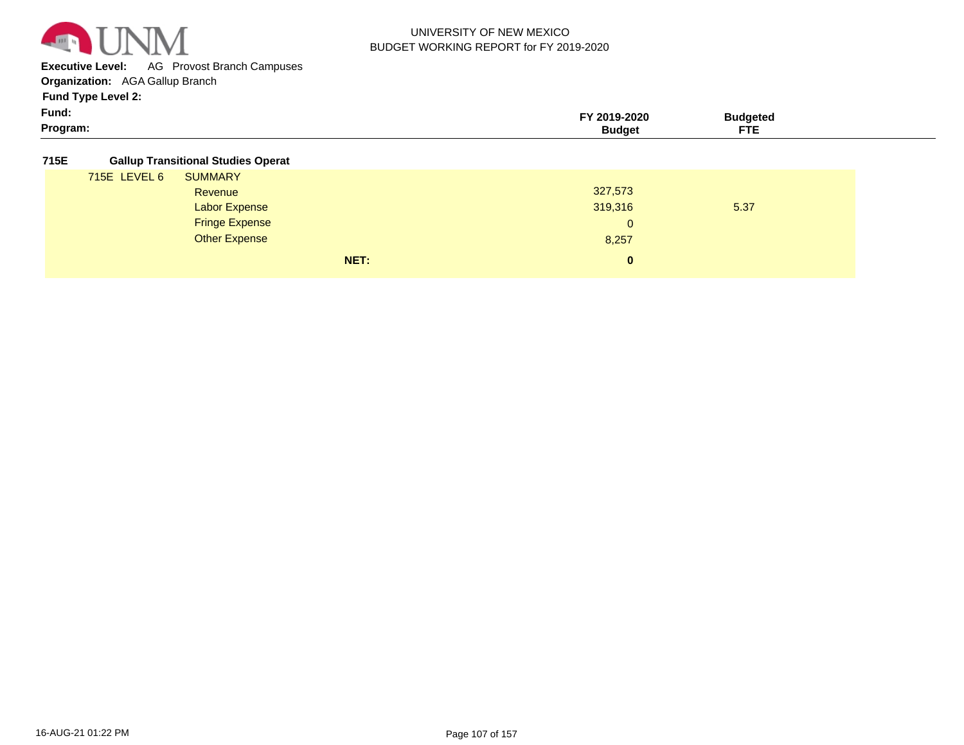

**Executive Level:** AG Provost Branch Campuses

**Organization:**  AGA Gallup Branch

**Fund Type Level 2:**

| $\sim$<br>Program:<br>---<br>iaaei<br>. . | Fund: | $-2020$ | sudaetea |  |
|-------------------------------------------|-------|---------|----------|--|
|                                           |       |         |          |  |

#### **715E Gallup Transitional Studies Operat**

| 715E LEVEL 6<br><b>SUMMARY</b> |      |              |      |
|--------------------------------|------|--------------|------|
| Revenue                        |      | 327,573      |      |
| <b>Labor Expense</b>           |      | 319,316      | 5.37 |
| <b>Fringe Expense</b>          |      | $\mathbf{0}$ |      |
| <b>Other Expense</b>           |      | 8,257        |      |
|                                | NET: | 0            |      |
|                                |      |              |      |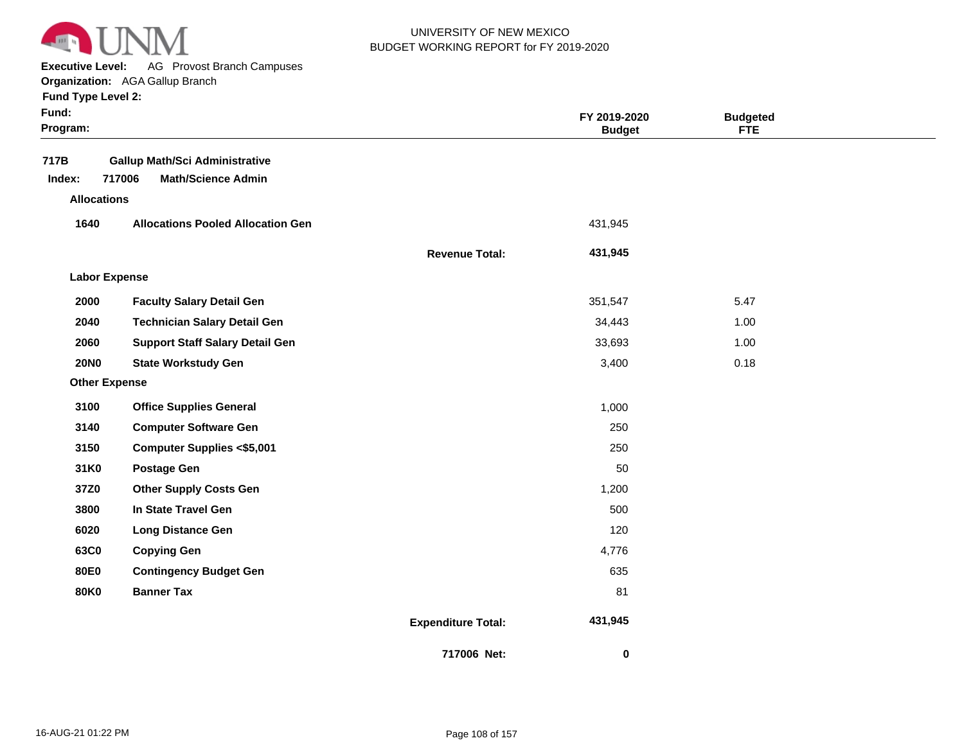

**Executive Level:** AG Provost Branch Campuses

**Organization:**  AGA Gallup Branch

| <b>Fund Type Level 2:</b> |  |
|---------------------------|--|
|                           |  |

| Fund:<br>Program:    |                                          |                           | FY 2019-2020<br><b>Budget</b> | <b>Budgeted</b><br><b>FTE</b> |  |
|----------------------|------------------------------------------|---------------------------|-------------------------------|-------------------------------|--|
| 717B                 | <b>Gallup Math/Sci Administrative</b>    |                           |                               |                               |  |
| Index:               | 717006<br><b>Math/Science Admin</b>      |                           |                               |                               |  |
| <b>Allocations</b>   |                                          |                           |                               |                               |  |
| 1640                 | <b>Allocations Pooled Allocation Gen</b> |                           | 431,945                       |                               |  |
|                      |                                          | <b>Revenue Total:</b>     | 431,945                       |                               |  |
| <b>Labor Expense</b> |                                          |                           |                               |                               |  |
| 2000                 | <b>Faculty Salary Detail Gen</b>         |                           | 351,547                       | 5.47                          |  |
| 2040                 | <b>Technician Salary Detail Gen</b>      |                           | 34,443                        | 1.00                          |  |
| 2060                 | <b>Support Staff Salary Detail Gen</b>   |                           | 33,693                        | 1.00                          |  |
| <b>20NO</b>          | <b>State Workstudy Gen</b>               |                           | 3,400                         | 0.18                          |  |
| <b>Other Expense</b> |                                          |                           |                               |                               |  |
| 3100                 | <b>Office Supplies General</b>           |                           | 1,000                         |                               |  |
| 3140                 | <b>Computer Software Gen</b>             |                           | 250                           |                               |  |
| 3150                 | <b>Computer Supplies &lt;\$5,001</b>     |                           | 250                           |                               |  |
| 31K0                 | <b>Postage Gen</b>                       |                           | 50                            |                               |  |
| 37Z0                 | <b>Other Supply Costs Gen</b>            |                           | 1,200                         |                               |  |
| 3800                 | In State Travel Gen                      |                           | 500                           |                               |  |
| 6020                 | <b>Long Distance Gen</b>                 |                           | 120                           |                               |  |
| 63C0                 | <b>Copying Gen</b>                       |                           | 4,776                         |                               |  |
| <b>80E0</b>          | <b>Contingency Budget Gen</b>            |                           | 635                           |                               |  |
| <b>80K0</b>          | <b>Banner Tax</b>                        |                           | 81                            |                               |  |
|                      |                                          | <b>Expenditure Total:</b> | 431,945                       |                               |  |
|                      |                                          | 717006 Net:               | 0                             |                               |  |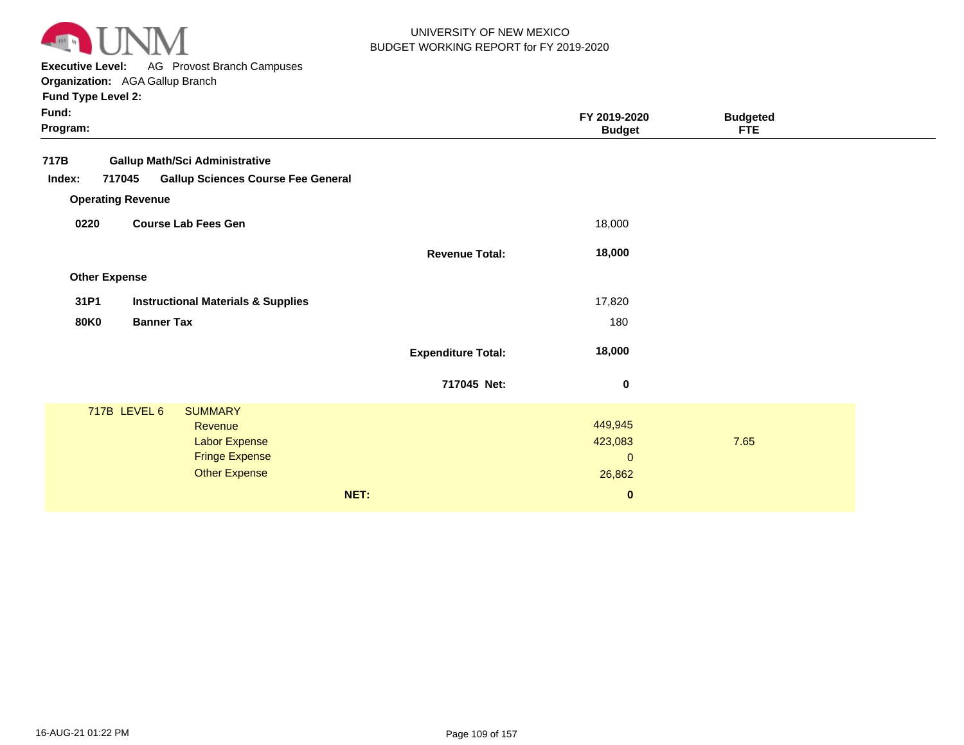

**Executive Level:** AG Provost Branch Campuses

| Fund Type Level 2:                                            |                           |                               |                               |
|---------------------------------------------------------------|---------------------------|-------------------------------|-------------------------------|
| Fund:<br>Program:                                             |                           | FY 2019-2020<br><b>Budget</b> | <b>Budgeted</b><br><b>FTE</b> |
| 717B<br><b>Gallup Math/Sci Administrative</b>                 |                           |                               |                               |
| <b>Gallup Sciences Course Fee General</b><br>Index:<br>717045 |                           |                               |                               |
| <b>Operating Revenue</b>                                      |                           |                               |                               |
| 0220<br><b>Course Lab Fees Gen</b>                            |                           | 18,000                        |                               |
|                                                               | <b>Revenue Total:</b>     | 18,000                        |                               |
| <b>Other Expense</b>                                          |                           |                               |                               |
| 31P1<br><b>Instructional Materials &amp; Supplies</b>         |                           | 17,820                        |                               |
| <b>Banner Tax</b><br><b>80K0</b>                              |                           | 180                           |                               |
|                                                               | <b>Expenditure Total:</b> | 18,000                        |                               |
|                                                               | 717045 Net:               | $\pmb{0}$                     |                               |
| 717B LEVEL 6<br><b>SUMMARY</b>                                |                           |                               |                               |
| Revenue                                                       |                           | 449,945                       |                               |
| <b>Labor Expense</b><br><b>Fringe Expense</b>                 |                           | 423,083                       | 7.65                          |
| <b>Other Expense</b>                                          |                           | $\mathbf{0}$<br>26,862        |                               |
|                                                               |                           |                               |                               |
|                                                               | NET:                      | $\bf{0}$                      |                               |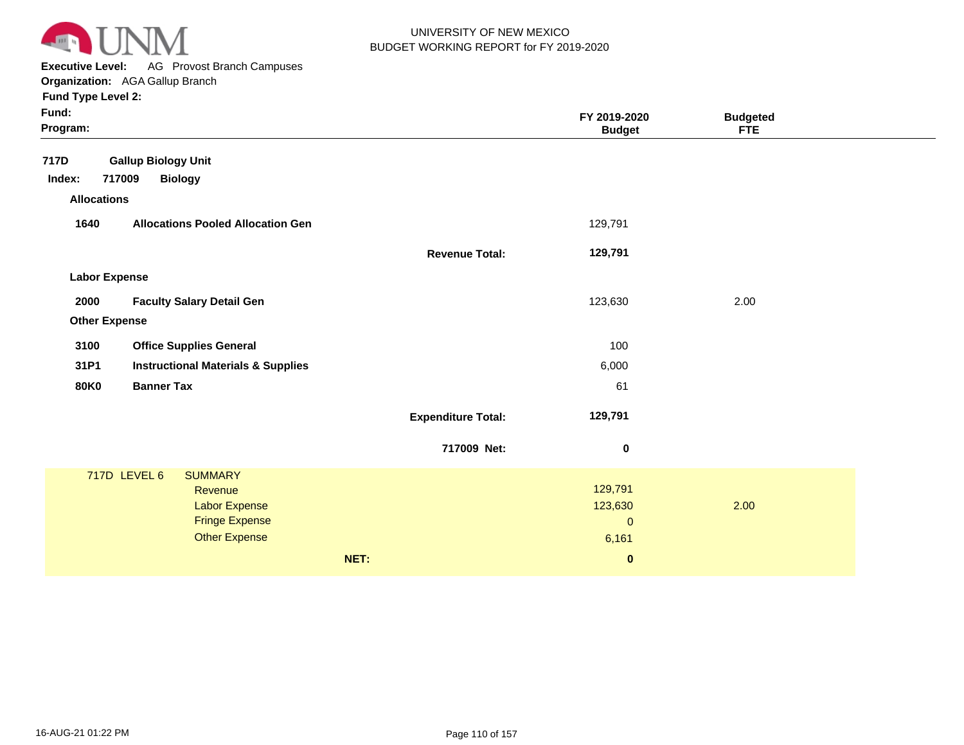

**Executive Level:** AG Provost Branch Campuses **Organization:**  AGA Gallup Branch

| Program:    |                                               |                                                                                                                                                                                                                | FY 2019-2020<br><b>Budget</b> | <b>Budgeted</b><br><b>FTE</b>                 |      |
|-------------|-----------------------------------------------|----------------------------------------------------------------------------------------------------------------------------------------------------------------------------------------------------------------|-------------------------------|-----------------------------------------------|------|
|             |                                               |                                                                                                                                                                                                                |                               |                                               |      |
|             |                                               |                                                                                                                                                                                                                |                               |                                               |      |
|             |                                               |                                                                                                                                                                                                                |                               |                                               |      |
| 1640        | <b>Allocations Pooled Allocation Gen</b>      |                                                                                                                                                                                                                | 129,791                       |                                               |      |
|             |                                               | <b>Revenue Total:</b>                                                                                                                                                                                          | 129,791                       |                                               |      |
|             |                                               |                                                                                                                                                                                                                |                               |                                               |      |
| 2000        | <b>Faculty Salary Detail Gen</b>              |                                                                                                                                                                                                                | 123,630                       | 2.00                                          |      |
|             |                                               |                                                                                                                                                                                                                |                               |                                               |      |
| 3100        | <b>Office Supplies General</b>                |                                                                                                                                                                                                                | 100                           |                                               |      |
| 31P1        | <b>Instructional Materials &amp; Supplies</b> |                                                                                                                                                                                                                | 6,000                         |                                               |      |
| <b>80K0</b> | <b>Banner Tax</b>                             |                                                                                                                                                                                                                | 61                            |                                               |      |
|             |                                               | <b>Expenditure Total:</b>                                                                                                                                                                                      | 129,791                       |                                               |      |
|             |                                               | 717009 Net:                                                                                                                                                                                                    | $\bf{0}$                      |                                               |      |
|             | <b>SUMMARY</b>                                |                                                                                                                                                                                                                |                               |                                               |      |
|             | Revenue                                       |                                                                                                                                                                                                                | 129,791                       |                                               |      |
|             |                                               |                                                                                                                                                                                                                |                               |                                               |      |
|             |                                               |                                                                                                                                                                                                                |                               |                                               |      |
|             |                                               |                                                                                                                                                                                                                |                               |                                               |      |
|             |                                               |                                                                                                                                                                                                                |                               |                                               |      |
|             |                                               | <b>Gallup Biology Unit</b><br>717009<br><b>Biology</b><br><b>Allocations</b><br><b>Labor Expense</b><br><b>Other Expense</b><br>717D LEVEL 6<br>Labor Expense<br><b>Fringe Expense</b><br><b>Other Expense</b> | NET:                          | 123,630<br>$\mathbf{0}$<br>6,161<br>$\pmb{0}$ | 2.00 |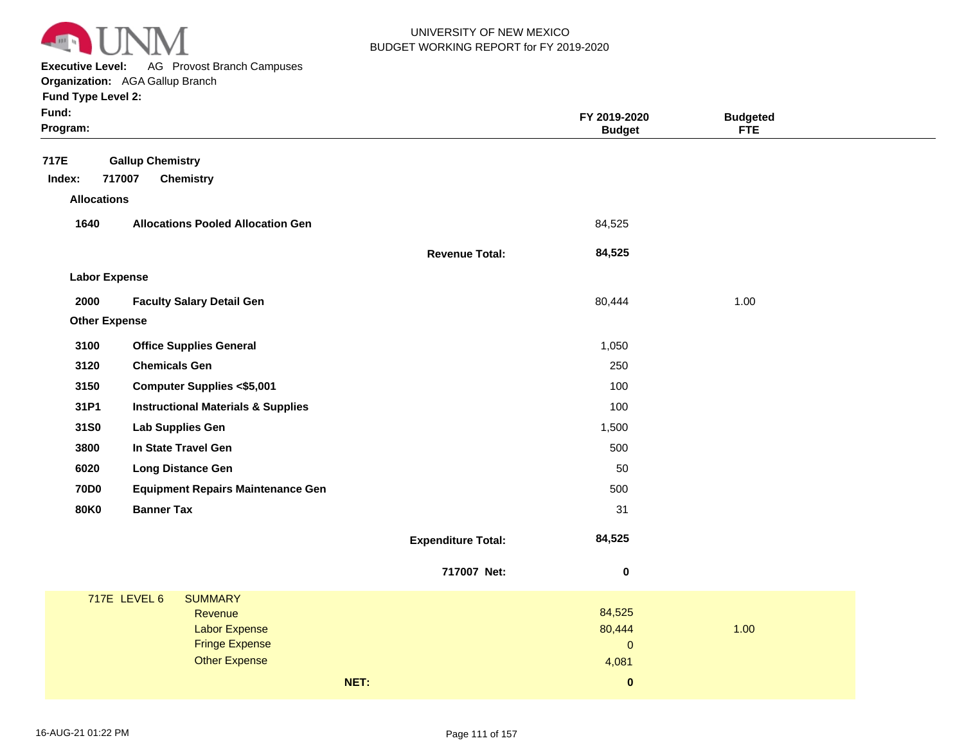

**Executive Level:** AG Provost Branch Campuses **Organization:**  AGA Gallup Branch

| Fund:<br>Program:                                                       |                           | FY 2019-2020<br><b>Budget</b> | <b>Budgeted</b><br><b>FTE</b> |
|-------------------------------------------------------------------------|---------------------------|-------------------------------|-------------------------------|
| 717E<br><b>Gallup Chemistry</b><br>717007<br>Index:<br><b>Chemistry</b> |                           |                               |                               |
| <b>Allocations</b>                                                      |                           |                               |                               |
| 1640<br><b>Allocations Pooled Allocation Gen</b>                        |                           | 84,525                        |                               |
|                                                                         | <b>Revenue Total:</b>     | 84,525                        |                               |
| <b>Labor Expense</b>                                                    |                           |                               |                               |
| 2000<br><b>Faculty Salary Detail Gen</b>                                |                           | 80,444                        | 1.00                          |
| <b>Other Expense</b>                                                    |                           |                               |                               |
| 3100<br><b>Office Supplies General</b>                                  |                           | 1,050                         |                               |
| 3120<br><b>Chemicals Gen</b>                                            |                           | 250                           |                               |
| 3150<br><b>Computer Supplies &lt;\$5,001</b>                            |                           | 100                           |                               |
| 31P1<br><b>Instructional Materials &amp; Supplies</b>                   |                           | 100                           |                               |
| 31S0<br><b>Lab Supplies Gen</b>                                         |                           | 1,500                         |                               |
| 3800<br>In State Travel Gen                                             |                           | 500                           |                               |
| 6020<br><b>Long Distance Gen</b>                                        |                           | 50                            |                               |
| <b>70D0</b><br><b>Equipment Repairs Maintenance Gen</b>                 |                           | 500                           |                               |
| <b>80K0</b><br><b>Banner Tax</b>                                        |                           | 31                            |                               |
|                                                                         | <b>Expenditure Total:</b> | 84,525                        |                               |
|                                                                         | 717007 Net:               | $\pmb{0}$                     |                               |
| <b>717E LEVEL 6</b><br><b>SUMMARY</b>                                   |                           |                               |                               |
| Revenue<br><b>Labor Expense</b>                                         |                           | 84,525<br>80,444              | 1.00                          |
| <b>Fringe Expense</b>                                                   |                           | $\mathbf{0}$                  |                               |
| <b>Other Expense</b>                                                    |                           | 4,081                         |                               |
| NET:                                                                    |                           | $\pmb{0}$                     |                               |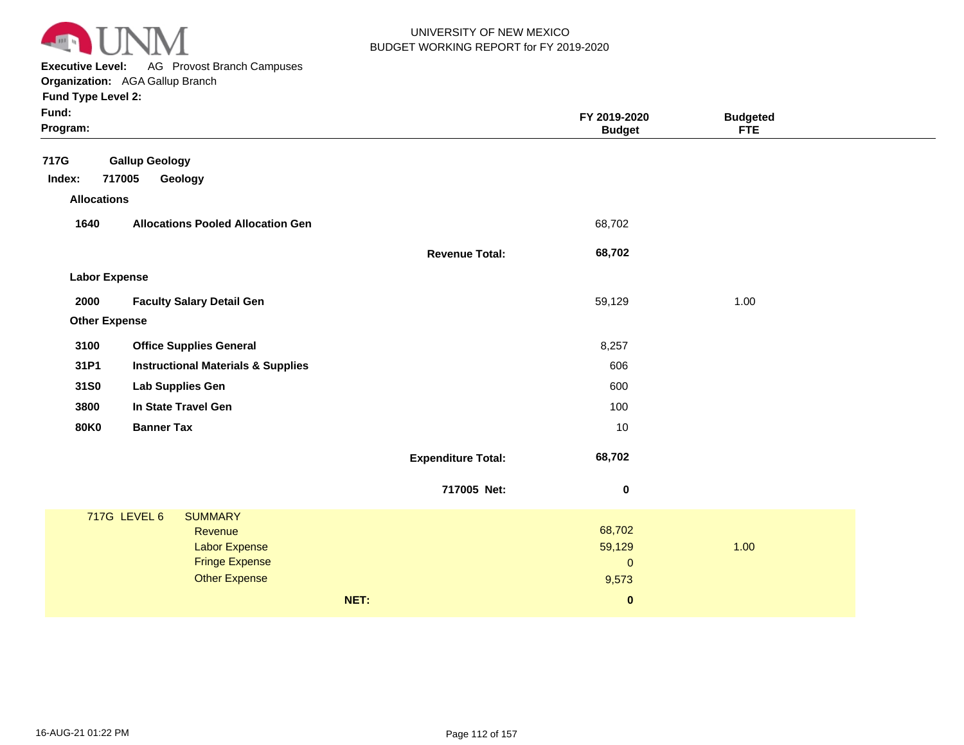

**Executive Level:** AG Provost Branch Campuses **Organization:**  AGA Gallup Branch

| Fund:<br>Program:                                                                                                         |                           | FY 2019-2020<br><b>Budget</b>          | <b>Budgeted</b><br><b>FTE</b> |  |
|---------------------------------------------------------------------------------------------------------------------------|---------------------------|----------------------------------------|-------------------------------|--|
| 717G<br><b>Gallup Geology</b><br>717005<br>Index:<br>Geology                                                              |                           |                                        |                               |  |
| <b>Allocations</b>                                                                                                        |                           |                                        |                               |  |
| 1640<br><b>Allocations Pooled Allocation Gen</b>                                                                          |                           | 68,702                                 |                               |  |
|                                                                                                                           | <b>Revenue Total:</b>     | 68,702                                 |                               |  |
| <b>Labor Expense</b>                                                                                                      |                           |                                        |                               |  |
| 2000<br><b>Faculty Salary Detail Gen</b>                                                                                  |                           | 59,129                                 | 1.00                          |  |
| <b>Other Expense</b>                                                                                                      |                           |                                        |                               |  |
| <b>Office Supplies General</b><br>3100                                                                                    |                           | 8,257                                  |                               |  |
| 31P1<br><b>Instructional Materials &amp; Supplies</b>                                                                     |                           | 606                                    |                               |  |
| 31S0<br><b>Lab Supplies Gen</b>                                                                                           |                           | 600                                    |                               |  |
| In State Travel Gen<br>3800                                                                                               |                           | 100                                    |                               |  |
| <b>80K0</b><br><b>Banner Tax</b>                                                                                          |                           | 10                                     |                               |  |
|                                                                                                                           | <b>Expenditure Total:</b> | 68,702                                 |                               |  |
|                                                                                                                           | 717005 Net:               | $\boldsymbol{0}$                       |                               |  |
| <b>717G LEVEL 6</b><br><b>SUMMARY</b><br>Revenue<br><b>Labor Expense</b><br><b>Fringe Expense</b><br><b>Other Expense</b> |                           | 68,702<br>59,129<br>$\pmb{0}$<br>9,573 | 1.00                          |  |
|                                                                                                                           | NET:                      | $\pmb{0}$                              |                               |  |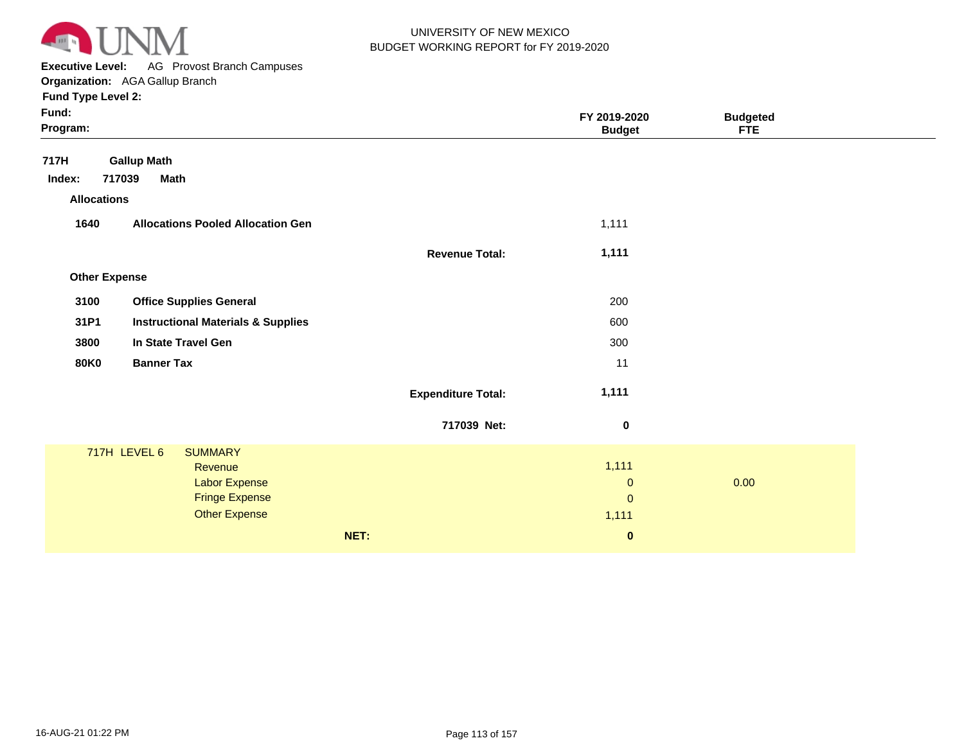

**Executive Level:** AG Provost Branch Campuses **Organization:**  AGA Gallup Branch **Fund Type Level 2:**

| . .<br>Fund:<br>Program: |                       |                                               |      |                           | FY 2019-2020<br><b>Budget</b> | <b>Budgeted</b><br><b>FTE</b> |
|--------------------------|-----------------------|-----------------------------------------------|------|---------------------------|-------------------------------|-------------------------------|
| 717H                     | <b>Gallup Math</b>    |                                               |      |                           |                               |                               |
| Index:                   | 717039<br><b>Math</b> |                                               |      |                           |                               |                               |
| <b>Allocations</b>       |                       |                                               |      |                           |                               |                               |
| 1640                     |                       | <b>Allocations Pooled Allocation Gen</b>      |      |                           | 1,111                         |                               |
|                          |                       |                                               |      | <b>Revenue Total:</b>     | 1,111                         |                               |
| <b>Other Expense</b>     |                       |                                               |      |                           |                               |                               |
| 3100                     |                       | <b>Office Supplies General</b>                |      |                           | 200                           |                               |
| 31P1                     |                       | <b>Instructional Materials &amp; Supplies</b> |      |                           | 600                           |                               |
|                          |                       |                                               |      |                           |                               |                               |
| 3800                     |                       | In State Travel Gen                           |      |                           | 300                           |                               |
| <b>80K0</b>              | <b>Banner Tax</b>     |                                               |      |                           | 11                            |                               |
|                          |                       |                                               |      | <b>Expenditure Total:</b> | 1,111                         |                               |
|                          |                       |                                               |      | 717039 Net:               | $\mathbf 0$                   |                               |
|                          | 717H LEVEL 6          | <b>SUMMARY</b>                                |      |                           |                               |                               |
|                          |                       | Revenue                                       |      |                           | 1,111                         |                               |
|                          |                       | <b>Labor Expense</b>                          |      |                           | $\pmb{0}$                     | 0.00                          |
|                          |                       | <b>Fringe Expense</b><br><b>Other Expense</b> |      |                           | $\mathbf{0}$                  |                               |
|                          |                       |                                               |      |                           | 1,111                         |                               |
|                          |                       |                                               | NET: |                           | $\mathbf 0$                   |                               |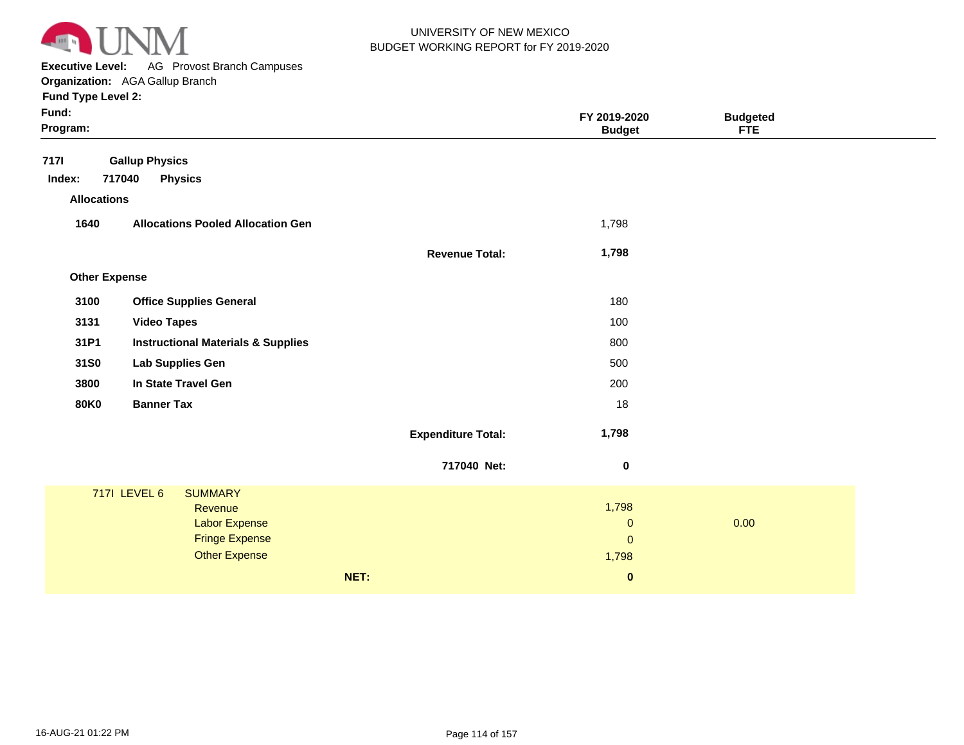

**Executive Level:** AG Provost Branch Campuses **Organization:**  AGA Gallup Branch

| Fund:<br>Program:     |                                                                                                                           |                           | FY 2019-2020<br><b>Budget</b>                | <b>Budgeted</b><br><b>FTE</b> |  |
|-----------------------|---------------------------------------------------------------------------------------------------------------------------|---------------------------|----------------------------------------------|-------------------------------|--|
| <b>7171</b><br>Index: | <b>Gallup Physics</b><br>717040<br><b>Physics</b>                                                                         |                           |                                              |                               |  |
| <b>Allocations</b>    |                                                                                                                           |                           |                                              |                               |  |
| 1640                  | <b>Allocations Pooled Allocation Gen</b>                                                                                  |                           | 1,798                                        |                               |  |
|                       |                                                                                                                           | <b>Revenue Total:</b>     | 1,798                                        |                               |  |
| <b>Other Expense</b>  |                                                                                                                           |                           |                                              |                               |  |
| 3100                  | <b>Office Supplies General</b>                                                                                            |                           | 180                                          |                               |  |
| 3131                  | <b>Video Tapes</b>                                                                                                        |                           | 100                                          |                               |  |
| 31P1                  | <b>Instructional Materials &amp; Supplies</b>                                                                             |                           | 800                                          |                               |  |
| 31S0                  | <b>Lab Supplies Gen</b>                                                                                                   |                           | 500                                          |                               |  |
| 3800                  | In State Travel Gen                                                                                                       |                           | 200                                          |                               |  |
| <b>80K0</b>           | <b>Banner Tax</b>                                                                                                         |                           | 18                                           |                               |  |
|                       |                                                                                                                           | <b>Expenditure Total:</b> | 1,798                                        |                               |  |
|                       |                                                                                                                           | 717040 Net:               | $\pmb{0}$                                    |                               |  |
|                       | <b>717I LEVEL 6</b><br><b>SUMMARY</b><br>Revenue<br><b>Labor Expense</b><br><b>Fringe Expense</b><br><b>Other Expense</b> |                           | 1,798<br>$\mathbf 0$<br>$\mathbf 0$<br>1,798 | 0.00                          |  |
|                       |                                                                                                                           | NET:                      | $\pmb{0}$                                    |                               |  |
|                       |                                                                                                                           |                           |                                              |                               |  |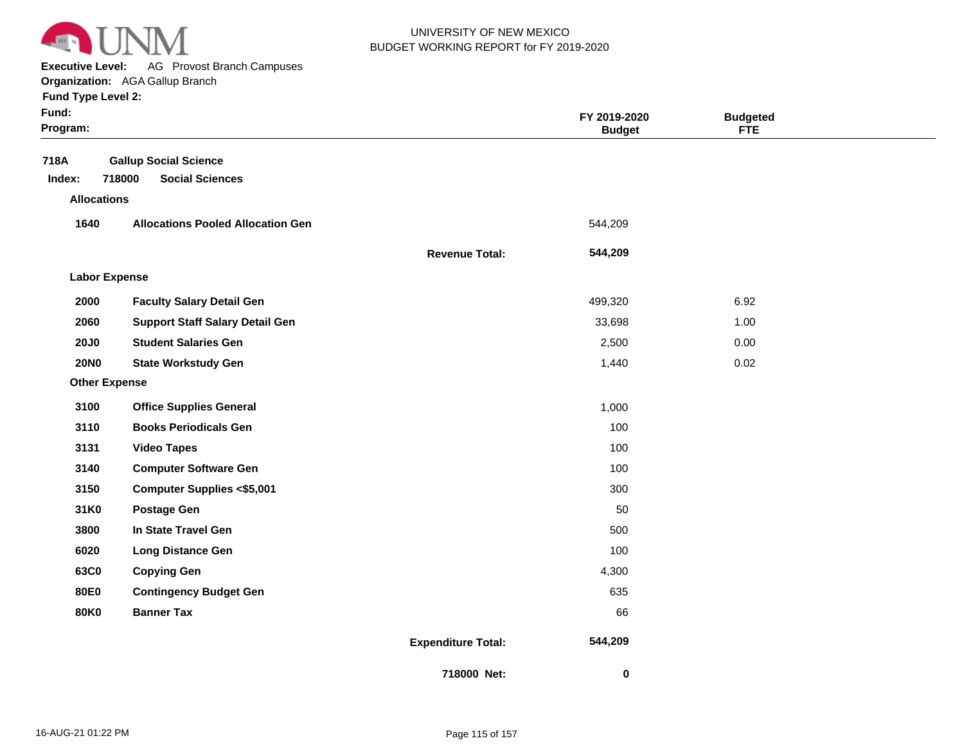

**Executive Level:** AG Provost Branch Campuses

| LYCANIA LEACI'            | AG TIOVOSL DIAIKII CAIIIpuses            |                       |               |                 |
|---------------------------|------------------------------------------|-----------------------|---------------|-----------------|
|                           | <b>Organization:</b> AGA Gallup Branch   |                       |               |                 |
| <b>Fund Type Level 2:</b> |                                          |                       |               |                 |
| Fund:                     |                                          |                       | FY 2019-2020  | <b>Budgeted</b> |
| Program:                  |                                          |                       | <b>Budget</b> | <b>FTE</b>      |
|                           |                                          |                       |               |                 |
| 718A                      | <b>Gallup Social Science</b>             |                       |               |                 |
| Index:                    | <b>Social Sciences</b><br>718000         |                       |               |                 |
| <b>Allocations</b>        |                                          |                       |               |                 |
| 1640                      | <b>Allocations Pooled Allocation Gen</b> |                       | 544,209       |                 |
|                           |                                          | <b>Revenue Total:</b> | 544,209       |                 |
| <b>Labor Expense</b>      |                                          |                       |               |                 |
| 2000                      | <b>Faculty Salary Detail Gen</b>         |                       | 499,320       | 6.92            |
| 2060                      | <b>Support Staff Salary Detail Gen</b>   |                       | 33,698        | 1.00            |
| <b>20J0</b>               | <b>Student Salaries Gen</b>              |                       | 2,500         | 0.00            |
| <b>20NO</b>               | <b>State Workstudy Gen</b>               |                       | 1,440         | 0.02            |
| <b>Other Expense</b>      |                                          |                       |               |                 |
| 3100                      | <b>Office Supplies General</b>           |                       | 1,000         |                 |
| 3110                      | <b>Books Periodicals Gen</b>             |                       | 100           |                 |
| 3131                      | <b>Video Tapes</b>                       |                       | 100           |                 |
| 3140                      | <b>Computer Software Gen</b>             |                       | 100           |                 |

**Expenditure Total: 31K0 3800 6020 63C0 80E0 80K0 Postage Gen In State Travel Gen Long Distance Gen Copying Gen Contingency Budget Gen Banner Tax**

**Computer Supplies <\$5,001**

**718000 Net:**

 **544,209** 

 **0** 

**3150**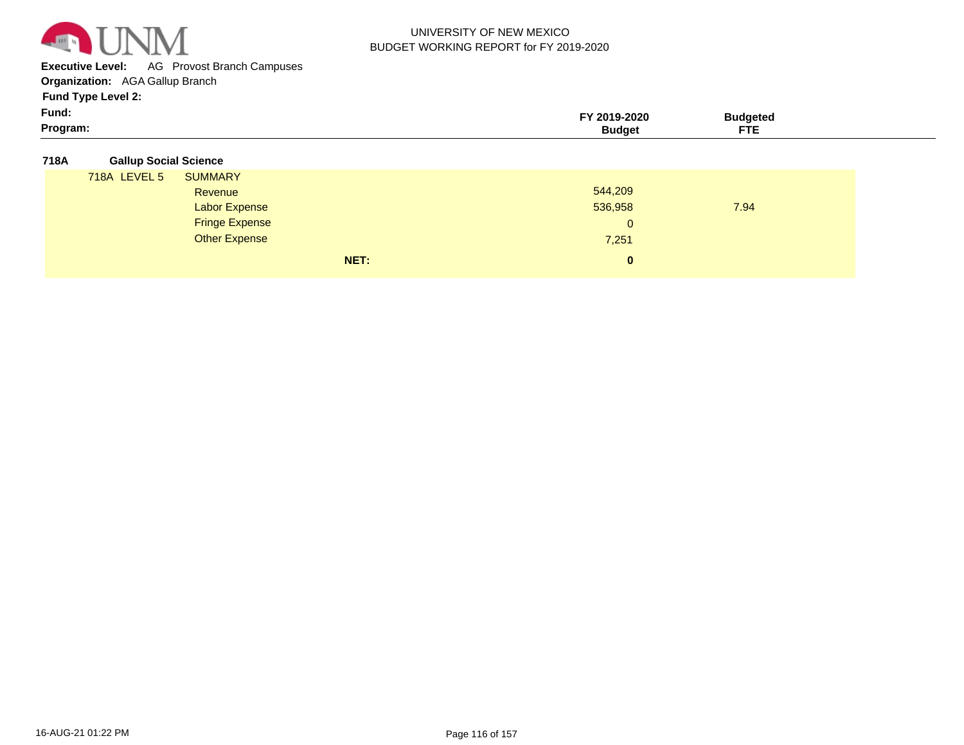

**Executive Level:** AG Provost Branch Campuses

**Organization:**  AGA Gallup Branch

**Fund Type Level 2:**

| Fund:<br>$-2020$<br>$-9014.$<br>Budaeted<br>$\sim$ $\sim$<br>Program:<br>rvi<br><b>Budget</b><br>.<br>$\sim$ |
|--------------------------------------------------------------------------------------------------------------|
|--------------------------------------------------------------------------------------------------------------|

#### **718A Gallup Social Science**

| 718A LEVEL 5 | <b>SUMMARY</b>        |          |      |
|--------------|-----------------------|----------|------|
|              | Revenue               | 544,209  |      |
|              | <b>Labor Expense</b>  | 536,958  | 7.94 |
|              | <b>Fringe Expense</b> | 0        |      |
|              | Other Expense         | 7,251    |      |
|              | NET:                  | $\bf{0}$ |      |
|              |                       |          |      |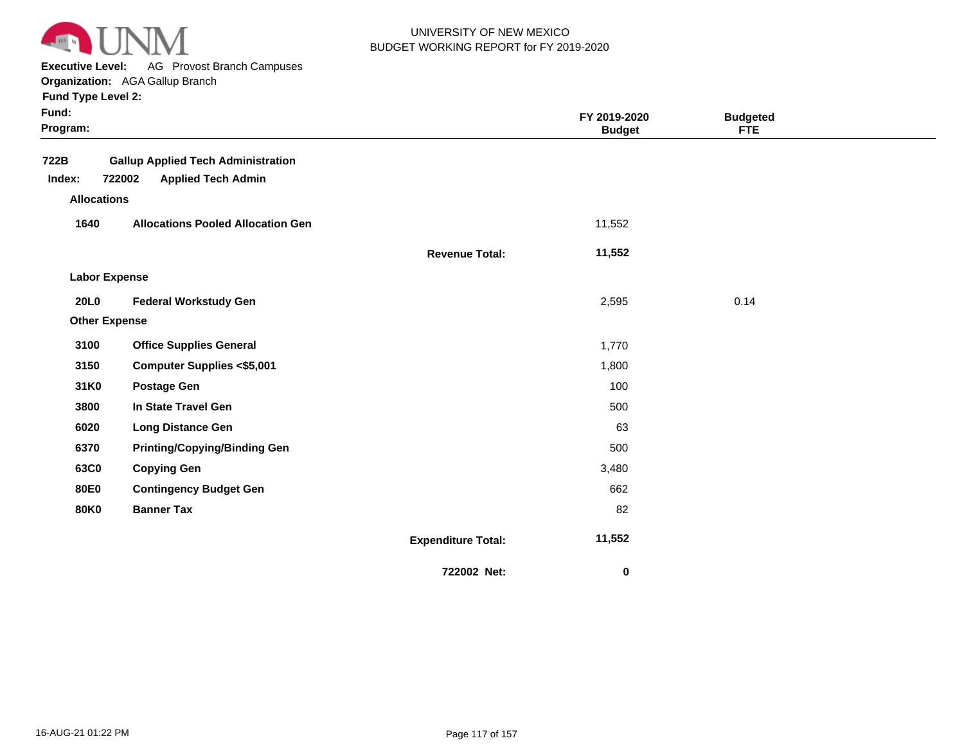

**Executive Level:** AG Provost Branch Campuses

|  | <b>Fund Type Level 2:</b> |  |
|--|---------------------------|--|

| Fund:<br>Program:    |                                                                                  |                           | FY 2019-2020<br><b>Budget</b> | <b>Budgeted</b><br><b>FTE</b> |  |
|----------------------|----------------------------------------------------------------------------------|---------------------------|-------------------------------|-------------------------------|--|
| 722B<br>Index:       | <b>Gallup Applied Tech Administration</b><br>722002<br><b>Applied Tech Admin</b> |                           |                               |                               |  |
| <b>Allocations</b>   |                                                                                  |                           |                               |                               |  |
| 1640                 | <b>Allocations Pooled Allocation Gen</b>                                         |                           | 11,552                        |                               |  |
|                      |                                                                                  | <b>Revenue Total:</b>     | 11,552                        |                               |  |
| <b>Labor Expense</b> |                                                                                  |                           |                               |                               |  |
| <b>20L0</b>          | <b>Federal Workstudy Gen</b>                                                     |                           | 2,595                         | 0.14                          |  |
| <b>Other Expense</b> |                                                                                  |                           |                               |                               |  |
| 3100                 | <b>Office Supplies General</b>                                                   |                           | 1,770                         |                               |  |
| 3150                 | <b>Computer Supplies &lt;\$5,001</b>                                             |                           | 1,800                         |                               |  |
| 31K0                 | <b>Postage Gen</b>                                                               |                           | 100                           |                               |  |
| 3800                 | In State Travel Gen                                                              |                           | 500                           |                               |  |
| 6020                 | <b>Long Distance Gen</b>                                                         |                           | 63                            |                               |  |
| 6370                 | <b>Printing/Copying/Binding Gen</b>                                              |                           | 500                           |                               |  |
| 63C0                 | <b>Copying Gen</b>                                                               |                           | 3,480                         |                               |  |
| <b>80E0</b>          | <b>Contingency Budget Gen</b>                                                    |                           | 662                           |                               |  |
| <b>80K0</b>          | <b>Banner Tax</b>                                                                |                           | 82                            |                               |  |
|                      |                                                                                  | <b>Expenditure Total:</b> | 11,552                        |                               |  |
|                      |                                                                                  | 722002 Net:               | 0                             |                               |  |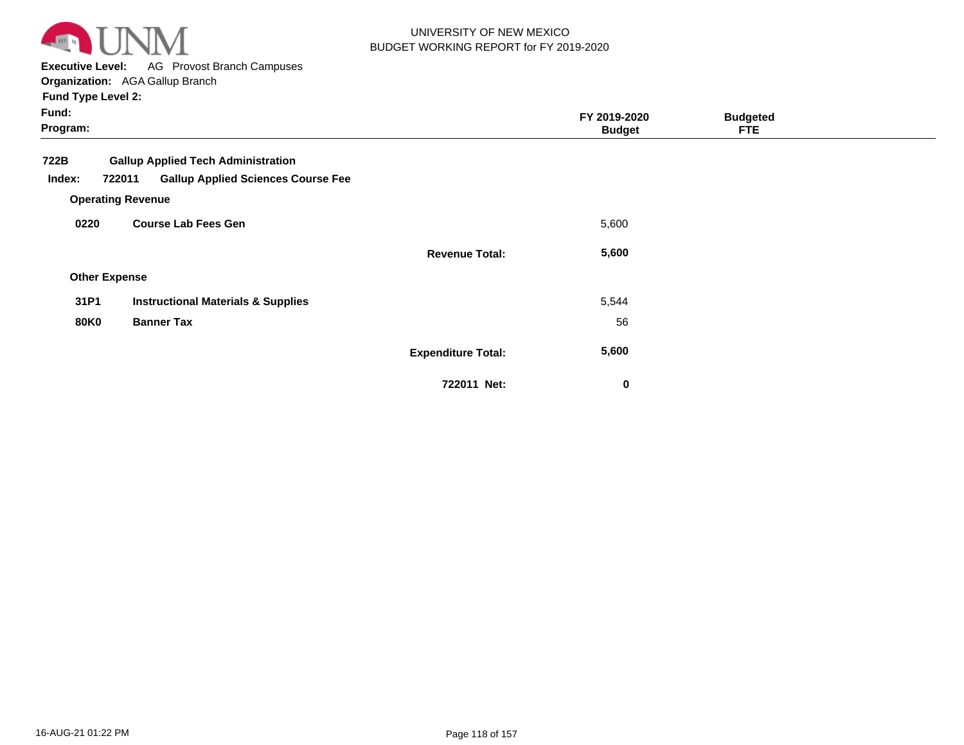

**Executive Level:** AG Provost Branch Campuses

**Organization:**  AGA Gallup Branch **Fund Type Level 2:**

| Fund:<br>Program:                            |                                               |                           | FY 2019-2020<br><b>Budget</b> | <b>Budgeted</b><br><b>FTE</b> |  |
|----------------------------------------------|-----------------------------------------------|---------------------------|-------------------------------|-------------------------------|--|
| 722B                                         | <b>Gallup Applied Tech Administration</b>     |                           |                               |                               |  |
| Index:<br>722011<br><b>Operating Revenue</b> | <b>Gallup Applied Sciences Course Fee</b>     |                           |                               |                               |  |
| 0220                                         | <b>Course Lab Fees Gen</b>                    |                           | 5,600                         |                               |  |
|                                              |                                               | <b>Revenue Total:</b>     | 5,600                         |                               |  |
| <b>Other Expense</b>                         |                                               |                           |                               |                               |  |
| 31P1                                         | <b>Instructional Materials &amp; Supplies</b> |                           | 5,544                         |                               |  |
| <b>80K0</b>                                  | <b>Banner Tax</b>                             |                           | 56                            |                               |  |
|                                              |                                               | <b>Expenditure Total:</b> | 5,600                         |                               |  |

**722011 Net:**

 **0**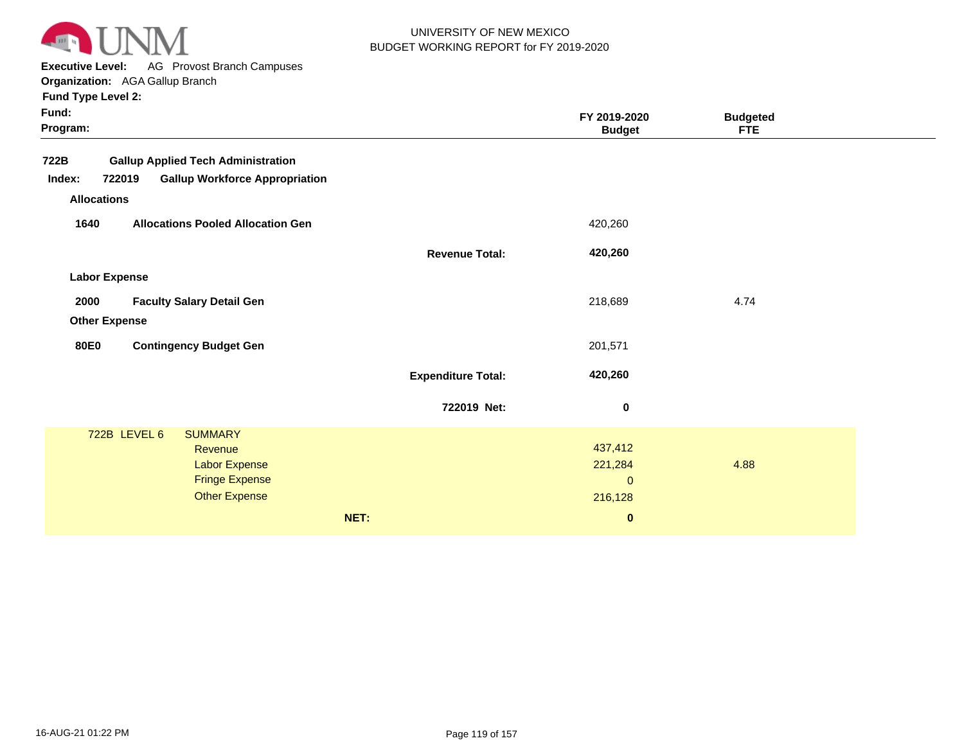

**Executive Level:** AG Provost Branch Campuses

**Organization:**  AGA Gallup Branch

| Fund:<br>Program:                                         |                           | FY 2019-2020<br><b>Budget</b> | <b>Budgeted</b><br><b>FTE</b> |  |
|-----------------------------------------------------------|---------------------------|-------------------------------|-------------------------------|--|
| 722B<br><b>Gallup Applied Tech Administration</b>         |                           |                               |                               |  |
| 722019<br><b>Gallup Workforce Appropriation</b><br>Index: |                           |                               |                               |  |
| <b>Allocations</b>                                        |                           |                               |                               |  |
| <b>Allocations Pooled Allocation Gen</b><br>1640          |                           | 420,260                       |                               |  |
|                                                           | <b>Revenue Total:</b>     | 420,260                       |                               |  |
| <b>Labor Expense</b>                                      |                           |                               |                               |  |
| 2000<br><b>Faculty Salary Detail Gen</b>                  |                           | 218,689                       | 4.74                          |  |
| <b>Other Expense</b>                                      |                           |                               |                               |  |
|                                                           |                           |                               |                               |  |
| <b>80E0</b><br><b>Contingency Budget Gen</b>              |                           | 201,571                       |                               |  |
|                                                           | <b>Expenditure Total:</b> | 420,260                       |                               |  |
|                                                           | 722019 Net:               | 0                             |                               |  |
| 722B LEVEL 6<br><b>SUMMARY</b>                            |                           |                               |                               |  |
| Revenue                                                   |                           | 437,412                       |                               |  |
| <b>Labor Expense</b>                                      |                           | 221,284                       | 4.88                          |  |
| <b>Fringe Expense</b>                                     |                           | $\mathbf 0$                   |                               |  |
| <b>Other Expense</b>                                      |                           | 216,128                       |                               |  |
| NET:                                                      |                           | $\bf{0}$                      |                               |  |
|                                                           |                           |                               |                               |  |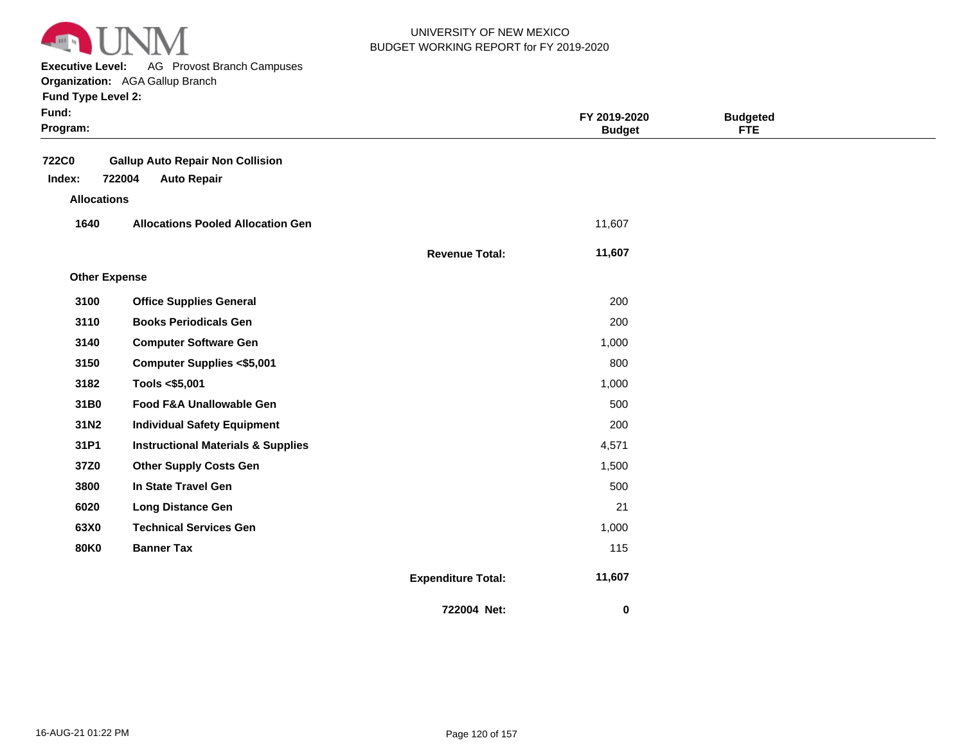

**Executive Level:** AG Provost Branch Campuses **Organization:**  AGA Gallup Branch

| Fund:<br>Program:      |                                                                         |                           | FY 2019-2020<br><b>Budget</b> | <b>Budgeted</b><br><b>FTE</b> |  |
|------------------------|-------------------------------------------------------------------------|---------------------------|-------------------------------|-------------------------------|--|
| <b>722C0</b><br>Index: | <b>Gallup Auto Repair Non Collision</b><br>722004<br><b>Auto Repair</b> |                           |                               |                               |  |
| <b>Allocations</b>     |                                                                         |                           |                               |                               |  |
| 1640                   | <b>Allocations Pooled Allocation Gen</b>                                |                           | 11,607                        |                               |  |
|                        |                                                                         | <b>Revenue Total:</b>     | 11,607                        |                               |  |
| <b>Other Expense</b>   |                                                                         |                           |                               |                               |  |
| 3100                   | <b>Office Supplies General</b>                                          |                           | 200                           |                               |  |
| 3110                   | <b>Books Periodicals Gen</b>                                            |                           | 200                           |                               |  |
| 3140                   | <b>Computer Software Gen</b>                                            |                           | 1,000                         |                               |  |
| 3150                   | <b>Computer Supplies &lt;\$5,001</b>                                    |                           | 800                           |                               |  |
| 3182                   | Tools <\$5,001                                                          |                           | 1,000                         |                               |  |
| 31B0                   | Food F&A Unallowable Gen                                                |                           | 500                           |                               |  |
| 31N2                   | <b>Individual Safety Equipment</b>                                      |                           | 200                           |                               |  |
| 31P1                   | <b>Instructional Materials &amp; Supplies</b>                           |                           | 4,571                         |                               |  |
| 37Z0                   | <b>Other Supply Costs Gen</b>                                           |                           | 1,500                         |                               |  |
| 3800                   | In State Travel Gen                                                     |                           | 500                           |                               |  |
| 6020                   | <b>Long Distance Gen</b>                                                |                           | 21                            |                               |  |
| 63X0                   | <b>Technical Services Gen</b>                                           |                           | 1,000                         |                               |  |
| <b>80K0</b>            | <b>Banner Tax</b>                                                       |                           | 115                           |                               |  |
|                        |                                                                         | <b>Expenditure Total:</b> | 11,607                        |                               |  |
|                        |                                                                         | 722004 Net:               | 0                             |                               |  |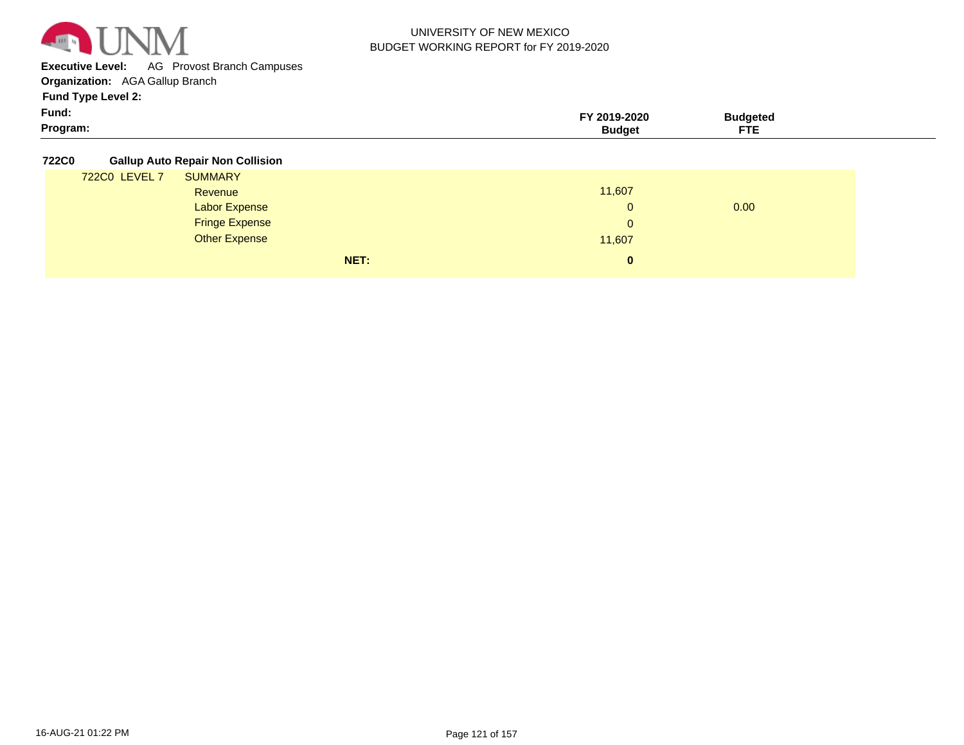

**Executive Level:** AG Provost Branch Campuses

**Organization:**  AGA Gallup Branch

**Fund Type Level 2:**

| Fund:    | Y 2019-2020 | <b>Budgeted</b> |
|----------|-------------|-----------------|
| Program: | waa         | --<br>--        |

**722C0 Gallup Auto Repair Non Collision**

|               |                       | NET:<br>0 |      |  |
|---------------|-----------------------|-----------|------|--|
|               | <b>Other Expense</b>  | 11,607    |      |  |
|               | <b>Fringe Expense</b> | 0         |      |  |
|               | <b>Labor Expense</b>  | 0         | 0.00 |  |
|               | Revenue               | 11,607    |      |  |
| 722C0 LEVEL 7 | <b>SUMMARY</b>        |           |      |  |
|               |                       |           |      |  |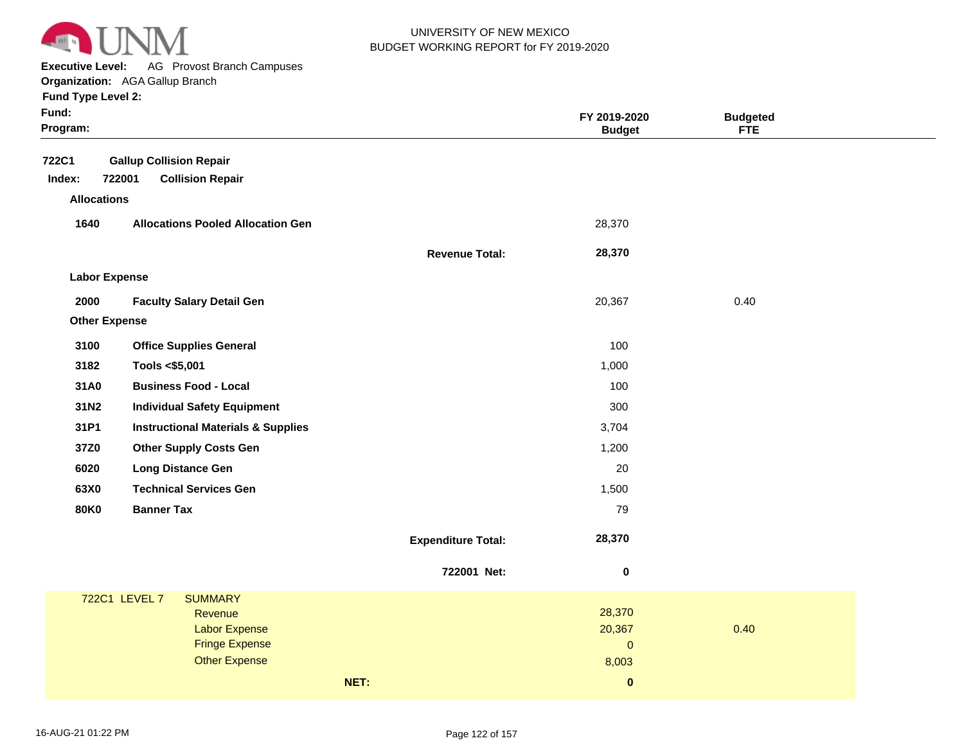

**Executive Level:** AG Provost Branch Campuses

|  | <b>Fund Type Level 2:</b> |  |  |
|--|---------------------------|--|--|
|  |                           |  |  |

| Fund:<br>Program:    |                                               |                           | FY 2019-2020<br><b>Budget</b> | <b>Budgeted</b><br><b>FTE</b> |
|----------------------|-----------------------------------------------|---------------------------|-------------------------------|-------------------------------|
| <b>722C1</b>         | <b>Gallup Collision Repair</b>                |                           |                               |                               |
| Index:               | 722001<br><b>Collision Repair</b>             |                           |                               |                               |
| <b>Allocations</b>   |                                               |                           |                               |                               |
| 1640                 | <b>Allocations Pooled Allocation Gen</b>      |                           | 28,370                        |                               |
|                      |                                               | <b>Revenue Total:</b>     | 28,370                        |                               |
| <b>Labor Expense</b> |                                               |                           |                               |                               |
| 2000                 | <b>Faculty Salary Detail Gen</b>              |                           | 20,367                        | 0.40                          |
| <b>Other Expense</b> |                                               |                           |                               |                               |
| 3100                 | <b>Office Supplies General</b>                |                           | 100                           |                               |
| 3182                 | Tools <\$5,001                                |                           | 1,000                         |                               |
| 31A0                 | <b>Business Food - Local</b>                  |                           | 100                           |                               |
| 31N2                 | <b>Individual Safety Equipment</b>            |                           | 300                           |                               |
| 31P1                 | <b>Instructional Materials &amp; Supplies</b> |                           | 3,704                         |                               |
| 37Z0                 | <b>Other Supply Costs Gen</b>                 |                           | 1,200                         |                               |
| 6020                 | <b>Long Distance Gen</b>                      |                           | 20                            |                               |
| 63X0                 | <b>Technical Services Gen</b>                 |                           | 1,500                         |                               |
| <b>80K0</b>          | <b>Banner Tax</b>                             |                           | 79                            |                               |
|                      |                                               | <b>Expenditure Total:</b> | 28,370                        |                               |
|                      |                                               | 722001 Net:               | 0                             |                               |
|                      | 722C1 LEVEL 7<br><b>SUMMARY</b>               |                           |                               |                               |
|                      | Revenue                                       |                           | 28,370                        |                               |
|                      | <b>Labor Expense</b><br><b>Fringe Expense</b> |                           | 20,367<br>$\pmb{0}$           | 0.40                          |
|                      | <b>Other Expense</b>                          |                           | 8,003                         |                               |
|                      |                                               | NET:                      | $\pmb{0}$                     |                               |
|                      |                                               |                           |                               |                               |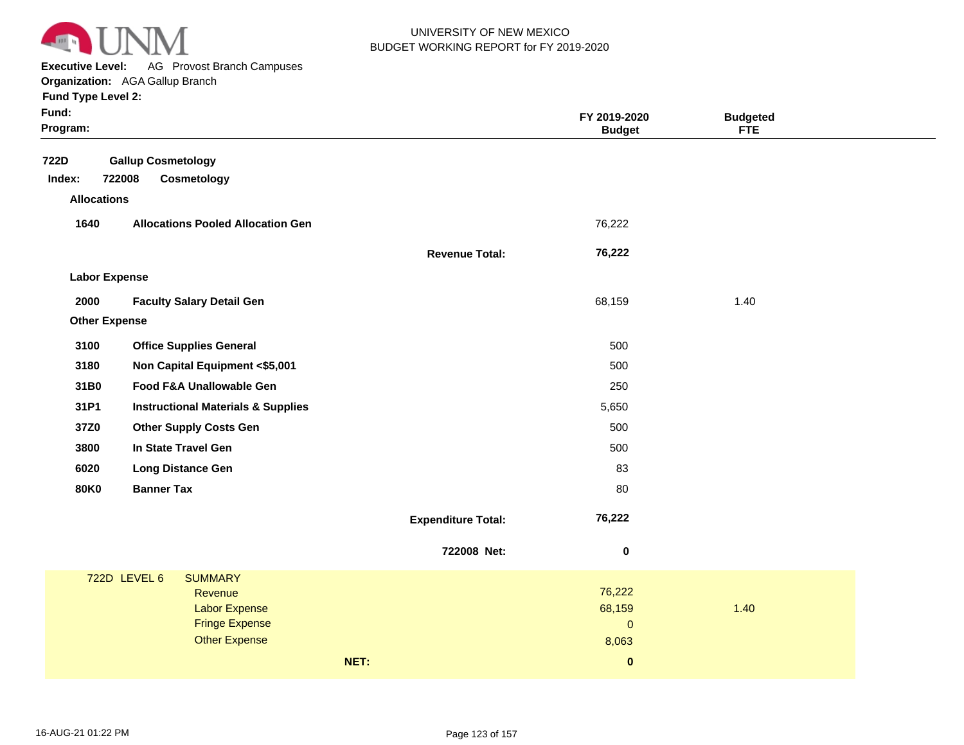

**Executive Level:** AG Provost Branch Campuses

|  | <b>Fund Type Level 2:</b> |  |  |
|--|---------------------------|--|--|
|  |                           |  |  |

| Fund:<br>Program:                                                    |                           | FY 2019-2020<br><b>Budget</b> | <b>Budgeted</b><br><b>FTE</b> |
|----------------------------------------------------------------------|---------------------------|-------------------------------|-------------------------------|
| 722D<br><b>Gallup Cosmetology</b><br>722008<br>Cosmetology<br>Index: |                           |                               |                               |
| <b>Allocations</b>                                                   |                           |                               |                               |
| 1640<br><b>Allocations Pooled Allocation Gen</b>                     |                           | 76,222                        |                               |
|                                                                      | <b>Revenue Total:</b>     | 76,222                        |                               |
| <b>Labor Expense</b>                                                 |                           |                               |                               |
| 2000<br><b>Faculty Salary Detail Gen</b>                             |                           | 68,159                        | 1.40                          |
| <b>Other Expense</b>                                                 |                           |                               |                               |
| 3100<br><b>Office Supplies General</b>                               |                           | 500                           |                               |
| 3180<br>Non Capital Equipment <\$5,001                               |                           | 500                           |                               |
| 31B0<br>Food F&A Unallowable Gen                                     |                           | 250                           |                               |
| 31P1<br><b>Instructional Materials &amp; Supplies</b>                |                           | 5,650                         |                               |
| 37Z0<br><b>Other Supply Costs Gen</b>                                |                           | 500                           |                               |
| In State Travel Gen<br>3800                                          |                           | 500                           |                               |
| 6020<br><b>Long Distance Gen</b>                                     |                           | 83                            |                               |
| <b>Banner Tax</b><br><b>80K0</b>                                     |                           | 80                            |                               |
|                                                                      | <b>Expenditure Total:</b> | 76,222                        |                               |
|                                                                      | 722008 Net:               | $\pmb{0}$                     |                               |
| 722D LEVEL 6<br><b>SUMMARY</b>                                       |                           |                               |                               |
| Revenue<br><b>Labor Expense</b>                                      |                           | 76,222<br>68,159              | 1.40                          |
| <b>Fringe Expense</b>                                                |                           | $\mathbf 0$                   |                               |
| <b>Other Expense</b>                                                 |                           | 8,063                         |                               |
| NET:                                                                 |                           | $\pmb{0}$                     |                               |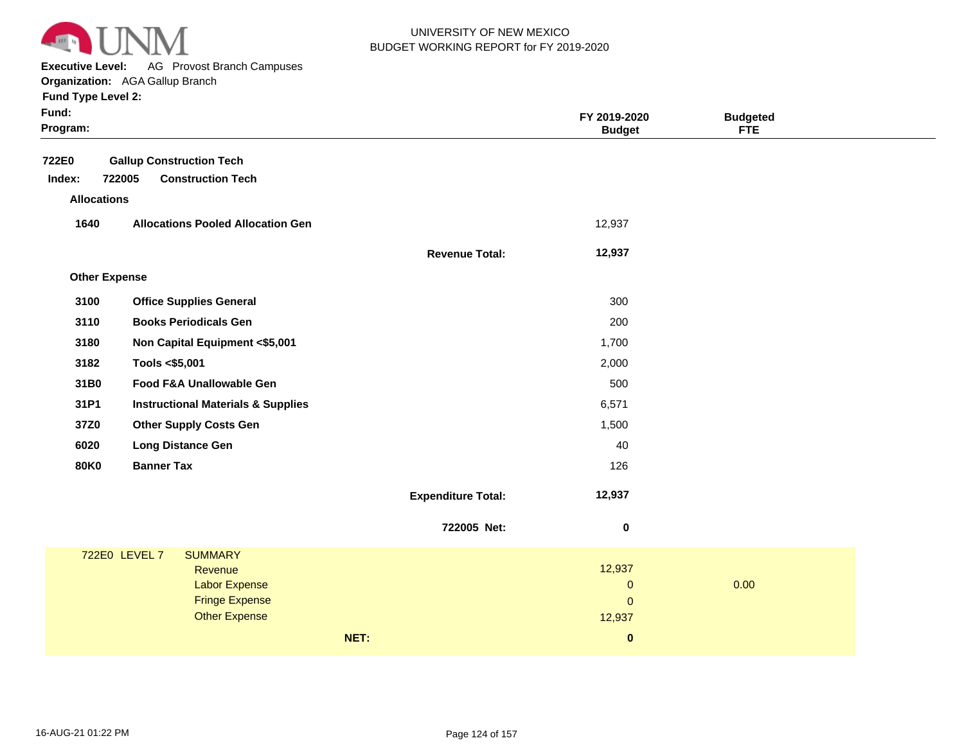

**Executive Level:** AG Provost Branch Campuses

**Organization:**  AGA Gallup Branch **Fund Type Level 2:**

| Fund:<br>Program:                     |                                                                       |                           | FY 2019-2020<br><b>Budget</b> | <b>Budgeted</b><br>FTE |  |
|---------------------------------------|-----------------------------------------------------------------------|---------------------------|-------------------------------|------------------------|--|
| 722E0<br>Index:<br><b>Allocations</b> | <b>Gallup Construction Tech</b><br>722005<br><b>Construction Tech</b> |                           |                               |                        |  |
| 1640                                  | <b>Allocations Pooled Allocation Gen</b>                              |                           | 12,937                        |                        |  |
|                                       |                                                                       | <b>Revenue Total:</b>     | 12,937                        |                        |  |
| <b>Other Expense</b>                  |                                                                       |                           |                               |                        |  |
| 3100                                  | <b>Office Supplies General</b>                                        |                           | 300                           |                        |  |
| 3110                                  | <b>Books Periodicals Gen</b>                                          |                           | 200                           |                        |  |
| 3180                                  | Non Capital Equipment <\$5,001                                        |                           | 1,700                         |                        |  |
| 3182                                  | Tools <\$5,001                                                        |                           | 2,000                         |                        |  |
| 31B0                                  | Food F&A Unallowable Gen                                              |                           | 500                           |                        |  |
| 31P1                                  | <b>Instructional Materials &amp; Supplies</b>                         |                           | 6,571                         |                        |  |
| 37Z0                                  | <b>Other Supply Costs Gen</b>                                         |                           | 1,500                         |                        |  |
| 6020                                  | <b>Long Distance Gen</b>                                              |                           | 40                            |                        |  |
| <b>80K0</b>                           | <b>Banner Tax</b>                                                     |                           | 126                           |                        |  |
|                                       |                                                                       | <b>Expenditure Total:</b> | 12,937                        |                        |  |
|                                       |                                                                       | 722005 Net:               | $\pmb{0}$                     |                        |  |
|                                       | 722E0 LEVEL 7<br><b>SUMMARY</b>                                       |                           |                               |                        |  |
|                                       | Revenue                                                               |                           | 12,937                        |                        |  |
|                                       | <b>Labor Expense</b><br><b>Fringe Expense</b>                         |                           | $\pmb{0}$<br>$\mathbf{0}$     | 0.00                   |  |
|                                       | <b>Other Expense</b>                                                  |                           | 12,937                        |                        |  |
|                                       |                                                                       | NET:                      | $\bf{0}$                      |                        |  |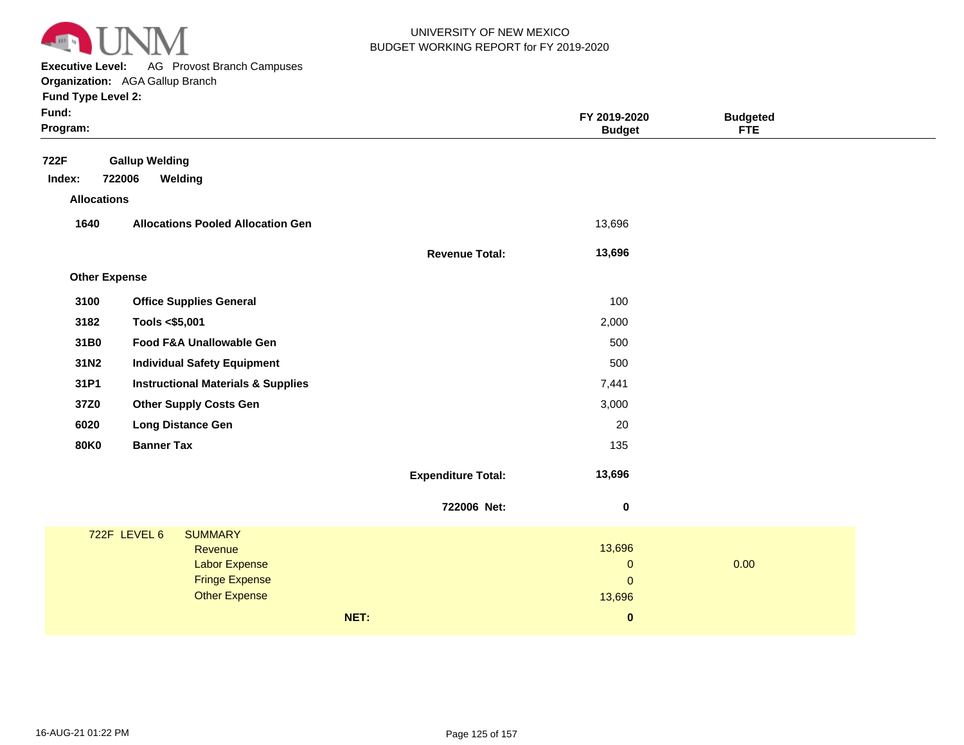

**Executive Level:** AG Provost Branch Campuses **Organization:**  AGA Gallup Branch

| Fund:<br>Program:    |                                                                                                                    |                           | FY 2019-2020<br><b>Budget</b>                | <b>Budgeted</b><br>FTE |  |
|----------------------|--------------------------------------------------------------------------------------------------------------------|---------------------------|----------------------------------------------|------------------------|--|
| 722F<br>Index:       | <b>Gallup Welding</b><br>722006<br>Welding                                                                         |                           |                                              |                        |  |
| <b>Allocations</b>   |                                                                                                                    |                           |                                              |                        |  |
| 1640                 | <b>Allocations Pooled Allocation Gen</b>                                                                           |                           | 13,696                                       |                        |  |
|                      |                                                                                                                    | <b>Revenue Total:</b>     | 13,696                                       |                        |  |
| <b>Other Expense</b> |                                                                                                                    |                           |                                              |                        |  |
| 3100                 | <b>Office Supplies General</b>                                                                                     |                           | 100                                          |                        |  |
| 3182                 | Tools <\$5,001                                                                                                     |                           | 2,000                                        |                        |  |
| 31B0                 | Food F&A Unallowable Gen                                                                                           |                           | 500                                          |                        |  |
| 31N2                 | <b>Individual Safety Equipment</b>                                                                                 |                           | 500                                          |                        |  |
| 31P1                 | <b>Instructional Materials &amp; Supplies</b>                                                                      |                           | 7,441                                        |                        |  |
| 37Z0                 | <b>Other Supply Costs Gen</b>                                                                                      |                           | 3,000                                        |                        |  |
| 6020                 | <b>Long Distance Gen</b>                                                                                           |                           | 20                                           |                        |  |
| <b>80K0</b>          | <b>Banner Tax</b>                                                                                                  |                           | 135                                          |                        |  |
|                      |                                                                                                                    | <b>Expenditure Total:</b> | 13,696                                       |                        |  |
|                      |                                                                                                                    | 722006 Net:               | $\pmb{0}$                                    |                        |  |
|                      | 722F LEVEL 6<br><b>SUMMARY</b><br>Revenue<br><b>Labor Expense</b><br><b>Fringe Expense</b><br><b>Other Expense</b> |                           | 13,696<br>$\mathbf 0$<br>$\pmb{0}$<br>13,696 | 0.00                   |  |
|                      |                                                                                                                    | NET:                      | $\bf{0}$                                     |                        |  |
|                      |                                                                                                                    |                           |                                              |                        |  |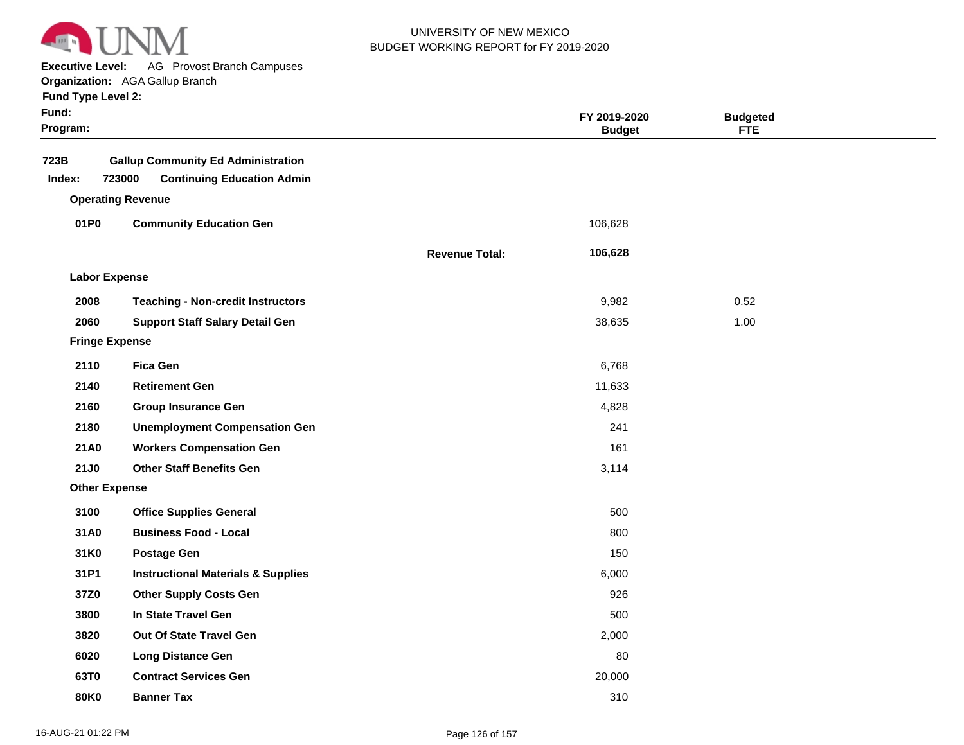

**Executive Level:** AG Provost Branch Campuses

| <b>Fund Type Level 2:</b><br>Fund:<br>Program: |                                                                                                                      |                       | FY 2019-2020<br><b>Budget</b> | <b>Budgeted</b><br><b>FTE</b> |
|------------------------------------------------|----------------------------------------------------------------------------------------------------------------------|-----------------------|-------------------------------|-------------------------------|
| 723B<br>Index:                                 | <b>Gallup Community Ed Administration</b><br><b>Continuing Education Admin</b><br>723000<br><b>Operating Revenue</b> |                       |                               |                               |
| 01P0                                           | <b>Community Education Gen</b>                                                                                       |                       | 106,628                       |                               |
|                                                |                                                                                                                      | <b>Revenue Total:</b> | 106,628                       |                               |
| <b>Labor Expense</b>                           |                                                                                                                      |                       |                               |                               |

| <b>Labor Expense</b>  |                                               |        |      |
|-----------------------|-----------------------------------------------|--------|------|
| 2008                  | <b>Teaching - Non-credit Instructors</b>      | 9,982  | 0.52 |
| 2060                  | <b>Support Staff Salary Detail Gen</b>        | 38,635 | 1.00 |
| <b>Fringe Expense</b> |                                               |        |      |
| 2110                  | <b>Fica Gen</b>                               | 6,768  |      |
| 2140                  | <b>Retirement Gen</b>                         | 11,633 |      |
| 2160                  | <b>Group Insurance Gen</b>                    | 4,828  |      |
| 2180                  | <b>Unemployment Compensation Gen</b>          | 241    |      |
| <b>21A0</b>           | <b>Workers Compensation Gen</b>               | 161    |      |
| <b>21J0</b>           | <b>Other Staff Benefits Gen</b>               | 3,114  |      |
| <b>Other Expense</b>  |                                               |        |      |
| 3100                  | <b>Office Supplies General</b>                | 500    |      |
| 31A0                  | <b>Business Food - Local</b>                  | 800    |      |
| 31K0                  | <b>Postage Gen</b>                            | 150    |      |
| 31P1                  | <b>Instructional Materials &amp; Supplies</b> | 6,000  |      |
| 37Z0                  | <b>Other Supply Costs Gen</b>                 | 926    |      |
| 3800                  | In State Travel Gen                           | 500    |      |
| 3820                  | Out Of State Travel Gen                       | 2,000  |      |
| 6020                  | <b>Long Distance Gen</b>                      | 80     |      |
| 63T0                  | <b>Contract Services Gen</b>                  | 20,000 |      |
| <b>80K0</b>           | <b>Banner Tax</b>                             | 310    |      |
|                       |                                               |        |      |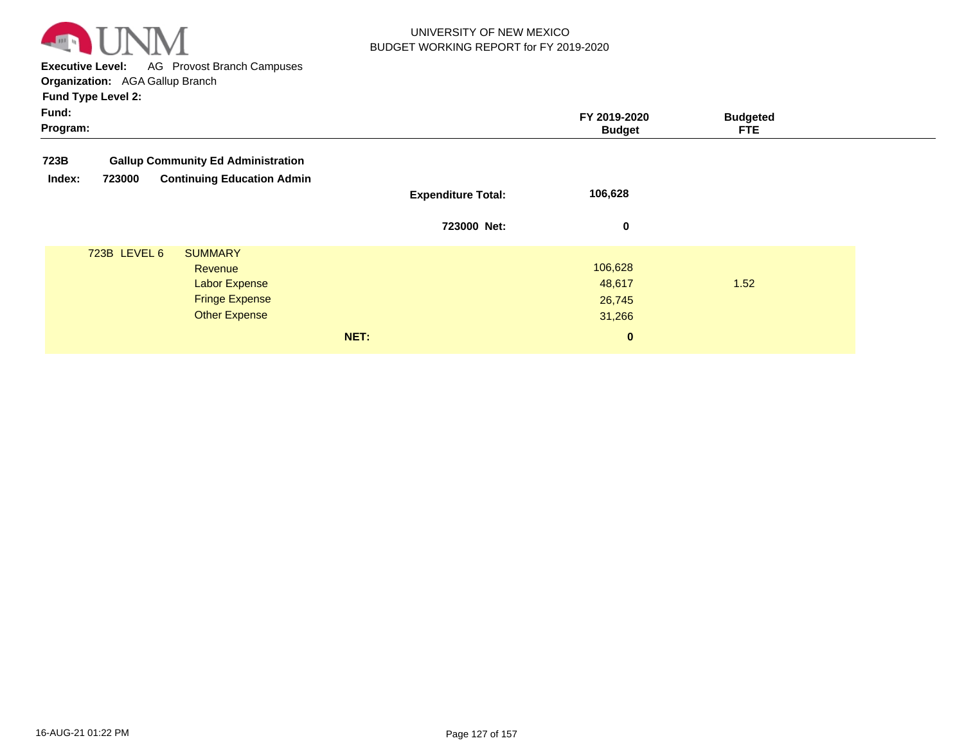

**Executive Level:** AG Provost Branch Campuses **Organization:**  AGA Gallup Branch

| Fund:<br>Program: |              |                                                   |                           | FY 2019-2020<br><b>Budget</b> | <b>Budgeted</b><br>FTE. |  |
|-------------------|--------------|---------------------------------------------------|---------------------------|-------------------------------|-------------------------|--|
| 723B              |              | <b>Gallup Community Ed Administration</b>         |                           |                               |                         |  |
| Index:            | 723000       | <b>Continuing Education Admin</b>                 | <b>Expenditure Total:</b> | 106,628                       |                         |  |
|                   |              |                                                   | 723000 Net:               | 0                             |                         |  |
|                   | 723B LEVEL 6 | <b>SUMMARY</b><br>Revenue<br><b>Labor Expense</b> |                           | 106,628<br>48,617             | 1.52                    |  |
|                   |              | <b>Fringe Expense</b><br><b>Other Expense</b>     |                           | 26,745<br>31,266              |                         |  |
|                   |              |                                                   | NET:                      | $\mathbf{0}$                  |                         |  |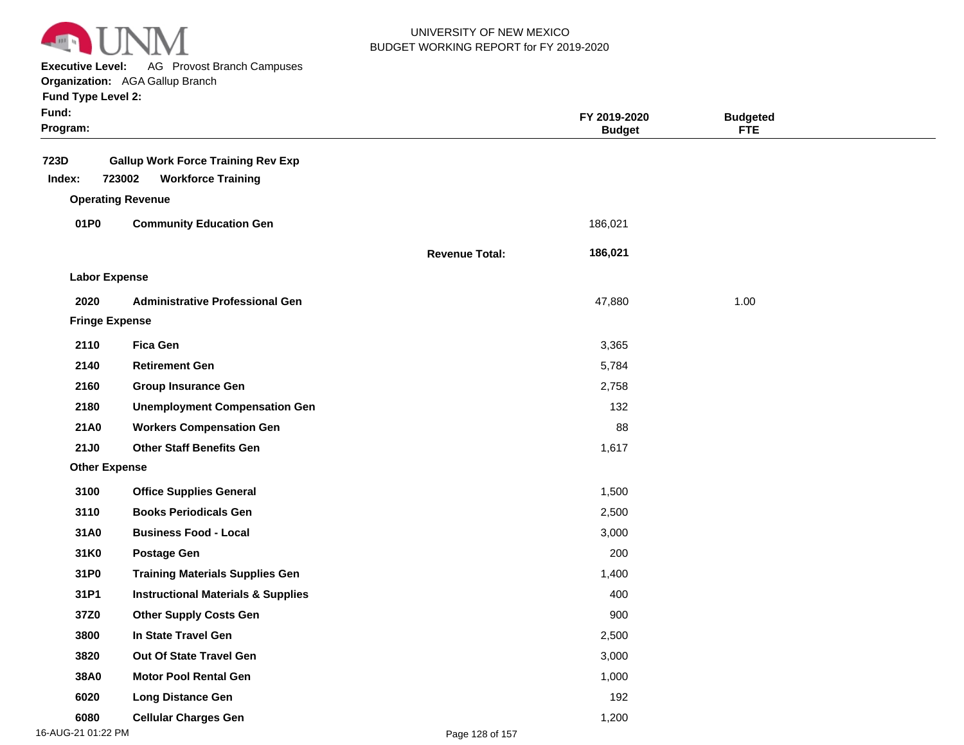

**Executive Level:** AG Provost Branch Campuses

|  | <b>Fund Type Level 2:</b> |  |
|--|---------------------------|--|
|  |                           |  |

| Fund:<br>Program:     |                                                                                  |                       | FY 2019-2020<br><b>Budget</b> | <b>Budgeted</b><br><b>FTE</b> |  |
|-----------------------|----------------------------------------------------------------------------------|-----------------------|-------------------------------|-------------------------------|--|
| 723D<br>Index:        | <b>Gallup Work Force Training Rev Exp</b><br>723002<br><b>Workforce Training</b> |                       |                               |                               |  |
|                       | <b>Operating Revenue</b>                                                         |                       |                               |                               |  |
| 01P0                  | <b>Community Education Gen</b>                                                   |                       | 186,021                       |                               |  |
|                       |                                                                                  | <b>Revenue Total:</b> | 186,021                       |                               |  |
| <b>Labor Expense</b>  |                                                                                  |                       |                               |                               |  |
| 2020                  | <b>Administrative Professional Gen</b>                                           |                       | 47,880                        | 1.00                          |  |
| <b>Fringe Expense</b> |                                                                                  |                       |                               |                               |  |
| 2110                  | <b>Fica Gen</b>                                                                  |                       | 3,365                         |                               |  |
| 2140                  | <b>Retirement Gen</b>                                                            |                       | 5,784                         |                               |  |
| 2160                  | <b>Group Insurance Gen</b>                                                       |                       | 2,758                         |                               |  |
| 2180                  | <b>Unemployment Compensation Gen</b>                                             |                       | 132                           |                               |  |
| 21A0                  | <b>Workers Compensation Gen</b>                                                  |                       | 88                            |                               |  |
| <b>21J0</b>           | <b>Other Staff Benefits Gen</b>                                                  |                       | 1,617                         |                               |  |
| <b>Other Expense</b>  |                                                                                  |                       |                               |                               |  |
| 3100                  | <b>Office Supplies General</b>                                                   |                       | 1,500                         |                               |  |
| 3110                  | <b>Books Periodicals Gen</b>                                                     |                       | 2,500                         |                               |  |
| 31A0                  | <b>Business Food - Local</b>                                                     |                       | 3,000                         |                               |  |
| 31K0                  | <b>Postage Gen</b>                                                               |                       | 200                           |                               |  |
| 31P0                  | <b>Training Materials Supplies Gen</b>                                           |                       | 1,400                         |                               |  |
| 31P1                  | <b>Instructional Materials &amp; Supplies</b>                                    |                       | 400                           |                               |  |
| 37Z0                  | <b>Other Supply Costs Gen</b>                                                    |                       | 900                           |                               |  |
| 3800                  | In State Travel Gen                                                              |                       | 2,500                         |                               |  |
| 3820                  | Out Of State Travel Gen                                                          |                       | 3,000                         |                               |  |
| 38A0                  | <b>Motor Pool Rental Gen</b>                                                     |                       | 1,000                         |                               |  |
| 6020                  | <b>Long Distance Gen</b>                                                         |                       | 192                           |                               |  |
| 6080                  | <b>Cellular Charges Gen</b>                                                      |                       | 1,200                         |                               |  |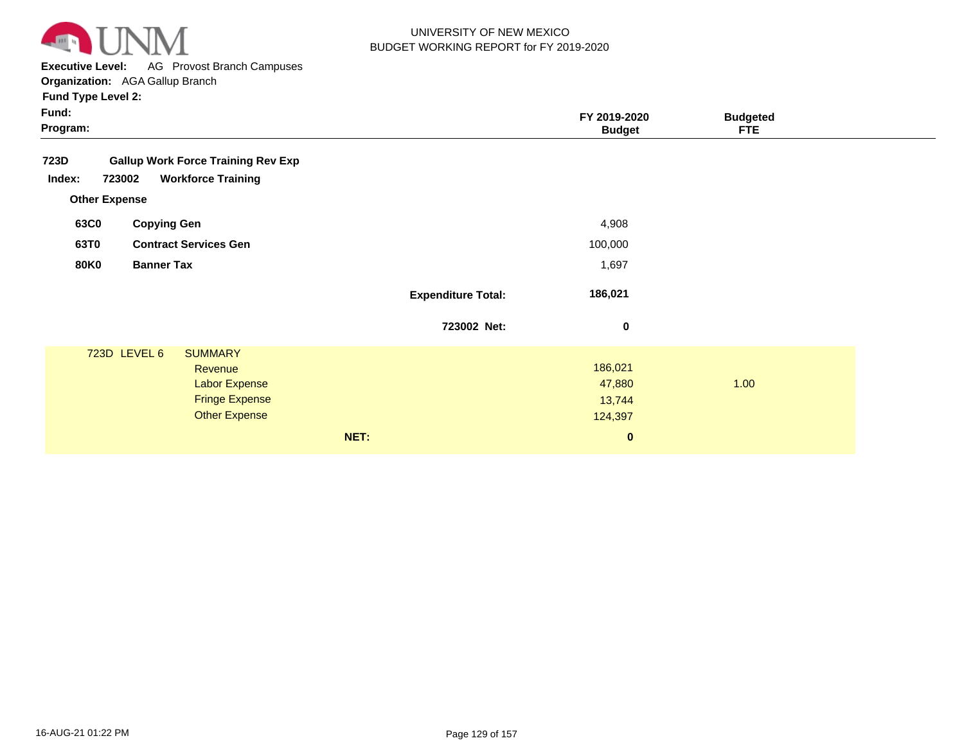

**Executive Level:** AG Provost Branch Campuses

| <b>Fund Type Level 2:</b> |  |
|---------------------------|--|
|---------------------------|--|

| Fund Type Level 2:                                |                           |                               |                               |
|---------------------------------------------------|---------------------------|-------------------------------|-------------------------------|
| Fund:<br>Program:                                 |                           | FY 2019-2020<br><b>Budget</b> | <b>Budgeted</b><br><b>FTE</b> |
| 723D<br><b>Gallup Work Force Training Rev Exp</b> |                           |                               |                               |
| <b>Workforce Training</b><br>Index:<br>723002     |                           |                               |                               |
| <b>Other Expense</b>                              |                           |                               |                               |
| 63C0<br><b>Copying Gen</b>                        |                           | 4,908                         |                               |
| 63T0<br><b>Contract Services Gen</b>              |                           | 100,000                       |                               |
| <b>80K0</b><br><b>Banner Tax</b>                  |                           | 1,697                         |                               |
|                                                   | <b>Expenditure Total:</b> | 186,021                       |                               |
|                                                   | 723002 Net:               | $\pmb{0}$                     |                               |
| 723D LEVEL 6<br><b>SUMMARY</b>                    |                           |                               |                               |
| Revenue<br><b>Labor Expense</b>                   |                           | 186,021<br>47,880             | 1.00                          |
| <b>Fringe Expense</b>                             |                           | 13,744                        |                               |
| <b>Other Expense</b>                              |                           | 124,397                       |                               |
| NET:                                              |                           | $\bf{0}$                      |                               |
|                                                   |                           |                               |                               |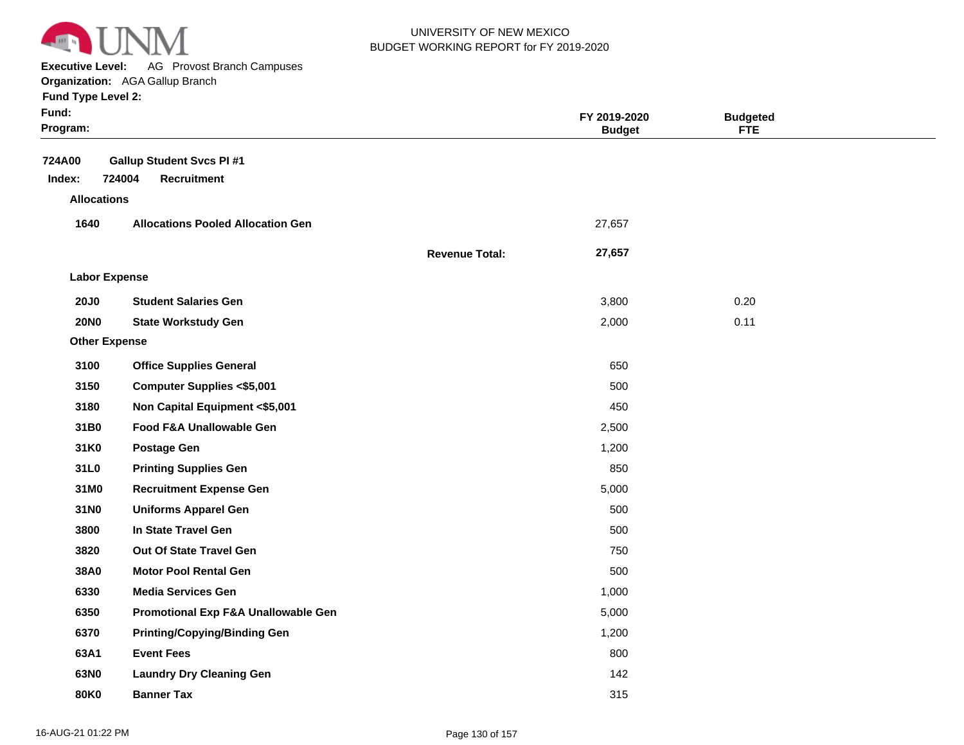

**Executive Level:** AG Provost Branch Campuses

**Organization:**  AGA Gallup Branch

| Fund:<br>Program:    |                                                                 |                       | FY 2019-2020<br><b>Budget</b> | <b>Budgeted</b><br><b>FTE</b> |  |
|----------------------|-----------------------------------------------------------------|-----------------------|-------------------------------|-------------------------------|--|
| 724A00<br>Index:     | <b>Gallup Student Svcs PI#1</b><br>724004<br><b>Recruitment</b> |                       |                               |                               |  |
| <b>Allocations</b>   |                                                                 |                       |                               |                               |  |
| 1640                 | <b>Allocations Pooled Allocation Gen</b>                        |                       | 27,657                        |                               |  |
|                      |                                                                 | <b>Revenue Total:</b> | 27,657                        |                               |  |
| <b>Labor Expense</b> |                                                                 |                       |                               |                               |  |
| <b>20J0</b>          | <b>Student Salaries Gen</b>                                     |                       | 3,800                         | 0.20                          |  |
| <b>20NO</b>          | <b>State Workstudy Gen</b>                                      |                       | 2,000                         | 0.11                          |  |
| <b>Other Expense</b> |                                                                 |                       |                               |                               |  |
| 3100                 | <b>Office Supplies General</b>                                  |                       | 650                           |                               |  |
| 3150                 | <b>Computer Supplies &lt;\$5,001</b>                            |                       | 500                           |                               |  |
| 3180                 | Non Capital Equipment <\$5,001                                  |                       | 450                           |                               |  |
| 31B0                 | Food F&A Unallowable Gen                                        |                       | 2,500                         |                               |  |
| 31K0                 | <b>Postage Gen</b>                                              |                       | 1,200                         |                               |  |
| 31L0                 | <b>Printing Supplies Gen</b>                                    |                       | 850                           |                               |  |
| 31M0                 | <b>Recruitment Expense Gen</b>                                  |                       | 5,000                         |                               |  |
| 31N0                 | <b>Uniforms Apparel Gen</b>                                     |                       | 500                           |                               |  |
| 3800                 | In State Travel Gen                                             |                       | 500                           |                               |  |
| 3820                 | Out Of State Travel Gen                                         |                       | 750                           |                               |  |
| 38A0                 | <b>Motor Pool Rental Gen</b>                                    |                       | 500                           |                               |  |
| 6330                 | <b>Media Services Gen</b>                                       |                       | 1,000                         |                               |  |
| 6350                 | Promotional Exp F&A Unallowable Gen                             |                       | 5,000                         |                               |  |
| 6370                 | <b>Printing/Copying/Binding Gen</b>                             |                       | 1,200                         |                               |  |
| 63A1                 | <b>Event Fees</b>                                               |                       | 800                           |                               |  |
| 63N0                 | <b>Laundry Dry Cleaning Gen</b>                                 |                       | 142                           |                               |  |
| 80K0                 | <b>Banner Tax</b>                                               |                       | 315                           |                               |  |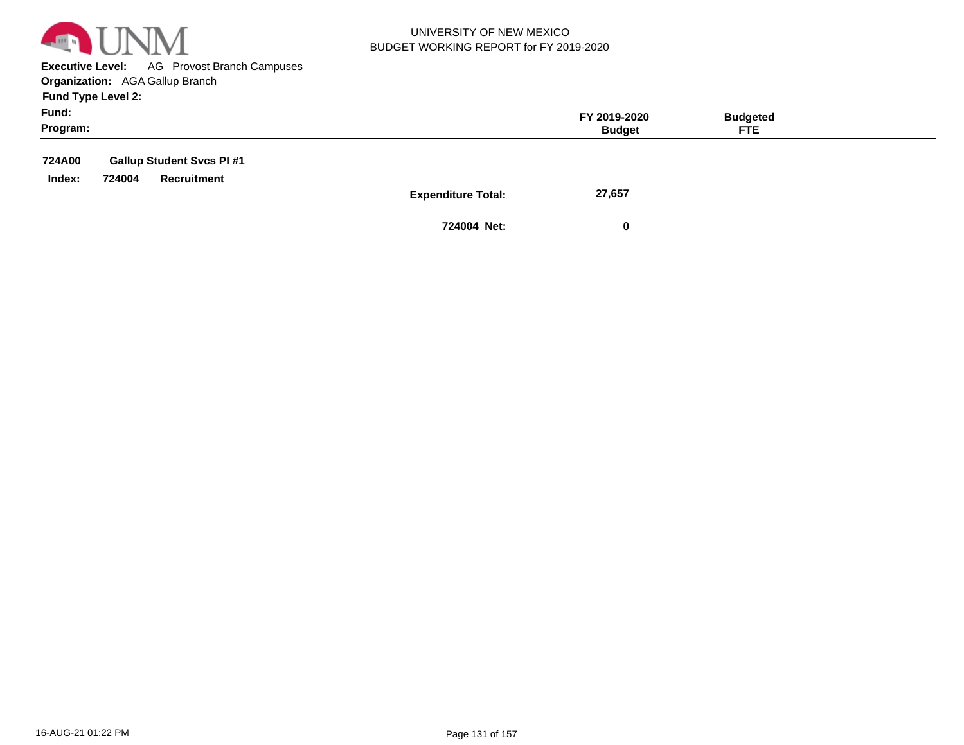

**Executive Level:** AG Provost Branch Campuses **Organization:**  AGA Gallup Branch

**Fund Type Level 2:**

| Fund:<br>Program: |        |                                 |                           | FY 2019-2020<br><b>Budget</b> | <b>Budgeted</b><br><b>FTE</b> |  |
|-------------------|--------|---------------------------------|---------------------------|-------------------------------|-------------------------------|--|
| 724A00            |        | <b>Gallup Student Svcs PI#1</b> |                           |                               |                               |  |
| Index:            | 724004 | Recruitment                     |                           |                               |                               |  |
|                   |        |                                 | <b>Expenditure Total:</b> | 27.657                        |                               |  |

**Expenditure Total:** 27,

**724004 Net: 0**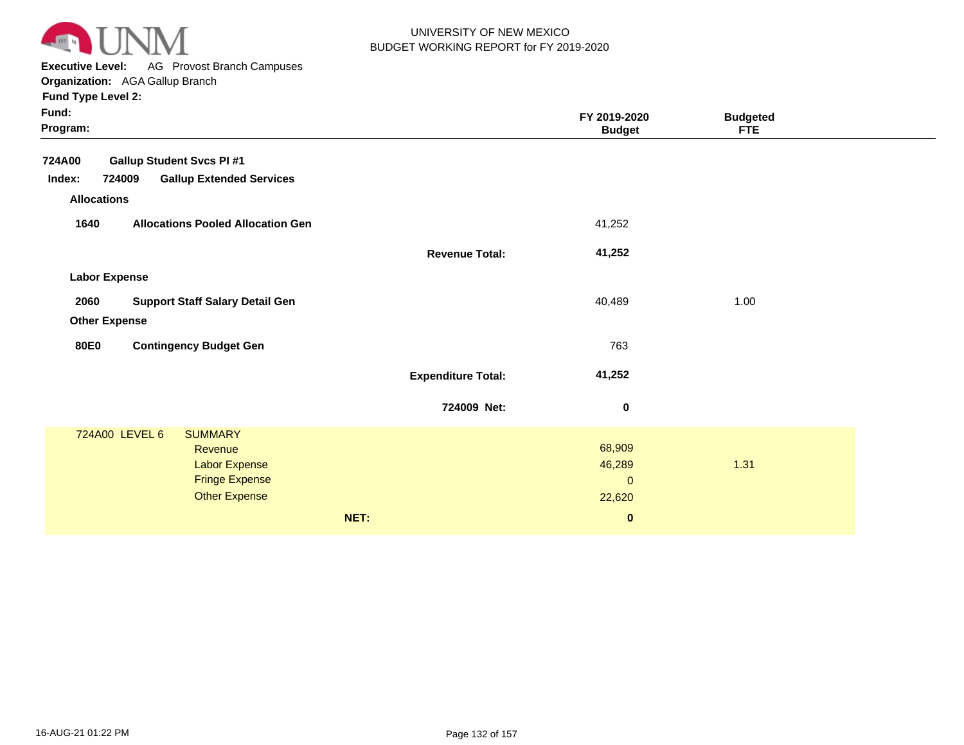

**Executive Level:** AG Provost Branch Campuses

**Organization:**  AGA Gallup Branch

| Fund:<br>Program:                                   |                           | FY 2019-2020<br><b>Budget</b> | <b>Budgeted</b><br><b>FTE</b> |  |
|-----------------------------------------------------|---------------------------|-------------------------------|-------------------------------|--|
| <b>724A00</b><br><b>Gallup Student Svcs PI #1</b>   |                           |                               |                               |  |
| 724009<br><b>Gallup Extended Services</b><br>Index: |                           |                               |                               |  |
| <b>Allocations</b>                                  |                           |                               |                               |  |
| 1640<br><b>Allocations Pooled Allocation Gen</b>    |                           | 41,252                        |                               |  |
|                                                     | <b>Revenue Total:</b>     | 41,252                        |                               |  |
| <b>Labor Expense</b>                                |                           |                               |                               |  |
| <b>Support Staff Salary Detail Gen</b><br>2060      |                           | 40,489                        | 1.00                          |  |
| <b>Other Expense</b>                                |                           |                               |                               |  |
|                                                     |                           |                               |                               |  |
| <b>Contingency Budget Gen</b><br><b>80E0</b>        |                           | 763                           |                               |  |
|                                                     | <b>Expenditure Total:</b> | 41,252                        |                               |  |
|                                                     | 724009 Net:               | 0                             |                               |  |
| 724A00 LEVEL 6<br><b>SUMMARY</b>                    |                           |                               |                               |  |
| Revenue                                             |                           | 68,909                        |                               |  |
| Labor Expense<br><b>Fringe Expense</b>              |                           | 46,289                        | 1.31                          |  |
| <b>Other Expense</b>                                |                           | $\mathbf 0$<br>22,620         |                               |  |
|                                                     |                           |                               |                               |  |
|                                                     | NET:                      | $\pmb{0}$                     |                               |  |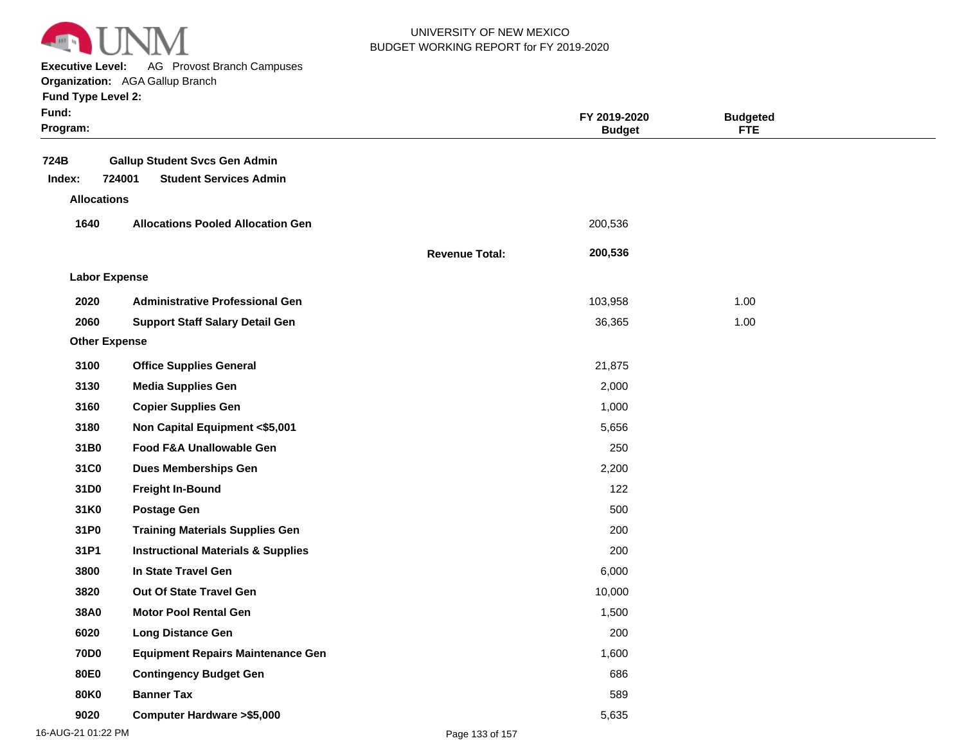

**Executive Level:** AG Provost Branch Campuses

|  | <b>Fund Type Level 2:</b> |  |
|--|---------------------------|--|
|  |                           |  |

| Fund:<br>Program:  |                                                                                 |                       | FY 2019-2020<br><b>Budget</b> | <b>Budgeted</b><br><b>FTE</b> |  |
|--------------------|---------------------------------------------------------------------------------|-----------------------|-------------------------------|-------------------------------|--|
| 724B<br>Index:     | <b>Gallup Student Svcs Gen Admin</b><br>724001<br><b>Student Services Admin</b> |                       |                               |                               |  |
| <b>Allocations</b> |                                                                                 |                       |                               |                               |  |
| 1640               | <b>Allocations Pooled Allocation Gen</b>                                        |                       | 200,536                       |                               |  |
|                    |                                                                                 | <b>Revenue Total:</b> | 200,536                       |                               |  |
|                    | <b>Labor Expense</b>                                                            |                       |                               |                               |  |
| 2020               | <b>Administrative Professional Gen</b>                                          |                       | 103,958                       | 1.00                          |  |
| 2060               | <b>Support Staff Salary Detail Gen</b>                                          |                       | 36,365                        | 1.00                          |  |
|                    | <b>Other Expense</b>                                                            |                       |                               |                               |  |
| 3100               | <b>Office Supplies General</b>                                                  |                       | 21,875                        |                               |  |
| 3130               | <b>Media Supplies Gen</b>                                                       |                       | 2,000                         |                               |  |
| 3160               | <b>Copier Supplies Gen</b>                                                      |                       | 1,000                         |                               |  |
| 3180               | Non Capital Equipment <\$5,001                                                  |                       | 5,656                         |                               |  |
| 31B0               | Food F&A Unallowable Gen                                                        |                       | 250                           |                               |  |
| 31C0               | <b>Dues Memberships Gen</b>                                                     |                       | 2,200                         |                               |  |
| 31D0               | <b>Freight In-Bound</b>                                                         |                       | 122                           |                               |  |
| 31K0               | <b>Postage Gen</b>                                                              |                       | 500                           |                               |  |
| 31P0               | <b>Training Materials Supplies Gen</b>                                          |                       | 200                           |                               |  |
| 31P1               | <b>Instructional Materials &amp; Supplies</b>                                   |                       | 200                           |                               |  |
| 3800               | In State Travel Gen                                                             |                       | 6,000                         |                               |  |
| 3820               | Out Of State Travel Gen                                                         |                       | 10,000                        |                               |  |
| 38A0               | <b>Motor Pool Rental Gen</b>                                                    |                       | 1,500                         |                               |  |
| 6020               | <b>Long Distance Gen</b>                                                        |                       | 200                           |                               |  |
| <b>70D0</b>        | <b>Equipment Repairs Maintenance Gen</b>                                        |                       | 1,600                         |                               |  |
| 80E0               | <b>Contingency Budget Gen</b>                                                   |                       | 686                           |                               |  |
| 80K0               | <b>Banner Tax</b>                                                               |                       | 589                           |                               |  |
| 9020               | <b>Computer Hardware &gt;\$5,000</b>                                            |                       | 5,635                         |                               |  |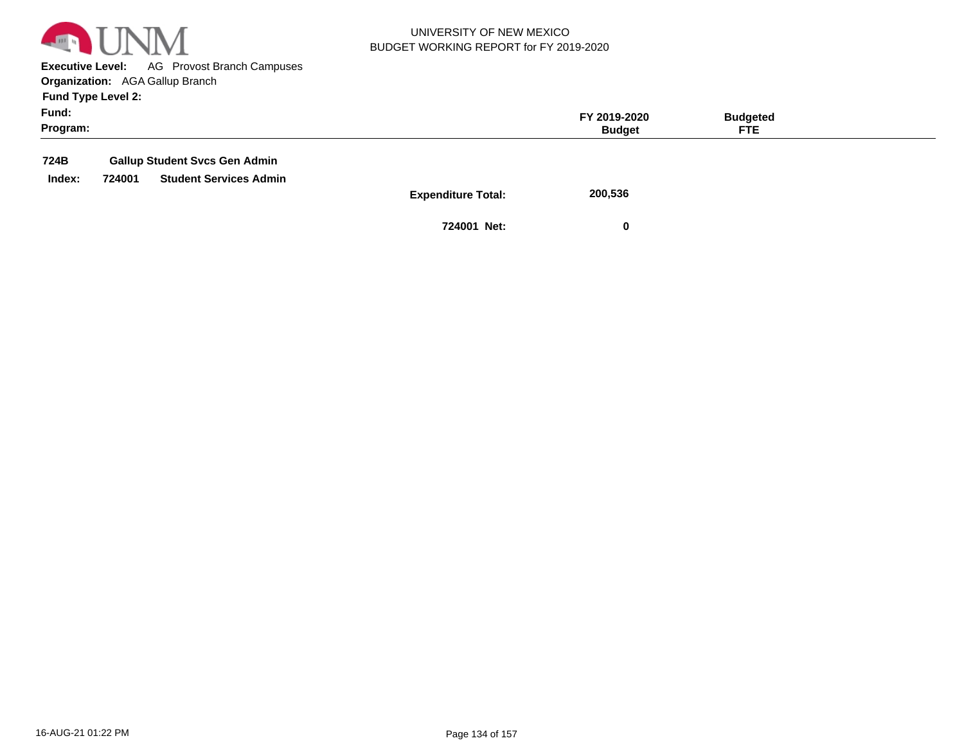

**Executive Level:** AG Provost Branch Campuses **Organization:**  AGA Gallup Branch

**Fund Type Level 2:**

| Fund:<br>Program: |                                         | FY 2019-2020<br><b>Budget</b> | <b>Budgeted</b><br><b>FTE</b> |  |
|-------------------|-----------------------------------------|-------------------------------|-------------------------------|--|
| 724B              | <b>Gallup Student Svcs Gen Admin</b>    |                               |                               |  |
| Index:            | 724001<br><b>Student Services Admin</b> |                               |                               |  |

**Expenditure Total: 200,536** 

**724001 Net: 0**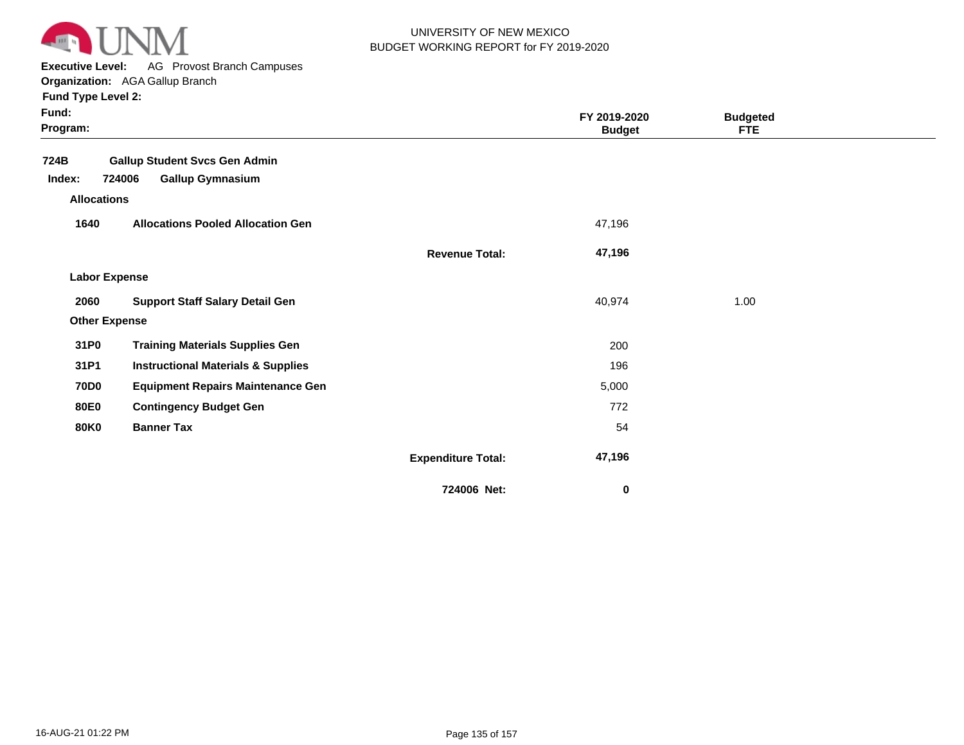

**Executive Level:** AG Provost Branch Campuses

**Organization:**  AGA Gallup Branch

| Fund:<br>Program:    |                                               |                           | FY 2019-2020<br><b>Budget</b> | <b>Budgeted</b><br><b>FTE</b> |  |
|----------------------|-----------------------------------------------|---------------------------|-------------------------------|-------------------------------|--|
| 724B                 | <b>Gallup Student Svcs Gen Admin</b>          |                           |                               |                               |  |
| Index:               | 724006<br><b>Gallup Gymnasium</b>             |                           |                               |                               |  |
| <b>Allocations</b>   |                                               |                           |                               |                               |  |
| 1640                 | <b>Allocations Pooled Allocation Gen</b>      |                           | 47,196                        |                               |  |
|                      |                                               | <b>Revenue Total:</b>     | 47,196                        |                               |  |
| <b>Labor Expense</b> |                                               |                           |                               |                               |  |
| 2060                 | <b>Support Staff Salary Detail Gen</b>        |                           | 40,974                        | 1.00                          |  |
| <b>Other Expense</b> |                                               |                           |                               |                               |  |
| 31P0                 | <b>Training Materials Supplies Gen</b>        |                           | 200                           |                               |  |
| 31P1                 | <b>Instructional Materials &amp; Supplies</b> |                           | 196                           |                               |  |
| <b>70D0</b>          | <b>Equipment Repairs Maintenance Gen</b>      |                           | 5,000                         |                               |  |
| <b>80E0</b>          | <b>Contingency Budget Gen</b>                 |                           | 772                           |                               |  |
| <b>80K0</b>          | <b>Banner Tax</b>                             |                           | 54                            |                               |  |
|                      |                                               | <b>Expenditure Total:</b> | 47,196                        |                               |  |
|                      |                                               | 724006 Net:               | $\pmb{0}$                     |                               |  |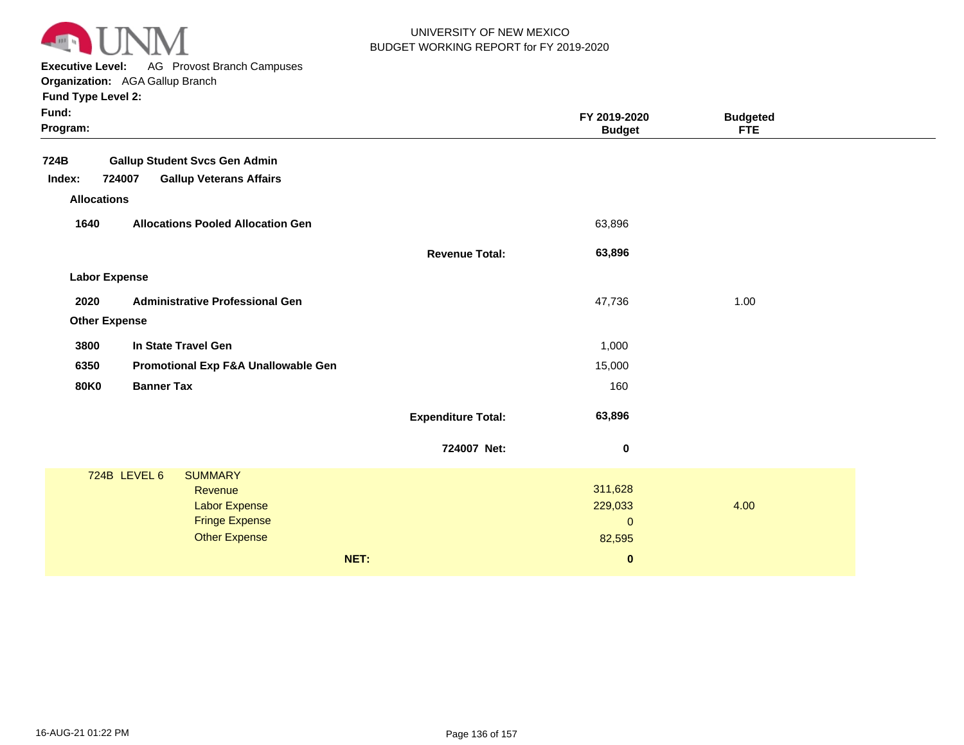

**Executive Level:** AG Provost Branch Campuses

**Organization:**  AGA Gallup Branch **Fund Type Level 2:**

| Fund:<br>Program:    |                                          |                           | FY 2019-2020<br><b>Budget</b> | <b>Budgeted</b><br><b>FTE</b> |  |
|----------------------|------------------------------------------|---------------------------|-------------------------------|-------------------------------|--|
| 724B                 | <b>Gallup Student Svcs Gen Admin</b>     |                           |                               |                               |  |
| Index:               | 724007<br><b>Gallup Veterans Affairs</b> |                           |                               |                               |  |
| <b>Allocations</b>   |                                          |                           |                               |                               |  |
| 1640                 | <b>Allocations Pooled Allocation Gen</b> |                           | 63,896                        |                               |  |
|                      |                                          | <b>Revenue Total:</b>     | 63,896                        |                               |  |
| <b>Labor Expense</b> |                                          |                           |                               |                               |  |
| 2020                 | <b>Administrative Professional Gen</b>   |                           | 47,736                        | 1.00                          |  |
| <b>Other Expense</b> |                                          |                           |                               |                               |  |
| 3800                 | In State Travel Gen                      |                           | 1,000                         |                               |  |
| 6350                 | Promotional Exp F&A Unallowable Gen      |                           | 15,000                        |                               |  |
| <b>80K0</b>          | <b>Banner Tax</b>                        |                           | 160                           |                               |  |
|                      |                                          | <b>Expenditure Total:</b> | 63,896                        |                               |  |
|                      |                                          | 724007 Net:               | $\boldsymbol{0}$              |                               |  |
|                      | 724B LEVEL 6<br><b>SUMMARY</b>           |                           |                               |                               |  |
|                      | Revenue<br><b>Labor Expense</b>          |                           | 311,628<br>229,033            | 4.00                          |  |
|                      | <b>Fringe Expense</b>                    |                           | $\pmb{0}$                     |                               |  |
|                      | <b>Other Expense</b>                     |                           | 82,595                        |                               |  |
|                      |                                          | NET:                      | $\pmb{0}$                     |                               |  |
|                      |                                          |                           |                               |                               |  |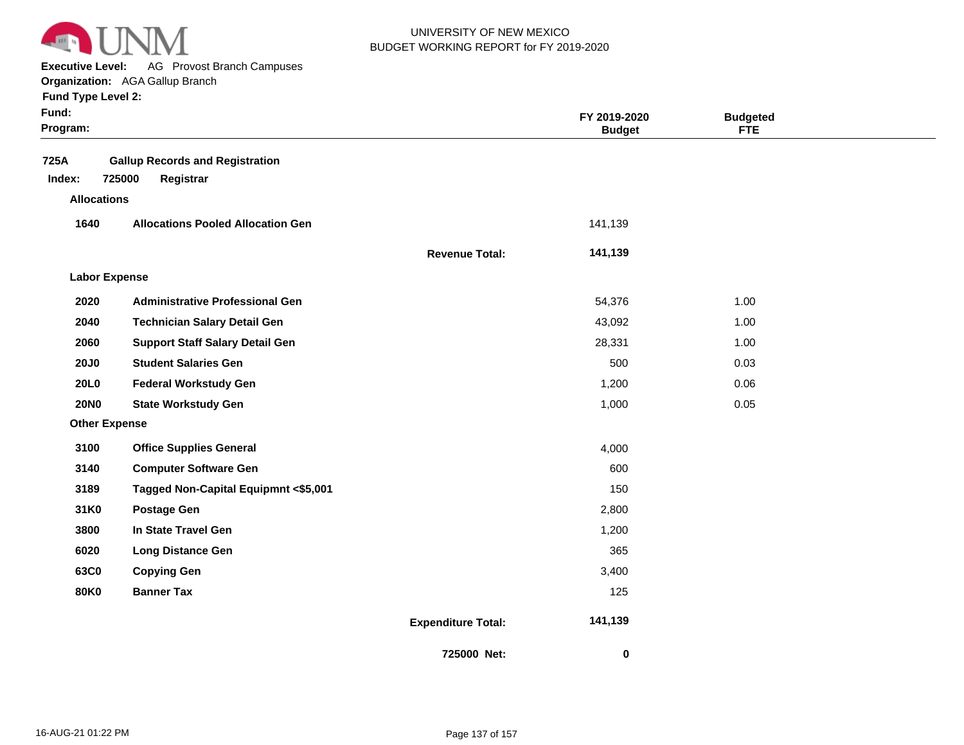

**Executive Level:** AG Provost Branch Campuses **Organization:**  AGA Gallup Branch

| Fund:<br>Program:    |                                          |                           | FY 2019-2020<br><b>Budget</b> | <b>Budgeted</b><br><b>FTE</b> |  |
|----------------------|------------------------------------------|---------------------------|-------------------------------|-------------------------------|--|
| 725A                 | <b>Gallup Records and Registration</b>   |                           |                               |                               |  |
| Index:               | 725000<br>Registrar                      |                           |                               |                               |  |
| <b>Allocations</b>   |                                          |                           |                               |                               |  |
| 1640                 | <b>Allocations Pooled Allocation Gen</b> |                           | 141,139                       |                               |  |
|                      |                                          | <b>Revenue Total:</b>     | 141,139                       |                               |  |
| <b>Labor Expense</b> |                                          |                           |                               |                               |  |
| 2020                 | <b>Administrative Professional Gen</b>   |                           | 54,376                        | 1.00                          |  |
| 2040                 | <b>Technician Salary Detail Gen</b>      |                           | 43,092                        | 1.00                          |  |
| 2060                 | <b>Support Staff Salary Detail Gen</b>   |                           | 28,331                        | 1.00                          |  |
| <b>20J0</b>          | <b>Student Salaries Gen</b>              |                           | 500                           | 0.03                          |  |
| 20L0                 | <b>Federal Workstudy Gen</b>             |                           | 1,200                         | 0.06                          |  |
| <b>20NO</b>          | <b>State Workstudy Gen</b>               |                           | 1,000                         | 0.05                          |  |
| <b>Other Expense</b> |                                          |                           |                               |                               |  |
| 3100                 | <b>Office Supplies General</b>           |                           | 4,000                         |                               |  |
| 3140                 | <b>Computer Software Gen</b>             |                           | 600                           |                               |  |
| 3189                 | Tagged Non-Capital Equipmnt <\$5,001     |                           | 150                           |                               |  |
| 31K0                 | <b>Postage Gen</b>                       |                           | 2,800                         |                               |  |
| 3800                 | In State Travel Gen                      |                           | 1,200                         |                               |  |
| 6020                 | <b>Long Distance Gen</b>                 |                           | 365                           |                               |  |
| 63C0                 | <b>Copying Gen</b>                       |                           | 3,400                         |                               |  |
| <b>80K0</b>          | <b>Banner Tax</b>                        |                           | 125                           |                               |  |
|                      |                                          | <b>Expenditure Total:</b> | 141,139                       |                               |  |
|                      |                                          | 725000 Net:               | $\mathbf 0$                   |                               |  |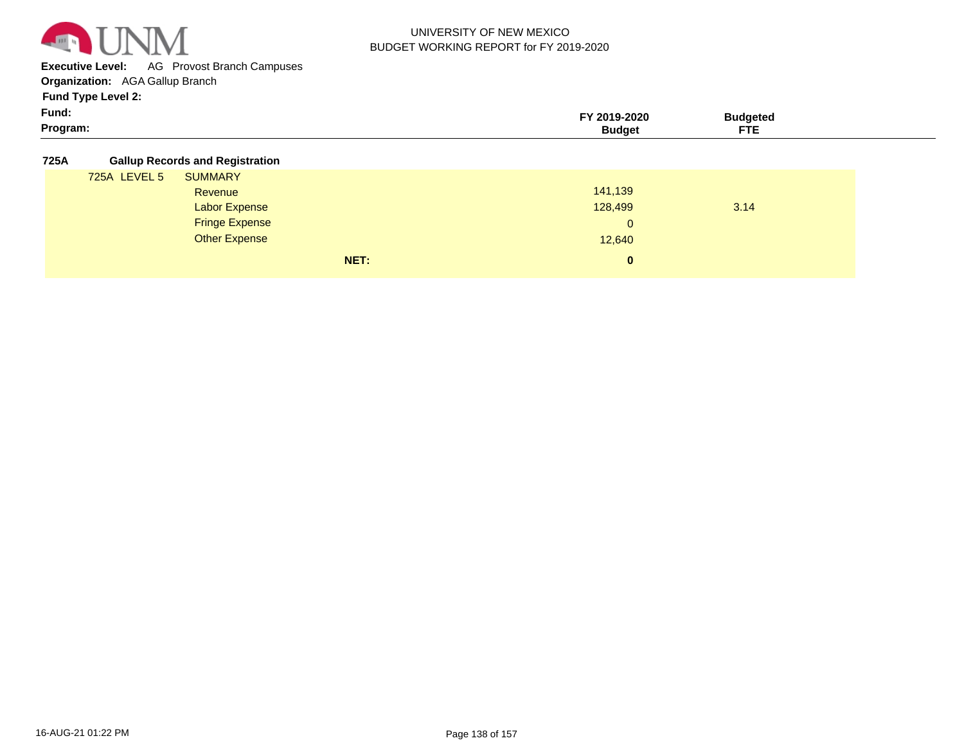

**Executive Level:** AG Provost Branch Campuses

**Organization:**  AGA Gallup Branch

**Fund Type Level 2:**

| Fund:    | 2019-2020 | `udaeteo |  |
|----------|-----------|----------|--|
| Program: | sudaet    | ---      |  |

**725A Gallup Records and Registration**

| . |              | Canap Rooor as and Rogion anon |      |              |      |  |
|---|--------------|--------------------------------|------|--------------|------|--|
|   | 725A LEVEL 5 | <b>SUMMARY</b>                 |      |              |      |  |
|   |              | Revenue                        |      | 141,139      |      |  |
|   |              | Labor Expense                  |      | 128,499      | 3.14 |  |
|   |              | <b>Fringe Expense</b>          |      | $\mathbf{0}$ |      |  |
|   |              | <b>Other Expense</b>           |      | 12,640       |      |  |
|   |              |                                | NET: | $\bf{0}$     |      |  |
|   |              |                                |      |              |      |  |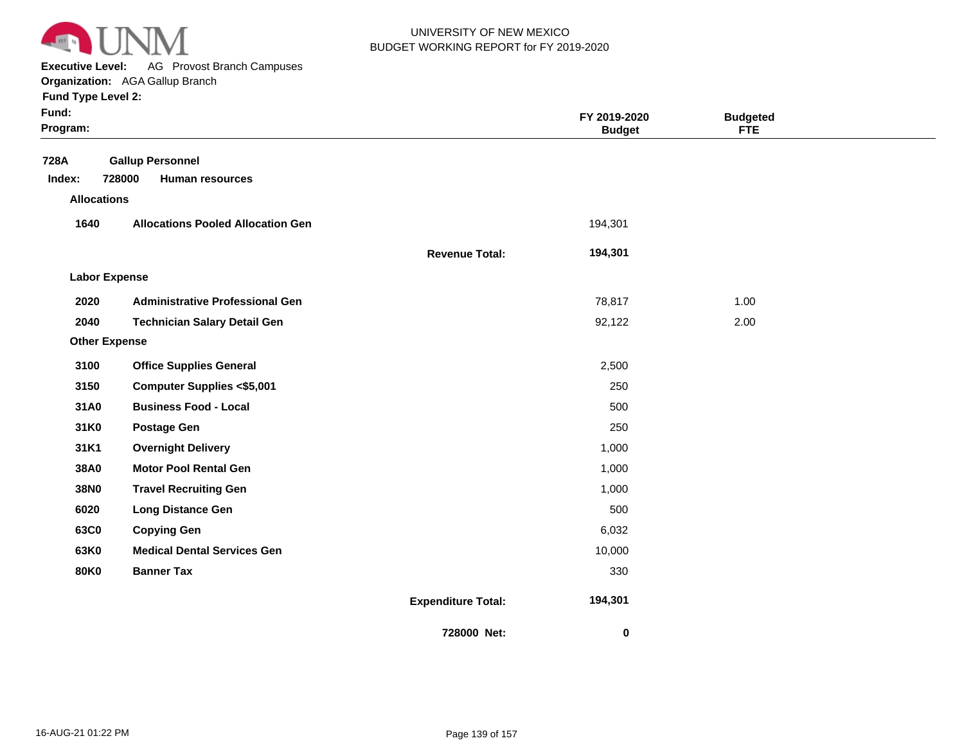

**Executive Level:** AG Provost Branch Campuses

**Organization:**  AGA Gallup Branch

| Fund:<br>Program:    |                                          |                           | FY 2019-2020<br><b>Budget</b> | <b>Budgeted</b><br><b>FTE</b> |  |
|----------------------|------------------------------------------|---------------------------|-------------------------------|-------------------------------|--|
| 728A                 | <b>Gallup Personnel</b>                  |                           |                               |                               |  |
| Index:               | 728000<br><b>Human resources</b>         |                           |                               |                               |  |
| <b>Allocations</b>   |                                          |                           |                               |                               |  |
| 1640                 | <b>Allocations Pooled Allocation Gen</b> |                           | 194,301                       |                               |  |
|                      |                                          | <b>Revenue Total:</b>     | 194,301                       |                               |  |
| <b>Labor Expense</b> |                                          |                           |                               |                               |  |
| 2020                 | <b>Administrative Professional Gen</b>   |                           | 78,817                        | 1.00                          |  |
| 2040                 | <b>Technician Salary Detail Gen</b>      |                           | 92,122                        | 2.00                          |  |
| <b>Other Expense</b> |                                          |                           |                               |                               |  |
| 3100                 | <b>Office Supplies General</b>           |                           | 2,500                         |                               |  |
| 3150                 | <b>Computer Supplies &lt;\$5,001</b>     |                           | 250                           |                               |  |
| 31A0                 | <b>Business Food - Local</b>             |                           | 500                           |                               |  |
| 31K0                 | <b>Postage Gen</b>                       |                           | 250                           |                               |  |
| 31K1                 | <b>Overnight Delivery</b>                |                           | 1,000                         |                               |  |
| 38A0                 | <b>Motor Pool Rental Gen</b>             |                           | 1,000                         |                               |  |
| 38N0                 | <b>Travel Recruiting Gen</b>             |                           | 1,000                         |                               |  |
| 6020                 | <b>Long Distance Gen</b>                 |                           | 500                           |                               |  |
| 63C0                 | <b>Copying Gen</b>                       |                           | 6,032                         |                               |  |
| 63K0                 | <b>Medical Dental Services Gen</b>       |                           | 10,000                        |                               |  |
| <b>80K0</b>          | <b>Banner Tax</b>                        |                           | 330                           |                               |  |
|                      |                                          | <b>Expenditure Total:</b> | 194,301                       |                               |  |
|                      |                                          | 728000 Net:               | 0                             |                               |  |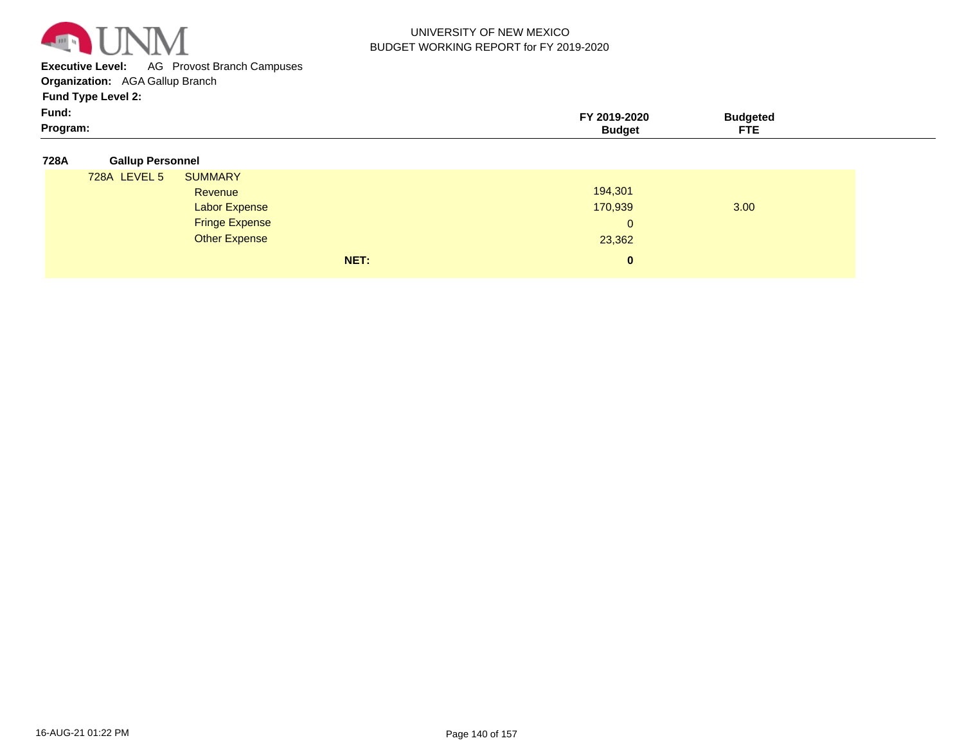

**Executive Level:** AG Provost Branch Campuses

**Organization:**  AGA Gallup Branch

**Fund Type Level 2:**

| Fund:<br>- - -<br>----<br>gram.<br>.<br>. |  |
|-------------------------------------------|--|
|-------------------------------------------|--|

#### **728A Gallup Personnel**

| 728A LEVEL 5 | <b>SUMMARY</b>        |                |      |
|--------------|-----------------------|----------------|------|
|              | Revenue               | 194,301        |      |
|              | <b>Labor Expense</b>  | 170,939        | 3.00 |
|              | <b>Fringe Expense</b> | $\overline{0}$ |      |
|              | <b>Other Expense</b>  | 23,362         |      |
|              | NET:                  | $\bf{0}$       |      |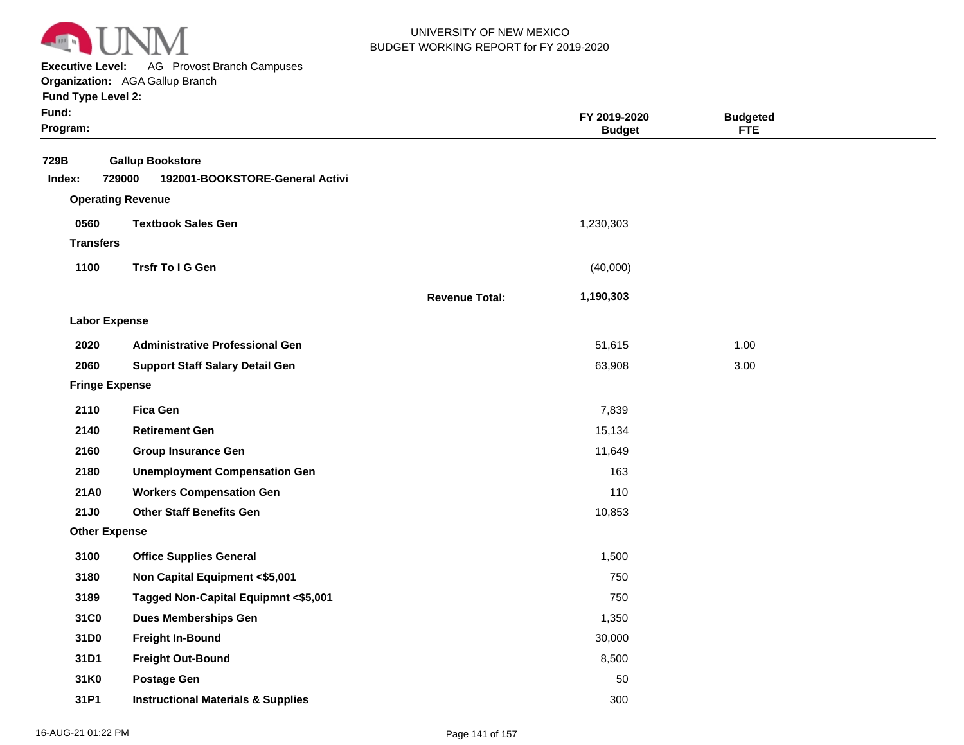

**Executive Level:** AG Provost Branch Campuses

**Organization:**  AGA Gallup Branch

| Fund:<br>Program:     |                                                                      |                       | FY 2019-2020<br><b>Budget</b> | <b>Budgeted</b><br><b>FTE</b> |  |
|-----------------------|----------------------------------------------------------------------|-----------------------|-------------------------------|-------------------------------|--|
| 729B<br>Index:        | <b>Gallup Bookstore</b><br>729000<br>192001-BOOKSTORE-General Activi |                       |                               |                               |  |
|                       | <b>Operating Revenue</b>                                             |                       |                               |                               |  |
| 0560                  | <b>Textbook Sales Gen</b>                                            |                       | 1,230,303                     |                               |  |
| <b>Transfers</b>      |                                                                      |                       |                               |                               |  |
| 1100                  | Trsfr To I G Gen                                                     |                       | (40,000)                      |                               |  |
|                       |                                                                      | <b>Revenue Total:</b> | 1,190,303                     |                               |  |
| <b>Labor Expense</b>  |                                                                      |                       |                               |                               |  |
| 2020                  | <b>Administrative Professional Gen</b>                               |                       | 51,615                        | 1.00                          |  |
| 2060                  | <b>Support Staff Salary Detail Gen</b>                               |                       | 63,908                        | 3.00                          |  |
| <b>Fringe Expense</b> |                                                                      |                       |                               |                               |  |
| 2110                  | <b>Fica Gen</b>                                                      |                       | 7,839                         |                               |  |
| 2140                  | <b>Retirement Gen</b>                                                |                       | 15,134                        |                               |  |
| 2160                  | <b>Group Insurance Gen</b>                                           |                       | 11,649                        |                               |  |
| 2180                  | <b>Unemployment Compensation Gen</b>                                 |                       | 163                           |                               |  |
| 21A0                  | <b>Workers Compensation Gen</b>                                      |                       | 110                           |                               |  |
| 21J0                  | <b>Other Staff Benefits Gen</b>                                      |                       | 10,853                        |                               |  |
| <b>Other Expense</b>  |                                                                      |                       |                               |                               |  |
| 3100                  | <b>Office Supplies General</b>                                       |                       | 1,500                         |                               |  |
| 3180                  | Non Capital Equipment <\$5,001                                       |                       | 750                           |                               |  |
| 3189                  | Tagged Non-Capital Equipmnt <\$5,001                                 |                       | 750                           |                               |  |
| 31C0                  | <b>Dues Memberships Gen</b>                                          |                       | 1,350                         |                               |  |
| 31D0                  | <b>Freight In-Bound</b>                                              |                       | 30,000                        |                               |  |
| 31D1                  | <b>Freight Out-Bound</b>                                             |                       | 8,500                         |                               |  |
| 31K0                  | <b>Postage Gen</b>                                                   |                       | 50                            |                               |  |
| 31P1                  | <b>Instructional Materials &amp; Supplies</b>                        |                       | 300                           |                               |  |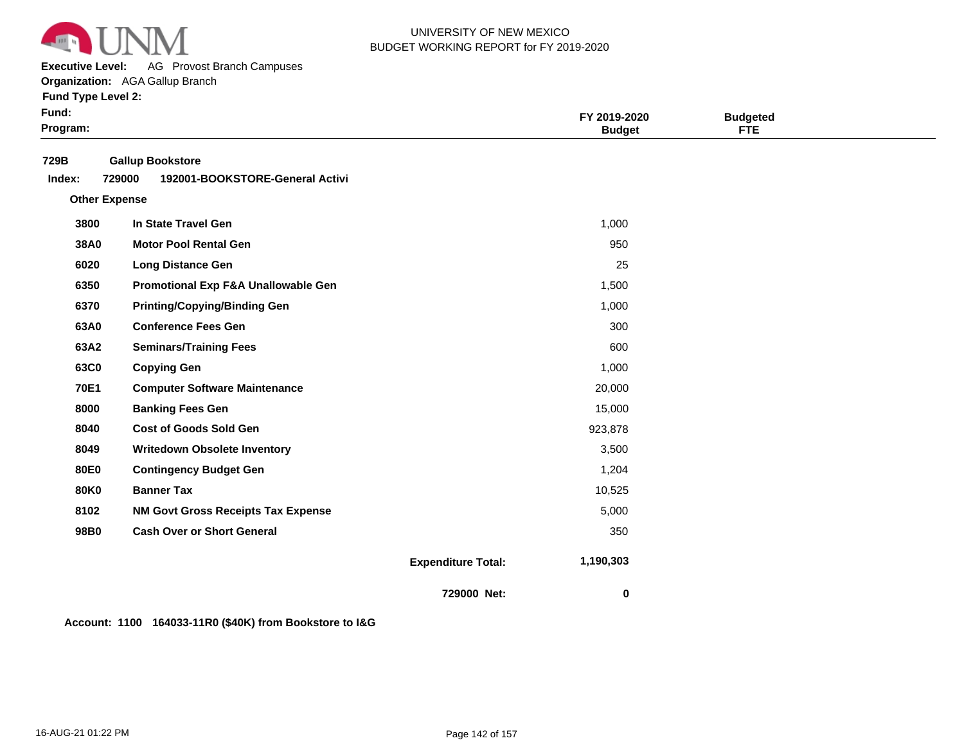

**Executive Level:** AG Provost Branch Campuses

**Organization:**  AGA Gallup Branch

**Fund Type Level 2:**

| Fund:<br>Program: |                                                                      |                           | FY 2019-2020<br><b>Budget</b> | <b>Budgeted</b><br><b>FTE</b> |  |
|-------------------|----------------------------------------------------------------------|---------------------------|-------------------------------|-------------------------------|--|
| 729B<br>Index:    | <b>Gallup Bookstore</b><br>192001-BOOKSTORE-General Activi<br>729000 |                           |                               |                               |  |
|                   | <b>Other Expense</b>                                                 |                           |                               |                               |  |
| 3800              | In State Travel Gen                                                  |                           | 1,000                         |                               |  |
| 38A0              | <b>Motor Pool Rental Gen</b>                                         |                           | 950                           |                               |  |
| 6020              | <b>Long Distance Gen</b>                                             |                           | 25                            |                               |  |
| 6350              | Promotional Exp F&A Unallowable Gen                                  |                           | 1,500                         |                               |  |
| 6370              | <b>Printing/Copying/Binding Gen</b>                                  |                           | 1,000                         |                               |  |
| 63A0              | <b>Conference Fees Gen</b>                                           |                           | 300                           |                               |  |
| 63A2              | <b>Seminars/Training Fees</b>                                        |                           | 600                           |                               |  |
| 63C0              | <b>Copying Gen</b>                                                   |                           | 1,000                         |                               |  |
| 70E1              | <b>Computer Software Maintenance</b>                                 |                           | 20,000                        |                               |  |
| 8000              | <b>Banking Fees Gen</b>                                              |                           | 15,000                        |                               |  |
| 8040              | <b>Cost of Goods Sold Gen</b>                                        |                           | 923,878                       |                               |  |
| 8049              | <b>Writedown Obsolete Inventory</b>                                  |                           | 3,500                         |                               |  |
| <b>80E0</b>       | <b>Contingency Budget Gen</b>                                        |                           | 1,204                         |                               |  |
| <b>80K0</b>       | <b>Banner Tax</b>                                                    |                           | 10,525                        |                               |  |
| 8102              | <b>NM Govt Gross Receipts Tax Expense</b>                            |                           | 5,000                         |                               |  |
| 98B0              | <b>Cash Over or Short General</b>                                    |                           | 350                           |                               |  |
|                   |                                                                      | <b>Expenditure Total:</b> | 1,190,303                     |                               |  |
|                   |                                                                      | 729000 Net:               | $\mathbf 0$                   |                               |  |

**Account: 1100 164033-11R0 (\$40K) from Bookstore to I&G**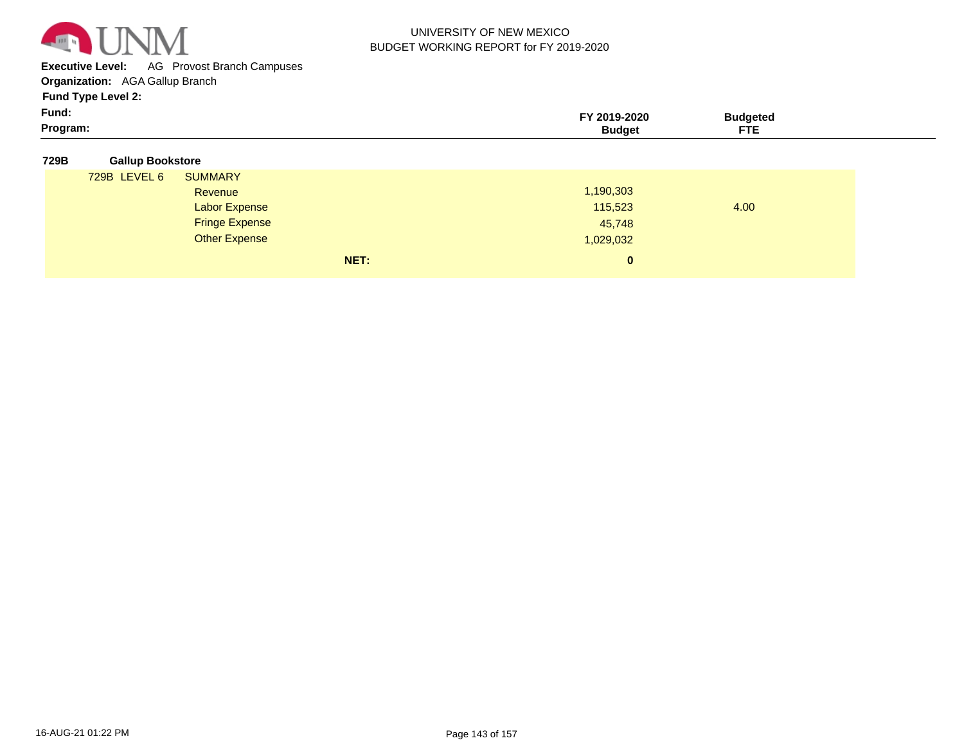

**Executive Level:** AG Provost Branch Campuses

**Organization:**  AGA Gallup Branch

| Fund:    | -2020<br>ח 1 מ | <b>Hageter</b> |
|----------|----------------|----------------|
| Program: |                | ---            |

| 729B | <b>Gallup Bookstore</b> |
|------|-------------------------|

| 729B LEVEL 6 | <b>SUMMARY</b>        |           |      |
|--------------|-----------------------|-----------|------|
|              | Revenue               | 1,190,303 |      |
|              | <b>Labor Expense</b>  | 115,523   | 4.00 |
|              | <b>Fringe Expense</b> | 45,748    |      |
|              | <b>Other Expense</b>  | 1,029,032 |      |
|              | NET:                  | $\bf{0}$  |      |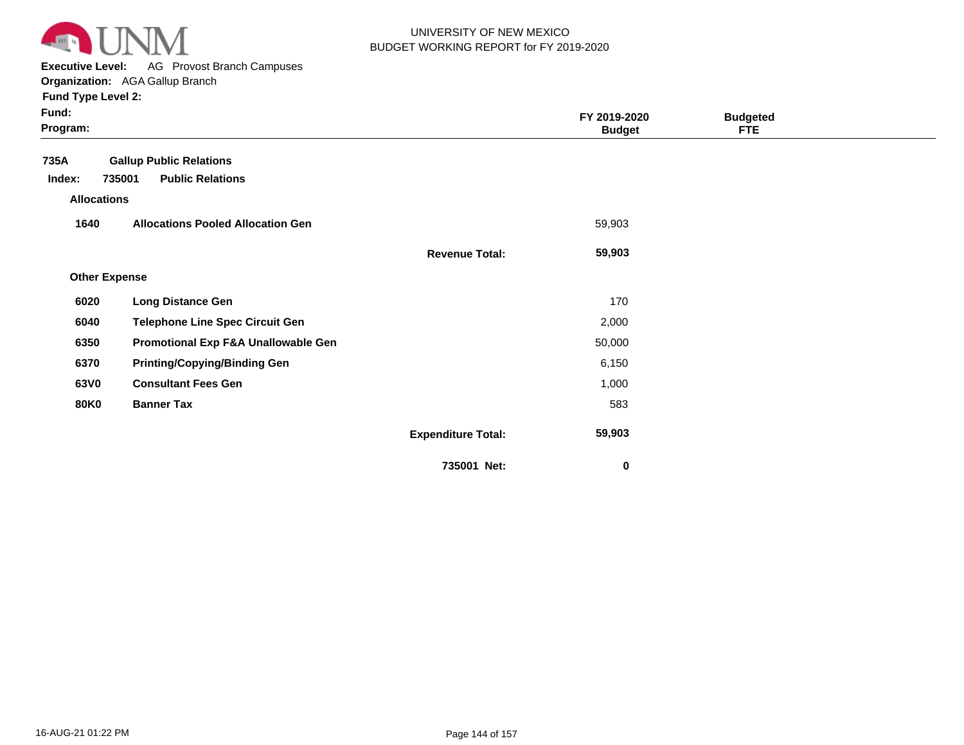

**Executive Level:** AG Provost Branch Campuses

| <b>Fund Type Level 2:</b> |
|---------------------------|
|---------------------------|

| Fund:<br>Program:    |                                          |                           | FY 2019-2020<br><b>Budget</b> | <b>Budgeted</b><br><b>FTE</b> |  |
|----------------------|------------------------------------------|---------------------------|-------------------------------|-------------------------------|--|
| 735A                 | <b>Gallup Public Relations</b>           |                           |                               |                               |  |
| Index:               | <b>Public Relations</b><br>735001        |                           |                               |                               |  |
| <b>Allocations</b>   |                                          |                           |                               |                               |  |
| 1640                 | <b>Allocations Pooled Allocation Gen</b> |                           | 59,903                        |                               |  |
|                      |                                          | <b>Revenue Total:</b>     | 59,903                        |                               |  |
| <b>Other Expense</b> |                                          |                           |                               |                               |  |
| 6020                 | <b>Long Distance Gen</b>                 |                           | 170                           |                               |  |
| 6040                 | <b>Telephone Line Spec Circuit Gen</b>   |                           | 2,000                         |                               |  |
| 6350                 | Promotional Exp F&A Unallowable Gen      |                           | 50,000                        |                               |  |
| 6370                 | <b>Printing/Copying/Binding Gen</b>      |                           | 6,150                         |                               |  |
| 63V0                 | <b>Consultant Fees Gen</b>               |                           | 1,000                         |                               |  |
| <b>80K0</b>          | <b>Banner Tax</b>                        |                           | 583                           |                               |  |
|                      |                                          | <b>Expenditure Total:</b> | 59,903                        |                               |  |
|                      |                                          | 735001 Net:               | 0                             |                               |  |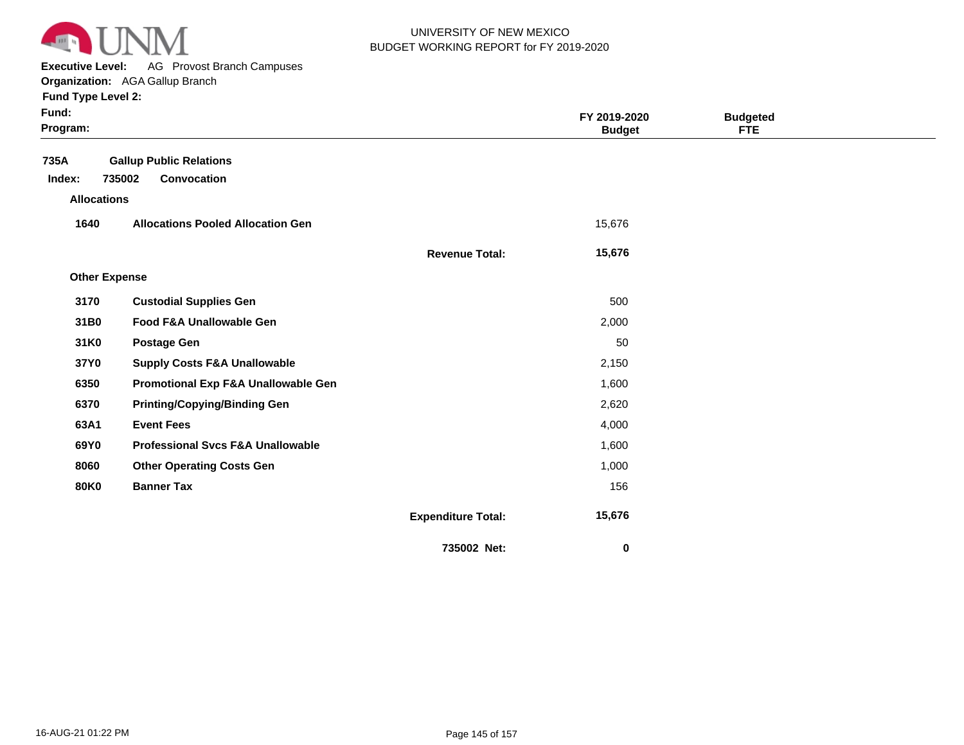

**Executive Level:** AG Provost Branch Campuses

| Fund:<br>Program:    |                                              |                           | FY 2019-2020<br><b>Budget</b> | <b>Budgeted</b><br>FTE |  |
|----------------------|----------------------------------------------|---------------------------|-------------------------------|------------------------|--|
| 735A                 | <b>Gallup Public Relations</b>               |                           |                               |                        |  |
| Index:               | 735002<br><b>Convocation</b>                 |                           |                               |                        |  |
| <b>Allocations</b>   |                                              |                           |                               |                        |  |
| 1640                 | <b>Allocations Pooled Allocation Gen</b>     |                           | 15,676                        |                        |  |
|                      |                                              | <b>Revenue Total:</b>     | 15,676                        |                        |  |
| <b>Other Expense</b> |                                              |                           |                               |                        |  |
| 3170                 | <b>Custodial Supplies Gen</b>                |                           | 500                           |                        |  |
| 31B0                 | Food F&A Unallowable Gen                     |                           | 2,000                         |                        |  |
| 31K0                 | <b>Postage Gen</b>                           |                           | 50                            |                        |  |
| 37Y0                 | <b>Supply Costs F&amp;A Unallowable</b>      |                           | 2,150                         |                        |  |
| 6350                 | Promotional Exp F&A Unallowable Gen          |                           | 1,600                         |                        |  |
| 6370                 | <b>Printing/Copying/Binding Gen</b>          |                           | 2,620                         |                        |  |
| 63A1                 | <b>Event Fees</b>                            |                           | 4,000                         |                        |  |
| 69Y0                 | <b>Professional Svcs F&amp;A Unallowable</b> |                           | 1,600                         |                        |  |
| 8060                 | <b>Other Operating Costs Gen</b>             |                           | 1,000                         |                        |  |
| <b>80K0</b>          | <b>Banner Tax</b>                            |                           | 156                           |                        |  |
|                      |                                              | <b>Expenditure Total:</b> | 15,676                        |                        |  |
|                      |                                              | 735002 Net:               | 0                             |                        |  |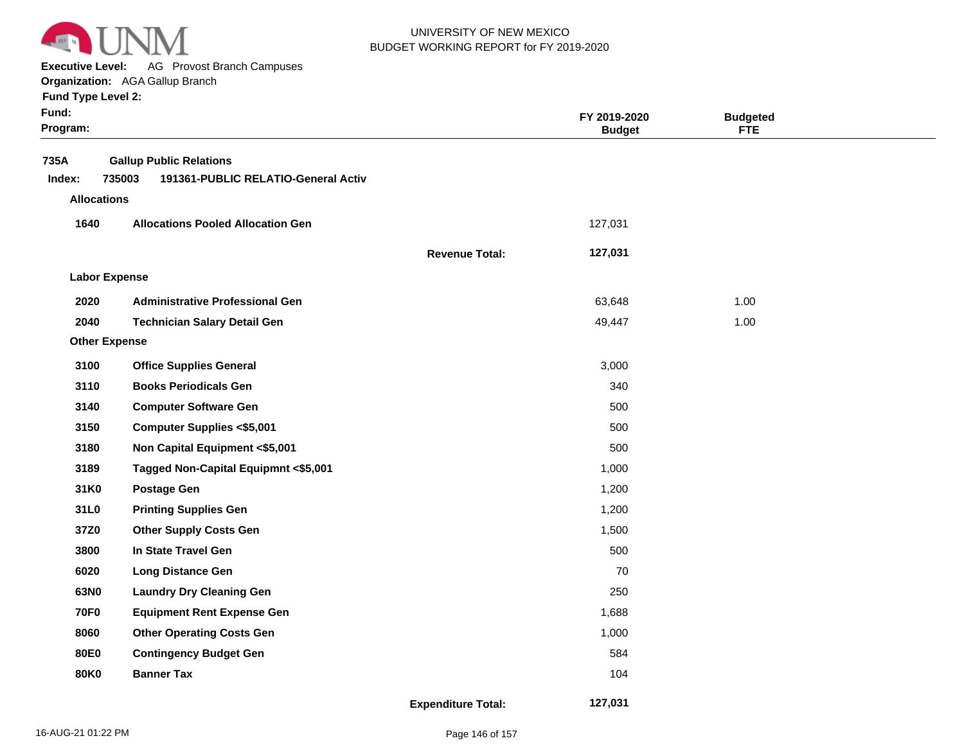

**Executive Level:** AG Provost Branch Campuses

#### **Organization:**  AGA Gallup Branch

| Fund:<br>Program:  |                                                                                 |                           | FY 2019-2020<br><b>Budget</b> | <b>Budgeted</b><br><b>FTE</b> |  |
|--------------------|---------------------------------------------------------------------------------|---------------------------|-------------------------------|-------------------------------|--|
| 735A<br>Index:     | <b>Gallup Public Relations</b><br>735003<br>191361-PUBLIC RELATIO-General Activ |                           |                               |                               |  |
| <b>Allocations</b> |                                                                                 |                           |                               |                               |  |
| 1640               | <b>Allocations Pooled Allocation Gen</b>                                        |                           | 127,031                       |                               |  |
|                    |                                                                                 | <b>Revenue Total:</b>     | 127,031                       |                               |  |
|                    | <b>Labor Expense</b>                                                            |                           |                               |                               |  |
| 2020               | <b>Administrative Professional Gen</b>                                          |                           | 63,648                        | 1.00                          |  |
| 2040               | <b>Technician Salary Detail Gen</b>                                             |                           | 49,447                        | 1.00                          |  |
|                    | <b>Other Expense</b>                                                            |                           |                               |                               |  |
| 3100               | <b>Office Supplies General</b>                                                  |                           | 3,000                         |                               |  |
| 3110               | <b>Books Periodicals Gen</b>                                                    |                           | 340                           |                               |  |
| 3140               | <b>Computer Software Gen</b>                                                    |                           | 500                           |                               |  |
| 3150               | <b>Computer Supplies &lt;\$5,001</b>                                            |                           | 500                           |                               |  |
| 3180               | Non Capital Equipment <\$5,001                                                  |                           | 500                           |                               |  |
| 3189               | Tagged Non-Capital Equipmnt <\$5,001                                            |                           | 1,000                         |                               |  |
| 31K0               | <b>Postage Gen</b>                                                              |                           | 1,200                         |                               |  |
| 31L0               | <b>Printing Supplies Gen</b>                                                    |                           | 1,200                         |                               |  |
| 37Z0               | <b>Other Supply Costs Gen</b>                                                   |                           | 1,500                         |                               |  |
| 3800               | In State Travel Gen                                                             |                           | 500                           |                               |  |
| 6020               | <b>Long Distance Gen</b>                                                        |                           | 70                            |                               |  |
| 63N0               | <b>Laundry Dry Cleaning Gen</b>                                                 |                           | 250                           |                               |  |
| <b>70F0</b>        | <b>Equipment Rent Expense Gen</b>                                               |                           | 1,688                         |                               |  |
| 8060               | <b>Other Operating Costs Gen</b>                                                |                           | 1,000                         |                               |  |
| 80E0               | <b>Contingency Budget Gen</b>                                                   |                           | 584                           |                               |  |
| <b>80K0</b>        | <b>Banner Tax</b>                                                               |                           | 104                           |                               |  |
|                    |                                                                                 | <b>Expenditure Total:</b> | 127,031                       |                               |  |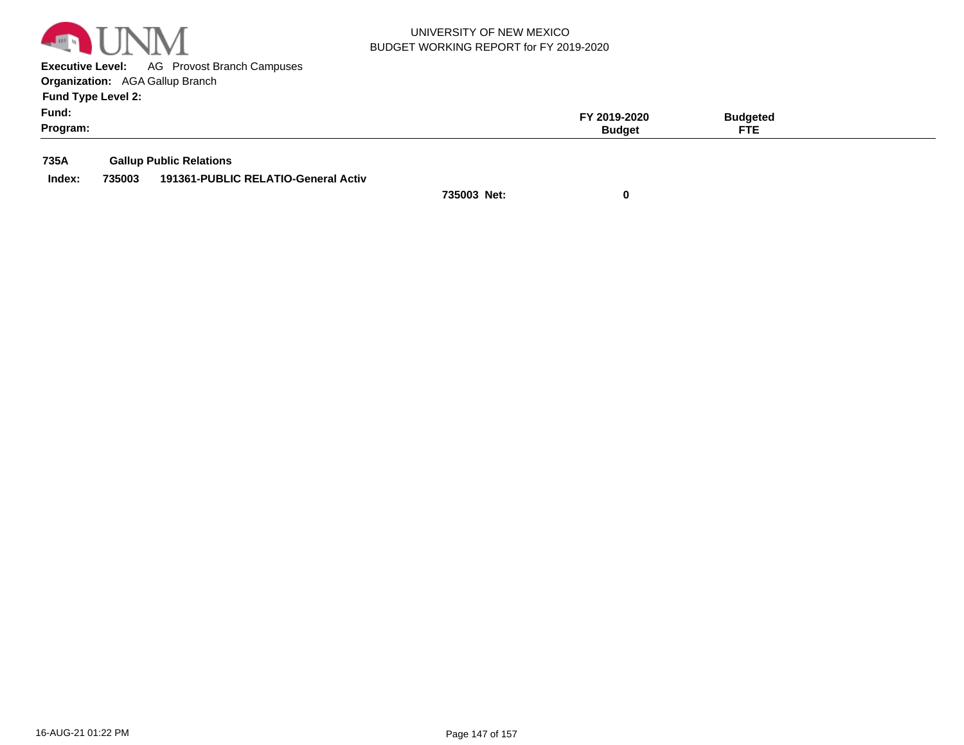

**Executive Level:** AG Provost Branch Campuses **Organization:**  AGA Gallup Branch

**Fund Type Level 2:**

|          |               | 1 E    |  |
|----------|---------------|--------|--|
| Program: | <b>Budget</b> | CTC    |  |
| Fund:    | 019-2020      | daetec |  |
| $\sim$ . |               |        |  |

**735A Gallup Public Relations**

**Index: 735003 191361-PUBLIC RELATIO-General Activ**

**735003 Net: 0**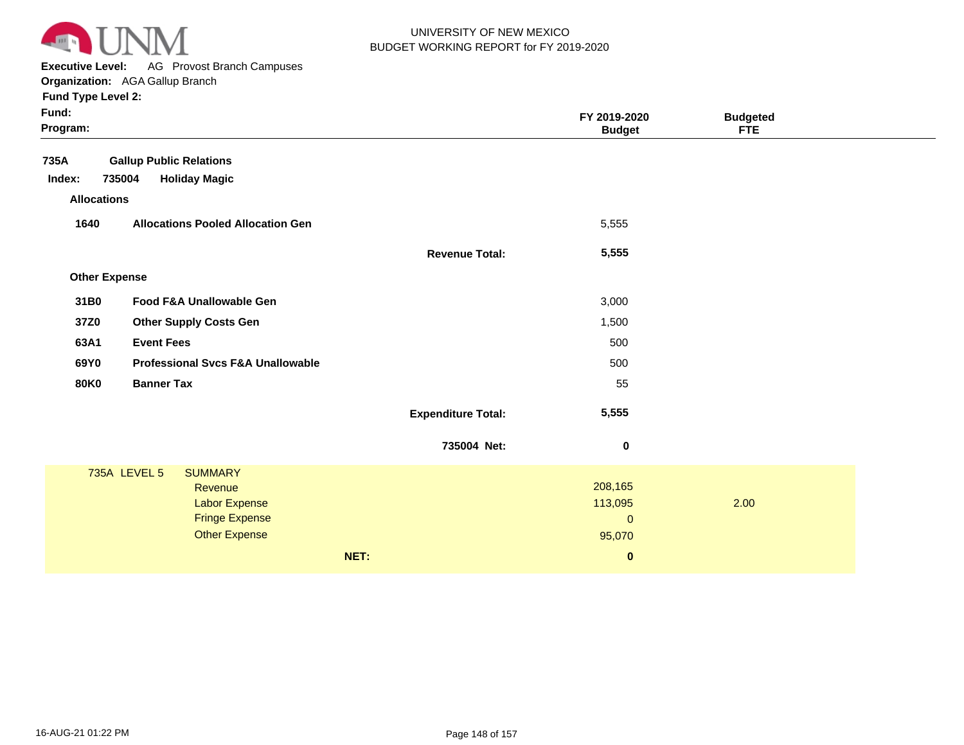

**Executive Level:** AG Provost Branch Campuses

| Fund:<br>Program:    |                                              |                           | FY 2019-2020<br><b>Budget</b> | <b>Budgeted</b><br><b>FTE</b> |  |
|----------------------|----------------------------------------------|---------------------------|-------------------------------|-------------------------------|--|
| 735A                 | <b>Gallup Public Relations</b>               |                           |                               |                               |  |
| Index:               | 735004<br><b>Holiday Magic</b>               |                           |                               |                               |  |
| <b>Allocations</b>   |                                              |                           |                               |                               |  |
| 1640                 | <b>Allocations Pooled Allocation Gen</b>     |                           | 5,555                         |                               |  |
|                      |                                              | <b>Revenue Total:</b>     | 5,555                         |                               |  |
| <b>Other Expense</b> |                                              |                           |                               |                               |  |
| 31B0                 | Food F&A Unallowable Gen                     |                           | 3,000                         |                               |  |
| 37Z0                 | <b>Other Supply Costs Gen</b>                |                           | 1,500                         |                               |  |
| 63A1                 | <b>Event Fees</b>                            |                           | 500                           |                               |  |
| 69Y0                 | <b>Professional Svcs F&amp;A Unallowable</b> |                           | 500                           |                               |  |
| <b>80K0</b>          | <b>Banner Tax</b>                            |                           | 55                            |                               |  |
|                      |                                              | <b>Expenditure Total:</b> | 5,555                         |                               |  |
|                      |                                              | 735004 Net:               | $\pmb{0}$                     |                               |  |
|                      | 735A LEVEL 5<br><b>SUMMARY</b>               |                           |                               |                               |  |
|                      | Revenue                                      |                           | 208,165                       |                               |  |
|                      | Labor Expense                                |                           | 113,095                       | 2.00                          |  |
|                      | <b>Fringe Expense</b>                        |                           | $\mathbf 0$                   |                               |  |
|                      | <b>Other Expense</b>                         |                           | 95,070                        |                               |  |
|                      |                                              | NET:                      | $\pmb{0}$                     |                               |  |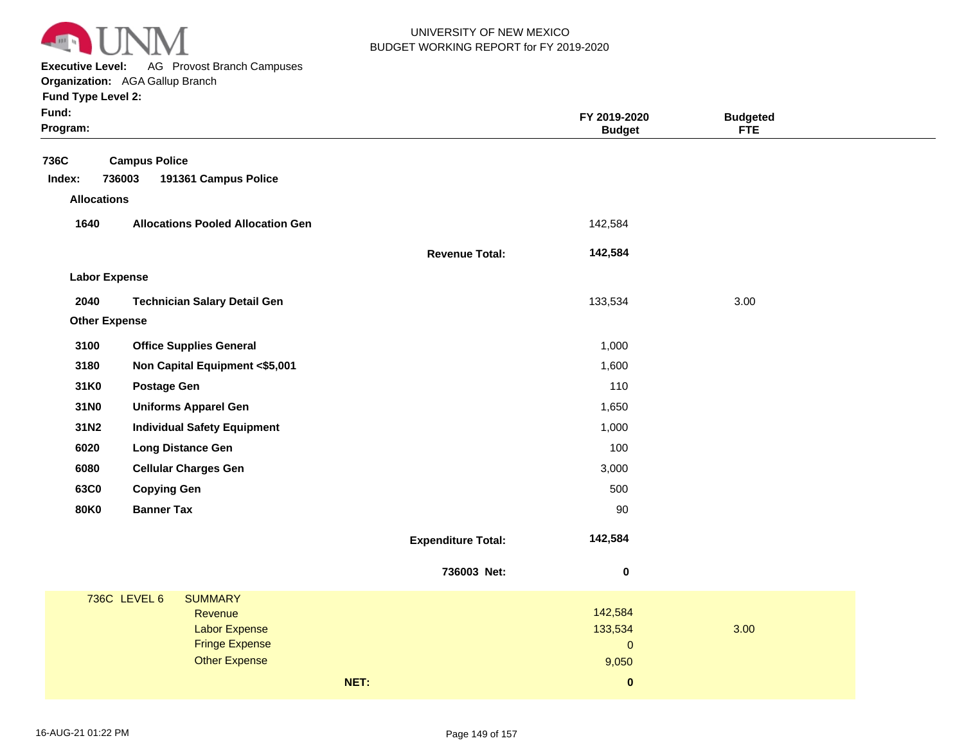

**Executive Level:** AG Provost Branch Campuses **Organization:**  AGA Gallup Branch

| Fund:<br>Program:    |                                          |                           | FY 2019-2020<br><b>Budget</b> | <b>Budgeted</b><br><b>FTE</b> |  |
|----------------------|------------------------------------------|---------------------------|-------------------------------|-------------------------------|--|
| 736C                 | <b>Campus Police</b>                     |                           |                               |                               |  |
| Index:               | 736003<br>191361 Campus Police           |                           |                               |                               |  |
| <b>Allocations</b>   |                                          |                           |                               |                               |  |
| 1640                 | <b>Allocations Pooled Allocation Gen</b> |                           | 142,584                       |                               |  |
|                      |                                          | <b>Revenue Total:</b>     | 142,584                       |                               |  |
| <b>Labor Expense</b> |                                          |                           |                               |                               |  |
| 2040                 | <b>Technician Salary Detail Gen</b>      |                           | 133,534                       | 3.00                          |  |
| <b>Other Expense</b> |                                          |                           |                               |                               |  |
| 3100                 | <b>Office Supplies General</b>           |                           | 1,000                         |                               |  |
| 3180                 | Non Capital Equipment <\$5,001           |                           | 1,600                         |                               |  |
| 31K0                 | <b>Postage Gen</b>                       |                           | 110                           |                               |  |
| 31N0                 | <b>Uniforms Apparel Gen</b>              |                           | 1,650                         |                               |  |
| 31N2                 | <b>Individual Safety Equipment</b>       |                           | 1,000                         |                               |  |
| 6020                 | <b>Long Distance Gen</b>                 |                           | 100                           |                               |  |
| 6080                 | <b>Cellular Charges Gen</b>              |                           | 3,000                         |                               |  |
| 63C0                 | <b>Copying Gen</b>                       |                           | 500                           |                               |  |
| <b>80K0</b>          | <b>Banner Tax</b>                        |                           | 90                            |                               |  |
|                      |                                          | <b>Expenditure Total:</b> | 142,584                       |                               |  |
|                      |                                          | 736003 Net:               | $\pmb{0}$                     |                               |  |
|                      | <b>736C LEVEL 6</b><br><b>SUMMARY</b>    |                           |                               |                               |  |
|                      | Revenue                                  |                           | 142,584                       |                               |  |
|                      | Labor Expense<br><b>Fringe Expense</b>   |                           | 133,534<br>$\mathbf{0}$       | 3.00                          |  |
|                      | <b>Other Expense</b>                     |                           | 9,050                         |                               |  |
|                      |                                          | NET:                      | $\pmb{0}$                     |                               |  |
|                      |                                          |                           |                               |                               |  |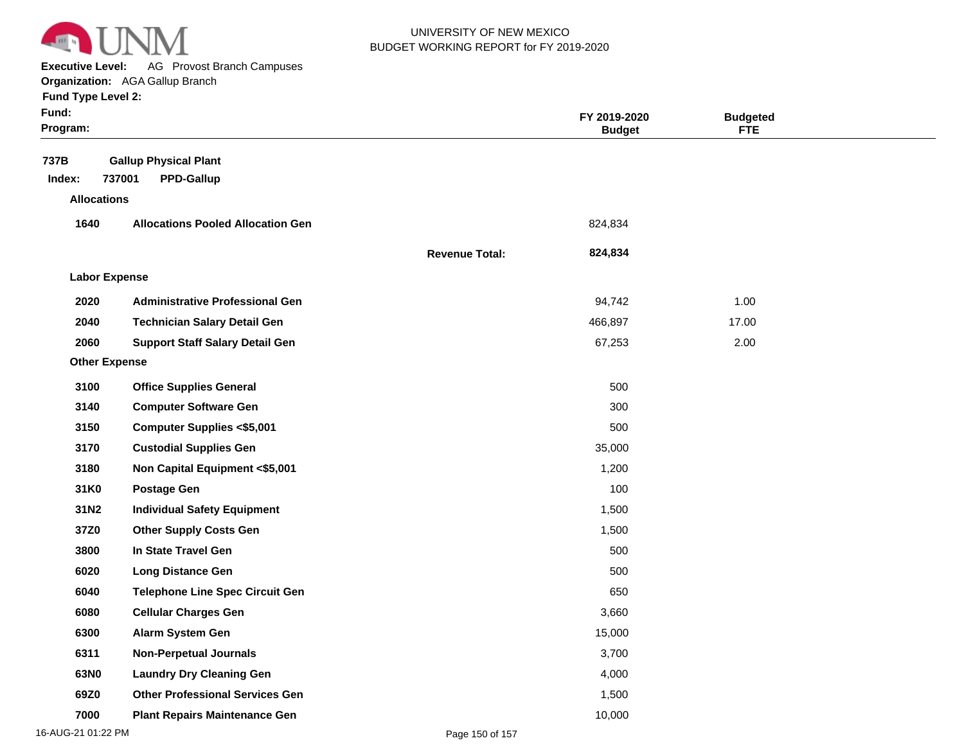

**Executive Level:** AG Provost Branch Campuses

| Fund:<br>Program:    |                                                             |                       | FY 2019-2020<br><b>Budget</b> | <b>Budgeted</b><br><b>FTE</b> |  |
|----------------------|-------------------------------------------------------------|-----------------------|-------------------------------|-------------------------------|--|
| 737B<br>Index:       | <b>Gallup Physical Plant</b><br>737001<br><b>PPD-Gallup</b> |                       |                               |                               |  |
| <b>Allocations</b>   |                                                             |                       |                               |                               |  |
| 1640                 | <b>Allocations Pooled Allocation Gen</b>                    |                       | 824,834                       |                               |  |
|                      |                                                             | <b>Revenue Total:</b> | 824,834                       |                               |  |
| <b>Labor Expense</b> |                                                             |                       |                               |                               |  |
| 2020                 | <b>Administrative Professional Gen</b>                      |                       | 94,742                        | 1.00                          |  |
| 2040                 | <b>Technician Salary Detail Gen</b>                         |                       | 466,897                       | 17.00                         |  |
| 2060                 | <b>Support Staff Salary Detail Gen</b>                      |                       | 67,253                        | 2.00                          |  |
| <b>Other Expense</b> |                                                             |                       |                               |                               |  |
| 3100                 | <b>Office Supplies General</b>                              |                       | 500                           |                               |  |
| 3140                 | <b>Computer Software Gen</b>                                |                       | 300                           |                               |  |
| 3150                 | <b>Computer Supplies &lt;\$5,001</b>                        |                       | 500                           |                               |  |
| 3170                 | <b>Custodial Supplies Gen</b>                               |                       | 35,000                        |                               |  |
| 3180                 | Non Capital Equipment <\$5,001                              |                       | 1,200                         |                               |  |
| 31K0                 | <b>Postage Gen</b>                                          |                       | 100                           |                               |  |
| 31N2                 | <b>Individual Safety Equipment</b>                          |                       | 1,500                         |                               |  |
| 37Z0                 | <b>Other Supply Costs Gen</b>                               |                       | 1,500                         |                               |  |
| 3800                 | In State Travel Gen                                         |                       | 500                           |                               |  |
| 6020                 | <b>Long Distance Gen</b>                                    |                       | 500                           |                               |  |
| 6040                 | <b>Telephone Line Spec Circuit Gen</b>                      |                       | 650                           |                               |  |
| 6080                 | <b>Cellular Charges Gen</b>                                 |                       | 3,660                         |                               |  |
| 6300                 | Alarm System Gen                                            |                       | 15,000                        |                               |  |
| 6311                 | <b>Non-Perpetual Journals</b>                               |                       | 3,700                         |                               |  |
| 63N0                 | <b>Laundry Dry Cleaning Gen</b>                             |                       | 4,000                         |                               |  |
| 69Z0                 | <b>Other Professional Services Gen</b>                      |                       | 1,500                         |                               |  |
| 7000                 | <b>Plant Repairs Maintenance Gen</b>                        |                       | 10,000                        |                               |  |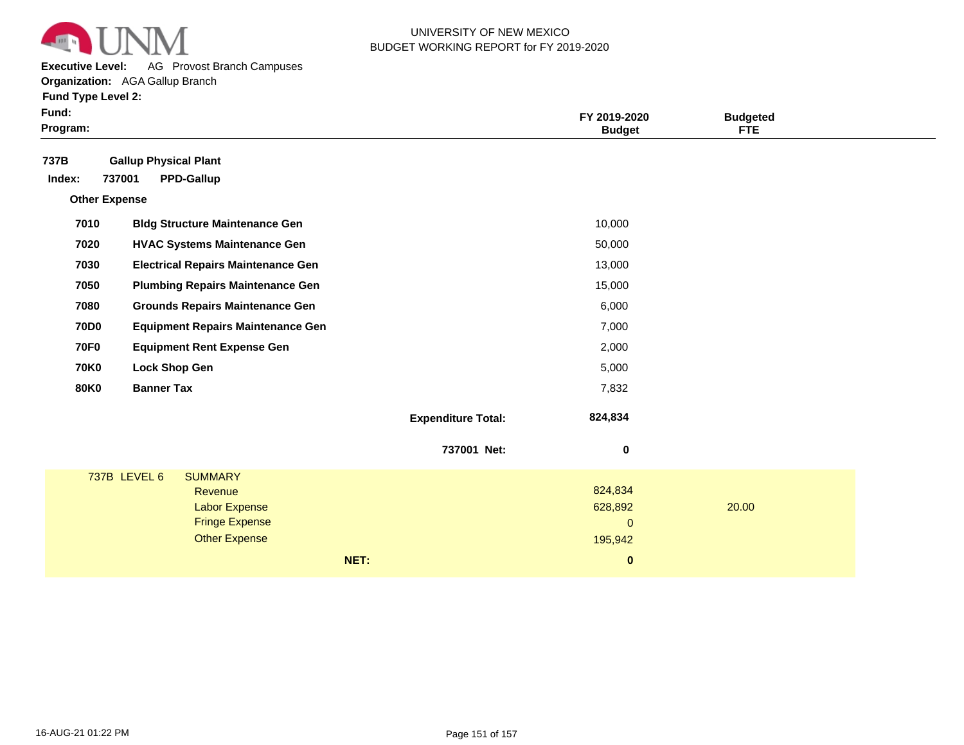

**Executive Level:** AG Provost Branch Campuses

| Fund:<br>Program:    |                              |                                           |      |                           | FY 2019-2020<br><b>Budget</b> | <b>Budgeted</b><br><b>FTE</b> |  |
|----------------------|------------------------------|-------------------------------------------|------|---------------------------|-------------------------------|-------------------------------|--|
| 737B                 | <b>Gallup Physical Plant</b> |                                           |      |                           |                               |                               |  |
| Index:               | 737001                       | <b>PPD-Gallup</b>                         |      |                           |                               |                               |  |
| <b>Other Expense</b> |                              |                                           |      |                           |                               |                               |  |
| 7010                 |                              | <b>Bldg Structure Maintenance Gen</b>     |      |                           | 10,000                        |                               |  |
| 7020                 |                              | <b>HVAC Systems Maintenance Gen</b>       |      |                           | 50,000                        |                               |  |
| 7030                 |                              | <b>Electrical Repairs Maintenance Gen</b> |      |                           | 13,000                        |                               |  |
| 7050                 |                              | <b>Plumbing Repairs Maintenance Gen</b>   |      |                           | 15,000                        |                               |  |
| 7080                 |                              | <b>Grounds Repairs Maintenance Gen</b>    |      |                           | 6,000                         |                               |  |
| <b>70D0</b>          |                              | <b>Equipment Repairs Maintenance Gen</b>  |      |                           | 7,000                         |                               |  |
| <b>70F0</b>          |                              | <b>Equipment Rent Expense Gen</b>         |      |                           | 2,000                         |                               |  |
| <b>70K0</b>          | <b>Lock Shop Gen</b>         |                                           |      |                           | 5,000                         |                               |  |
| <b>80K0</b>          | <b>Banner Tax</b>            |                                           |      |                           | 7,832                         |                               |  |
|                      |                              |                                           |      | <b>Expenditure Total:</b> | 824,834                       |                               |  |
|                      |                              |                                           |      | 737001 Net:               | 0                             |                               |  |
|                      | 737B LEVEL 6                 | <b>SUMMARY</b>                            |      |                           |                               |                               |  |
|                      |                              | Revenue                                   |      |                           | 824,834                       |                               |  |
|                      |                              | <b>Labor Expense</b>                      |      |                           | 628,892                       | 20.00                         |  |
|                      |                              | <b>Fringe Expense</b>                     |      |                           | $\mathbf 0$                   |                               |  |
|                      |                              | <b>Other Expense</b>                      |      |                           | 195,942                       |                               |  |
|                      |                              |                                           | NET: |                           | $\pmb{0}$                     |                               |  |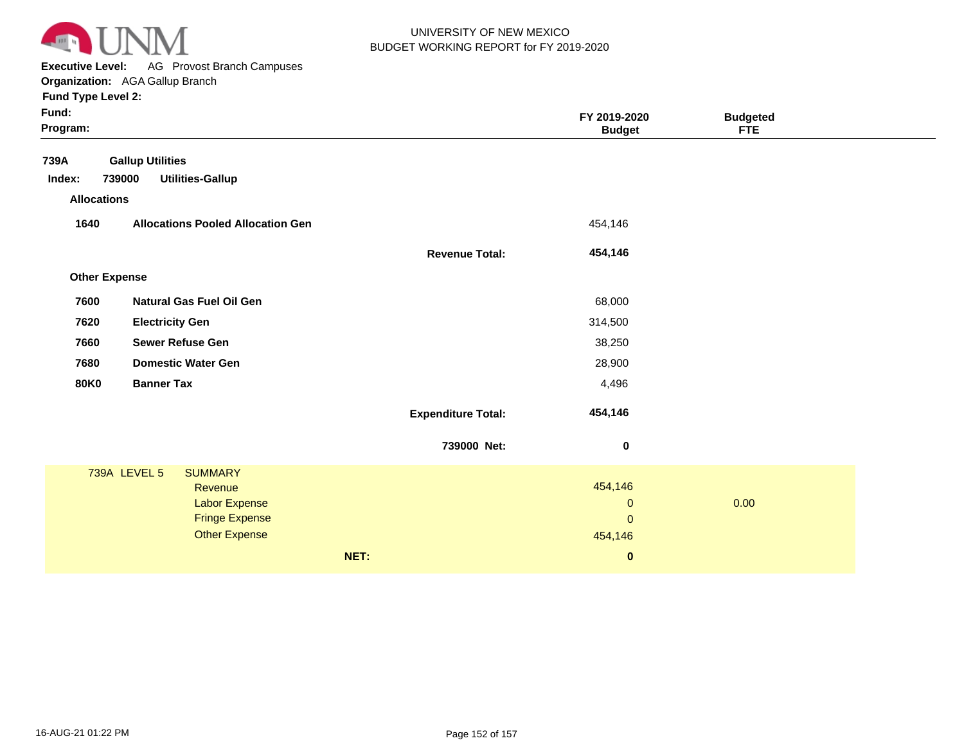

**Executive Level:** AG Provost Branch Campuses

| Fund:<br>Program:                    |                                                              |                           | FY 2019-2020<br><b>Budget</b> | <b>Budgeted</b><br><b>FTE</b> |  |
|--------------------------------------|--------------------------------------------------------------|---------------------------|-------------------------------|-------------------------------|--|
| 739A<br>Index:<br><b>Allocations</b> | <b>Gallup Utilities</b><br><b>Utilities-Gallup</b><br>739000 |                           |                               |                               |  |
| 1640                                 | <b>Allocations Pooled Allocation Gen</b>                     |                           | 454,146                       |                               |  |
|                                      |                                                              | <b>Revenue Total:</b>     | 454,146                       |                               |  |
| <b>Other Expense</b>                 |                                                              |                           |                               |                               |  |
| 7600                                 | <b>Natural Gas Fuel Oil Gen</b>                              |                           | 68,000                        |                               |  |
| 7620                                 | <b>Electricity Gen</b>                                       |                           | 314,500                       |                               |  |
| 7660                                 | <b>Sewer Refuse Gen</b>                                      |                           | 38,250                        |                               |  |
| 7680                                 | <b>Domestic Water Gen</b>                                    |                           | 28,900                        |                               |  |
| <b>80K0</b>                          | <b>Banner Tax</b>                                            |                           | 4,496                         |                               |  |
|                                      |                                                              | <b>Expenditure Total:</b> | 454,146                       |                               |  |
|                                      |                                                              | 739000 Net:               | $\bf{0}$                      |                               |  |
|                                      | <b>739A LEVEL 5</b><br><b>SUMMARY</b>                        |                           |                               |                               |  |
|                                      | Revenue<br><b>Labor Expense</b>                              |                           | 454,146<br>$\mathbf{0}$       | 0.00                          |  |
|                                      | <b>Fringe Expense</b>                                        |                           | $\mathbf{0}$                  |                               |  |
|                                      | <b>Other Expense</b>                                         |                           | 454,146                       |                               |  |
|                                      |                                                              | NET:                      | $\bf{0}$                      |                               |  |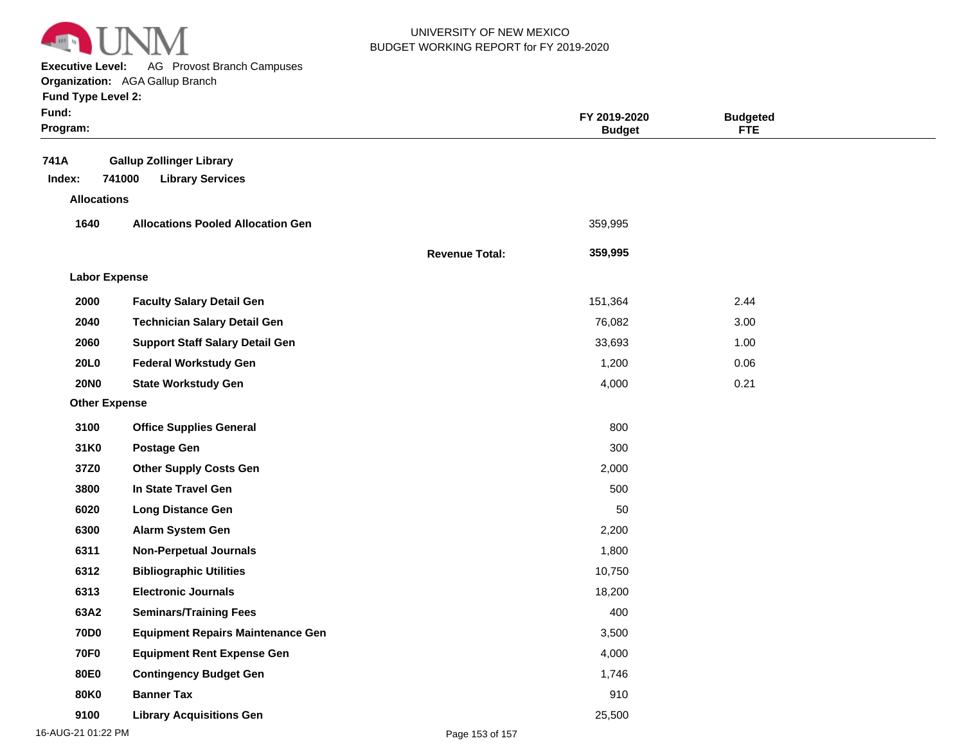

**Executive Level:** AG Provost Branch Campuses

#### **Organization:**  AGA Gallup Branch

| <b>Fund Type Level 2:</b> |  |
|---------------------------|--|
|---------------------------|--|

| Fund:<br>Program:    |                                                                      |                       | FY 2019-2020<br><b>Budget</b> | <b>Budgeted</b><br><b>FTE</b> |  |
|----------------------|----------------------------------------------------------------------|-----------------------|-------------------------------|-------------------------------|--|
| 741A<br>Index:       | <b>Gallup Zollinger Library</b><br>741000<br><b>Library Services</b> |                       |                               |                               |  |
| <b>Allocations</b>   |                                                                      |                       |                               |                               |  |
| 1640                 | <b>Allocations Pooled Allocation Gen</b>                             |                       | 359,995                       |                               |  |
|                      |                                                                      | <b>Revenue Total:</b> | 359,995                       |                               |  |
| <b>Labor Expense</b> |                                                                      |                       |                               |                               |  |
| 2000                 | <b>Faculty Salary Detail Gen</b>                                     |                       | 151,364                       | 2.44                          |  |
| 2040                 | <b>Technician Salary Detail Gen</b>                                  |                       | 76,082                        | 3.00                          |  |
| 2060                 | <b>Support Staff Salary Detail Gen</b>                               |                       | 33,693                        | 1.00                          |  |
| 20L0                 | <b>Federal Workstudy Gen</b>                                         |                       | 1,200                         | 0.06                          |  |
| <b>20NO</b>          | <b>State Workstudy Gen</b>                                           |                       | 4,000                         | 0.21                          |  |
| <b>Other Expense</b> |                                                                      |                       |                               |                               |  |
| 3100                 | <b>Office Supplies General</b>                                       |                       | 800                           |                               |  |
| 31K0                 | <b>Postage Gen</b>                                                   |                       | 300                           |                               |  |
| 37Z0                 | <b>Other Supply Costs Gen</b>                                        |                       | 2,000                         |                               |  |
| 3800                 | In State Travel Gen                                                  |                       | 500                           |                               |  |
| 6020                 | <b>Long Distance Gen</b>                                             |                       | 50                            |                               |  |
| 6300                 | Alarm System Gen                                                     |                       | 2,200                         |                               |  |
| 6311                 | <b>Non-Perpetual Journals</b>                                        |                       | 1,800                         |                               |  |
| 6312                 | <b>Bibliographic Utilities</b>                                       |                       | 10,750                        |                               |  |
| 6313                 | <b>Electronic Journals</b>                                           |                       | 18,200                        |                               |  |
| 63A2                 | <b>Seminars/Training Fees</b>                                        |                       | 400                           |                               |  |
| <b>70D0</b>          | <b>Equipment Repairs Maintenance Gen</b>                             |                       | 3,500                         |                               |  |
| <b>70F0</b>          | <b>Equipment Rent Expense Gen</b>                                    |                       | 4,000                         |                               |  |
| <b>80E0</b>          | <b>Contingency Budget Gen</b>                                        |                       | 1,746                         |                               |  |
| <b>80K0</b>          | <b>Banner Tax</b>                                                    |                       | 910                           |                               |  |
| 9100                 | <b>Library Acquisitions Gen</b>                                      |                       | 25,500                        |                               |  |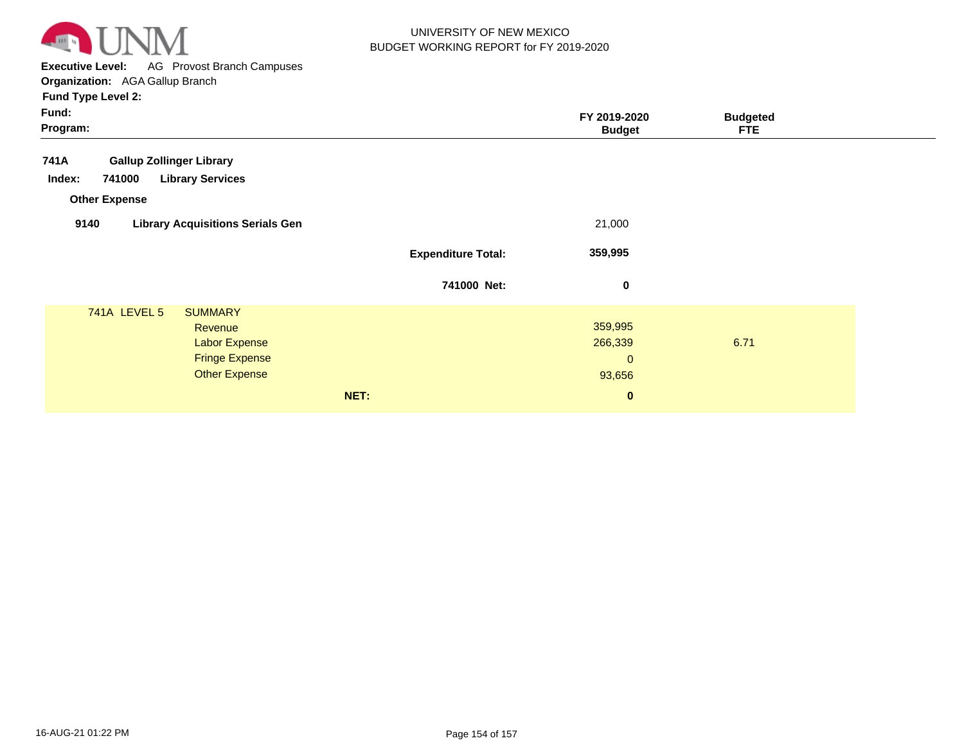

**Executive Level:** AG Provost Branch Campuses **Organization:**  AGA Gallup Branch

| Fund:<br>Program:                                                                                                         |                           | FY 2019-2020<br><b>Budget</b>               | <b>Budgeted</b><br><b>FTE</b> |
|---------------------------------------------------------------------------------------------------------------------------|---------------------------|---------------------------------------------|-------------------------------|
| 741A<br><b>Gallup Zollinger Library</b>                                                                                   |                           |                                             |                               |
| <b>Library Services</b><br>Index:<br>741000<br><b>Other Expense</b>                                                       |                           |                                             |                               |
| 9140<br><b>Library Acquisitions Serials Gen</b>                                                                           |                           | 21,000                                      |                               |
|                                                                                                                           | <b>Expenditure Total:</b> | 359,995                                     |                               |
|                                                                                                                           | 741000 Net:               | 0                                           |                               |
| <b>741A LEVEL 5</b><br><b>SUMMARY</b><br>Revenue<br><b>Labor Expense</b><br><b>Fringe Expense</b><br><b>Other Expense</b> |                           | 359,995<br>266,339<br>$\mathbf 0$<br>93,656 | 6.71                          |
|                                                                                                                           | NET:                      | $\mathbf{0}$                                |                               |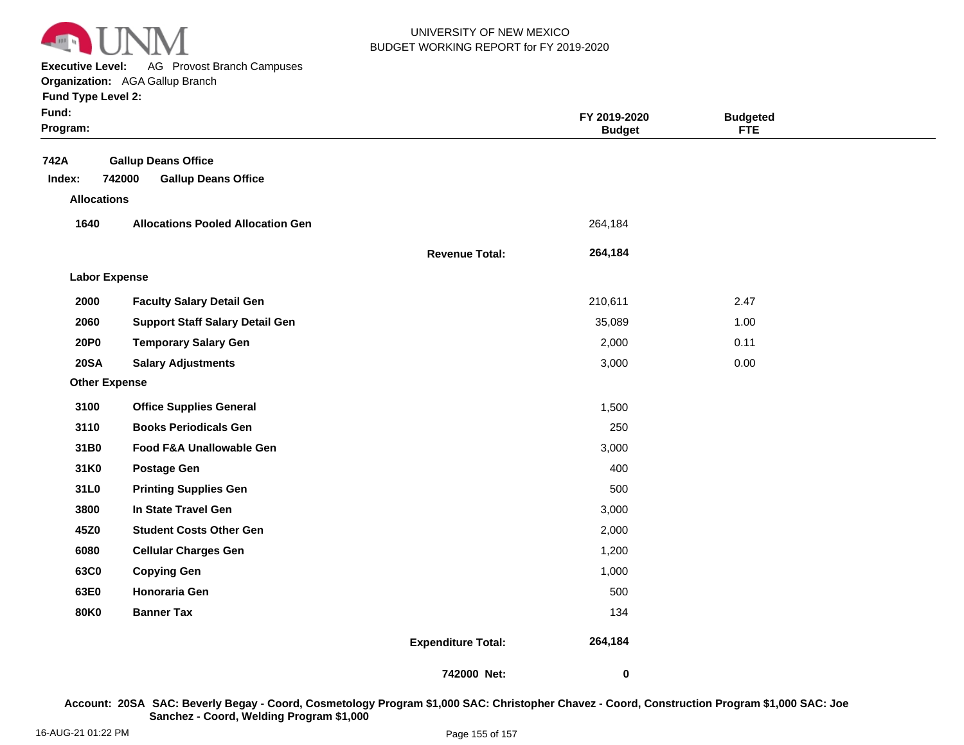

**Executive Level:** AG Provost Branch Campuses

**Organization:**  AGA Gallup Branch

| <b>Fund Type Level 2:</b> |                                          |                       |                               |                               |  |
|---------------------------|------------------------------------------|-----------------------|-------------------------------|-------------------------------|--|
| Fund:<br>Program:         |                                          |                       | FY 2019-2020<br><b>Budget</b> | <b>Budgeted</b><br><b>FTE</b> |  |
|                           |                                          |                       |                               |                               |  |
| 742A                      | <b>Gallup Deans Office</b>               |                       |                               |                               |  |
| Index:                    | <b>Gallup Deans Office</b><br>742000     |                       |                               |                               |  |
| <b>Allocations</b>        |                                          |                       |                               |                               |  |
| 1640                      | <b>Allocations Pooled Allocation Gen</b> |                       | 264,184                       |                               |  |
|                           |                                          | <b>Revenue Total:</b> | 264,184                       |                               |  |
| <b>Labor Expense</b>      |                                          |                       |                               |                               |  |
| 2000                      | <b>Faculty Salary Detail Gen</b>         |                       | 210,611                       | 2.47                          |  |
| 2060                      | <b>Support Staff Salary Detail Gen</b>   |                       | 35,089                        | 1.00                          |  |
| <b>20P0</b>               | <b>Temporary Salary Gen</b>              |                       | 2,000                         | 0.11                          |  |
| <b>20SA</b>               | <b>Salary Adjustments</b>                |                       | 3,000                         | 0.00                          |  |
| <b>Other Expense</b>      |                                          |                       |                               |                               |  |
| 3100                      | <b>Office Supplies General</b>           |                       | 1,500                         |                               |  |
| 3110                      | <b>Books Periodicals Gen</b>             |                       | 250                           |                               |  |
| 31B0                      | Food F&A Unallowable Gen                 |                       | 3,000                         |                               |  |
| 31K0                      | <b>Postage Gen</b>                       |                       | 400                           |                               |  |
| 31L0                      | <b>Printing Supplies Gen</b>             |                       | 500                           |                               |  |
| 3800                      | In State Travel Gen                      |                       | 3,000                         |                               |  |
| 45Z0                      | <b>Student Costs Other Gen</b>           |                       | 2,000                         |                               |  |
| 6080                      | <b>Cellular Charges Gen</b>              |                       | 1,200                         |                               |  |
| 63C0                      | <b>Copying Gen</b>                       |                       | 1,000                         |                               |  |
| 63E0                      | Honoraria Gen                            |                       | 500                           |                               |  |
| 80K0                      | <b>Banner Tax</b>                        |                       | 134                           |                               |  |

**Expenditure Total: 264,184** 

**742000 Net:**

 **0** 

**20SA SAC: Beverly Begay - Coord, Cosmetology Program \$1,000 SAC: Christopher Chavez - Coord, Construction Program \$1,000 SAC: Joe Account:Sanchez - Coord, Welding Program \$1,000**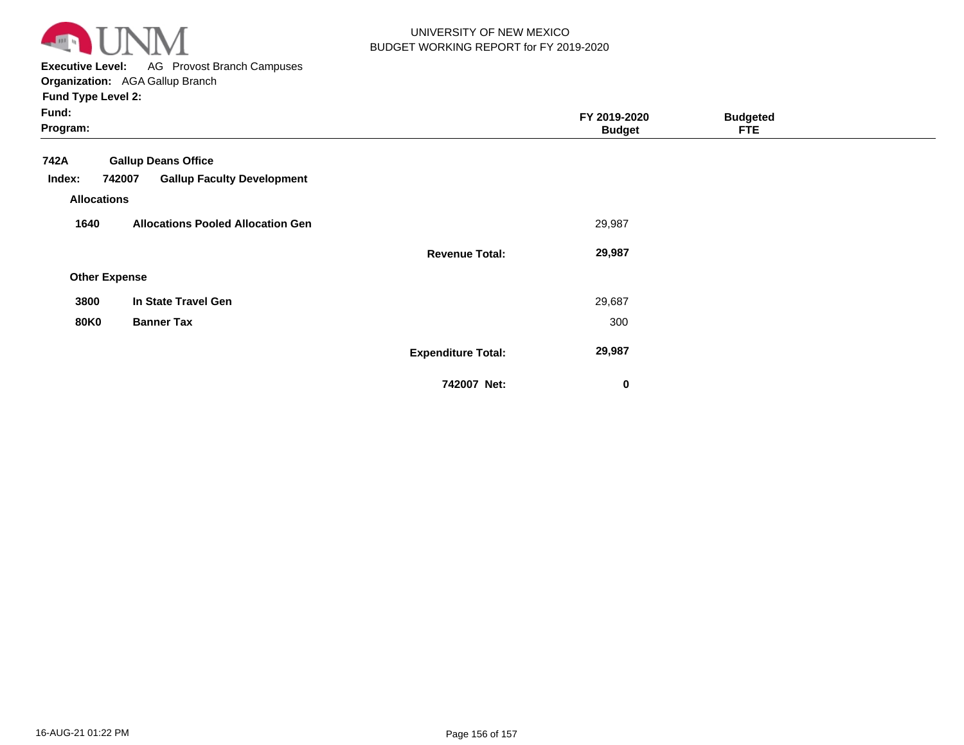

**Executive Level:** AG Provost Branch Campuses **Organization:**  AGA Gallup Branch

| Fund:<br>Program:    |                                             |                           | FY 2019-2020<br><b>Budget</b> | <b>Budgeted</b><br><b>FTE</b> |  |
|----------------------|---------------------------------------------|---------------------------|-------------------------------|-------------------------------|--|
| 742A                 | <b>Gallup Deans Office</b>                  |                           |                               |                               |  |
| Index:               | 742007<br><b>Gallup Faculty Development</b> |                           |                               |                               |  |
| <b>Allocations</b>   |                                             |                           |                               |                               |  |
| 1640                 | <b>Allocations Pooled Allocation Gen</b>    |                           | 29,987                        |                               |  |
|                      |                                             | <b>Revenue Total:</b>     | 29,987                        |                               |  |
| <b>Other Expense</b> |                                             |                           |                               |                               |  |
| 3800                 | In State Travel Gen                         |                           | 29,687                        |                               |  |
| <b>80K0</b>          | <b>Banner Tax</b>                           |                           | 300                           |                               |  |
|                      |                                             | <b>Expenditure Total:</b> | 29,987                        |                               |  |
|                      |                                             | 742007 Net:               | $\bf{0}$                      |                               |  |